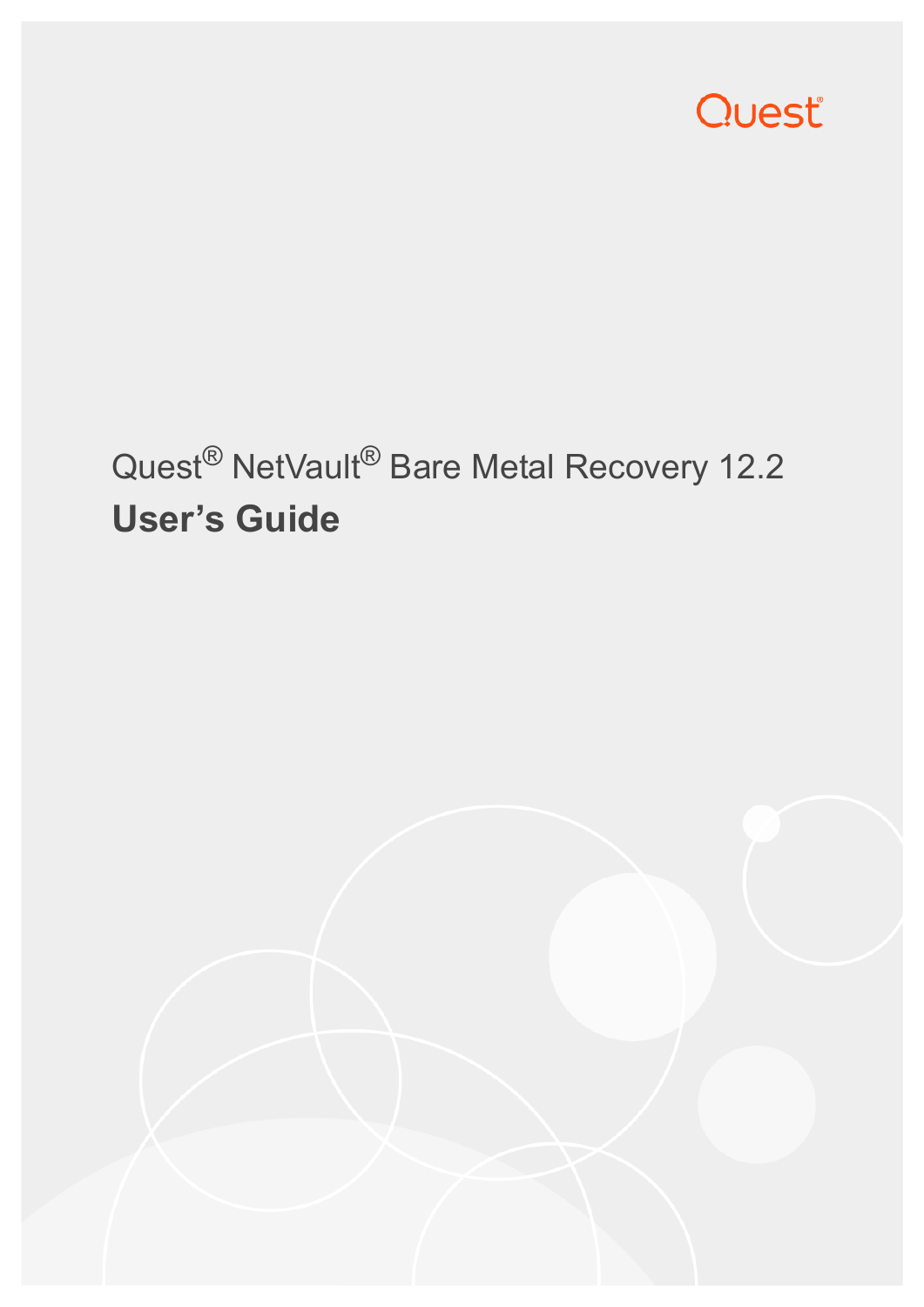

# Quest® NetVault® Bare Metal Recovery 12.2 **User's Guide**

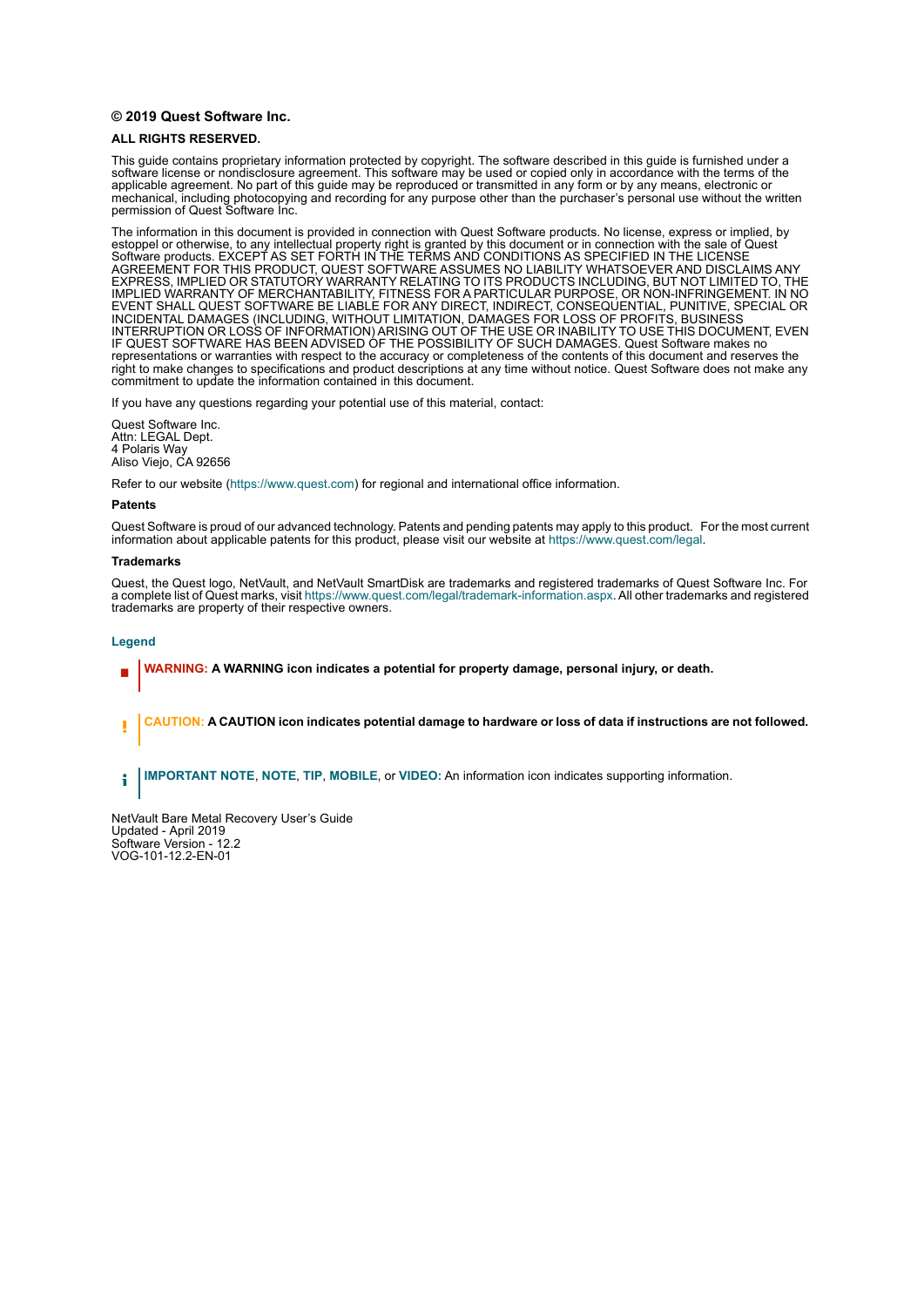#### **© 2019 Quest Software Inc.**

#### **ALL RIGHTS RESERVED.**

This guide contains proprietary information protected by copyright. The software described in this guide is furnished under a software license or nondisclosure agreement. This software may be used or copied only in accordance with the terms of the applicable agreement. No part of this guide may be reproduced or transmitted in any form or by any means, electronic or mechanical, including photocopying and recording for any purpose other than the purchaser's personal use without the written permission of Quest Software Inc.

The information in this document is provided in connection with Quest Software products. No license, express or implied, by estoppel or otherwise, to any intellectual property right is granted by this document or in connection with the sale of Quest<br>Software products. EXCEPT AS SET FORTH IN THE TERMS AND CONDITIONS AS SPECIFIED IN THE LICENSE<br>A EXPRESS, IMPLIED OR STATUTORY WARRANTY RELATING TO ITS PRODUCTS INCLUDING, BUT NOT LIMITED TO, THE IMPLIED WARRANTY OF MERCHANTABILITY, FITNESS FOR A PARTICULAR PURPOSE, OR NON-INFRINGEMENT. IN NO EVENT SHALL QUEST SOFTWARE BE LIABLE FOR ANY DIRECT, INDIRECT, CONSEQUENTIAL, PUNITIVE, SPECIAL OR INCIDENTAL DAMAGES (INCLUDING, WITHOUT LIMITATION, DAMAGES FOR LOSS OF PROFITS, BUSINESS<br>INTERRUPTION OR LOSS OF INFORMATION) ARISING OUT OF THE USE OR INABILITY TO USE THIS DOCUMENT, EVEN IF QUEST SOFTWARE HAS BEEN ADVISED OF THE POSSIBILITY OF SUCH DAMAGES. Quest Software makes no representations or warranties with respect to the accuracy or completeness of the contents of this document and reserves the right to make changes to specifications and product descriptions at any time without notice. Quest Software does not make any commitment to update the information contained in this document.

If you have any questions regarding your potential use of this material, contact:

Quest Software Inc. Attn: LEGAL Dept. 4 Polaris Way Aliso Viejo, CA 92656

Refer to our website [\(https://www.quest.com](https://www.quest.com)) for regional and international office information.

#### **Patents**

Quest Software is proud of our advanced technology. Patents and pending patents may apply to this product. For the most current information about applicable patents for this product, please visit our website at [https://www.quest.com/legal.](https://www.quest.com/legal)

#### **Trademarks**

Quest, the Quest logo, NetVault, and NetVault SmartDisk are trademarks and registered trademarks of Quest Software Inc. For a complete list of Quest marks, visit<https://www.quest.com/legal/trademark-information.aspx>. All other trademarks and registered trademarks are property of their respective owners.

#### **Legend**

- **WARNING: A WARNING icon indicates a potential for property damage, personal injury, or death.**
- **CAUTION: A CAUTION icon indicates potential damage to hardware or loss of data if instructions are not followed.** Ţ

**IMPORTANT NOTE**, **NOTE**, **TIP**, **MOBILE**, or **VIDEO:** An information icon indicates supporting information.f.

NetVault Bare Metal Recovery User's Guide Updated - April 2019 Software Version - 12.2 VOG-101-12.2-EN-01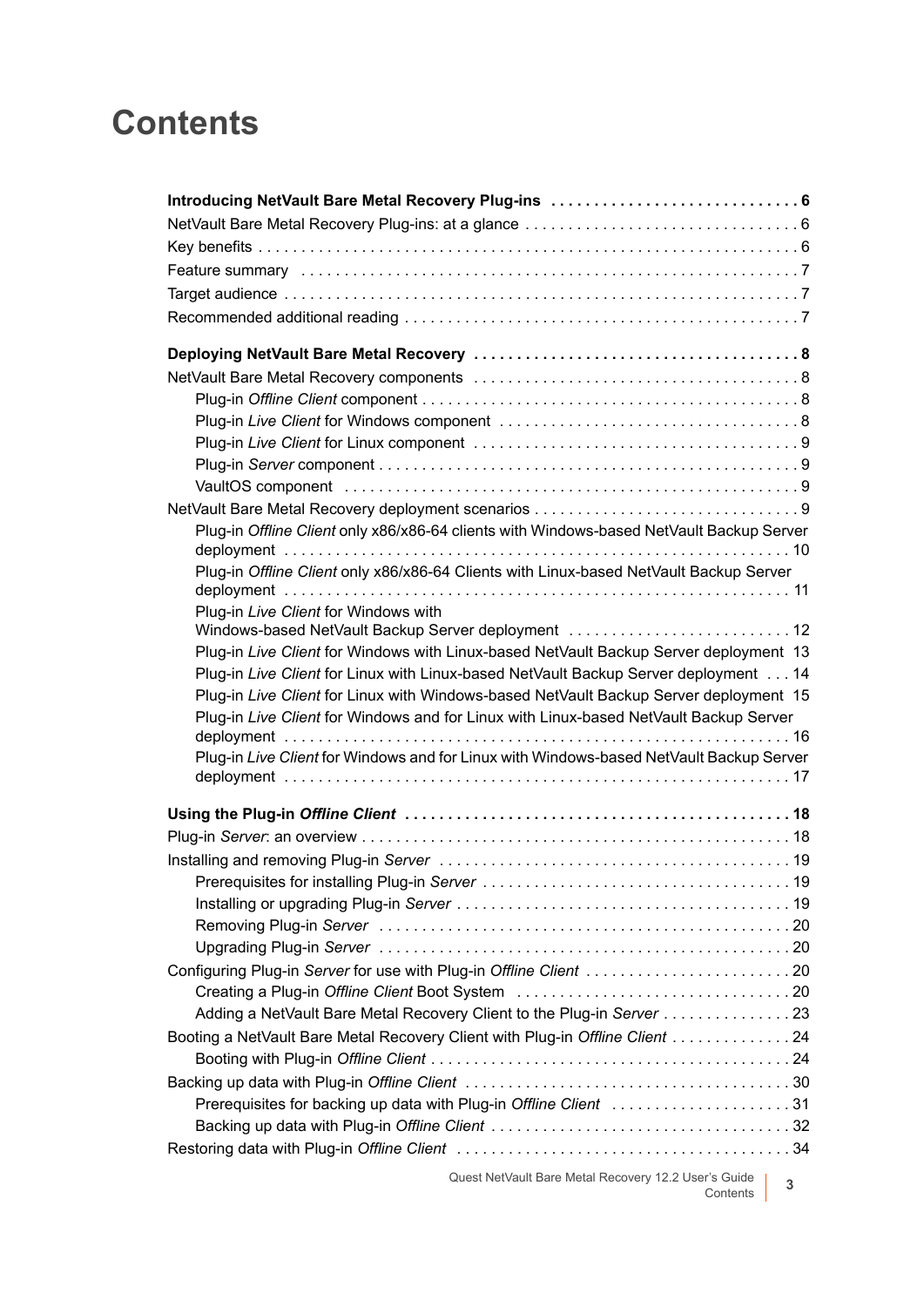# **Contents**

| Plug-in Offline Client only x86/x86-64 clients with Windows-based NetVault Backup Server |  |
|------------------------------------------------------------------------------------------|--|
| Plug-in Offline Client only x86/x86-64 Clients with Linux-based NetVault Backup Server   |  |
|                                                                                          |  |
| Plug-in Live Client for Windows with                                                     |  |
| Windows-based NetVault Backup Server deployment  12                                      |  |
| Plug-in Live Client for Windows with Linux-based NetVault Backup Server deployment 13    |  |
| Plug-in Live Client for Linux with Linux-based NetVault Backup Server deployment 14      |  |
| Plug-in Live Client for Linux with Windows-based NetVault Backup Server deployment 15    |  |
| Plug-in Live Client for Windows and for Linux with Linux-based NetVault Backup Server    |  |
| Plug-in Live Client for Windows and for Linux with Windows-based NetVault Backup Server  |  |
|                                                                                          |  |
|                                                                                          |  |
|                                                                                          |  |
|                                                                                          |  |
|                                                                                          |  |
|                                                                                          |  |
|                                                                                          |  |
|                                                                                          |  |
|                                                                                          |  |
| Configuring Plug-in Server for use with Plug-in Offline Client 20                        |  |
|                                                                                          |  |
| Adding a NetVault Bare Metal Recovery Client to the Plug-in Server 23                    |  |
| Booting a NetVault Bare Metal Recovery Client with Plug-in Offline Client 24             |  |
|                                                                                          |  |
|                                                                                          |  |
| Prerequisites for backing up data with Plug-in Offline Client 31                         |  |
|                                                                                          |  |
|                                                                                          |  |
|                                                                                          |  |

Quest NetVault Bare Metal Recovery 12.2 User's Guide Contents **<sup>3</sup>**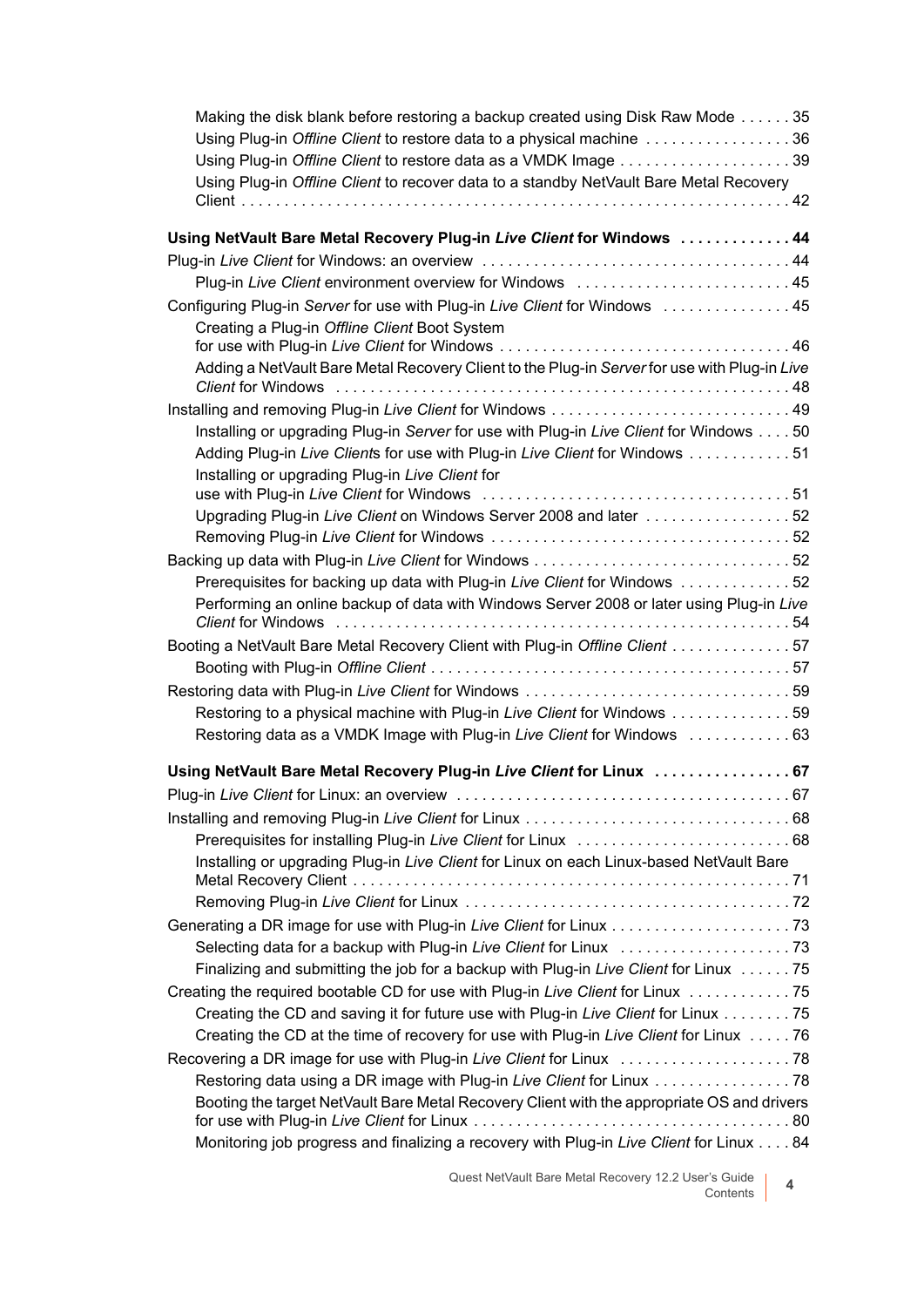| Making the disk blank before restoring a backup created using Disk Raw Mode 35               |  |
|----------------------------------------------------------------------------------------------|--|
| Using Plug-in Offline Client to restore data to a physical machine 36                        |  |
| Using Plug-in Offline Client to restore data as a VMDK Image 39                              |  |
| Using Plug-in Offline Client to recover data to a standby NetVault Bare Metal Recovery       |  |
|                                                                                              |  |
| Using NetVault Bare Metal Recovery Plug-in Live Client for Windows 44                        |  |
|                                                                                              |  |
| Plug-in Live Client environment overview for Windows  45                                     |  |
| Configuring Plug-in Server for use with Plug-in Live Client for Windows  45                  |  |
| Creating a Plug-in Offline Client Boot System                                                |  |
|                                                                                              |  |
| Adding a NetVault Bare Metal Recovery Client to the Plug-in Server for use with Plug-in Live |  |
|                                                                                              |  |
|                                                                                              |  |
| Installing or upgrading Plug-in Server for use with Plug-in Live Client for Windows 50       |  |
| Adding Plug-in Live Clients for use with Plug-in Live Client for Windows  51                 |  |
| Installing or upgrading Plug-in Live Client for                                              |  |
| Upgrading Plug-in Live Client on Windows Server 2008 and later 52                            |  |
|                                                                                              |  |
|                                                                                              |  |
| Prerequisites for backing up data with Plug-in Live Client for Windows 52                    |  |
| Performing an online backup of data with Windows Server 2008 or later using Plug-in Live     |  |
|                                                                                              |  |
| Booting a NetVault Bare Metal Recovery Client with Plug-in Offline Client 57                 |  |
|                                                                                              |  |
|                                                                                              |  |
| Restoring to a physical machine with Plug-in Live Client for Windows 59                      |  |
| Restoring data as a VMDK Image with Plug-in Live Client for Windows  63                      |  |
| Using NetVault Bare Metal Recovery Plug-in Live Client for Linux  67                         |  |
|                                                                                              |  |
|                                                                                              |  |
|                                                                                              |  |
| Installing or upgrading Plug-in Live Client for Linux on each Linux-based NetVault Bare      |  |
|                                                                                              |  |
|                                                                                              |  |
|                                                                                              |  |
|                                                                                              |  |
| Finalizing and submitting the job for a backup with Plug-in Live Client for Linux 75         |  |
| Creating the required bootable CD for use with Plug-in Live Client for Linux 75              |  |
| Creating the CD and saving it for future use with Plug-in Live Client for Linux 75           |  |
| Creating the CD at the time of recovery for use with Plug-in Live Client for Linux  76       |  |
|                                                                                              |  |
| Restoring data using a DR image with Plug-in Live Client for Linux 78                        |  |
| Booting the target NetVault Bare Metal Recovery Client with the appropriate OS and drivers   |  |
| Monitoring job progress and finalizing a recovery with Plug-in Live Client for Linux 84      |  |
|                                                                                              |  |

Quest NetVault Bare Metal Recovery 12.2 User's Guide Contents **<sup>4</sup>**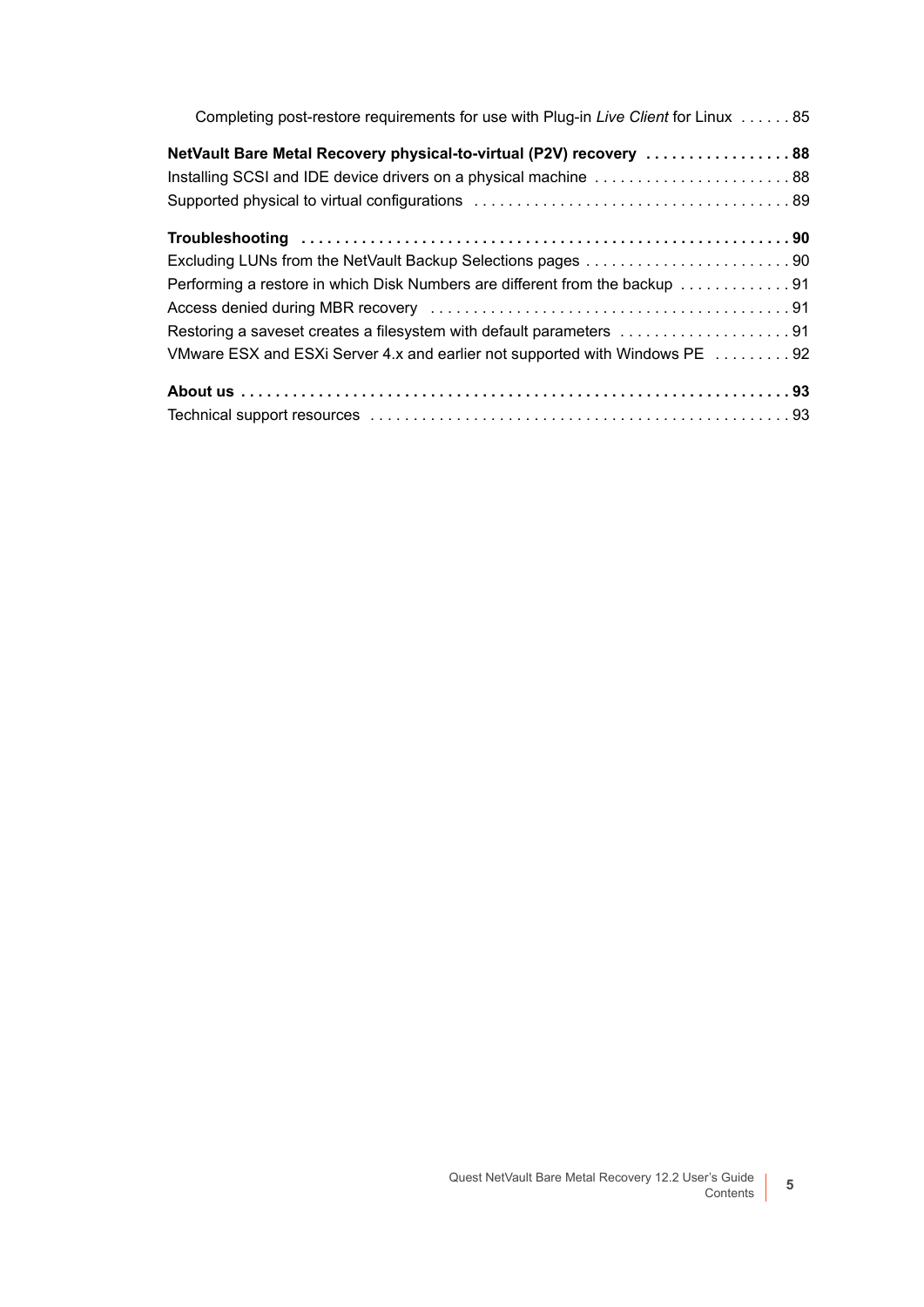| Completing post-restore requirements for use with Plug-in Live Client for Linux  85 |
|-------------------------------------------------------------------------------------|
| NetVault Bare Metal Recovery physical-to-virtual (P2V) recovery 88                  |
|                                                                                     |
|                                                                                     |
|                                                                                     |
|                                                                                     |
| Performing a restore in which Disk Numbers are different from the backup 91         |
|                                                                                     |
| Restoring a saveset creates a filesystem with default parameters 91                 |
| VMware ESX and ESXi Server 4.x and earlier not supported with Windows PE 92         |
|                                                                                     |
|                                                                                     |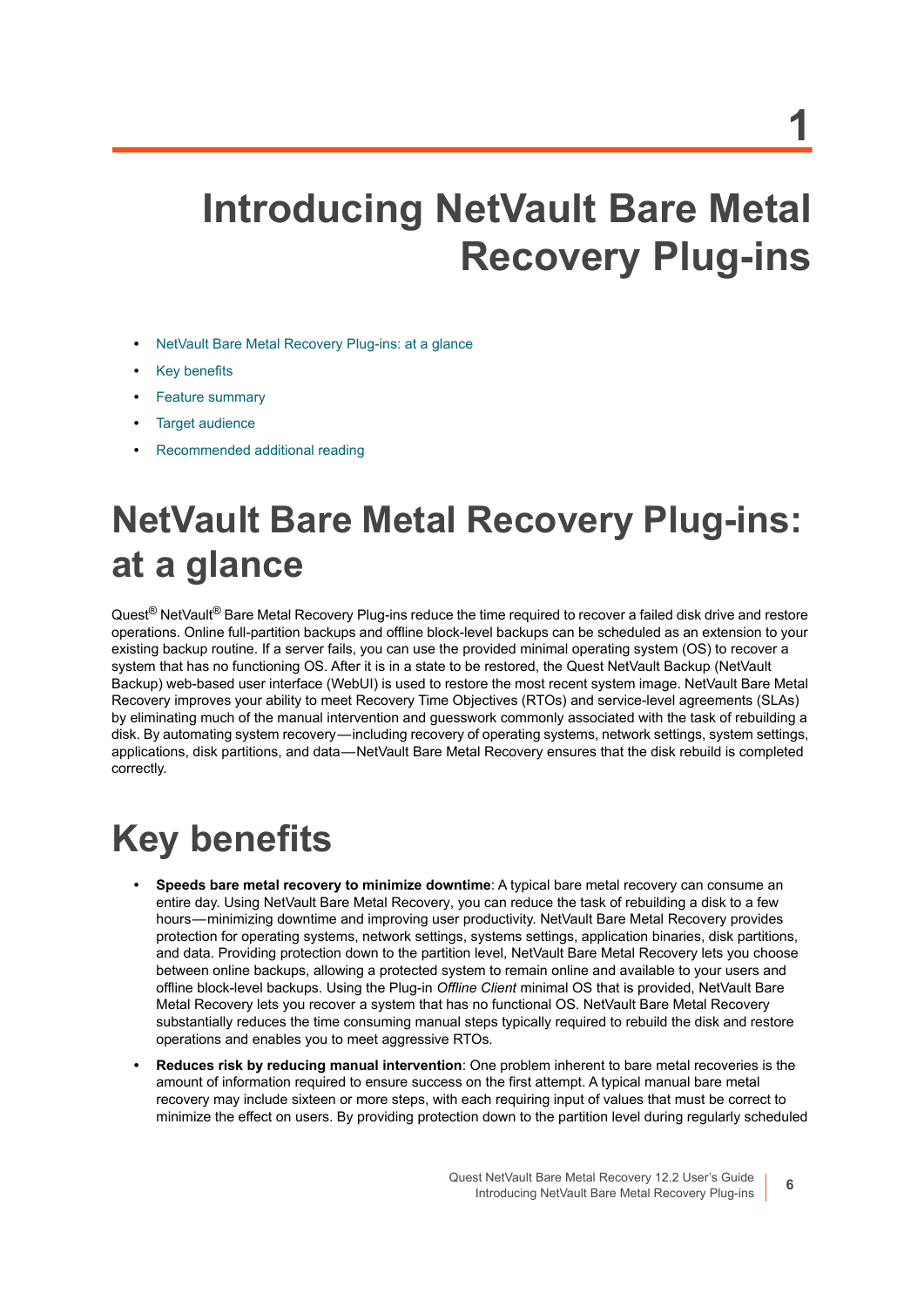# <span id="page-5-0"></span>**Introducing NetVault Bare Metal Recovery Plug-ins**

- **•** [NetVault Bare Metal Recovery Plug-ins: at a glance](#page-5-1)
- **•** [Key benefits](#page-5-2)
- **•** [Feature summary](#page-6-0)
- **•** [Target audience](#page-6-1)
- **•** [Recommended additional reading](#page-6-2)

# <span id="page-5-1"></span>**NetVault Bare Metal Recovery Plug-ins: at a glance**

Quest<sup>®</sup> NetVault<sup>®</sup> Bare Metal Recovery Plug-ins reduce the time required to recover a failed disk drive and restore operations. Online full-partition backups and offline block-level backups can be scheduled as an extension to your existing backup routine. If a server fails, you can use the provided minimal operating system (OS) to recover a system that has no functioning OS. After it is in a state to be restored, the Quest NetVault Backup (NetVault Backup) web-based user interface (WebUI) is used to restore the most recent system image. NetVault Bare Metal Recovery improves your ability to meet Recovery Time Objectives (RTOs) and service-level agreements (SLAs) by eliminating much of the manual intervention and guesswork commonly associated with the task of rebuilding a disk. By automating system recovery — including recovery of operating systems, network settings, system settings, applications, disk partitions, and data — NetVault Bare Metal Recovery ensures that the disk rebuild is completed correctly.

# <span id="page-5-2"></span>**Key benefits**

- **Speeds bare metal recovery to minimize downtime**: A typical bare metal recovery can consume an entire day. Using NetVault Bare Metal Recovery, you can reduce the task of rebuilding a disk to a few hours — minimizing downtime and improving user productivity. NetVault Bare Metal Recovery provides protection for operating systems, network settings, systems settings, application binaries, disk partitions, and data. Providing protection down to the partition level, NetVault Bare Metal Recovery lets you choose between online backups, allowing a protected system to remain online and available to your users and offline block-level backups. Using the Plug-in *Offline Client* minimal OS that is provided, NetVault Bare Metal Recovery lets you recover a system that has no functional OS. NetVault Bare Metal Recovery substantially reduces the time consuming manual steps typically required to rebuild the disk and restore operations and enables you to meet aggressive RTOs.
- **Reduces risk by reducing manual intervention**: One problem inherent to bare metal recoveries is the amount of information required to ensure success on the first attempt. A typical manual bare metal recovery may include sixteen or more steps, with each requiring input of values that must be correct to minimize the effect on users. By providing protection down to the partition level during regularly scheduled

**6**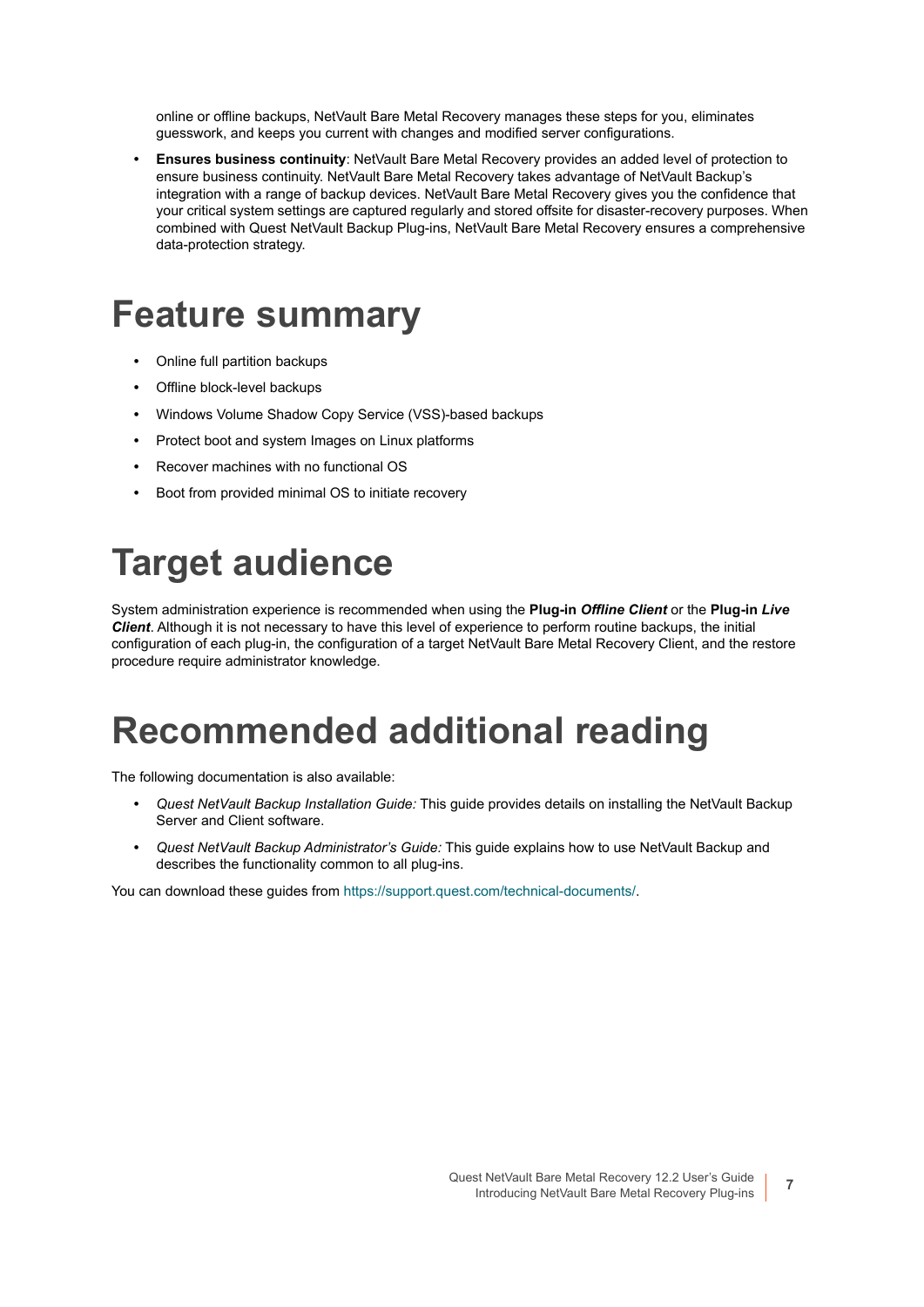online or offline backups, NetVault Bare Metal Recovery manages these steps for you, eliminates guesswork, and keeps you current with changes and modified server configurations.

**• Ensures business continuity**: NetVault Bare Metal Recovery provides an added level of protection to ensure business continuity. NetVault Bare Metal Recovery takes advantage of NetVault Backup's integration with a range of backup devices. NetVault Bare Metal Recovery gives you the confidence that your critical system settings are captured regularly and stored offsite for disaster-recovery purposes. When combined with Quest NetVault Backup Plug-ins, NetVault Bare Metal Recovery ensures a comprehensive data-protection strategy.

# <span id="page-6-0"></span>**Feature summary**

- **•** Online full partition backups
- **•** Offline block-level backups
- **•** Windows Volume Shadow Copy Service (VSS)-based backups
- **•** Protect boot and system Images on Linux platforms
- **•** Recover machines with no functional OS
- **•** Boot from provided minimal OS to initiate recovery

# <span id="page-6-1"></span>**Target audience**

System administration experience is recommended when using the **Plug-in** *Offline Client* or the **Plug-in** *Live Client*. Although it is not necessary to have this level of experience to perform routine backups, the initial configuration of each plug-in, the configuration of a target NetVault Bare Metal Recovery Client, and the restore procedure require administrator knowledge.

# <span id="page-6-2"></span>**Recommended additional reading**

The following documentation is also available:

- **•** *Quest NetVault Backup Installation Guide:* This guide provides details on installing the NetVault Backup Server and Client software.
- **•** *Quest NetVault Backup Administrator's Guide:* This guide explains how to use NetVault Backup and describes the functionality common to all plug-ins.

You can download these guides from [https://support.quest.com/technical-documents/.](https://support.quest.com/technical-documents/)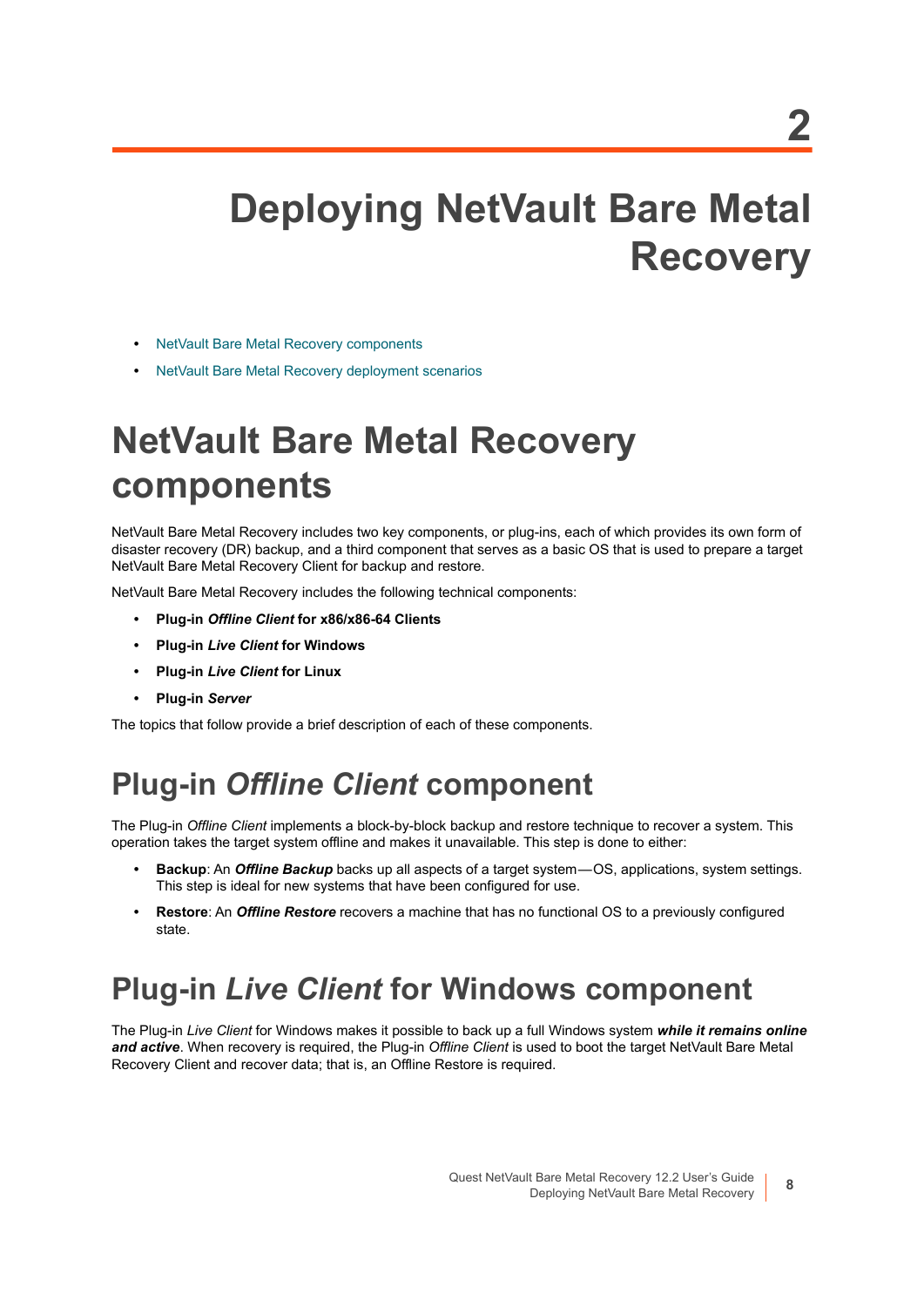# <span id="page-7-0"></span>**Deploying NetVault Bare Metal Recovery**

- **•** [NetVault Bare Metal Recovery components](#page-7-1)
- **•** [NetVault Bare Metal Recovery deployment scenarios](#page-8-3)

# <span id="page-7-1"></span>**NetVault Bare Metal Recovery components**

NetVault Bare Metal Recovery includes two key components, or plug-ins, each of which provides its own form of disaster recovery (DR) backup, and a third component that serves as a basic OS that is used to prepare a target NetVault Bare Metal Recovery Client for backup and restore.

NetVault Bare Metal Recovery includes the following technical components:

- **Plug-in** *Offline Client* **for x86/x86-64 Clients**
- **Plug-in** *Live Client* **for Windows**
- **Plug-in** *Live Client* **for Linux**
- **Plug-in** *Server*

The topics that follow provide a brief description of each of these components.

# <span id="page-7-2"></span>**Plug-in** *Offline Client* **component**

The Plug-in *Offline Client* implements a block-by-block backup and restore technique to recover a system. This operation takes the target system offline and makes it unavailable. This step is done to either:

- **Backup**: An *Offline Backup* backs up all aspects of a target system OS, applications, system settings. This step is ideal for new systems that have been configured for use.
- **Restore**: An *Offline Restore* recovers a machine that has no functional OS to a previously configured state.

## <span id="page-7-3"></span>**Plug-in** *Live Client* **for Windows component**

The Plug-in *Live Client* for Windows makes it possible to back up a full Windows system *while it remains online and active*. When recovery is required, the Plug-in *Offline Client* is used to boot the target NetVault Bare Metal Recovery Client and recover data; that is, an Offline Restore is required.

**8**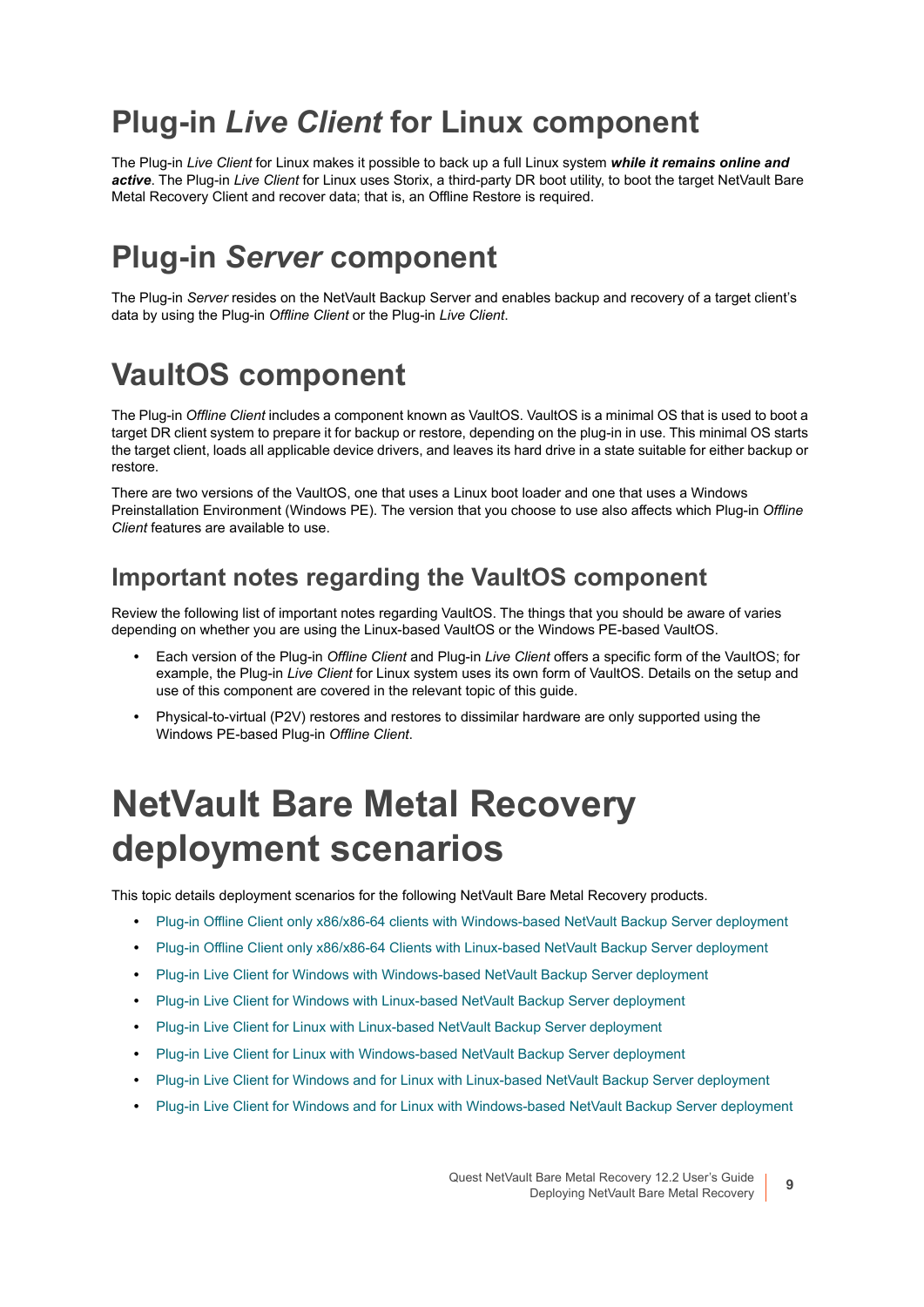# <span id="page-8-0"></span>**Plug-in** *Live Client* **for Linux component**

The Plug-in *Live Client* for Linux makes it possible to back up a full Linux system *while it remains online and active*. The Plug-in *Live Client* for Linux uses Storix, a third-party DR boot utility, to boot the target NetVault Bare Metal Recovery Client and recover data; that is, an Offline Restore is required.

## <span id="page-8-1"></span>**Plug-in** *Server* **component**

The Plug-in *Server* resides on the NetVault Backup Server and enables backup and recovery of a target client's data by using the Plug-in *Offline Client* or the Plug-in *Live Client*.

## <span id="page-8-2"></span>**VaultOS component**

The Plug-in *Offline Client* includes a component known as VaultOS. VaultOS is a minimal OS that is used to boot a target DR client system to prepare it for backup or restore, depending on the plug-in in use. This minimal OS starts the target client, loads all applicable device drivers, and leaves its hard drive in a state suitable for either backup or restore.

There are two versions of the VaultOS, one that uses a Linux boot loader and one that uses a Windows Preinstallation Environment (Windows PE). The version that you choose to use also affects which Plug-in *Offline Client* features are available to use.

### **Important notes regarding the VaultOS component**

Review the following list of important notes regarding VaultOS. The things that you should be aware of varies depending on whether you are using the Linux-based VaultOS or the Windows PE-based VaultOS.

- **•** Each version of the Plug-in *Offline Client* and Plug-in *Live Client* offers a specific form of the VaultOS; for example, the Plug-in *Live Client* for Linux system uses its own form of VaultOS. Details on the setup and use of this component are covered in the relevant topic of this guide.
- **•** Physical-to-virtual (P2V) restores and restores to dissimilar hardware are only supported using the Windows PE-based Plug-in *Offline Client*.

# <span id="page-8-3"></span>**NetVault Bare Metal Recovery deployment scenarios**

This topic details deployment scenarios for the following NetVault Bare Metal Recovery products.

- **•** [Plug-in Offline Client only x86/x86-64 clients with Windows-based NetVault Backup Server deployment](#page-9-0)
- **•** [Plug-in Offline Client only x86/x86-64 Clients with Linux-based NetVault Backup Server deployment](#page-10-0)
- **•** [Plug-in Live Client for Windows with Windows-based NetVault Backup Server deployment](#page-11-0)
- **•** [Plug-in Live Client for Windows with Linux-based NetVault Backup Server deployment](#page-12-0)
- **•** [Plug-in Live Client for Linux with Linux-based NetVault Backup Server deployment](#page-13-0)
- **•** [Plug-in Live Client for Linux with Windows-based NetVault Backup Server deployment](#page-14-0)
- **•** [Plug-in Live Client for Windows and for Linux with Linux-based NetVault Backup Server deployment](#page-15-0)
- **•** [Plug-in Live Client for Windows and for Linux with Windows-based NetVault Backup Server deployment](#page-16-0)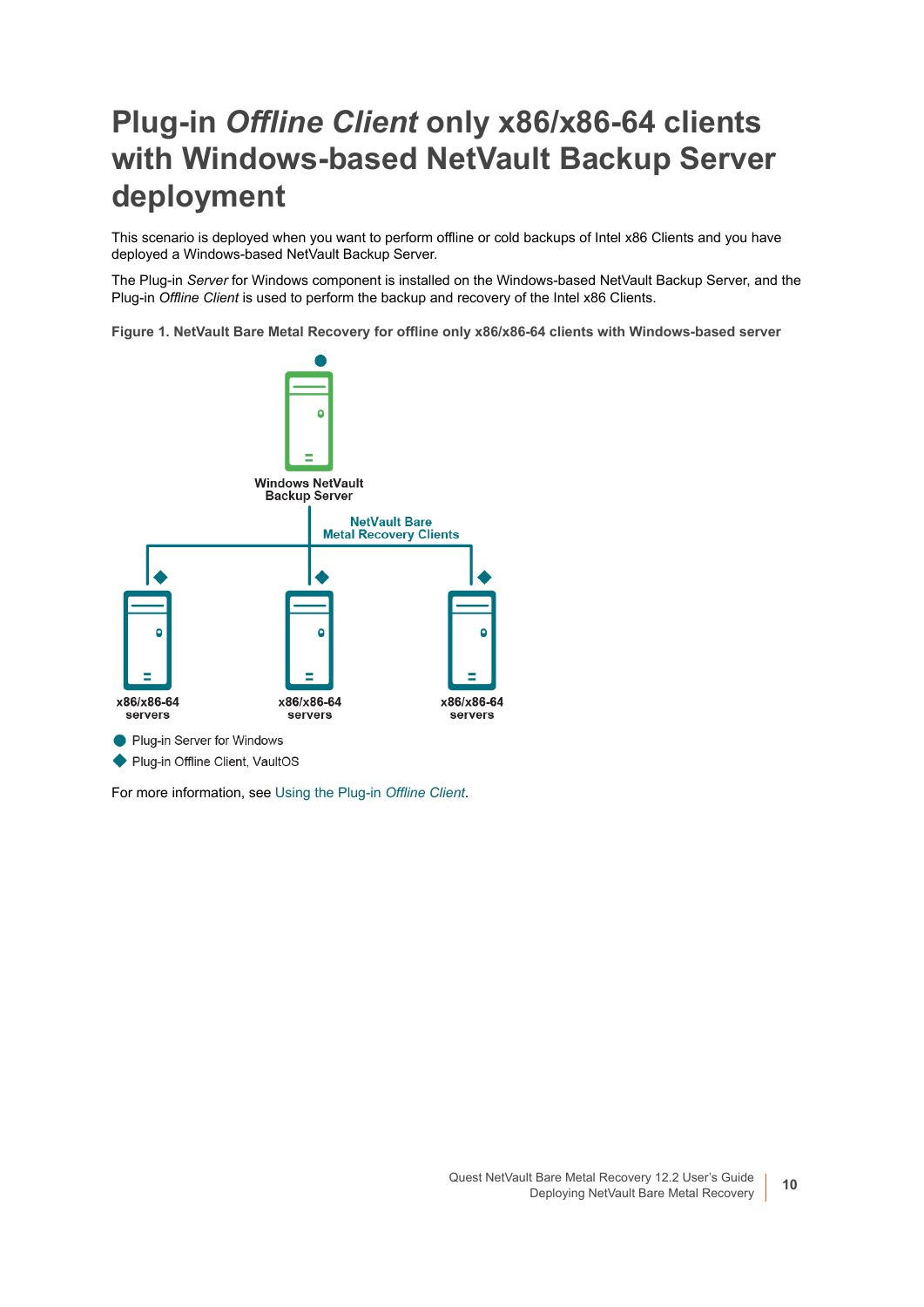## <span id="page-9-0"></span>**Plug-in** *Offline Client* **only x86/x86-64 clients with Windows-based NetVault Backup Server deployment**

This scenario is deployed when you want to perform offline or cold backups of Intel x86 Clients and you have deployed a Windows-based NetVault Backup Server.

The Plug-in *Server* for Windows component is installed on the Windows-based NetVault Backup Server, and the Plug-in *Offline Client* is used to perform the backup and recovery of the Intel x86 Clients.

**Figure 1. NetVault Bare Metal Recovery for offline only x86/x86-64 clients with Windows-based server**



For more information, see [Using the Plug-in](#page-17-2) *Offline Client*.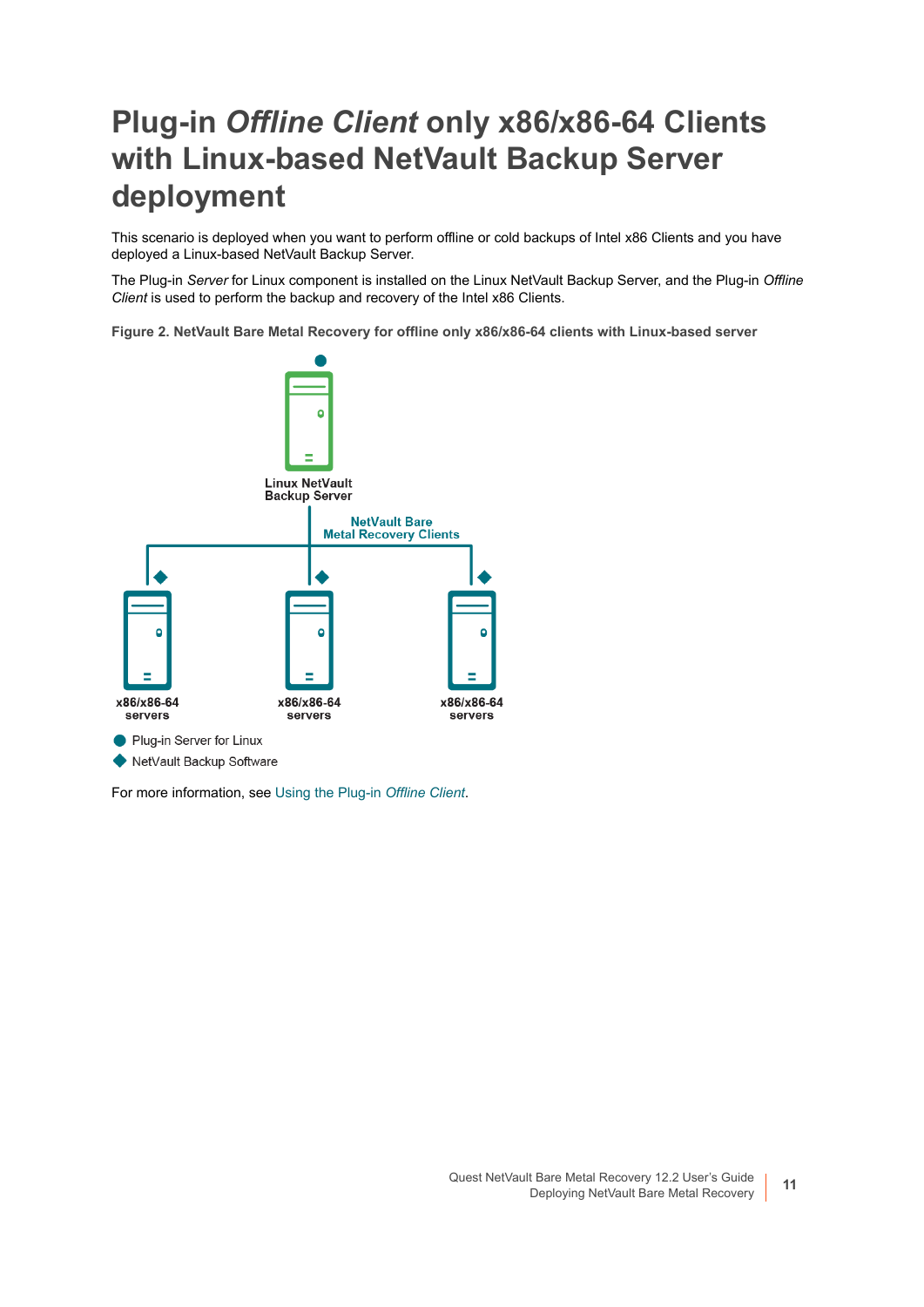## <span id="page-10-0"></span>**Plug-in** *Offline Client* **only x86/x86-64 Clients with Linux-based NetVault Backup Server deployment**

This scenario is deployed when you want to perform offline or cold backups of Intel x86 Clients and you have deployed a Linux-based NetVault Backup Server.

The Plug-in *Server* for Linux component is installed on the Linux NetVault Backup Server, and the Plug-in *Offline Client* is used to perform the backup and recovery of the Intel x86 Clients.

**Figure 2. NetVault Bare Metal Recovery for offline only x86/x86-64 clients with Linux-based server**



For more information, see [Using the Plug-in](#page-17-2) *Offline Client*.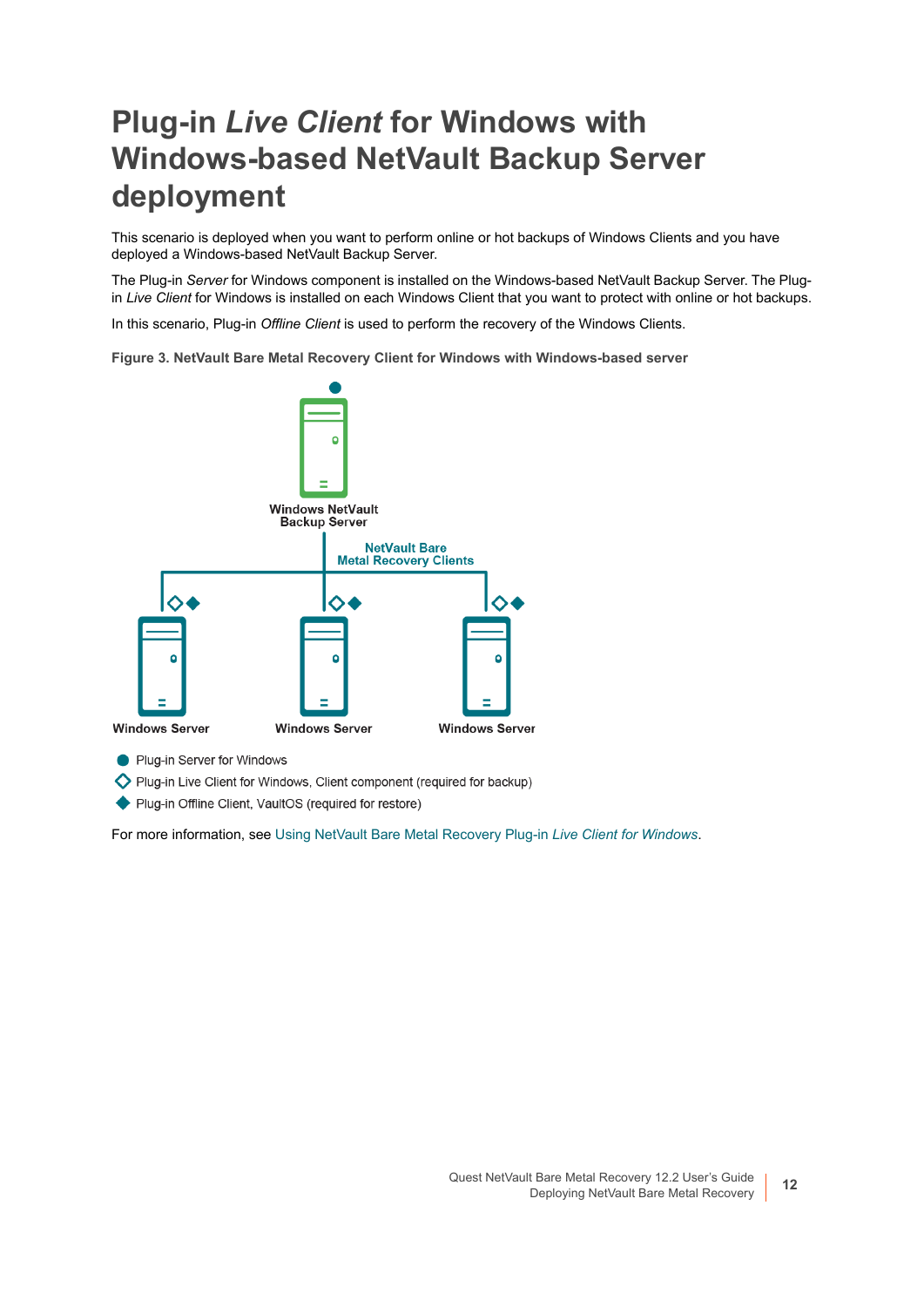## <span id="page-11-0"></span>**Plug-in** *Live Client* **for Windows with Windows-based NetVault Backup Server deployment**

This scenario is deployed when you want to perform online or hot backups of Windows Clients and you have deployed a Windows-based NetVault Backup Server.

The Plug-in *Server* for Windows component is installed on the Windows-based NetVault Backup Server. The Plugin *Live Client* for Windows is installed on each Windows Client that you want to protect with online or hot backups.

In this scenario, Plug-in *Offline Client* is used to perform the recovery of the Windows Clients.

**Figure 3. NetVault Bare Metal Recovery Client for Windows with Windows-based server**



Plug-in Server for Windows

Plug-in Live Client for Windows, Client component (required for backup)

◆ Plug-in Offline Client, VaultOS (required for restore)

For more information, see [Using NetVault Bare Metal Recovery Plug-in](#page-43-2) *Live Client for Windows*.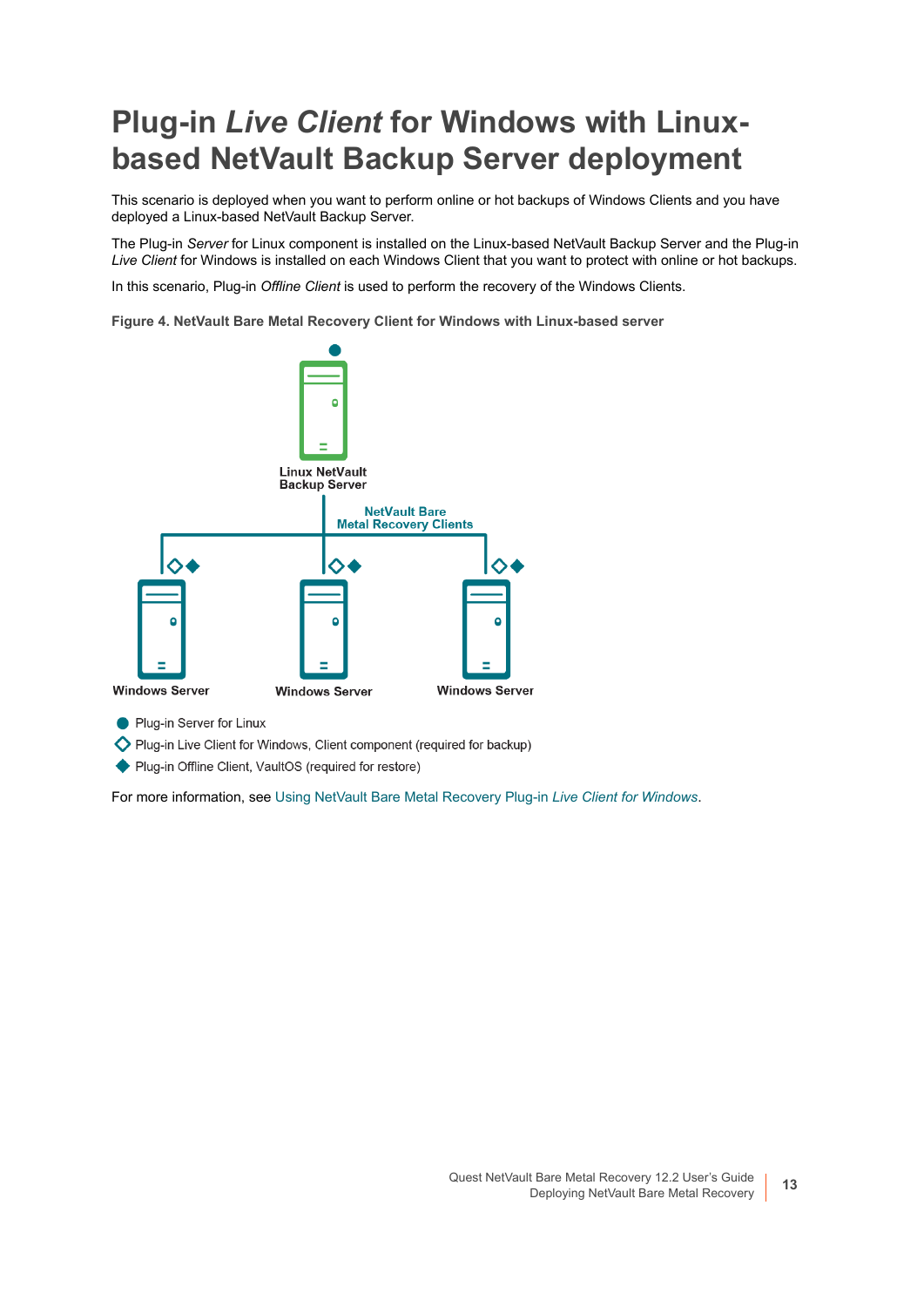## <span id="page-12-0"></span>**Plug-in** *Live Client* **for Windows with Linuxbased NetVault Backup Server deployment**

This scenario is deployed when you want to perform online or hot backups of Windows Clients and you have deployed a Linux-based NetVault Backup Server.

The Plug-in *Server* for Linux component is installed on the Linux-based NetVault Backup Server and the Plug-in *Live Client* for Windows is installed on each Windows Client that you want to protect with online or hot backups.

In this scenario, Plug-in *Offline Client* is used to perform the recovery of the Windows Clients.

**Figure 4. NetVault Bare Metal Recovery Client for Windows with Linux-based server**



Plug-in Server for Linux

Plug-in Live Client for Windows, Client component (required for backup)

◆ Plug-in Offline Client, VaultOS (required for restore)

For more information, see [Using NetVault Bare Metal Recovery Plug-in](#page-43-2) *Live Client for Windows*.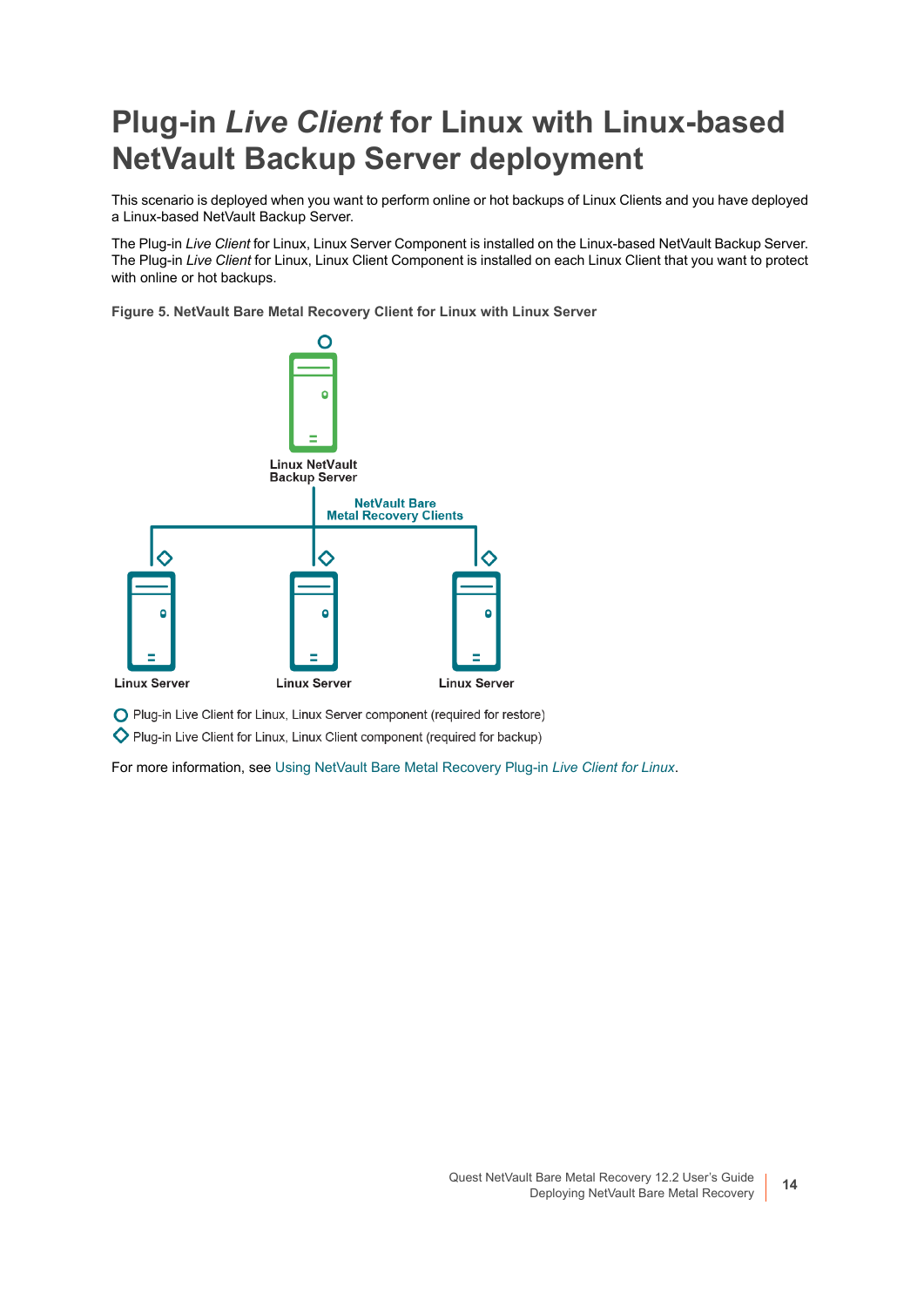## <span id="page-13-0"></span>**Plug-in** *Live Client* **for Linux with Linux-based NetVault Backup Server deployment**

This scenario is deployed when you want to perform online or hot backups of Linux Clients and you have deployed a Linux-based NetVault Backup Server.

The Plug-in *Live Client* for Linux, Linux Server Component is installed on the Linux-based NetVault Backup Server. The Plug-in *Live Client* for Linux, Linux Client Component is installed on each Linux Client that you want to protect with online or hot backups.

**Figure 5. NetVault Bare Metal Recovery Client for Linux with Linux Server**



O Plug-in Live Client for Linux, Linux Server component (required for restore)

Plug-in Live Client for Linux, Linux Client component (required for backup)

For more information, see [Using NetVault Bare Metal Recovery Plug-in](#page-66-2) *Live Client for Linux*.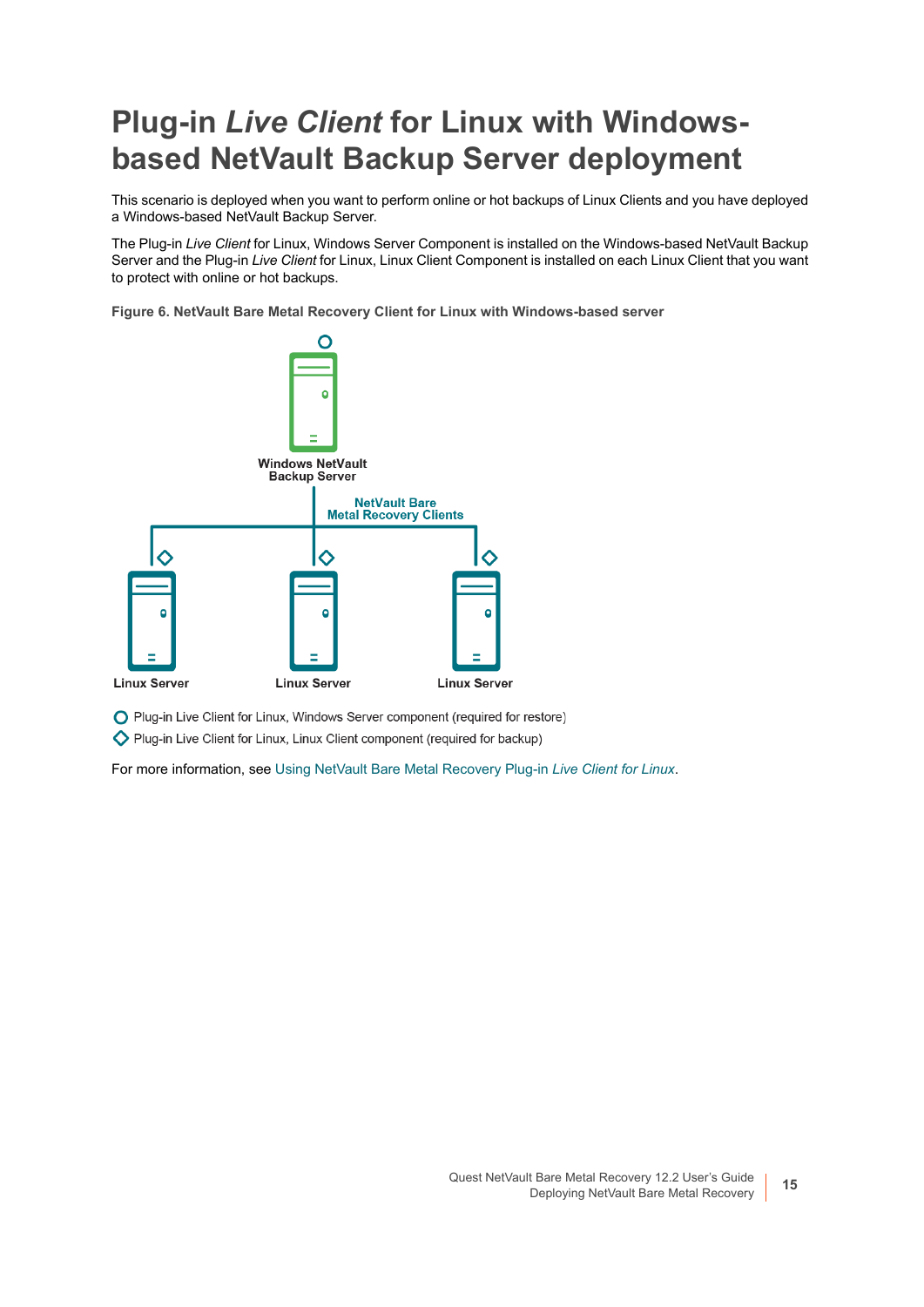## <span id="page-14-0"></span>**Plug-in** *Live Client* **for Linux with Windowsbased NetVault Backup Server deployment**

This scenario is deployed when you want to perform online or hot backups of Linux Clients and you have deployed a Windows-based NetVault Backup Server.

The Plug-in *Live Client* for Linux, Windows Server Component is installed on the Windows-based NetVault Backup Server and the Plug-in *Live Client* for Linux, Linux Client Component is installed on each Linux Client that you want to protect with online or hot backups.

**Figure 6. NetVault Bare Metal Recovery Client for Linux with Windows-based server**



O Plug-in Live Client for Linux, Windows Server component (required for restore)

Plug-in Live Client for Linux, Linux Client component (required for backup)

For more information, see [Using NetVault Bare Metal Recovery Plug-in](#page-66-2) *Live Client for Linux*.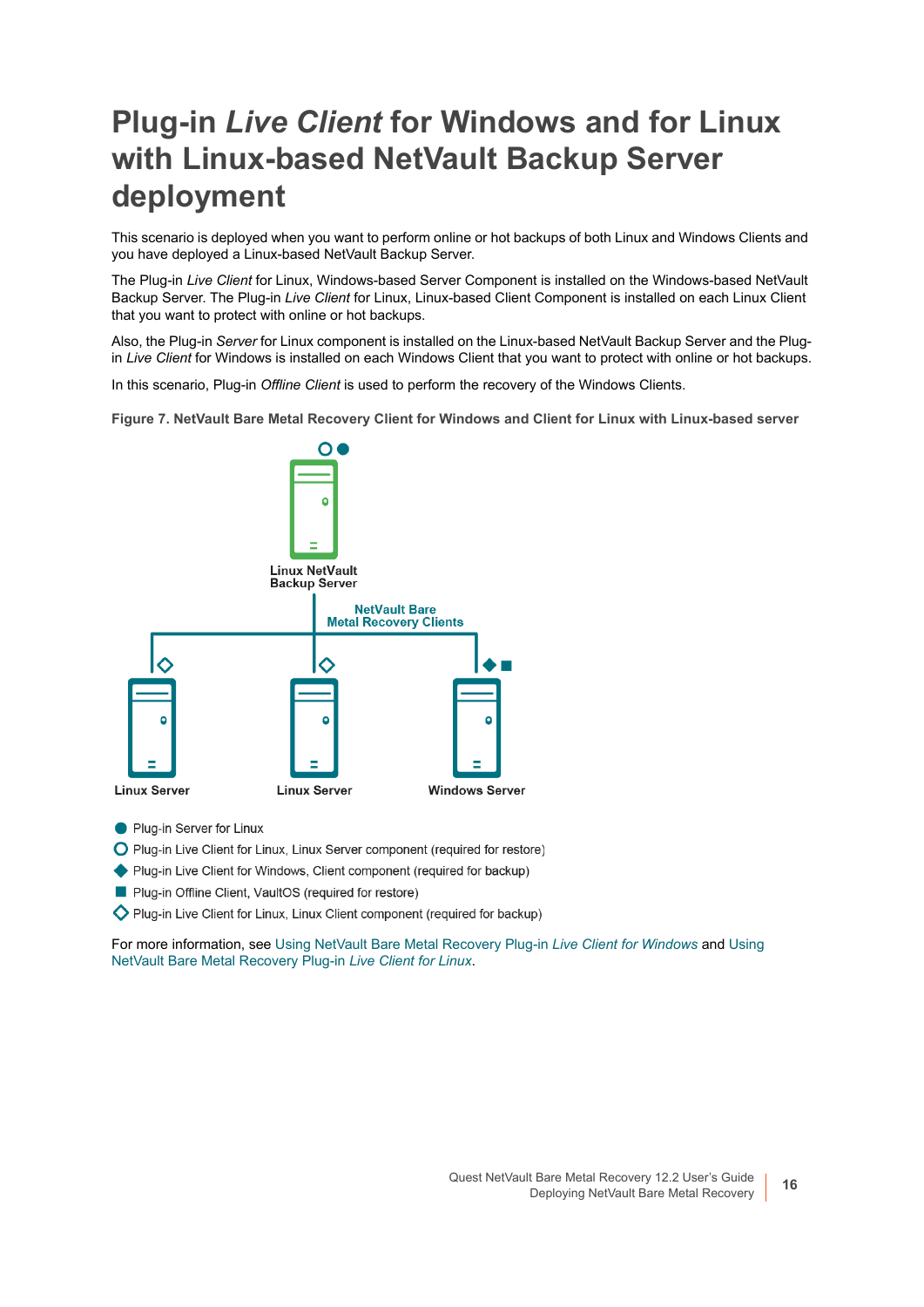## <span id="page-15-0"></span>**Plug-in** *Live Client* **for Windows and for Linux with Linux-based NetVault Backup Server deployment**

This scenario is deployed when you want to perform online or hot backups of both Linux and Windows Clients and you have deployed a Linux-based NetVault Backup Server.

The Plug-in *Live Client* for Linux, Windows-based Server Component is installed on the Windows-based NetVault Backup Server. The Plug-in *Live Client* for Linux, Linux-based Client Component is installed on each Linux Client that you want to protect with online or hot backups.

Also, the Plug-in *Server* for Linux component is installed on the Linux-based NetVault Backup Server and the Plugin *Live Client* for Windows is installed on each Windows Client that you want to protect with online or hot backups.

In this scenario, Plug-in *Offline Client* is used to perform the recovery of the Windows Clients.

**Figure 7. NetVault Bare Metal Recovery Client for Windows and Client for Linux with Linux-based server**



- Plug-in Server for Linux
- O Plug-in Live Client for Linux, Linux Server component (required for restore)
- ◆ Plug-in Live Client for Windows, Client component (required for backup)
- Plug-in Offline Client, VaultOS (required for restore)
- Plug-in Live Client for Linux, Linux Client component (required for backup)

For more information, see [Using NetVault Bare Metal Recovery Plug-in](#page-43-2) *Live Client for Windows* and [Using](#page-66-2)  [NetVault Bare Metal Recovery Plug-in](#page-66-2) *Live Client for Linux*.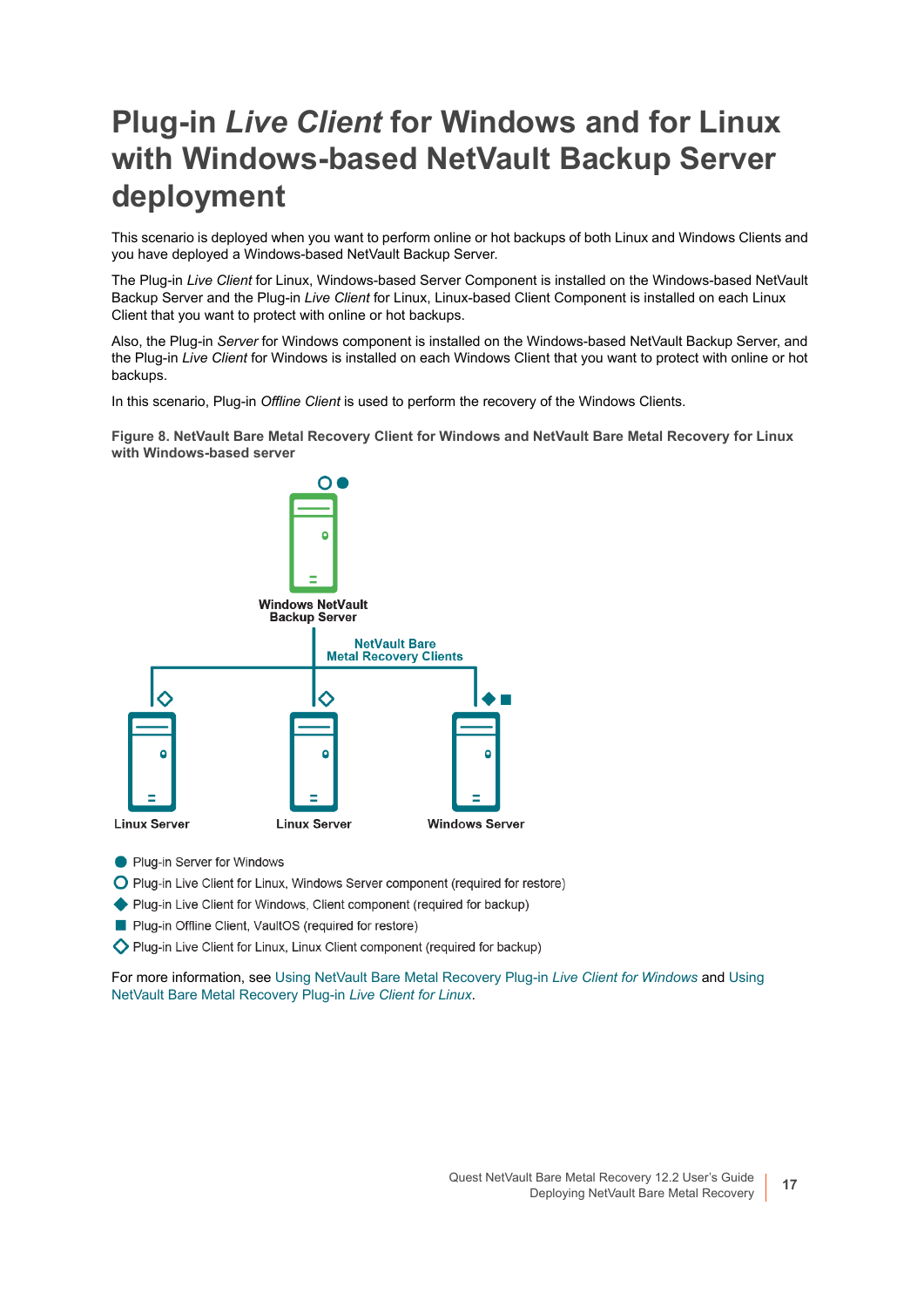## <span id="page-16-0"></span>**Plug-in** *Live Client* **for Windows and for Linux with Windows-based NetVault Backup Server deployment**

This scenario is deployed when you want to perform online or hot backups of both Linux and Windows Clients and you have deployed a Windows-based NetVault Backup Server.

The Plug-in *Live Client* for Linux, Windows-based Server Component is installed on the Windows-based NetVault Backup Server and the Plug-in *Live Client* for Linux, Linux-based Client Component is installed on each Linux Client that you want to protect with online or hot backups.

Also, the Plug-in *Server* for Windows component is installed on the Windows-based NetVault Backup Server, and the Plug-in *Live Client* for Windows is installed on each Windows Client that you want to protect with online or hot backups.

In this scenario, Plug-in *Offline Client* is used to perform the recovery of the Windows Clients.

**Figure 8. NetVault Bare Metal Recovery Client for Windows and NetVault Bare Metal Recovery for Linux with Windows-based server**



- Plug-in Server for Windows
- O Plug-in Live Client for Linux, Windows Server component (required for restore)
- ◆ Plug-in Live Client for Windows, Client component (required for backup)
- Plug-in Offline Client, VaultOS (required for restore)
- Plug-in Live Client for Linux, Linux Client component (required for backup)

For more information, see [Using NetVault Bare Metal Recovery Plug-in](#page-43-2) *Live Client for Windows* and [Using](#page-66-2)  [NetVault Bare Metal Recovery Plug-in](#page-66-2) *Live Client for Linux*.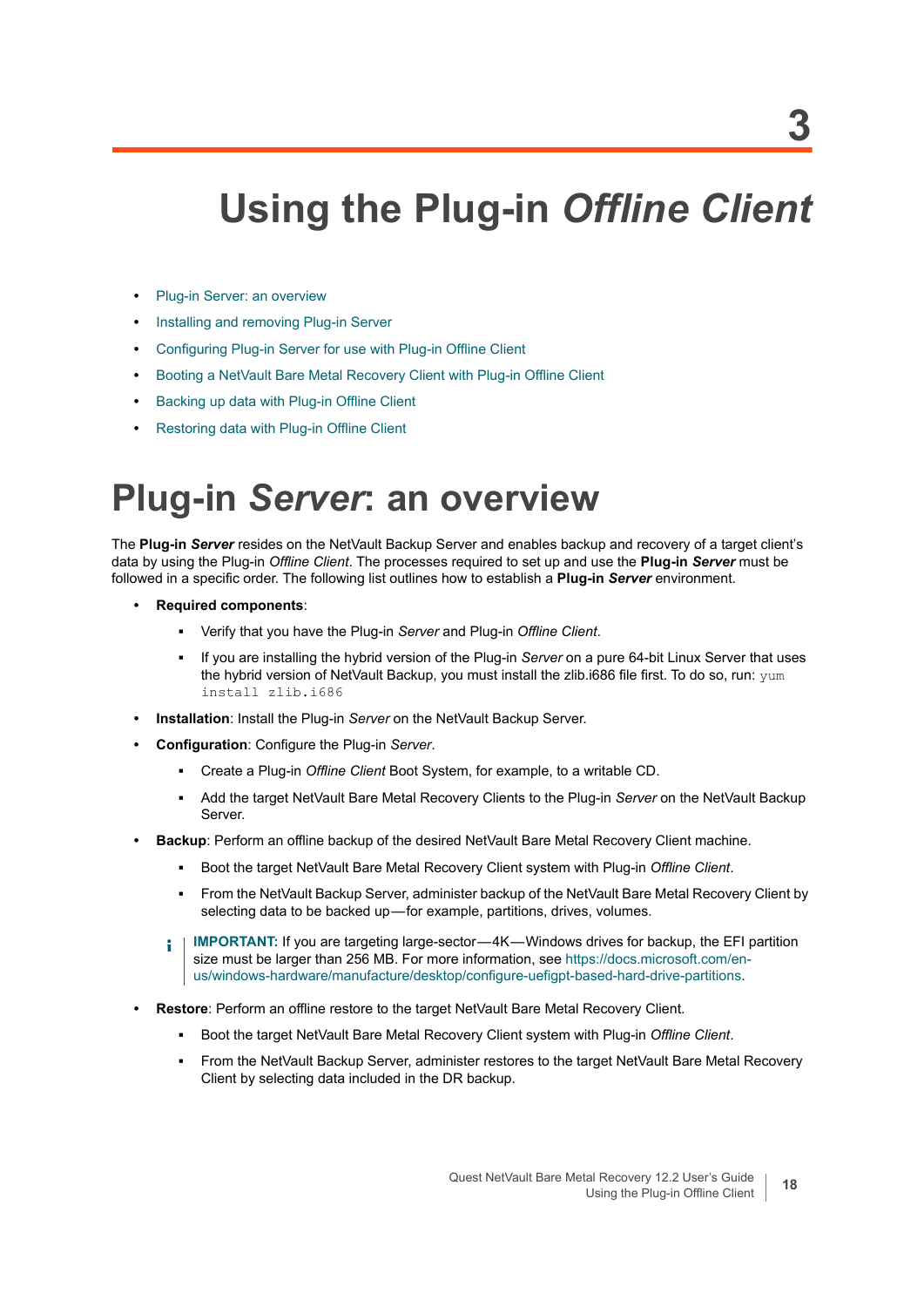# <span id="page-17-2"></span><span id="page-17-0"></span>**Using the Plug-in** *Offline Client*

- **[Plug-in Server: an overview](#page-17-1)**
- **•** [Installing and removing Plug-in Server](#page-18-0)
- **•** [Configuring Plug-in Server for use with Plug-in Offline Client](#page-19-2)
- **•** [Booting a NetVault Bare Metal Recovery Client with Plug-in Offline Client](#page-23-0)
- **•** [Backing up data with Plug-in Offline Client](#page-29-0)
- **•** [Restoring data with Plug-in Offline Client](#page-33-0)

# <span id="page-17-1"></span>**Plug-in** *Server***: an overview**

The **Plug-in** *Server* resides on the NetVault Backup Server and enables backup and recovery of a target client's data by using the Plug-in *Offline Client*. The processes required to set up and use the **Plug-in** *Server* must be followed in a specific order. The following list outlines how to establish a **Plug-in** *Server* environment.

- **Required components**:
	- **▪** Verify that you have the Plug-in *Server* and Plug-in *Offline Client*.
	- **▪** If you are installing the hybrid version of the Plug-in *Server* on a pure 64-bit Linux Server that uses the hybrid version of NetVault Backup, you must install the zlib.i686 file first. To do so, run: yum install zlib.i686
- **Installation**: Install the Plug-in *Server* on the NetVault Backup Server.
- **Configuration**: Configure the Plug-in *Server*.
	- **▪** Create a Plug-in *Offline Client* Boot System, for example, to a writable CD.
	- **▪** Add the target NetVault Bare Metal Recovery Clients to the Plug-in *Server* on the NetVault Backup Server.
- **Backup**: Perform an offline backup of the desired NetVault Bare Metal Recovery Client machine.
	- **▪** Boot the target NetVault Bare Metal Recovery Client system with Plug-in *Offline Client*.
	- **▪** From the NetVault Backup Server, administer backup of the NetVault Bare Metal Recovery Client by selecting data to be backed up-for example, partitions, drives, volumes.
	- **IMPORTANT:** If you are targeting large-sector-4K-Windows drives for backup, the EFI partition ÷۱ size must be larger than 256 MB. For more information, see [https://docs.microsoft.com/en](https://docs.microsoft.com/en-us/windows-hardware/manufacture/desktop/configure-uefigpt-based-hard-drive-partitions)[us/windows-hardware/manufacture/desktop/configure-uefigpt-based-hard-drive-partitions.](https://docs.microsoft.com/en-us/windows-hardware/manufacture/desktop/configure-uefigpt-based-hard-drive-partitions)
- **Restore**: Perform an offline restore to the target NetVault Bare Metal Recovery Client.
	- **▪** Boot the target NetVault Bare Metal Recovery Client system with Plug-in *Offline Client*.
	- **▪** From the NetVault Backup Server, administer restores to the target NetVault Bare Metal Recovery Client by selecting data included in the DR backup.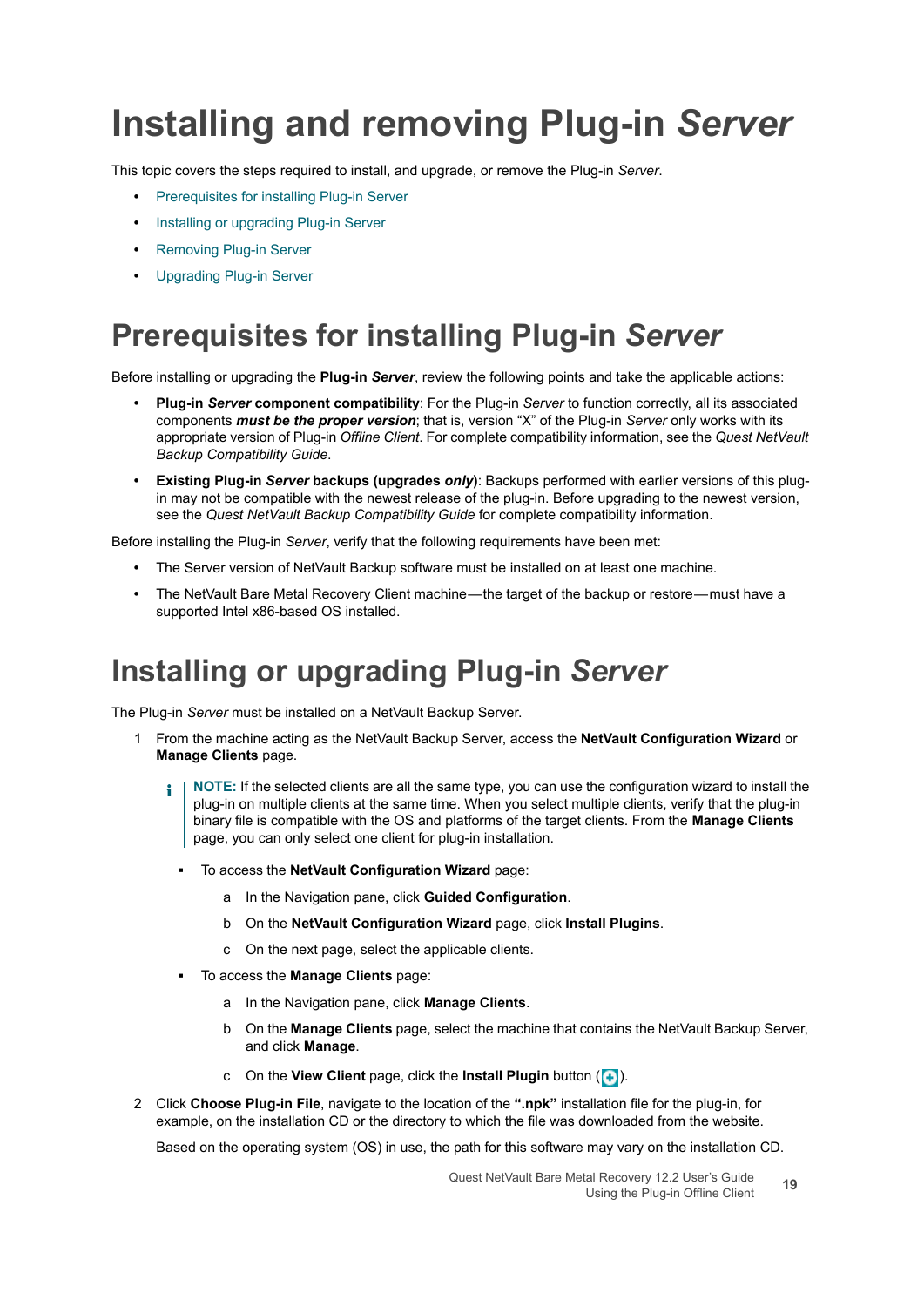# <span id="page-18-0"></span>**Installing and removing Plug-in** *Server*

This topic covers the steps required to install, and upgrade, or remove the Plug-in *Server*.

- **•** [Prerequisites for installing Plug-in Server](#page-18-1)
- **•** [Installing or upgrading Plug-in Server](#page-18-2)
- **•** [Removing Plug-in Server](#page-19-0)
- **•** [Upgrading Plug-in Server](#page-19-1)

### <span id="page-18-1"></span>**Prerequisites for installing Plug-in** *Server*

Before installing or upgrading the **Plug-in** *Server*, review the following points and take the applicable actions:

- **Plug-in** *Server* **component compatibility**: For the Plug-in *Server* to function correctly, all its associated components *must be the proper version*; that is, version "X" of the Plug-in *Server* only works with its appropriate version of Plug-in *Offline Client*. For complete compatibility information, see the *Quest NetVault Backup Compatibility Guide*.
- **Existing Plug-in** *Server* **backups (upgrades** *only***)**: Backups performed with earlier versions of this plugin may not be compatible with the newest release of the plug-in. Before upgrading to the newest version, see the *Quest NetVault Backup Compatibility Guide* for complete compatibility information.

Before installing the Plug-in *Server*, verify that the following requirements have been met:

- **•** The Server version of NetVault Backup software must be installed on at least one machine.
- The NetVault Bare Metal Recovery Client machine—the target of the backup or restore—must have a supported Intel x86-based OS installed.

### <span id="page-18-2"></span>**Installing or upgrading Plug-in** *Server*

The Plug-in *Server* must be installed on a NetVault Backup Server.

- 1 From the machine acting as the NetVault Backup Server, access the **NetVault Configuration Wizard** or **Manage Clients** page.
	- **NOTE:** If the selected clients are all the same type, you can use the configuration wizard to install the ÷. plug-in on multiple clients at the same time. When you select multiple clients, verify that the plug-in binary file is compatible with the OS and platforms of the target clients. From the **Manage Clients**  page, you can only select one client for plug-in installation.
		- **▪** To access the **NetVault Configuration Wizard** page:
			- a In the Navigation pane, click **Guided Configuration**.
			- b On the **NetVault Configuration Wizard** page, click **Install Plugins**.
			- c On the next page, select the applicable clients.
		- **▪** To access the **Manage Clients** page:
			- a In the Navigation pane, click **Manage Clients**.
			- b On the **Manage Clients** page, select the machine that contains the NetVault Backup Server, and click **Manage**.
			- c On the **View Client** page, click the **Install Plugin** button ( $\left( \frac{1}{2} \right)$ ).
- 2 Click **Choose Plug-in File**, navigate to the location of the **".npk"** installation file for the plug-in, for example, on the installation CD or the directory to which the file was downloaded from the website.

Based on the operating system (OS) in use, the path for this software may vary on the installation CD.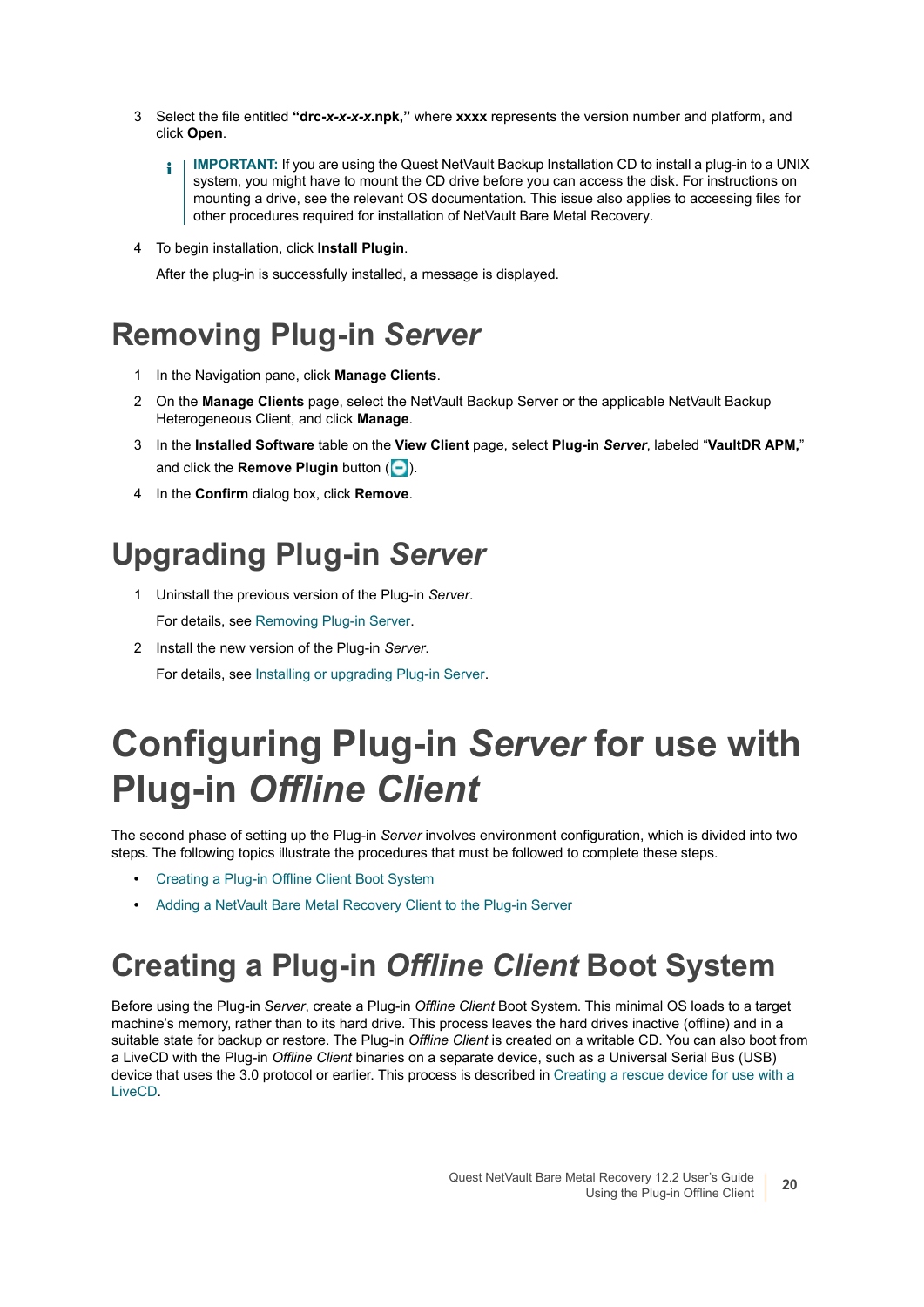- 3 Select the file entitled **"drc-***x-x-x-x***.npk,"** where **xxxx** represents the version number and platform, and click **Open**.
	- **IMPORTANT:** If you are using the Quest NetVault Backup Installation CD to install a plug-in to a UNIX ì system, you might have to mount the CD drive before you can access the disk. For instructions on mounting a drive, see the relevant OS documentation. This issue also applies to accessing files for other procedures required for installation of NetVault Bare Metal Recovery.
- 4 To begin installation, click **Install Plugin**.

After the plug-in is successfully installed, a message is displayed.

### <span id="page-19-0"></span>**Removing Plug-in** *Server*

- 1 In the Navigation pane, click **Manage Clients**.
- 2 On the **Manage Clients** page, select the NetVault Backup Server or the applicable NetVault Backup Heterogeneous Client, and click **Manage**.
- 3 In the **Installed Software** table on the **View Client** page, select **Plug-in** *Server*, labeled "**VaultDR APM,**" and click the **Remove Plugin** button ( $\Box$ ).
- 4 In the **Confirm** dialog box, click **Remove**.

## <span id="page-19-1"></span>**Upgrading Plug-in** *Server*

- 1 Uninstall the previous version of the Plug-in *Server*. For details, see [Removing Plug-in Server.](#page-19-0)
- 2 Install the new version of the Plug-in *Server*. For details, see [Installing or upgrading Plug-in Server.](#page-18-2)

# <span id="page-19-2"></span>**Configuring Plug-in** *Server* **for use with Plug-in** *Offline Client*

The second phase of setting up the Plug-in *Server* involves environment configuration, which is divided into two steps. The following topics illustrate the procedures that must be followed to complete these steps.

- **•** [Creating a Plug-in Offline Client Boot System](#page-19-3)
- **•** [Adding a NetVault Bare Metal Recovery Client to the Plug-in Server](#page-22-0)

### <span id="page-19-3"></span>**Creating a Plug-in** *Offline Client* **Boot System**

Before using the Plug-in *Server*, create a Plug-in *Offline Client* Boot System. This minimal OS loads to a target machine's memory, rather than to its hard drive. This process leaves the hard drives inactive (offline) and in a suitable state for backup or restore. The Plug-in *Offline Client* is created on a writable CD. You can also boot from a LiveCD with the Plug-in *Offline Client* binaries on a separate device, such as a Universal Serial Bus (USB) device that uses the 3.0 protocol or earlier. This process is described in [Creating a rescue device for use with a](#page-21-0)  [LiveCD](#page-21-0).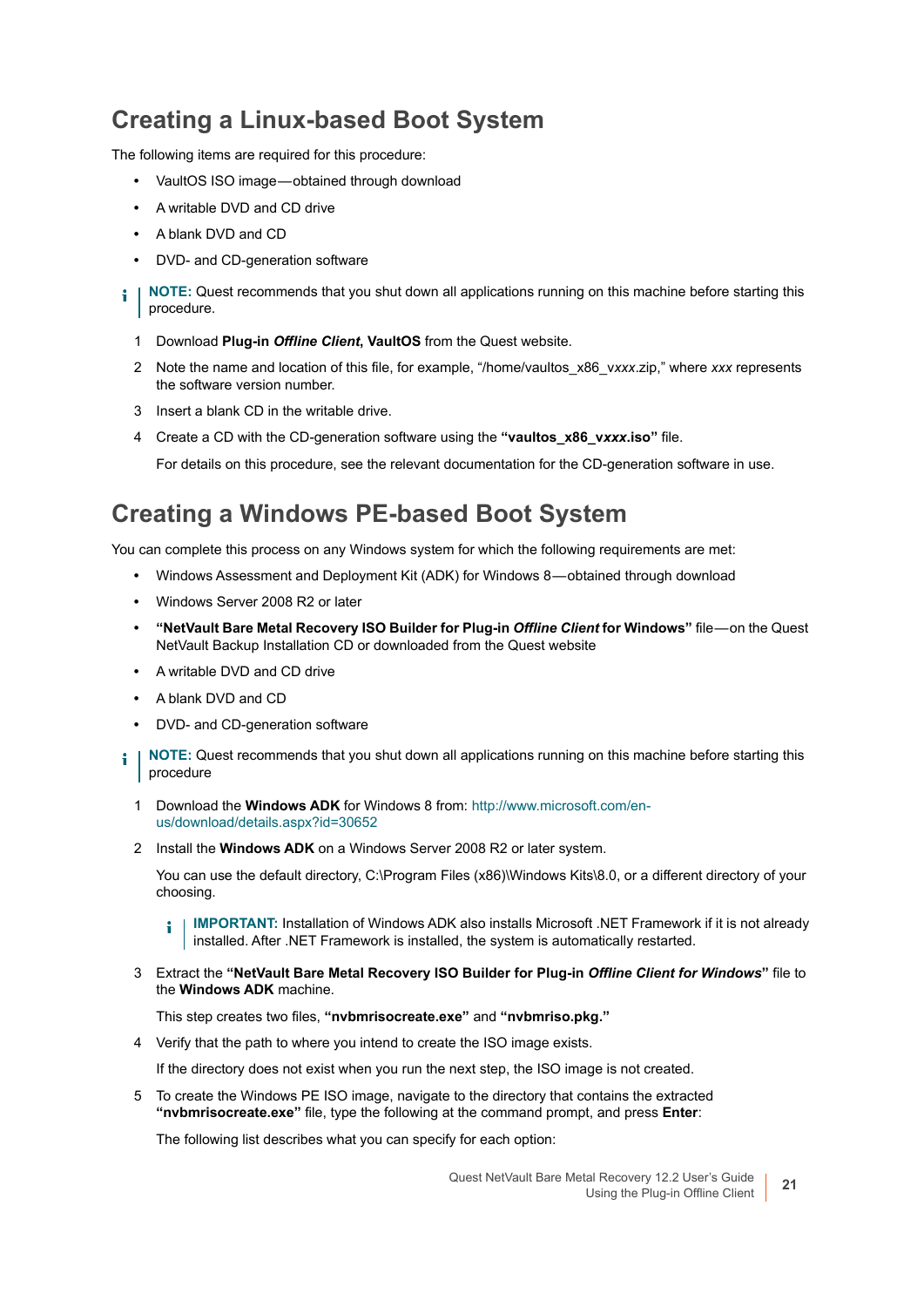### **Creating a Linux-based Boot System**

The following items are required for this procedure:

- **•** VaultOS ISO image obtained through download
- **•** A writable DVD and CD drive
- **•** A blank DVD and CD
- **•** DVD- and CD-generation software
- **NOTE:** Quest recommends that you shut down all applications running on this machine before starting this i procedure.
	- 1 Download **Plug-in** *Offline Client***, VaultOS** from the Quest website.
	- 2 Note the name and location of this file, for example, "/home/vaultos\_x86\_v*xxx*.zip," where *xxx* represents the software version number.
	- 3 Insert a blank CD in the writable drive.
	- 4 Create a CD with the CD-generation software using the **"vaultos\_x86\_v***xxx***.iso"** file.

For details on this procedure, see the relevant documentation for the CD-generation software in use.

#### **Creating a Windows PE-based Boot System**

You can complete this process on any Windows system for which the following requirements are met:

- **•** Windows Assessment and Deployment Kit (ADK) for Windows 8 obtained through download
- **•** Windows Server 2008 R2 or later
- **"NetVault Bare Metal Recovery ISO Builder for Plug-in** *Offline Client* **for Windows"** file on the Quest NetVault Backup Installation CD or downloaded from the Quest website
- **•** A writable DVD and CD drive
- **•** A blank DVD and CD
- **•** DVD- and CD-generation software
- **NOTE:** Quest recommends that you shut down all applications running on this machine before starting this ÷ procedure
	- 1 Download the **Windows ADK** for Windows 8 from: [http://www.microsoft.com/en](http://www.microsoft.com/en-us/download/details.aspx?id=30652)[us/download/details.aspx?id=30652](http://www.microsoft.com/en-us/download/details.aspx?id=30652)
	- 2 Install the **Windows ADK** on a Windows Server 2008 R2 or later system.

You can use the default directory, C:\Program Files (x86)\Windows Kits\8.0, or a different directory of your choosing.

**IMPORTANT:** Installation of Windows ADK also installs Microsoft .NET Framework if it is not already i installed. After .NET Framework is installed, the system is automatically restarted.

3 Extract the **"NetVault Bare Metal Recovery ISO Builder for Plug-in** *Offline Client for Windows***"** file to the **Windows ADK** machine.

This step creates two files, **"nvbmrisocreate.exe"** and **"nvbmriso.pkg."**

4 Verify that the path to where you intend to create the ISO image exists.

If the directory does not exist when you run the next step, the ISO image is not created.

<span id="page-20-0"></span>5 To create the Windows PE ISO image, navigate to the directory that contains the extracted **"nvbmrisocreate.exe"** file, type the following at the command prompt, and press **Enter**:

The following list describes what you can specify for each option: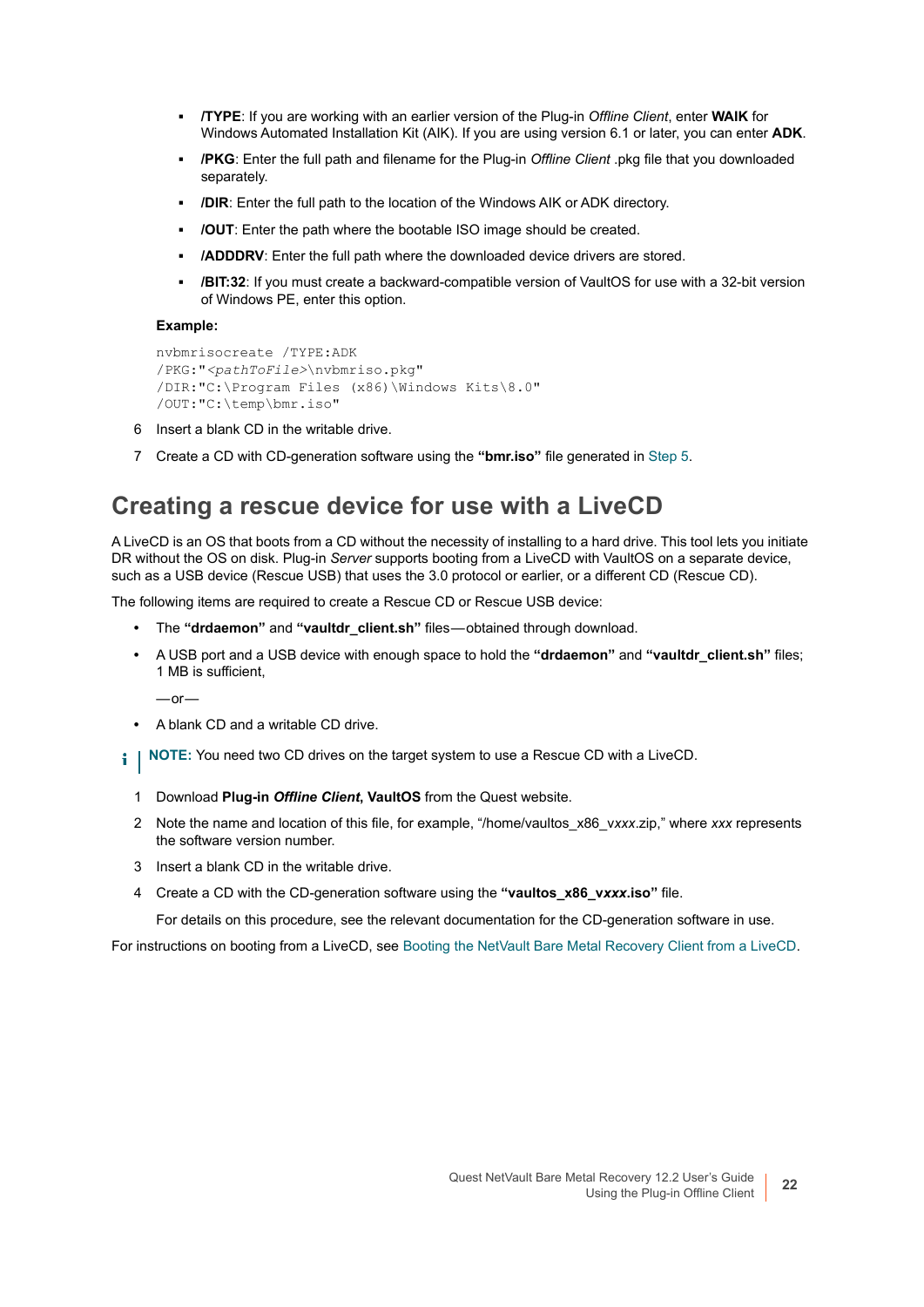- **▪ /TYPE**: If you are working with an earlier version of the Plug-in *Offline Client*, enter **WAIK** for Windows Automated Installation Kit (AIK). If you are using version 6.1 or later, you can enter **ADK**.
- **▪ /PKG**: Enter the full path and filename for the Plug-in *Offline Client* .pkg file that you downloaded separately.
- **▪ /DIR**: Enter the full path to the location of the Windows AIK or ADK directory.
- **▪ /OUT**: Enter the path where the bootable ISO image should be created.
- **/ADDDRV**: Enter the full path where the downloaded device drivers are stored.
- **/BIT:32:** If you must create a backward-compatible version of VaultOS for use with a 32-bit version of Windows PE, enter this option.

#### **Example:**

```
nvbmrisocreate /TYPE:ADK
/PKG:"<pathToFile>\nvbmriso.pkg"
/DIR:"C:\Program Files (x86)\Windows Kits\8.0"
/OUT:"C:\temp\bmr.iso"
```
- 6 Insert a blank CD in the writable drive.
- 7 Create a CD with CD-generation software using the **"bmr.iso"** file generated in [Step 5.](#page-20-0)

#### <span id="page-21-0"></span>**Creating a rescue device for use with a LiveCD**

A LiveCD is an OS that boots from a CD without the necessity of installing to a hard drive. This tool lets you initiate DR without the OS on disk. Plug-in *Server* supports booting from a LiveCD with VaultOS on a separate device, such as a USB device (Rescue USB) that uses the 3.0 protocol or earlier, or a different CD (Rescue CD).

The following items are required to create a Rescue CD or Rescue USB device:

- **•** The **"drdaemon"** and **"vaultdr\_client.sh"** files obtained through download.
- **•** A USB port and a USB device with enough space to hold the **"drdaemon"** and **"vaultdr\_client.sh"** files; 1 MB is sufficient,

 $-$ or $-$ 

- **•** A blank CD and a writable CD drive.
- **i** | NOTE: You need two CD drives on the target system to use a Rescue CD with a LiveCD.
	- 1 Download **Plug-in** *Offline Client***, VaultOS** from the Quest website.
	- 2 Note the name and location of this file, for example, "/home/vaultos\_x86\_v*xxx*.zip," where *xxx* represents the software version number.
	- 3 Insert a blank CD in the writable drive.
	- 4 Create a CD with the CD-generation software using the **"vaultos\_x86\_v***xxx***.iso"** file.

For details on this procedure, see the relevant documentation for the CD-generation software in use.

For instructions on booting from a LiveCD, see [Booting the NetVault Bare Metal Recovery Client from a LiveCD](#page-28-0).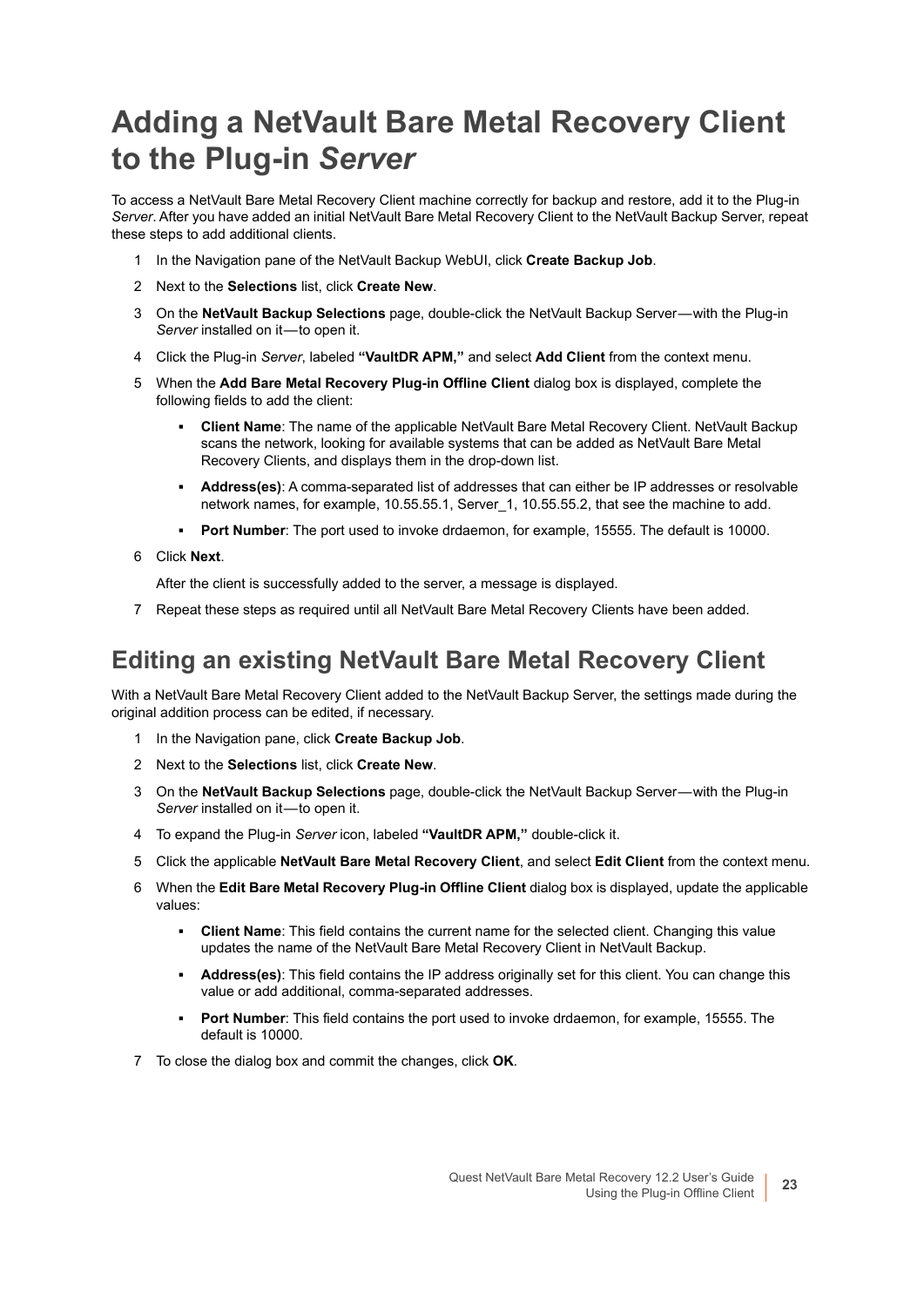## <span id="page-22-0"></span>**Adding a NetVault Bare Metal Recovery Client to the Plug-in** *Server*

To access a NetVault Bare Metal Recovery Client machine correctly for backup and restore, add it to the Plug-in *Server*. After you have added an initial NetVault Bare Metal Recovery Client to the NetVault Backup Server, repeat these steps to add additional clients.

- 1 In the Navigation pane of the NetVault Backup WebUI, click **Create Backup Job**.
- 2 Next to the **Selections** list, click **Create New**.
- 3 On the **NetVault Backup Selections** page, double-click the NetVault Backup Server with the Plug-in Server installed on it-to open it.
- 4 Click the Plug-in *Server*, labeled **"VaultDR APM,"** and select **Add Client** from the context menu.
- 5 When the **Add Bare Metal Recovery Plug-in Offline Client** dialog box is displayed, complete the following fields to add the client:
	- **▪ Client Name**: The name of the applicable NetVault Bare Metal Recovery Client. NetVault Backup scans the network, looking for available systems that can be added as NetVault Bare Metal Recovery Clients, and displays them in the drop-down list.
	- **▪ Address(es)**: A comma-separated list of addresses that can either be IP addresses or resolvable network names, for example, 10.55.55.1, Server 1, 10.55.55.2, that see the machine to add.
	- **▪ Port Number**: The port used to invoke drdaemon, for example, 15555. The default is 10000.
- 6 Click **Next**.

After the client is successfully added to the server, a message is displayed.

7 Repeat these steps as required until all NetVault Bare Metal Recovery Clients have been added.

### <span id="page-22-1"></span>**Editing an existing NetVault Bare Metal Recovery Client**

With a NetVault Bare Metal Recovery Client added to the NetVault Backup Server, the settings made during the original addition process can be edited, if necessary.

- 1 In the Navigation pane, click **Create Backup Job**.
- 2 Next to the **Selections** list, click **Create New**.
- 3 On the **NetVault Backup Selections** page, double-click the NetVault Backup Server with the Plug-in Server installed on it-to open it.
- 4 To expand the Plug-in *Server* icon, labeled **"VaultDR APM,"** double-click it.
- 5 Click the applicable **NetVault Bare Metal Recovery Client**, and select **Edit Client** from the context menu.
- 6 When the **Edit Bare Metal Recovery Plug-in Offline Client** dialog box is displayed, update the applicable values:
	- **▪ Client Name**: This field contains the current name for the selected client. Changing this value updates the name of the NetVault Bare Metal Recovery Client in NetVault Backup.
	- **▪ Address(es)**: This field contains the IP address originally set for this client. You can change this value or add additional, comma-separated addresses.
	- **▪ Port Number**: This field contains the port used to invoke drdaemon, for example, 15555. The default is 10000.
- 7 To close the dialog box and commit the changes, click **OK**.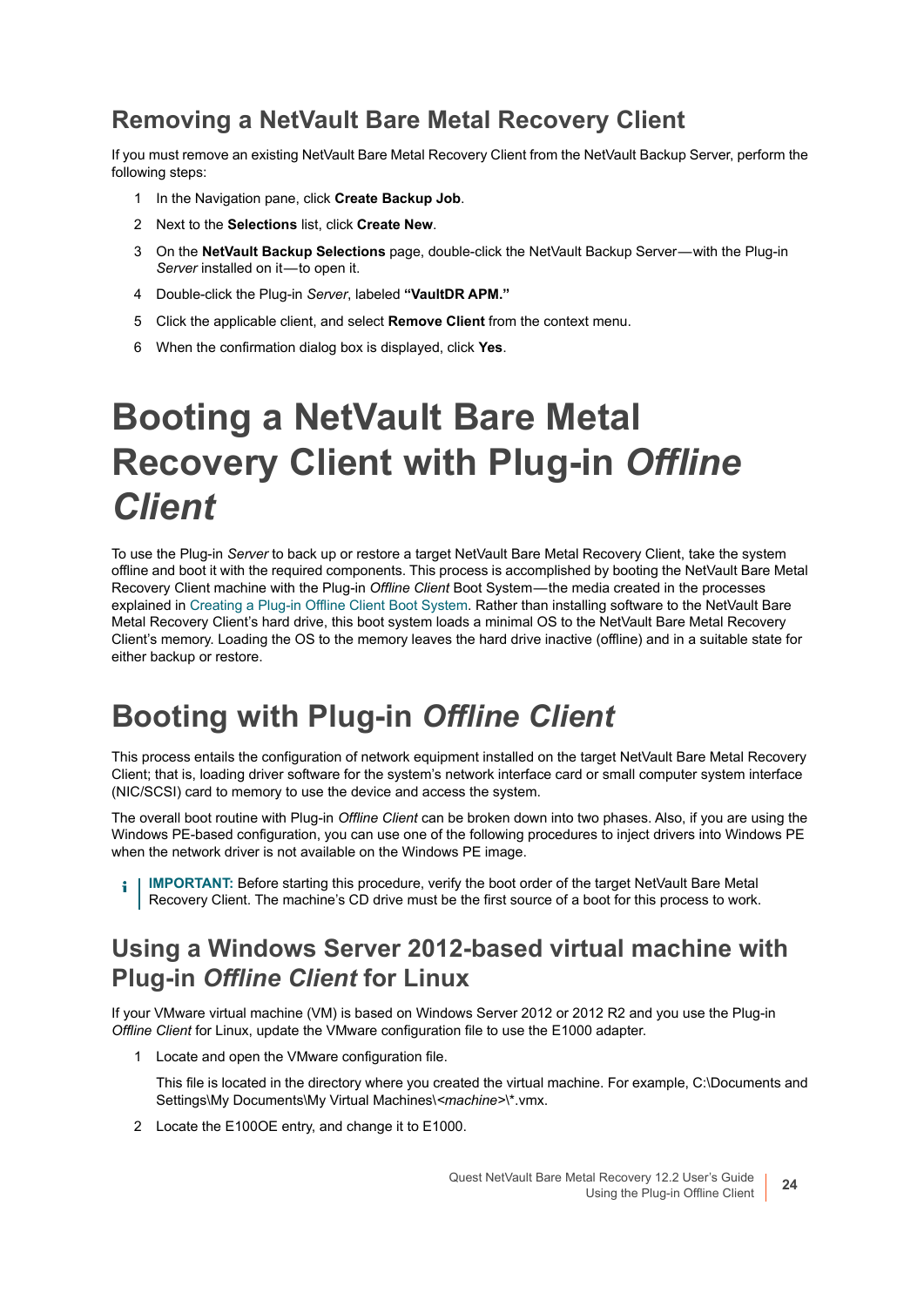### **Removing a NetVault Bare Metal Recovery Client**

If you must remove an existing NetVault Bare Metal Recovery Client from the NetVault Backup Server, perform the following steps:

- 1 In the Navigation pane, click **Create Backup Job**.
- 2 Next to the **Selections** list, click **Create New**.
- 3 On the **NetVault Backup Selections** page, double-click the NetVault Backup Server with the Plug-in Server installed on it-to open it.
- 4 Double-click the Plug-in *Server*, labeled **"VaultDR APM."**
- 5 Click the applicable client, and select **Remove Client** from the context menu.
- 6 When the confirmation dialog box is displayed, click **Yes**.

# <span id="page-23-0"></span>**Booting a NetVault Bare Metal Recovery Client with Plug-in** *Offline Client*

To use the Plug-in *Server* to back up or restore a target NetVault Bare Metal Recovery Client, take the system offline and boot it with the required components. This process is accomplished by booting the NetVault Bare Metal Recovery Client machine with the Plug-in *Offline Client* Boot System — the media created in the processes explained in [Creating a Plug-in Offline Client Boot System.](#page-19-3) Rather than installing software to the NetVault Bare Metal Recovery Client's hard drive, this boot system loads a minimal OS to the NetVault Bare Metal Recovery Client's memory. Loading the OS to the memory leaves the hard drive inactive (offline) and in a suitable state for either backup or restore.

### <span id="page-23-1"></span>**Booting with Plug-in** *Offline Client*

This process entails the configuration of network equipment installed on the target NetVault Bare Metal Recovery Client; that is, loading driver software for the system's network interface card or small computer system interface (NIC/SCSI) card to memory to use the device and access the system.

The overall boot routine with Plug-in *Offline Client* can be broken down into two phases. Also, if you are using the Windows PE-based configuration, you can use one of the following procedures to inject drivers into Windows PE when the network driver is not available on the Windows PE image.

**i** | IMPORTANT: Before starting this procedure, verify the boot order of the target NetVault Bare Metal Recovery Client. The machine's CD drive must be the first source of a boot for this process to work.

#### <span id="page-23-2"></span>**Using a Windows Server 2012-based virtual machine with Plug-in** *Offline Client* **for Linux**

If your VMware virtual machine (VM) is based on Windows Server 2012 or 2012 R2 and you use the Plug-in *Offline Client* for Linux, update the VMware configuration file to use the E1000 adapter.

1 Locate and open the VMware configuration file.

This file is located in the directory where you created the virtual machine. For example, C:\Documents and Settings\My Documents\My Virtual Machines\*<machine>*\\*.vmx.

2 Locate the E100OE entry, and change it to E1000.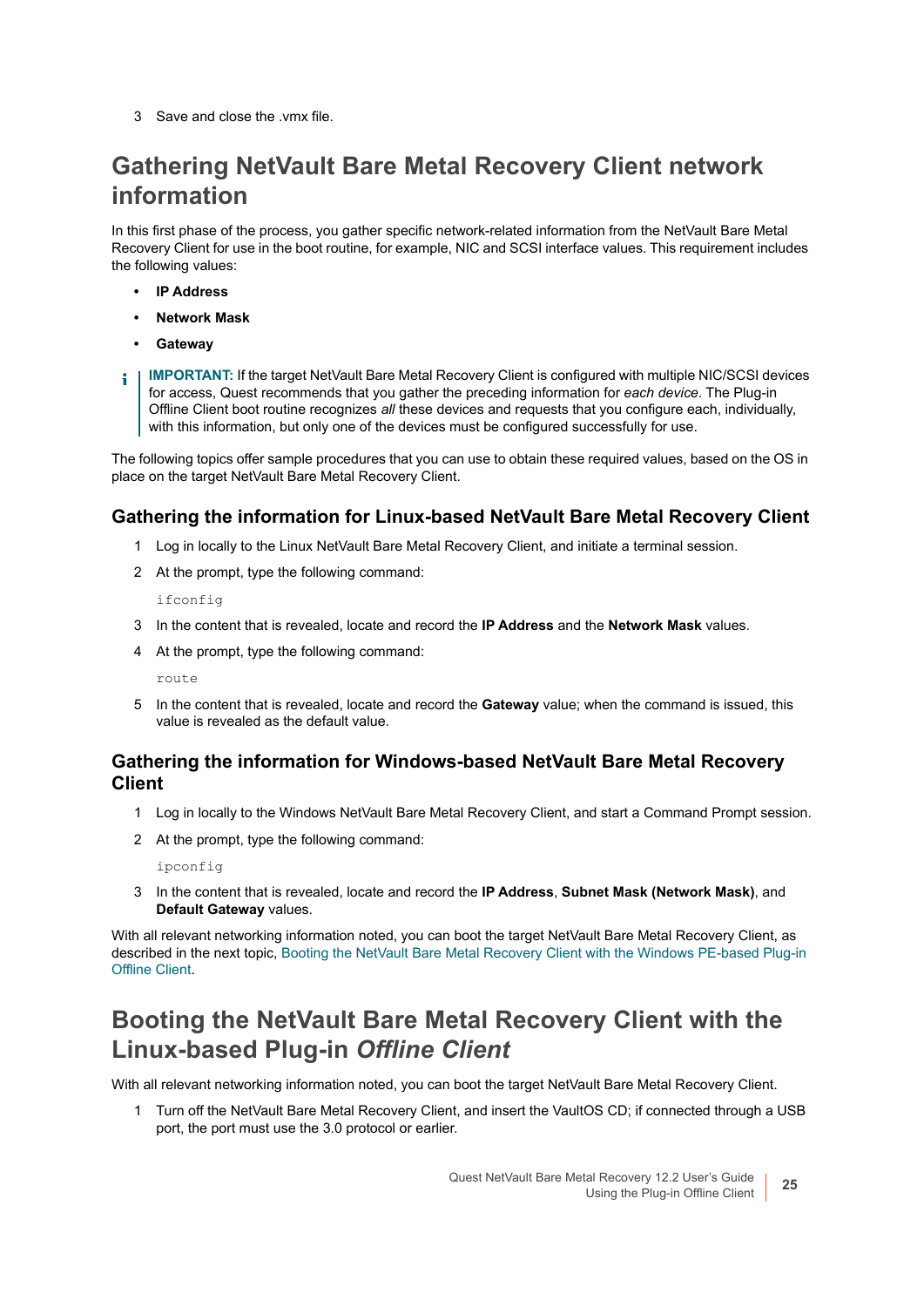3 Save and close the .vmx file.

### **Gathering NetVault Bare Metal Recovery Client network information**

In this first phase of the process, you gather specific network-related information from the NetVault Bare Metal Recovery Client for use in the boot routine, for example, NIC and SCSI interface values. This requirement includes the following values:

- **IP Address**
- **Network Mask**
- **Gateway**
- **IMPORTANT:** If the target NetVault Bare Metal Recovery Client is configured with multiple NIC/SCSI devices ÷ for access, Quest recommends that you gather the preceding information for *each device*. The Plug-in Offline Client boot routine recognizes *all* these devices and requests that you configure each, individually, with this information, but only one of the devices must be configured successfully for use.

The following topics offer sample procedures that you can use to obtain these required values, based on the OS in place on the target NetVault Bare Metal Recovery Client.

#### **Gathering the information for Linux-based NetVault Bare Metal Recovery Client**

- 1 Log in locally to the Linux NetVault Bare Metal Recovery Client, and initiate a terminal session.
- 2 At the prompt, type the following command:

ifconfig

- 3 In the content that is revealed, locate and record the **IP Address** and the **Network Mask** values.
- 4 At the prompt, type the following command:

route

5 In the content that is revealed, locate and record the **Gateway** value; when the command is issued, this value is revealed as the default value.

#### **Gathering the information for Windows-based NetVault Bare Metal Recovery Client**

- 1 Log in locally to the Windows NetVault Bare Metal Recovery Client, and start a Command Prompt session.
- 2 At the prompt, type the following command:

ipconfig

3 In the content that is revealed, locate and record the **IP Address**, **Subnet Mask (Network Mask)**, and **Default Gateway** values.

With all relevant networking information noted, you can boot the target NetVault Bare Metal Recovery Client, as described in the next topic, [Booting the NetVault Bare Metal Recovery Client with the Windows PE-based Plug-in](#page-25-0)  [Offline Client](#page-25-0).

### **Booting the NetVault Bare Metal Recovery Client with the Linux-based Plug-in** *Offline Client*

With all relevant networking information noted, you can boot the target NetVault Bare Metal Recovery Client.

1 Turn off the NetVault Bare Metal Recovery Client, and insert the VaultOS CD; if connected through a USB port, the port must use the 3.0 protocol or earlier.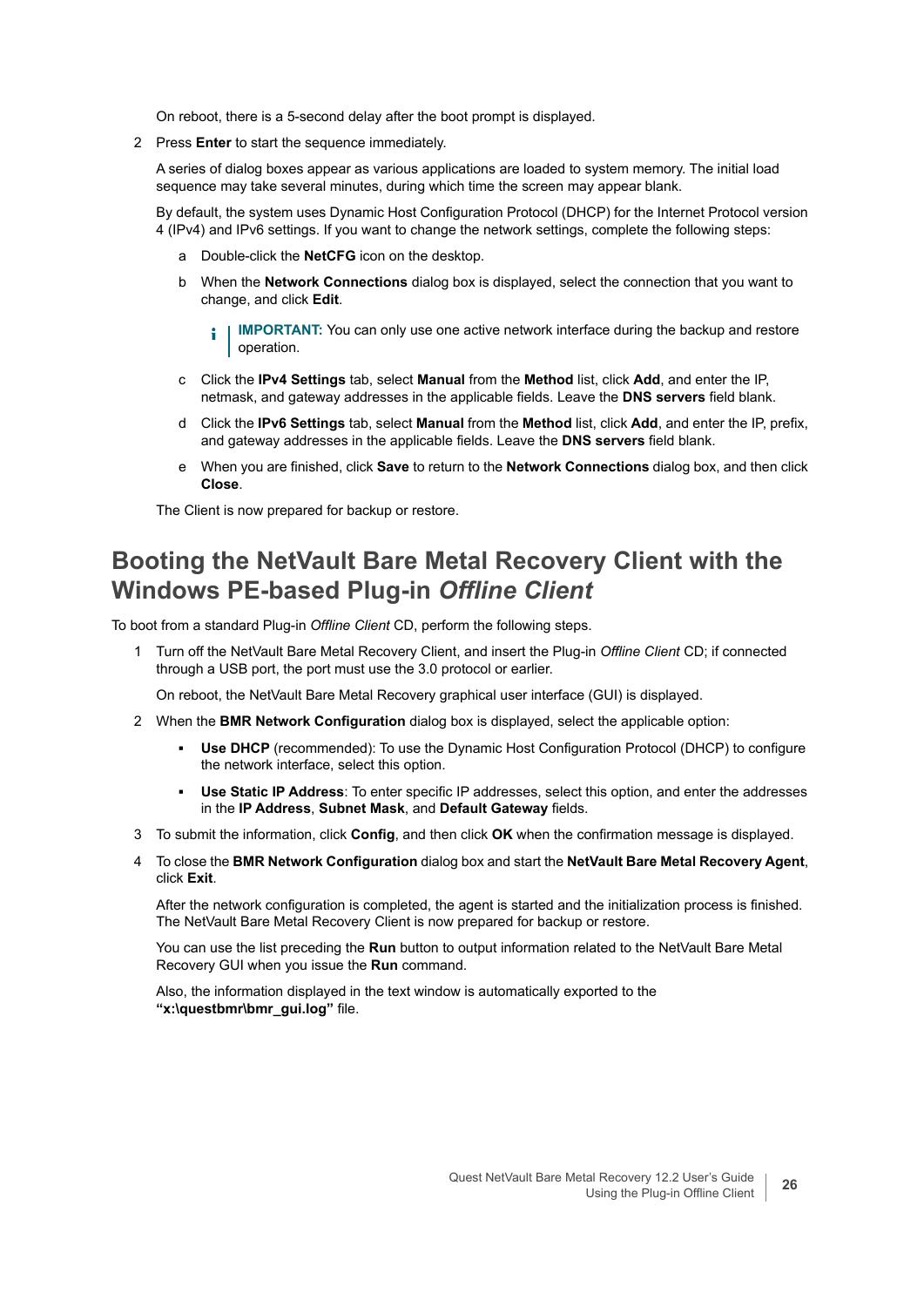On reboot, there is a 5-second delay after the boot prompt is displayed.

2 Press **Enter** to start the sequence immediately.

A series of dialog boxes appear as various applications are loaded to system memory. The initial load sequence may take several minutes, during which time the screen may appear blank.

By default, the system uses Dynamic Host Configuration Protocol (DHCP) for the Internet Protocol version 4 (IPv4) and IPv6 settings. If you want to change the network settings, complete the following steps:

- a Double-click the **NetCFG** icon on the desktop.
- b When the **Network Connections** dialog box is displayed, select the connection that you want to change, and click **Edit**.
	- **IMPORTANT:** You can only use one active network interface during the backup and restore operation.
- c Click the **IPv4 Settings** tab, select **Manual** from the **Method** list, click **Add**, and enter the IP, netmask, and gateway addresses in the applicable fields. Leave the **DNS servers** field blank.
- d Click the **IPv6 Settings** tab, select **Manual** from the **Method** list, click **Add**, and enter the IP, prefix, and gateway addresses in the applicable fields. Leave the **DNS servers** field blank.
- e When you are finished, click **Save** to return to the **Network Connections** dialog box, and then click **Close**.

The Client is now prepared for backup or restore.

#### <span id="page-25-0"></span>**Booting the NetVault Bare Metal Recovery Client with the Windows PE-based Plug-in** *Offline Client*

To boot from a standard Plug-in *Offline Client* CD, perform the following steps.

1 Turn off the NetVault Bare Metal Recovery Client, and insert the Plug-in *Offline Client* CD; if connected through a USB port, the port must use the 3.0 protocol or earlier.

On reboot, the NetVault Bare Metal Recovery graphical user interface (GUI) is displayed.

- <span id="page-25-1"></span>2 When the **BMR Network Configuration** dialog box is displayed, select the applicable option:
	- **Use DHCP** (recommended): To use the Dynamic Host Configuration Protocol (DHCP) to configure the network interface, select this option.
	- **▪ Use Static IP Address**: To enter specific IP addresses, select this option, and enter the addresses in the **IP Address**, **Subnet Mask**, and **Default Gateway** fields.
- <span id="page-25-2"></span>3 To submit the information, click **Config**, and then click **OK** when the confirmation message is displayed.
- 4 To close the **BMR Network Configuration** dialog box and start the **NetVault Bare Metal Recovery Agent**, click **Exit**.

After the network configuration is completed, the agent is started and the initialization process is finished. The NetVault Bare Metal Recovery Client is now prepared for backup or restore.

You can use the list preceding the **Run** button to output information related to the NetVault Bare Metal Recovery GUI when you issue the **Run** command.

Also, the information displayed in the text window is automatically exported to the **"x:\questbmr\bmr\_gui.log"** file.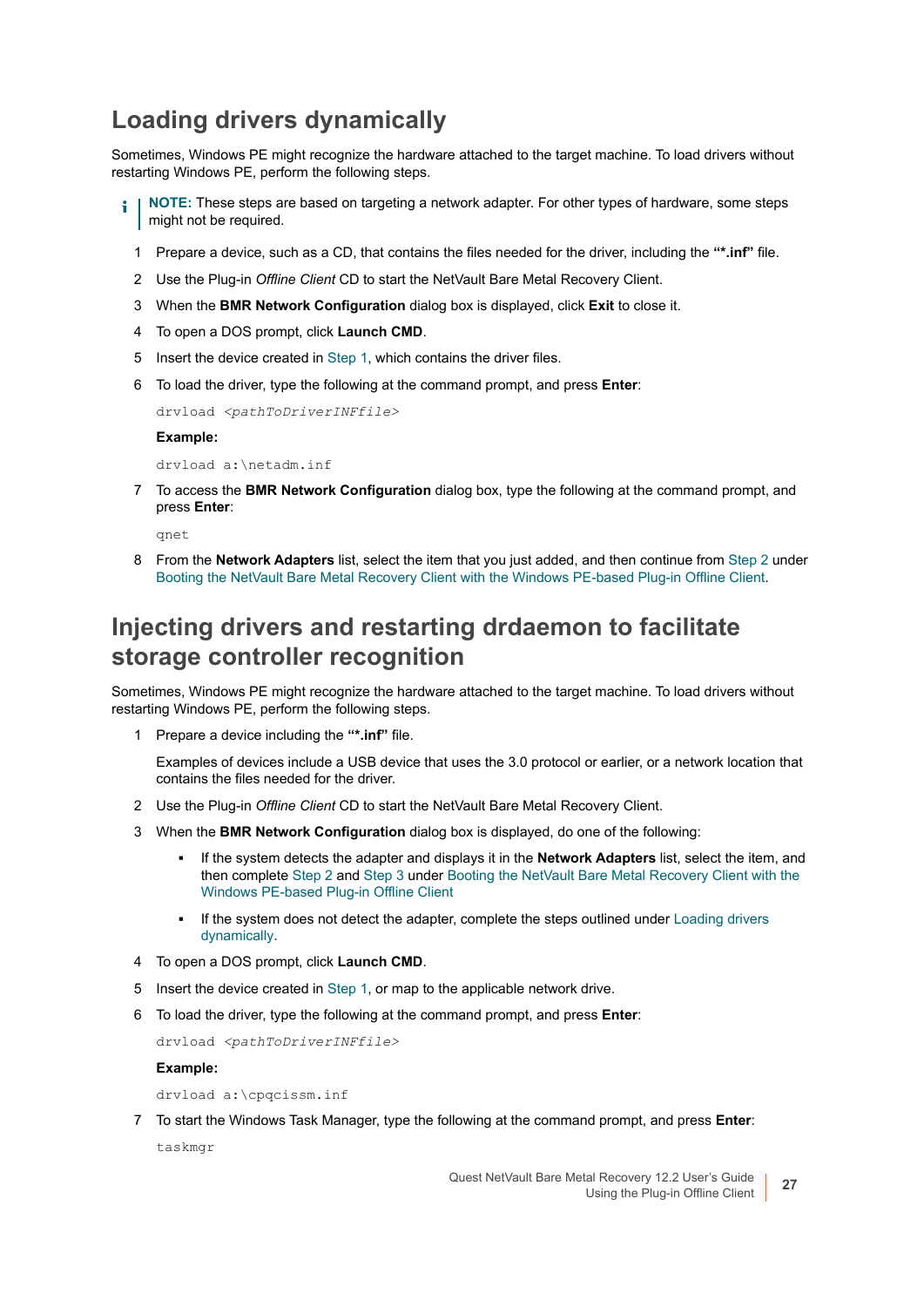### <span id="page-26-1"></span>**Loading drivers dynamically**

Sometimes, Windows PE might recognize the hardware attached to the target machine. To load drivers without restarting Windows PE, perform the following steps.

- <span id="page-26-0"></span>**NOTE:** These steps are based on targeting a network adapter. For other types of hardware, some steps i. might not be required.
	- 1 Prepare a device, such as a CD, that contains the files needed for the driver, including the **"\*.inf"** file.
	- 2 Use the Plug-in *Offline Client* CD to start the NetVault Bare Metal Recovery Client.
	- 3 When the **BMR Network Configuration** dialog box is displayed, click **Exit** to close it.
	- 4 To open a DOS prompt, click **Launch CMD**.
	- 5 Insert the device created in [Step 1](#page-26-0), which contains the driver files.
	- 6 To load the driver, type the following at the command prompt, and press **Enter**:

drvload *<pathToDriverINFfile>*

#### **Example:**

drvload a:\netadm.inf

7 To access the **BMR Network Configuration** dialog box, type the following at the command prompt, and press **Enter**:

qnet

8 From the **Network Adapters** list, select the item that you just added, and then continue from [Step 2](#page-25-1) under [Booting the NetVault Bare Metal Recovery Client with the Windows PE-based Plug-in Offline Client](#page-25-0).

#### **Injecting drivers and restarting drdaemon to facilitate storage controller recognition**

Sometimes, Windows PE might recognize the hardware attached to the target machine. To load drivers without restarting Windows PE, perform the following steps.

<span id="page-26-2"></span>1 Prepare a device including the **"\*.inf"** file.

Examples of devices include a USB device that uses the 3.0 protocol or earlier, or a network location that contains the files needed for the driver.

- 2 Use the Plug-in *Offline Client* CD to start the NetVault Bare Metal Recovery Client.
- 3 When the **BMR Network Configuration** dialog box is displayed, do one of the following:
	- **▪** If the system detects the adapter and displays it in the **Network Adapters** list, select the item, and then complete [Step 2](#page-25-1) and [Step 3](#page-25-2) under [Booting the NetVault Bare Metal Recovery Client with the](#page-25-0)  [Windows PE-based Plug-in Offline Client](#page-25-0)
	- If the system does not detect the adapter, complete the steps outlined under Loading drivers [dynamically.](#page-26-1)
- 4 To open a DOS prompt, click **Launch CMD**.
- 5 Insert the device created in [Step 1](#page-26-2), or map to the applicable network drive.
- 6 To load the driver, type the following at the command prompt, and press **Enter**:

drvload *<pathToDriverINFfile>*

**Example:**

drvload a:\cpqcissm.inf

7 To start the Windows Task Manager, type the following at the command prompt, and press **Enter**:

taskmgr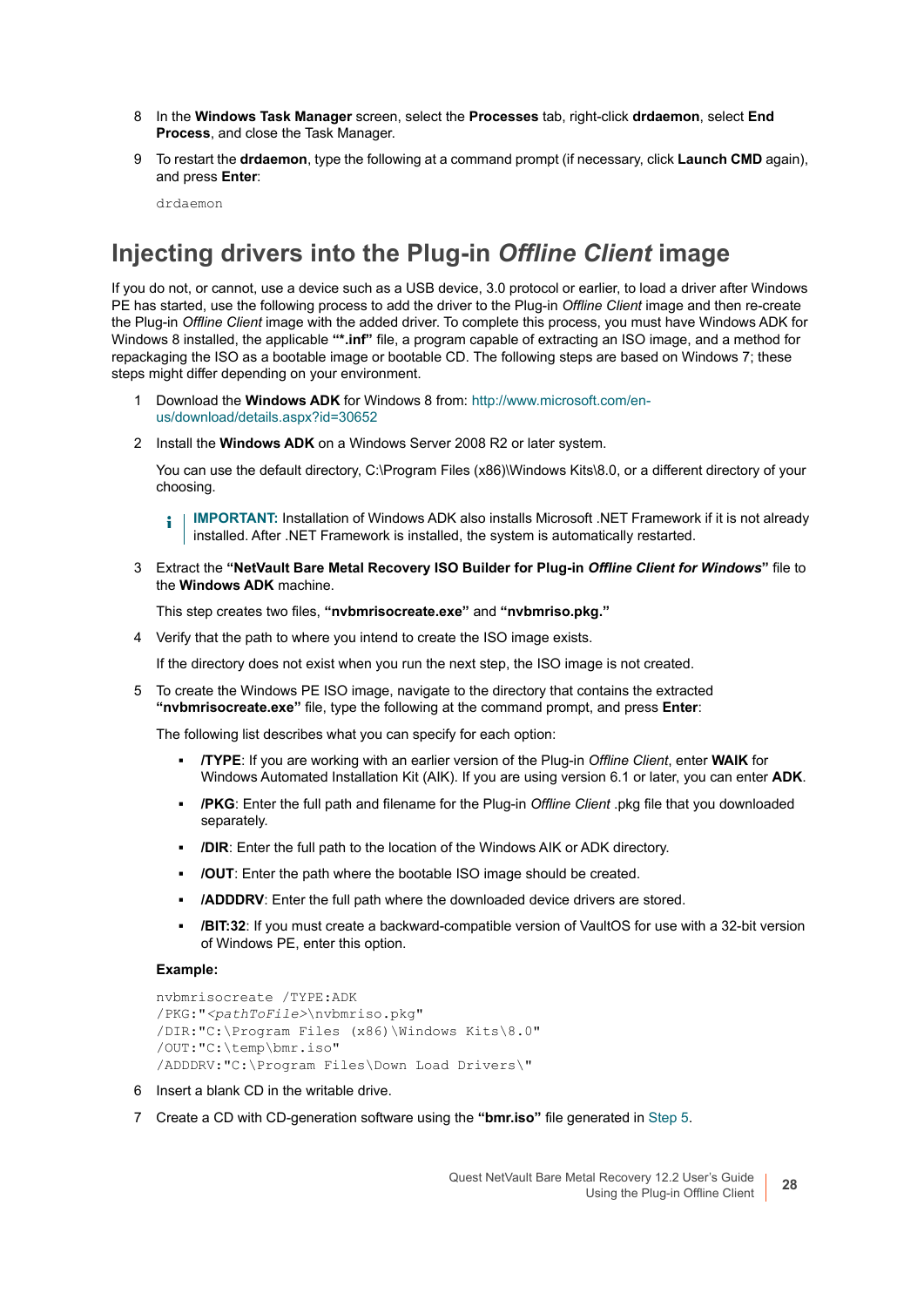- 8 In the **Windows Task Manager** screen, select the **Processes** tab, right-click **drdaemon**, select **End Process**, and close the Task Manager.
- 9 To restart the **drdaemon**, type the following at a command prompt (if necessary, click **Launch CMD** again), and press **Enter**:

drdaemon

### **Injecting drivers into the Plug-in** *Offline Client* **image**

If you do not, or cannot, use a device such as a USB device, 3.0 protocol or earlier, to load a driver after Windows PE has started, use the following process to add the driver to the Plug-in *Offline Client* image and then re-create the Plug-in *Offline Client* image with the added driver. To complete this process, you must have Windows ADK for Windows 8 installed, the applicable **"\*.inf"** file, a program capable of extracting an ISO image, and a method for repackaging the ISO as a bootable image or bootable CD. The following steps are based on Windows 7; these steps might differ depending on your environment.

- 1 Download the **Windows ADK** for Windows 8 from: [http://www.microsoft.com/en](http://www.microsoft.com/en-us/download/details.aspx?id=30652)[us/download/details.aspx?id=30652](http://www.microsoft.com/en-us/download/details.aspx?id=30652)
- 2 Install the **Windows ADK** on a Windows Server 2008 R2 or later system.

You can use the default directory, C:\Program Files (x86)\Windows Kits\8.0, or a different directory of your choosing.

**IMPORTANT:** Installation of Windows ADK also installs Microsoft .NET Framework if it is not already ì installed. After .NET Framework is installed, the system is automatically restarted.

3 Extract the **"NetVault Bare Metal Recovery ISO Builder for Plug-in** *Offline Client for Windows***"** file to the **Windows ADK** machine.

This step creates two files, **"nvbmrisocreate.exe"** and **"nvbmriso.pkg."**

4 Verify that the path to where you intend to create the ISO image exists.

If the directory does not exist when you run the next step, the ISO image is not created.

<span id="page-27-0"></span>5 To create the Windows PE ISO image, navigate to the directory that contains the extracted **"nvbmrisocreate.exe"** file, type the following at the command prompt, and press **Enter**:

The following list describes what you can specify for each option:

- **▪ /TYPE**: If you are working with an earlier version of the Plug-in *Offline Client*, enter **WAIK** for Windows Automated Installation Kit (AIK). If you are using version 6.1 or later, you can enter **ADK**.
- **▪ /PKG**: Enter the full path and filename for the Plug-in *Offline Client* .pkg file that you downloaded separately.
- **▪ /DIR**: Enter the full path to the location of the Windows AIK or ADK directory.
- **▪ /OUT**: Enter the path where the bootable ISO image should be created.
- **▪ /ADDDRV**: Enter the full path where the downloaded device drivers are stored.
- **/BIT:32**: If you must create a backward-compatible version of VaultOS for use with a 32-bit version of Windows PE, enter this option.

#### **Example:**

```
nvbmrisocreate /TYPE:ADK
/PKG:"<pathToFile>\nvbmriso.pkg"
/DIR:"C:\Program Files (x86)\Windows Kits\8.0"
/OUT:"C:\temp\bmr.iso"
/ADDDRV:"C:\Program Files\Down Load Drivers\"
```
- 6 Insert a blank CD in the writable drive.
- 7 Create a CD with CD-generation software using the **"bmr.iso"** file generated in [Step 5.](#page-27-0)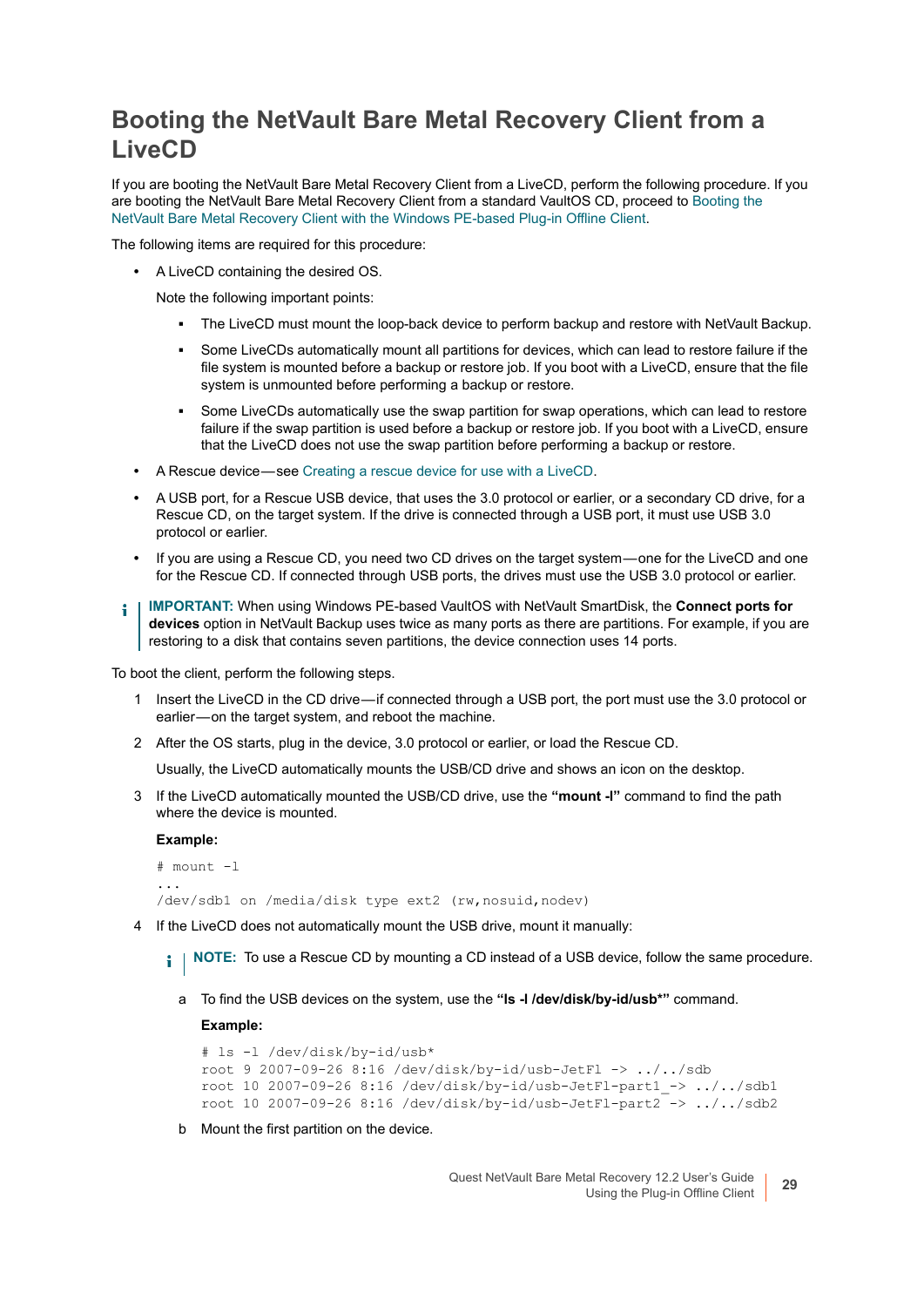#### <span id="page-28-0"></span>**Booting the NetVault Bare Metal Recovery Client from a LiveCD**

If you are booting the NetVault Bare Metal Recovery Client from a LiveCD, perform the following procedure. If you are booting the NetVault Bare Metal Recovery Client from a standard VaultOS CD, proceed to [Booting the](#page-25-0)  [NetVault Bare Metal Recovery Client with the Windows PE-based Plug-in Offline Client](#page-25-0).

The following items are required for this procedure:

**•** A LiveCD containing the desired OS.

Note the following important points:

- **▪** The LiveCD must mount the loop-back device to perform backup and restore with NetVault Backup.
- Some LiveCDs automatically mount all partitions for devices, which can lead to restore failure if the file system is mounted before a backup or restore job. If you boot with a LiveCD, ensure that the file system is unmounted before performing a backup or restore.
- **■** Some LiveCDs automatically use the swap partition for swap operations, which can lead to restore failure if the swap partition is used before a backup or restore job. If you boot with a LiveCD, ensure that the LiveCD does not use the swap partition before performing a backup or restore.
- **•** A Rescue device see [Creating a rescue device for use with a LiveCD](#page-21-0).
- **•** A USB port, for a Rescue USB device, that uses the 3.0 protocol or earlier, or a secondary CD drive, for a Rescue CD, on the target system. If the drive is connected through a USB port, it must use USB 3.0 protocol or earlier.
- **•** If you are using a Rescue CD, you need two CD drives on the target system one for the LiveCD and one for the Rescue CD. If connected through USB ports, the drives must use the USB 3.0 protocol or earlier.
- **IMPORTANT:** When using Windows PE-based VaultOS with NetVault SmartDisk, the **Connect ports for**  ÷ **devices** option in NetVault Backup uses twice as many ports as there are partitions. For example, if you are restoring to a disk that contains seven partitions, the device connection uses 14 ports.

To boot the client, perform the following steps.

- 1 Insert the LiveCD in the CD drive if connected through a USB port, the port must use the 3.0 protocol or earlier-on the target system, and reboot the machine.
- 2 After the OS starts, plug in the device, 3.0 protocol or earlier, or load the Rescue CD.

Usually, the LiveCD automatically mounts the USB/CD drive and shows an icon on the desktop.

3 If the LiveCD automatically mounted the USB/CD drive, use the **"mount -l"** command to find the path where the device is mounted.

**Example:**

```
# mount -l
...
/dev/sdb1 on /media/disk type ext2 (rw,nosuid,nodev)
```
4 If the LiveCD does not automatically mount the USB drive, mount it manually:

**NOTE:** To use a Rescue CD by mounting a CD instead of a USB device, follow the same procedure.i I

a To find the USB devices on the system, use the **"ls -l /dev/disk/by-id/usb\*"** command.

**Example:**

```
# ls -l /dev/disk/by-id/usb*
root 9 2007-09-26 8:16 /dev/disk/by-id/usb-JetFl -> ../../sdb
root 10 2007-09-26 8:16 /dev/disk/by-id/usb-JetFl-part1_-> ../../sdb1
root 10 2007-09-26 8:16 /dev/disk/by-id/usb-JetFl-part2 -> ../../sdb2
```
b Mount the first partition on the device.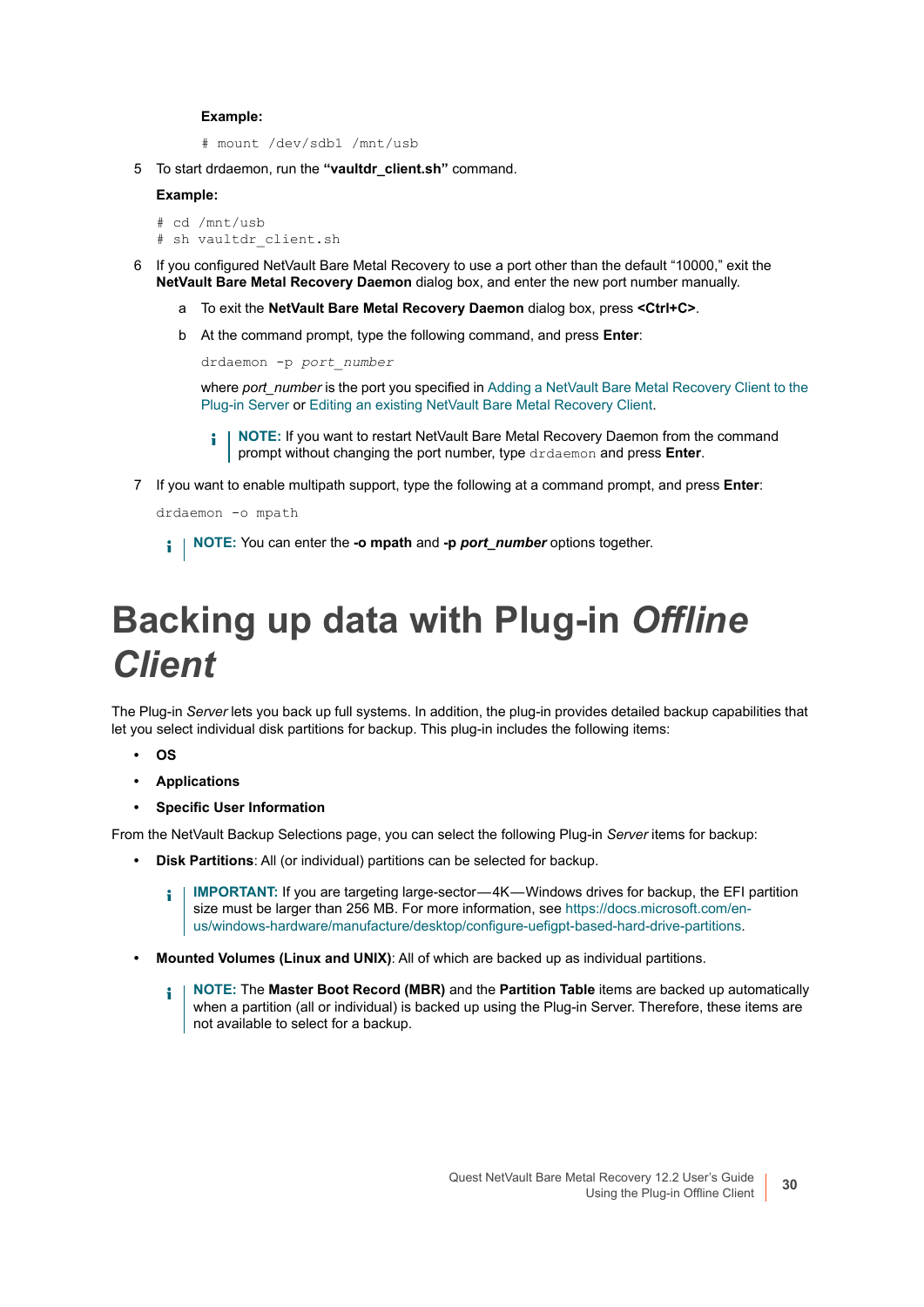#### **Example:**

# mount /dev/sdb1 /mnt/usb

5 To start drdaemon, run the **"vaultdr\_client.sh"** command.

#### **Example:**

```
# cd /mnt/usb
# sh vaultdr_client.sh
```
- 6 If you configured NetVault Bare Metal Recovery to use a port other than the default "10000," exit the **NetVault Bare Metal Recovery Daemon** dialog box, and enter the new port number manually.
	- a To exit the **NetVault Bare Metal Recovery Daemon** dialog box, press **<Ctrl+C>**.
	- b At the command prompt, type the following command, and press **Enter**:

```
drdaemon -p port_number
```
where *port* number is the port you specified in Adding a NetVault Bare Metal Recovery Client to the [Plug-in Server](#page-22-0) or [Editing an existing NetVault Bare Metal Recovery Client.](#page-22-1)

- **NOTE:** If you want to restart NetVault Bare Metal Recovery Daemon from the command prompt without changing the port number, type drdaemon and press **Enter**.
- 7 If you want to enable multipath support, type the following at a command prompt, and press **Enter**:

```
drdaemon -o mpath
```
**NOTE:** You can enter the **-o mpath** and **-p** *port\_number* options together.

# <span id="page-29-0"></span>**Backing up data with Plug-in** *Offline Client*

The Plug-in *Server* lets you back up full systems. In addition, the plug-in provides detailed backup capabilities that let you select individual disk partitions for backup. This plug-in includes the following items:

- **OS**
- **Applications**
- **Specific User Information**

From the NetVault Backup Selections page, you can select the following Plug-in *Server* items for backup:

- **Disk Partitions**: All (or individual) partitions can be selected for backup.
	- **IMPORTANT:** If you are targeting large-sector -4K Windows drives for backup, the EFI partition i l size must be larger than 256 MB. For more information, see [https://docs.microsoft.com/en](https://docs.microsoft.com/en-us/windows-hardware/manufacture/desktop/configure-uefigpt-based-hard-drive-partitions)[us/windows-hardware/manufacture/desktop/configure-uefigpt-based-hard-drive-partitions.](https://docs.microsoft.com/en-us/windows-hardware/manufacture/desktop/configure-uefigpt-based-hard-drive-partitions)
- **Mounted Volumes (Linux and UNIX)**: All of which are backed up as individual partitions.
	- **NOTE:** The **Master Boot Record (MBR)** and the **Partition Table** items are backed up automatically i. when a partition (all or individual) is backed up using the Plug-in Server. Therefore, these items are not available to select for a backup.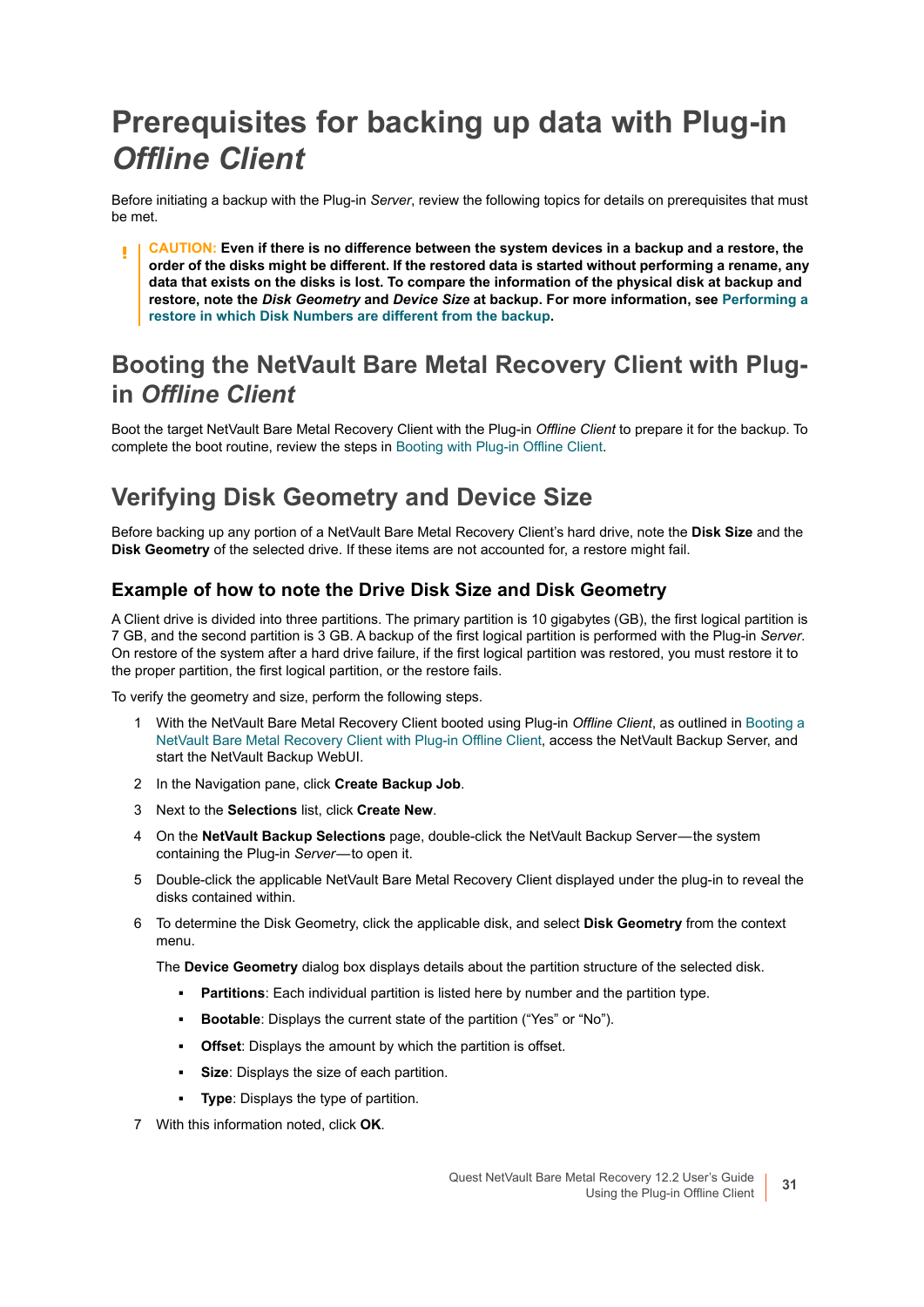# <span id="page-30-0"></span>**Prerequisites for backing up data with Plug-in**  *Offline Client*

Before initiating a backup with the Plug-in *Server*, review the following topics for details on prerequisites that must be met.

**CAUTION: Even if there is no difference between the system devices in a backup and a restore, the order of the disks might be different. If the restored data is started without performing a rename, any data that exists on the disks is lost. To compare the information of the physical disk at backup and restore, note the** *Disk Geometry* **and** *Device Size* **at backup. For more information, see [Performing a](#page-90-3)  [restore in which Disk Numbers are different from the backup.](#page-90-3)**

#### **Booting the NetVault Bare Metal Recovery Client with Plugin** *Offline Client*

Boot the target NetVault Bare Metal Recovery Client with the Plug-in *Offline Client* to prepare it for the backup. To complete the boot routine, review the steps in [Booting with Plug-in Offline Client](#page-23-1).

### <span id="page-30-1"></span>**Verifying Disk Geometry and Device Size**

Before backing up any portion of a NetVault Bare Metal Recovery Client's hard drive, note the **Disk Size** and the **Disk Geometry** of the selected drive. If these items are not accounted for, a restore might fail.

#### **Example of how to note the Drive Disk Size and Disk Geometry**

A Client drive is divided into three partitions. The primary partition is 10 gigabytes (GB), the first logical partition is 7 GB, and the second partition is 3 GB. A backup of the first logical partition is performed with the Plug-in *Server*. On restore of the system after a hard drive failure, if the first logical partition was restored, you must restore it to the proper partition, the first logical partition, or the restore fails.

To verify the geometry and size, perform the following steps.

- 1 With the NetVault Bare Metal Recovery Client booted using Plug-in *Offline Client*, as outlined in [Booting a](#page-23-0)  [NetVault Bare Metal Recovery Client with Plug-in Offline Client](#page-23-0), access the NetVault Backup Server, and start the NetVault Backup WebUI.
- 2 In the Navigation pane, click **Create Backup Job**.
- 3 Next to the **Selections** list, click **Create New**.
- 4 On the **NetVault Backup Selections** page, double-click the NetVault Backup Server the system containing the Plug-in *Server*—to open it.
- 5 Double-click the applicable NetVault Bare Metal Recovery Client displayed under the plug-in to reveal the disks contained within.
- 6 To determine the Disk Geometry, click the applicable disk, and select **Disk Geometry** from the context menu.

The **Device Geometry** dialog box displays details about the partition structure of the selected disk.

- **Partitions**: Each individual partition is listed here by number and the partition type.
- **Bootable**: Displays the current state of the partition ("Yes" or "No").
- **Offset:** Displays the amount by which the partition is offset.
- **▪ Size**: Displays the size of each partition.
- **Type:** Displays the type of partition.
- 7 With this information noted, click **OK**.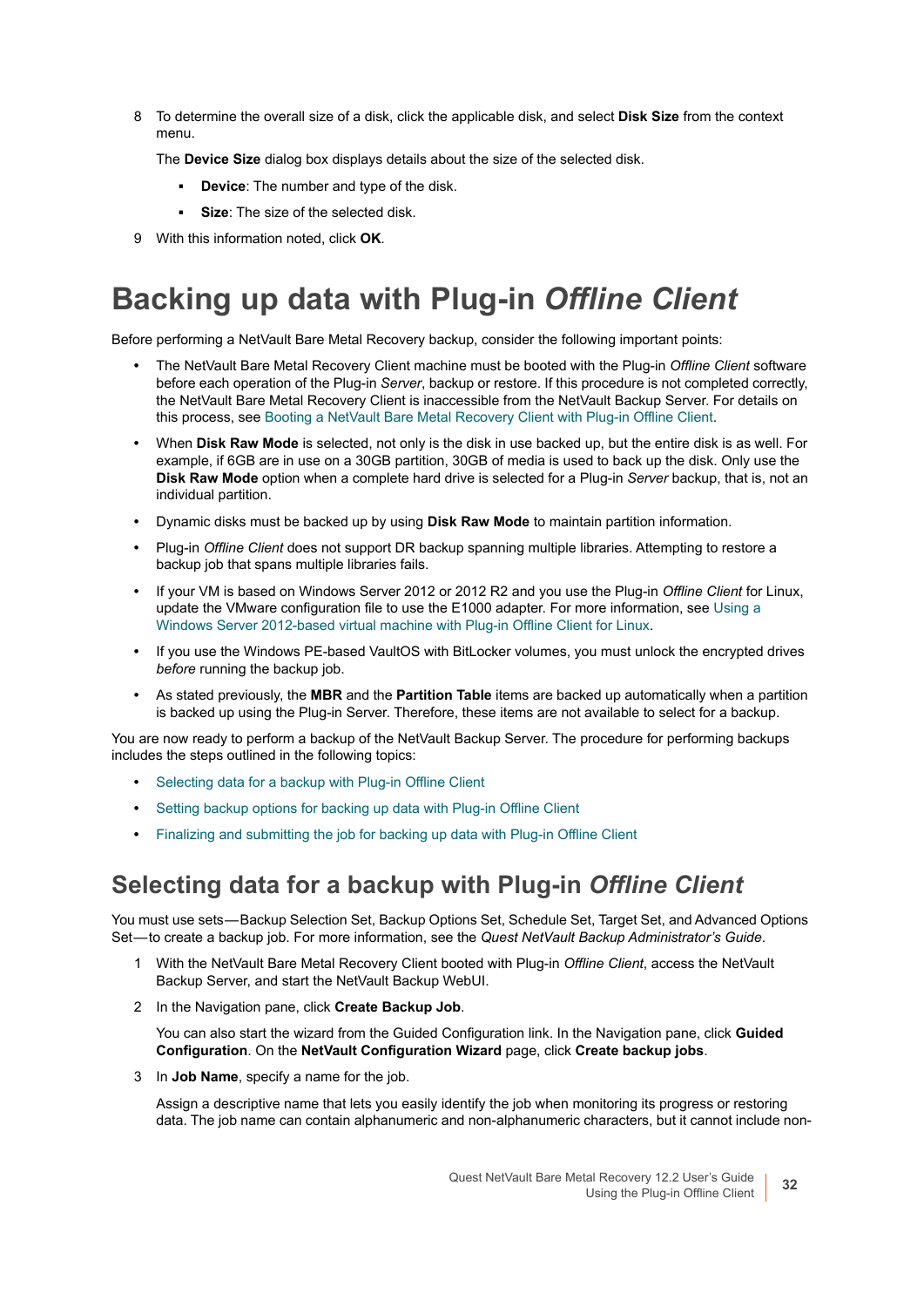8 To determine the overall size of a disk, click the applicable disk, and select **Disk Size** from the context menu.

The **Device Size** dialog box displays details about the size of the selected disk.

- **▪ Device**: The number and type of the disk.
- **▪ Size**: The size of the selected disk.
- 9 With this information noted, click **OK**.

# <span id="page-31-0"></span>**Backing up data with Plug-in** *Offline Client*

Before performing a NetVault Bare Metal Recovery backup, consider the following important points:

- **•** The NetVault Bare Metal Recovery Client machine must be booted with the Plug-in *Offline Client* software before each operation of the Plug-in *Server*, backup or restore. If this procedure is not completed correctly, the NetVault Bare Metal Recovery Client is inaccessible from the NetVault Backup Server. For details on this process, see [Booting a NetVault Bare Metal Recovery Client with Plug-in Offline Client.](#page-23-0)
- **•** When **Disk Raw Mode** is selected, not only is the disk in use backed up, but the entire disk is as well. For example, if 6GB are in use on a 30GB partition, 30GB of media is used to back up the disk. Only use the **Disk Raw Mode** option when a complete hard drive is selected for a Plug-in *Server* backup, that is, not an individual partition.
- **•** Dynamic disks must be backed up by using **Disk Raw Mode** to maintain partition information.
- **•** Plug-in *Offline Client* does not support DR backup spanning multiple libraries. Attempting to restore a backup job that spans multiple libraries fails.
- **•** If your VM is based on Windows Server 2012 or 2012 R2 and you use the Plug-in *Offline Client* for Linux, update the VMware configuration file to use the E1000 adapter. For more information, see [Using a](#page-23-2)  [Windows Server 2012-based virtual machine with Plug-in Offline Client for Linux.](#page-23-2)
- **•** If you use the Windows PE-based VaultOS with BitLocker volumes, you must unlock the encrypted drives *before* running the backup job.
- **•** As stated previously, the **MBR** and the **Partition Table** items are backed up automatically when a partition is backed up using the Plug-in Server. Therefore, these items are not available to select for a backup.

You are now ready to perform a backup of the NetVault Backup Server. The procedure for performing backups includes the steps outlined in the following topics:

- **•** [Selecting data for a backup with Plug-in Offline Client](#page-31-1)
- **•** [Setting backup options for backing up data with Plug-in Offline Client](#page-32-0)
- **•** [Finalizing and submitting the job for backing up data with Plug-in Offline Client](#page-33-1)

### <span id="page-31-1"></span>**Selecting data for a backup with Plug-in** *Offline Client*

You must use sets — Backup Selection Set, Backup Options Set, Schedule Set, Target Set, and Advanced Options Set- to create a backup job. For more information, see the *Quest NetVault Backup Administrator's Guide*.

- 1 With the NetVault Bare Metal Recovery Client booted with Plug-in *Offline Client*, access the NetVault Backup Server, and start the NetVault Backup WebUI.
- 2 In the Navigation pane, click **Create Backup Job**.

You can also start the wizard from the Guided Configuration link. In the Navigation pane, click **Guided Configuration**. On the **NetVault Configuration Wizard** page, click **Create backup jobs**.

3 In **Job Name**, specify a name for the job.

Assign a descriptive name that lets you easily identify the job when monitoring its progress or restoring data. The job name can contain alphanumeric and non-alphanumeric characters, but it cannot include non-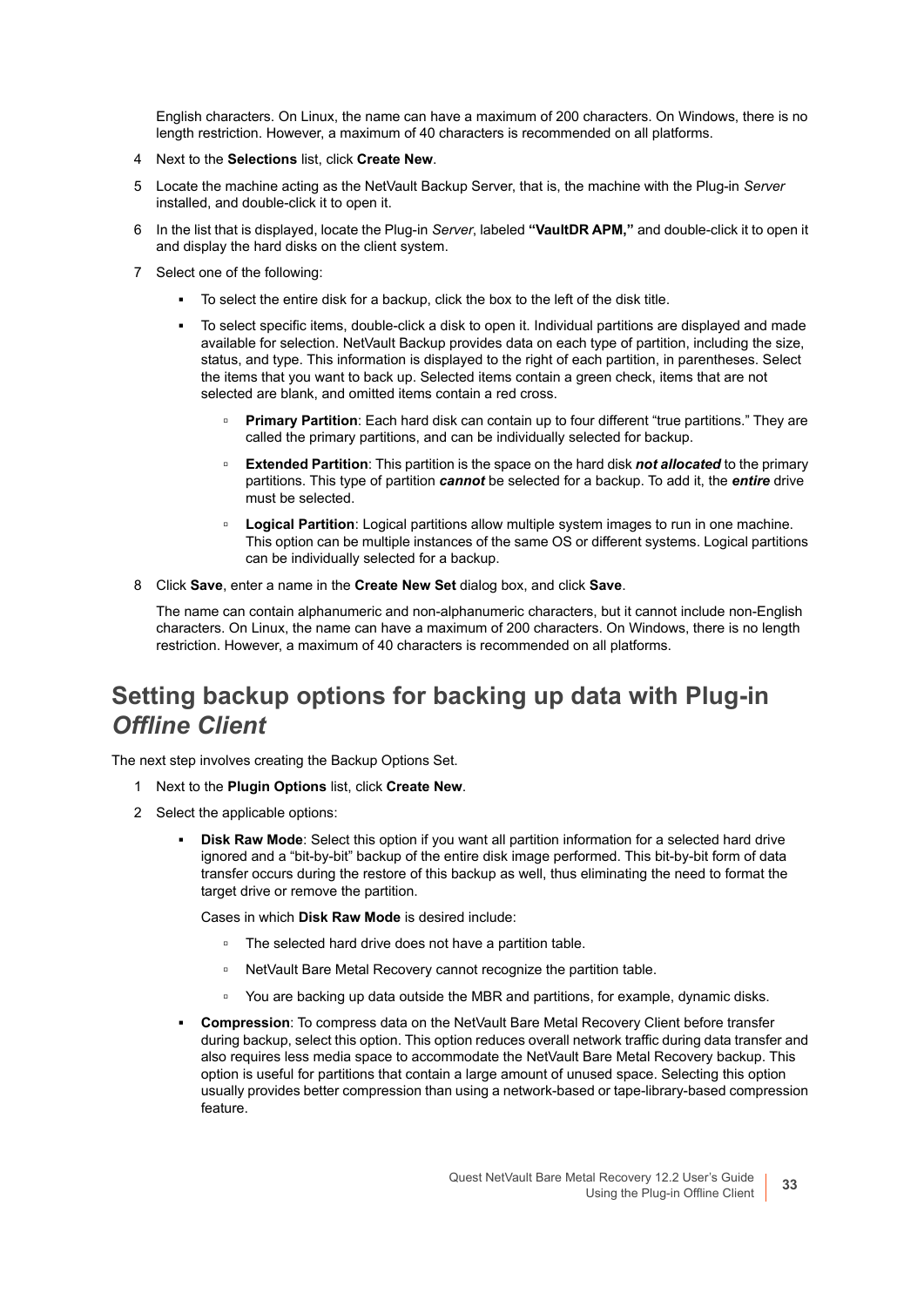English characters. On Linux, the name can have a maximum of 200 characters. On Windows, there is no length restriction. However, a maximum of 40 characters is recommended on all platforms.

- 4 Next to the **Selections** list, click **Create New**.
- 5 Locate the machine acting as the NetVault Backup Server, that is, the machine with the Plug-in *Server* installed, and double-click it to open it.
- 6 In the list that is displayed, locate the Plug-in *Server*, labeled **"VaultDR APM,"** and double-click it to open it and display the hard disks on the client system.
- 7 Select one of the following:
	- **▪** To select the entire disk for a backup, click the box to the left of the disk title.
	- **▪** To select specific items, double-click a disk to open it. Individual partitions are displayed and made available for selection. NetVault Backup provides data on each type of partition, including the size, status, and type. This information is displayed to the right of each partition, in parentheses. Select the items that you want to back up. Selected items contain a green check, items that are not selected are blank, and omitted items contain a red cross.
		- **▫ Primary Partition**: Each hard disk can contain up to four different "true partitions." They are called the primary partitions, and can be individually selected for backup.
		- **▫ Extended Partition**: This partition is the space on the hard disk *not allocated* to the primary partitions. This type of partition *cannot* be selected for a backup. To add it, the *entire* drive must be selected.
		- **□ Logical Partition**: Logical partitions allow multiple system images to run in one machine. This option can be multiple instances of the same OS or different systems. Logical partitions can be individually selected for a backup.
- 8 Click **Save**, enter a name in the **Create New Set** dialog box, and click **Save**.

The name can contain alphanumeric and non-alphanumeric characters, but it cannot include non-English characters. On Linux, the name can have a maximum of 200 characters. On Windows, there is no length restriction. However, a maximum of 40 characters is recommended on all platforms.

### <span id="page-32-0"></span>**Setting backup options for backing up data with Plug-in**  *Offline Client*

The next step involves creating the Backup Options Set.

- 1 Next to the **Plugin Options** list, click **Create New**.
- 2 Select the applicable options:
	- **Disk Raw Mode:** Select this option if you want all partition information for a selected hard drive ignored and a "bit-by-bit" backup of the entire disk image performed. This bit-by-bit form of data transfer occurs during the restore of this backup as well, thus eliminating the need to format the target drive or remove the partition.

Cases in which **Disk Raw Mode** is desired include:

- **▫** The selected hard drive does not have a partition table.
- **▫** NetVault Bare Metal Recovery cannot recognize the partition table.
- **▫** You are backing up data outside the MBR and partitions, for example, dynamic disks.
- **▪ Compression**: To compress data on the NetVault Bare Metal Recovery Client before transfer during backup, select this option. This option reduces overall network traffic during data transfer and also requires less media space to accommodate the NetVault Bare Metal Recovery backup. This option is useful for partitions that contain a large amount of unused space. Selecting this option usually provides better compression than using a network-based or tape-library-based compression feature.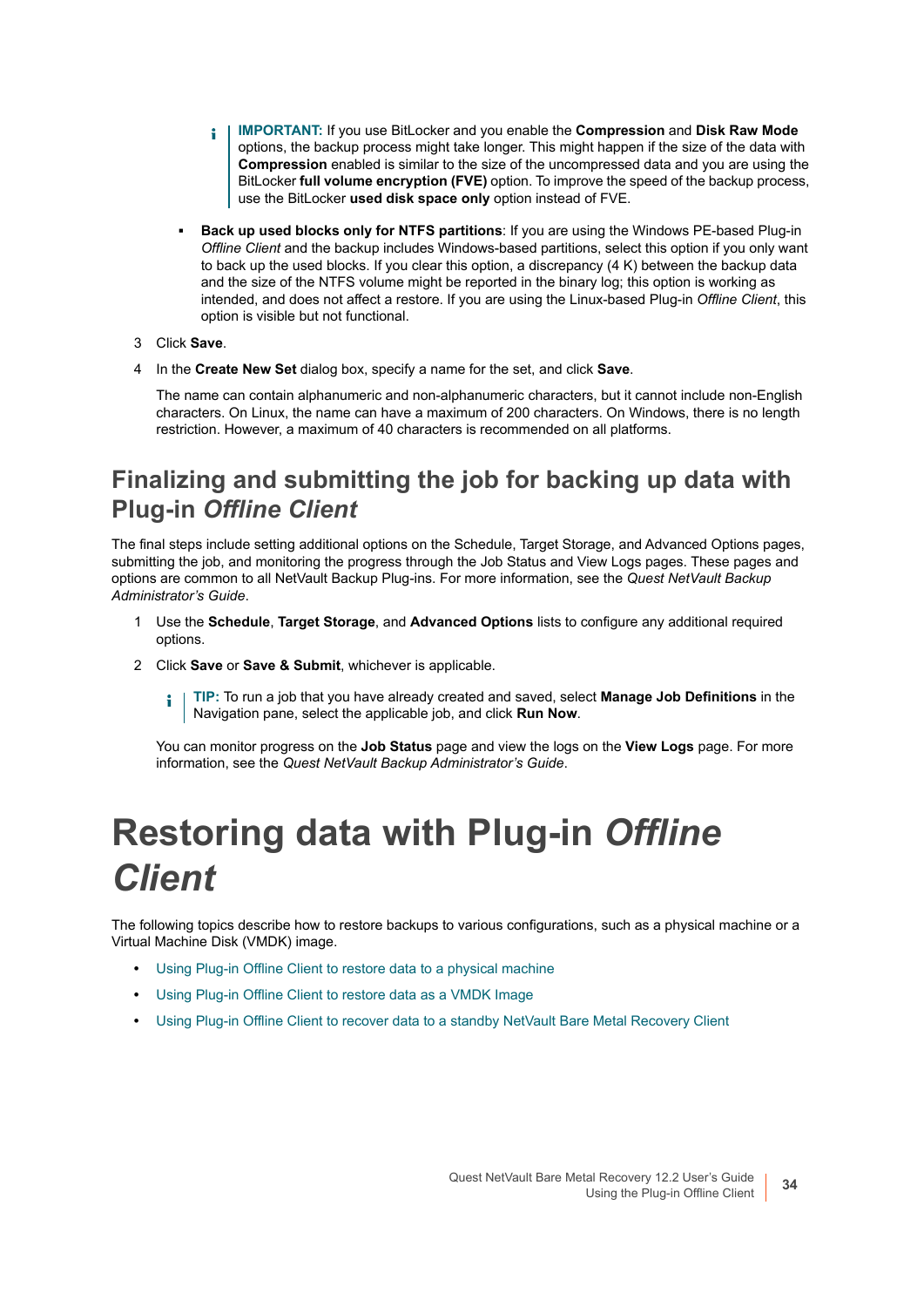- **IMPORTANT:** If you use BitLocker and you enable the **Compression** and **Disk Raw Mode**  ÷ options, the backup process might take longer. This might happen if the size of the data with **Compression** enabled is similar to the size of the uncompressed data and you are using the BitLocker **full volume encryption (FVE)** option. To improve the speed of the backup process, use the BitLocker **used disk space only** option instead of FVE.
- **Back up used blocks only for NTFS partitions: If you are using the Windows PE-based Plug-in** *Offline Client* and the backup includes Windows-based partitions, select this option if you only want to back up the used blocks. If you clear this option, a discrepancy (4 K) between the backup data and the size of the NTFS volume might be reported in the binary log; this option is working as intended, and does not affect a restore. If you are using the Linux-based Plug-in *Offline Client*, this option is visible but not functional.
- 3 Click **Save**.
- 4 In the **Create New Set** dialog box, specify a name for the set, and click **Save**.

The name can contain alphanumeric and non-alphanumeric characters, but it cannot include non-English characters. On Linux, the name can have a maximum of 200 characters. On Windows, there is no length restriction. However, a maximum of 40 characters is recommended on all platforms.

### <span id="page-33-1"></span>**Finalizing and submitting the job for backing up data with Plug-in** *Offline Client*

The final steps include setting additional options on the Schedule, Target Storage, and Advanced Options pages, submitting the job, and monitoring the progress through the Job Status and View Logs pages. These pages and options are common to all NetVault Backup Plug-ins. For more information, see the *Quest NetVault Backup Administrator's Guide*.

- 1 Use the **Schedule**, **Target Storage**, and **Advanced Options** lists to configure any additional required options.
- 2 Click **Save** or **Save & Submit**, whichever is applicable.

**TIP:** To run a job that you have already created and saved, select **Manage Job Definitions** in the i. Navigation pane, select the applicable job, and click **Run Now**.

You can monitor progress on the **Job Status** page and view the logs on the **View Logs** page. For more information, see the *Quest NetVault Backup Administrator's Guide*.

# <span id="page-33-0"></span>**Restoring data with Plug-in** *Offline Client*

The following topics describe how to restore backups to various configurations, such as a physical machine or a Virtual Machine Disk (VMDK) image.

- **•** [Using Plug-in Offline Client to restore data to a physical machine](#page-35-0)
- **•** [Using Plug-in Offline Client to restore data as a VMDK Image](#page-38-0)
- **•** [Using Plug-in Offline Client to recover data to a standby NetVault Bare Metal Recovery Client](#page-41-0)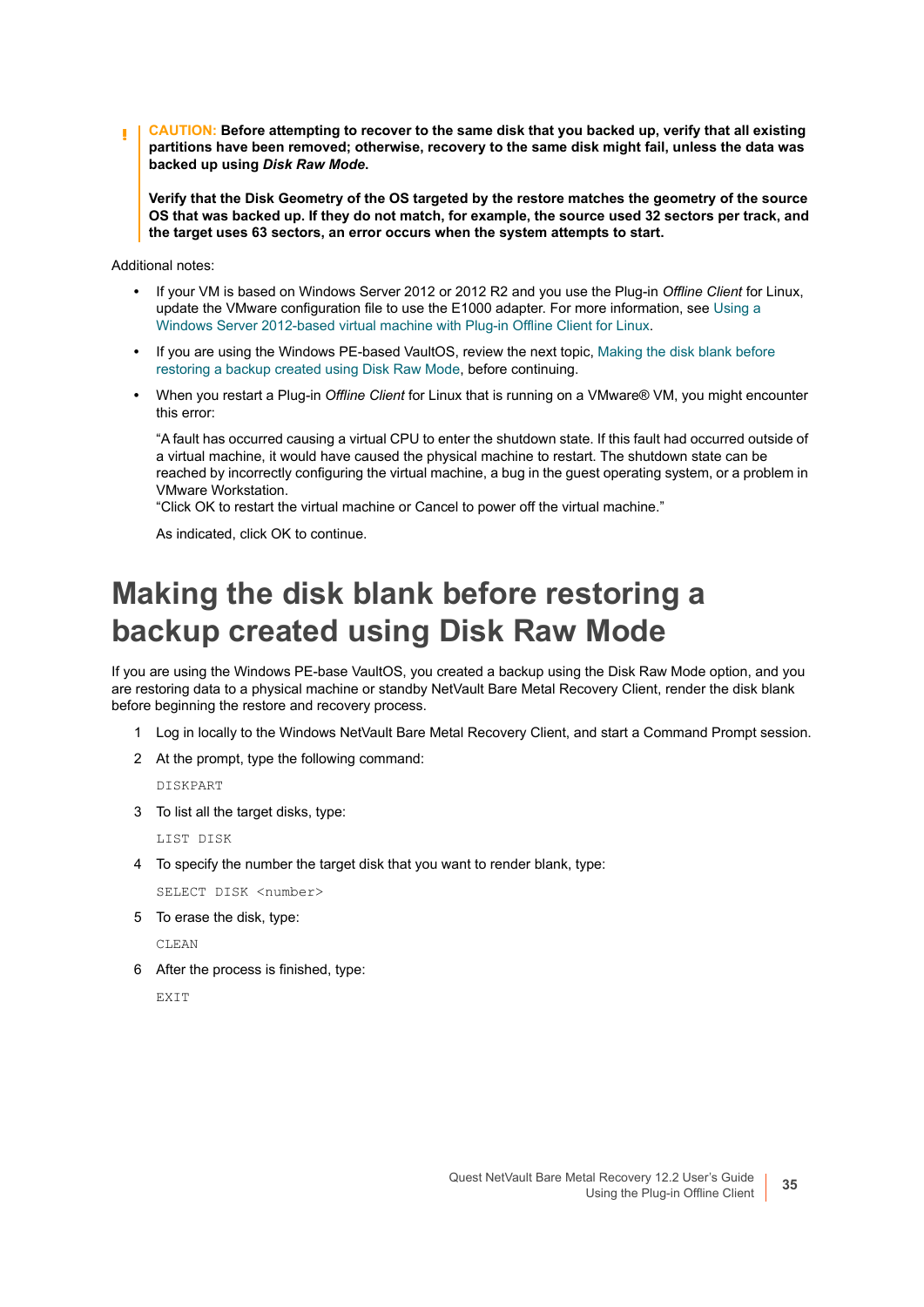**CAUTION: Before attempting to recover to the same disk that you backed up, verify that all existing partitions have been removed; otherwise, recovery to the same disk might fail, unless the data was backed up using** *Disk Raw Mode***.**

**Verify that the Disk Geometry of the OS targeted by the restore matches the geometry of the source OS that was backed up. If they do not match, for example, the source used 32 sectors per track, and the target uses 63 sectors, an error occurs when the system attempts to start.**

Additional notes:

- **•** If your VM is based on Windows Server 2012 or 2012 R2 and you use the Plug-in *Offline Client* for Linux, update the VMware configuration file to use the E1000 adapter. For more information, see [Using a](#page-23-2)  [Windows Server 2012-based virtual machine with Plug-in Offline Client for Linux.](#page-23-2)
- **•** If you are using the Windows PE-based VaultOS, review the next topic, [Making the disk blank before](#page-34-0)  [restoring a backup created using Disk Raw Mode,](#page-34-0) before continuing.
- **•** When you restart a Plug-in *Offline Client* for Linux that is running on a VMware® VM, you might encounter this error:

"A fault has occurred causing a virtual CPU to enter the shutdown state. If this fault had occurred outside of a virtual machine, it would have caused the physical machine to restart. The shutdown state can be reached by incorrectly configuring the virtual machine, a bug in the guest operating system, or a problem in VMware Workstation.

"Click OK to restart the virtual machine or Cancel to power off the virtual machine."

As indicated, click OK to continue.

### <span id="page-34-0"></span>**Making the disk blank before restoring a backup created using Disk Raw Mode**

If you are using the Windows PE-base VaultOS, you created a backup using the Disk Raw Mode option, and you are restoring data to a physical machine or standby NetVault Bare Metal Recovery Client, render the disk blank before beginning the restore and recovery process.

- 1 Log in locally to the Windows NetVault Bare Metal Recovery Client, and start a Command Prompt session.
- 2 At the prompt, type the following command:

DISKPART

3 To list all the target disks, type:

LIST DISK

4 To specify the number the target disk that you want to render blank, type:

SELECT DISK <number>

5 To erase the disk, type:

CLEAN

6 After the process is finished, type:

**EXTT**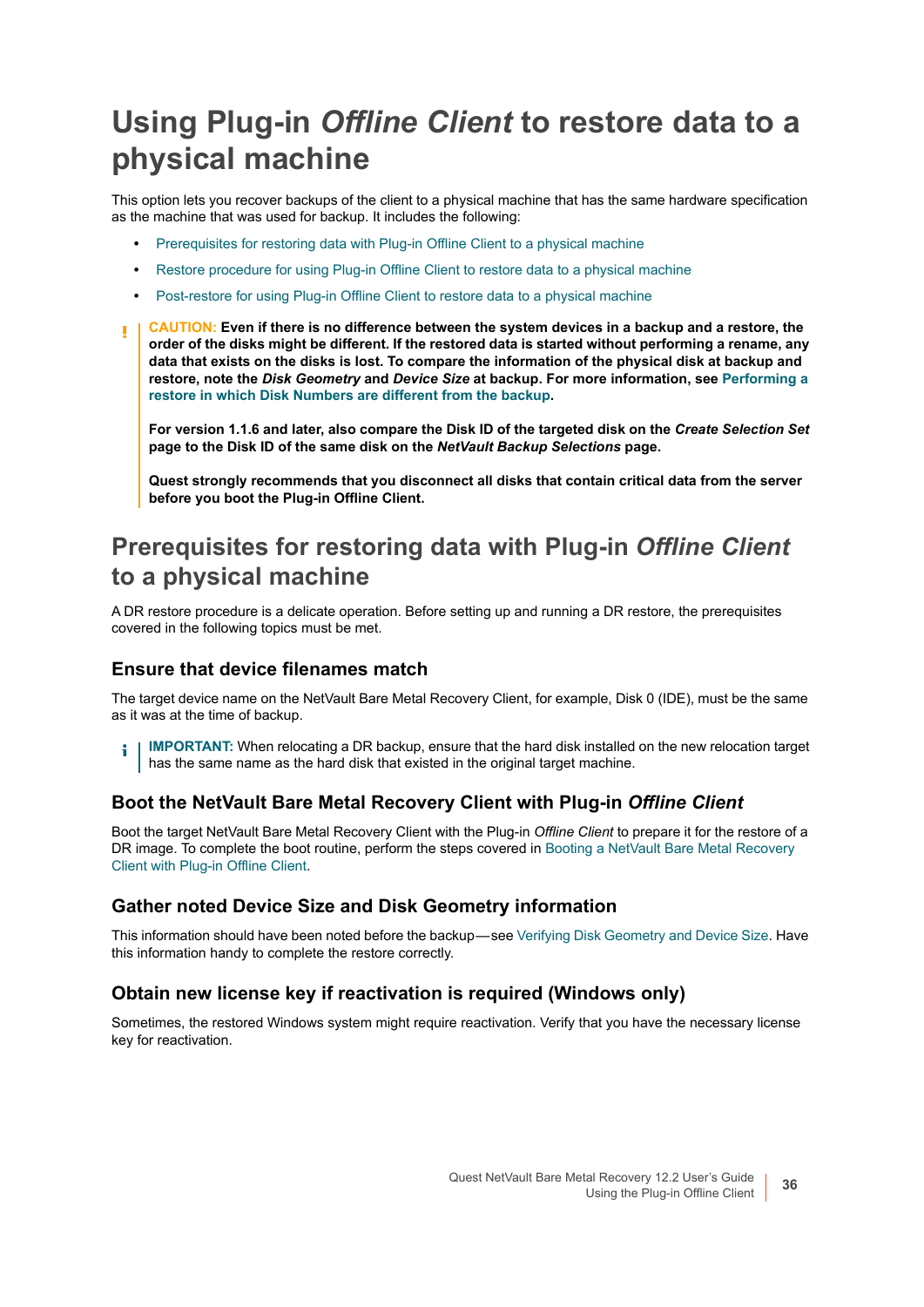## <span id="page-35-0"></span>**Using Plug-in** *Offline Client* **to restore data to a physical machine**

This option lets you recover backups of the client to a physical machine that has the same hardware specification as the machine that was used for backup. It includes the following:

- **•** [Prerequisites for restoring data with Plug-in Offline Client to a physical machine](#page-35-1)
- **•** [Restore procedure for using Plug-in Offline Client to restore data to a physical machine](#page-36-0)
- **•** [Post-restore for using Plug-in Offline Client to restore data to a physical machine](#page-38-1)
- **CAUTION: Even if there is no difference between the system devices in a backup and a restore, the**  ΠI **order of the disks might be different. If the restored data is started without performing a rename, any data that exists on the disks is lost. To compare the information of the physical disk at backup and restore, note the** *Disk Geometry* **and** *Device Size* **at backup. For more information, see [Performing a](#page-90-3)  [restore in which Disk Numbers are different from the backup.](#page-90-3)**

**For version 1.1.6 and later, also compare the Disk ID of the targeted disk on the** *Create Selection Set*  **page to the Disk ID of the same disk on the** *NetVault Backup Selections* **page.**

**Quest strongly recommends that you disconnect all disks that contain critical data from the server before you boot the Plug-in Offline Client.**

#### <span id="page-35-1"></span>**Prerequisites for restoring data with Plug-in** *Offline Client* **to a physical machine**

A DR restore procedure is a delicate operation. Before setting up and running a DR restore, the prerequisites covered in the following topics must be met.

#### **Ensure that device filenames match**

The target device name on the NetVault Bare Metal Recovery Client, for example, Disk 0 (IDE), must be the same as it was at the time of backup.

**IMPORTANT:** When relocating a DR backup, ensure that the hard disk installed on the new relocation target ÷ has the same name as the hard disk that existed in the original target machine.

#### **Boot the NetVault Bare Metal Recovery Client with Plug-in** *Offline Client*

Boot the target NetVault Bare Metal Recovery Client with the Plug-in *Offline Client* to prepare it for the restore of a DR image. To complete the boot routine, perform the steps covered in [Booting a NetVault Bare Metal Recovery](#page-23-0)  [Client with Plug-in Offline Client.](#page-23-0)

#### **Gather noted Device Size and Disk Geometry information**

This information should have been noted before the backup — see [Verifying Disk Geometry and Device Size](#page-30-1). Have this information handy to complete the restore correctly.

#### **Obtain new license key if reactivation is required (Windows only)**

Sometimes, the restored Windows system might require reactivation. Verify that you have the necessary license key for reactivation.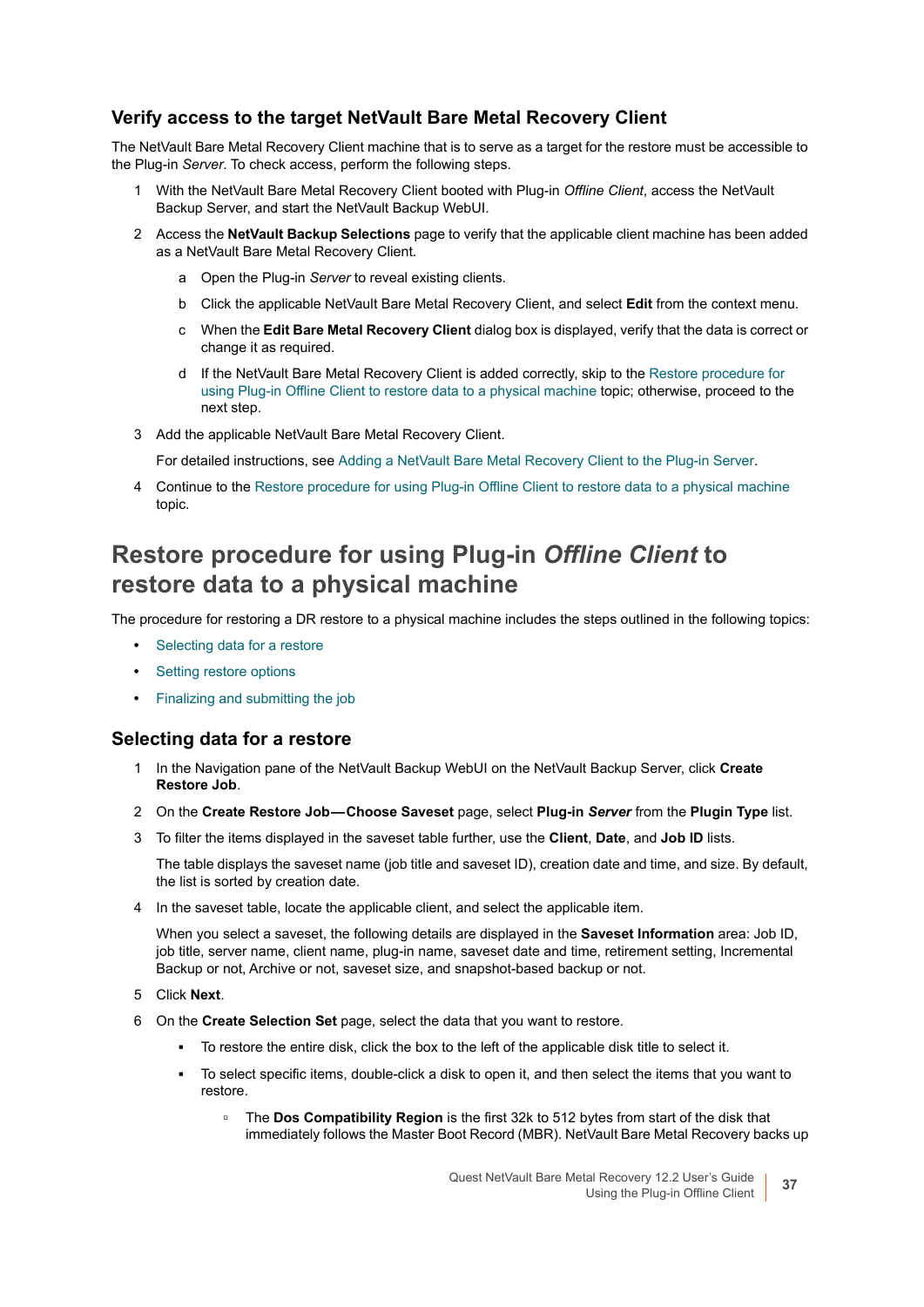#### **Verify access to the target NetVault Bare Metal Recovery Client**

The NetVault Bare Metal Recovery Client machine that is to serve as a target for the restore must be accessible to the Plug-in *Server*. To check access, perform the following steps.

- 1 With the NetVault Bare Metal Recovery Client booted with Plug-in *Offline Client*, access the NetVault Backup Server, and start the NetVault Backup WebUI.
- 2 Access the **NetVault Backup Selections** page to verify that the applicable client machine has been added as a NetVault Bare Metal Recovery Client.
	- a Open the Plug-in *Server* to reveal existing clients.
	- b Click the applicable NetVault Bare Metal Recovery Client, and select **Edit** from the context menu.
	- c When the **Edit Bare Metal Recovery Client** dialog box is displayed, verify that the data is correct or change it as required.
	- d If the NetVault Bare Metal Recovery Client is added correctly, skip to the [Restore procedure for](#page-36-0)  [using Plug-in Offline Client to restore data to a physical machine](#page-36-0) topic; otherwise, proceed to the next step.
- 3 Add the applicable NetVault Bare Metal Recovery Client.

For detailed instructions, see [Adding a NetVault Bare Metal Recovery Client to the Plug-in Server](#page-22-0).

4 Continue to the [Restore procedure for using Plug-in Offline Client to restore data to a physical machine](#page-36-0) topic.

### <span id="page-36-0"></span>**Restore procedure for using Plug-in** *Offline Client* **to restore data to a physical machine**

The procedure for restoring a DR restore to a physical machine includes the steps outlined in the following topics:

- **•** [Selecting data for a restore](#page-36-1)
- **•** [Setting restore options](#page-37-0)
- **•** [Finalizing and submitting the job](#page-37-1)

#### <span id="page-36-1"></span>**Selecting data for a restore**

- 1 In the Navigation pane of the NetVault Backup WebUI on the NetVault Backup Server, click **Create Restore Job**.
- 2 On the **Create Restore Job Choose Saveset** page, select **Plug-in** *Server* from the **Plugin Type** list.
- 3 To filter the items displayed in the saveset table further, use the **Client**, **Date**, and **Job ID** lists.

The table displays the saveset name (job title and saveset ID), creation date and time, and size. By default, the list is sorted by creation date.

4 In the saveset table, locate the applicable client, and select the applicable item.

When you select a saveset, the following details are displayed in the **Saveset Information** area: Job ID, job title, server name, client name, plug-in name, saveset date and time, retirement setting, Incremental Backup or not, Archive or not, saveset size, and snapshot-based backup or not.

- 5 Click **Next**.
- 6 On the **Create Selection Set** page, select the data that you want to restore.
	- **▪** To restore the entire disk, click the box to the left of the applicable disk title to select it.
	- **▪** To select specific items, double-click a disk to open it, and then select the items that you want to restore.
		- **▫** The **Dos Compatibility Region** is the first 32k to 512 bytes from start of the disk that immediately follows the Master Boot Record (MBR). NetVault Bare Metal Recovery backs up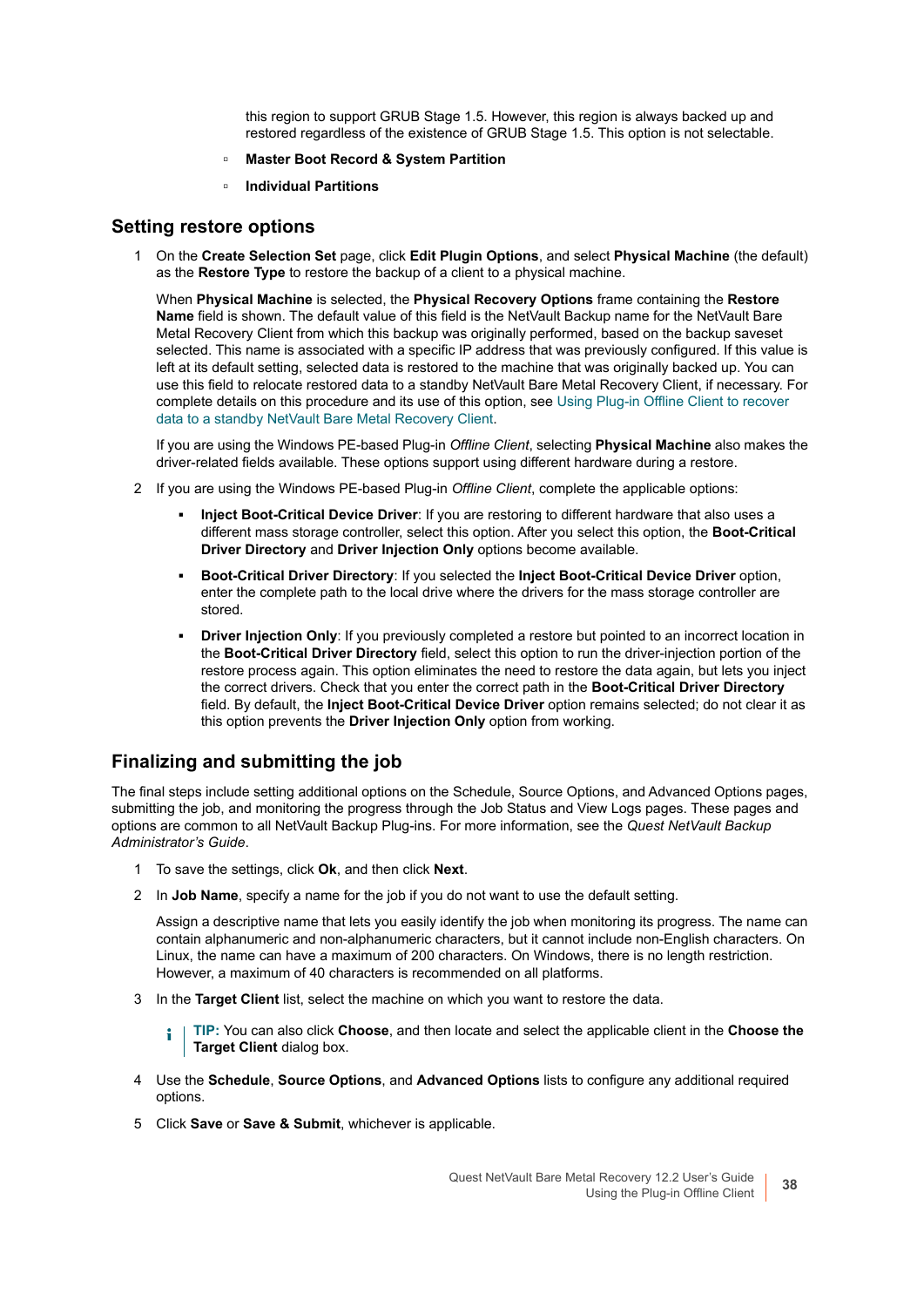this region to support GRUB Stage 1.5. However, this region is always backed up and restored regardless of the existence of GRUB Stage 1.5. This option is not selectable.

- **▫ Master Boot Record & System Partition**
- **▫ Individual Partitions**

#### <span id="page-37-0"></span>**Setting restore options**

1 On the **Create Selection Set** page, click **Edit Plugin Options**, and select **Physical Machine** (the default) as the **Restore Type** to restore the backup of a client to a physical machine.

When **Physical Machine** is selected, the **Physical Recovery Options** frame containing the **Restore Name** field is shown. The default value of this field is the NetVault Backup name for the NetVault Bare Metal Recovery Client from which this backup was originally performed, based on the backup saveset selected. This name is associated with a specific IP address that was previously configured. If this value is left at its default setting, selected data is restored to the machine that was originally backed up. You can use this field to relocate restored data to a standby NetVault Bare Metal Recovery Client, if necessary. For complete details on this procedure and its use of this option, see [Using Plug-in Offline Client to recover](#page-41-0)  [data to a standby NetVault Bare Metal Recovery Client.](#page-41-0)

If you are using the Windows PE-based Plug-in *Offline Client*, selecting **Physical Machine** also makes the driver-related fields available. These options support using different hardware during a restore.

- 2 If you are using the Windows PE-based Plug-in *Offline Client*, complete the applicable options:
	- **▪ Inject Boot-Critical Device Driver**: If you are restoring to different hardware that also uses a different mass storage controller, select this option. After you select this option, the **Boot-Critical Driver Directory** and **Driver Injection Only** options become available.
	- **▪ Boot-Critical Driver Directory**: If you selected the **Inject Boot-Critical Device Driver** option, enter the complete path to the local drive where the drivers for the mass storage controller are stored.
	- **Driver Injection Only:** If you previously completed a restore but pointed to an incorrect location in the **Boot-Critical Driver Directory** field, select this option to run the driver-injection portion of the restore process again. This option eliminates the need to restore the data again, but lets you inject the correct drivers. Check that you enter the correct path in the **Boot-Critical Driver Directory** field. By default, the **Inject Boot-Critical Device Driver** option remains selected; do not clear it as this option prevents the **Driver Injection Only** option from working.

#### <span id="page-37-1"></span>**Finalizing and submitting the job**

The final steps include setting additional options on the Schedule, Source Options, and Advanced Options pages, submitting the job, and monitoring the progress through the Job Status and View Logs pages. These pages and options are common to all NetVault Backup Plug-ins. For more information, see the *Quest NetVault Backup Administrator's Guide*.

- 1 To save the settings, click **Ok**, and then click **Next**.
- 2 In **Job Name**, specify a name for the job if you do not want to use the default setting.

Assign a descriptive name that lets you easily identify the job when monitoring its progress. The name can contain alphanumeric and non-alphanumeric characters, but it cannot include non-English characters. On Linux, the name can have a maximum of 200 characters. On Windows, there is no length restriction. However, a maximum of 40 characters is recommended on all platforms.

3 In the **Target Client** list, select the machine on which you want to restore the data.

**TIP:** You can also click **Choose**, and then locate and select the applicable client in the **Choose the**  f. **Target Client** dialog box.

- 4 Use the **Schedule**, **Source Options**, and **Advanced Options** lists to configure any additional required options.
- 5 Click **Save** or **Save & Submit**, whichever is applicable.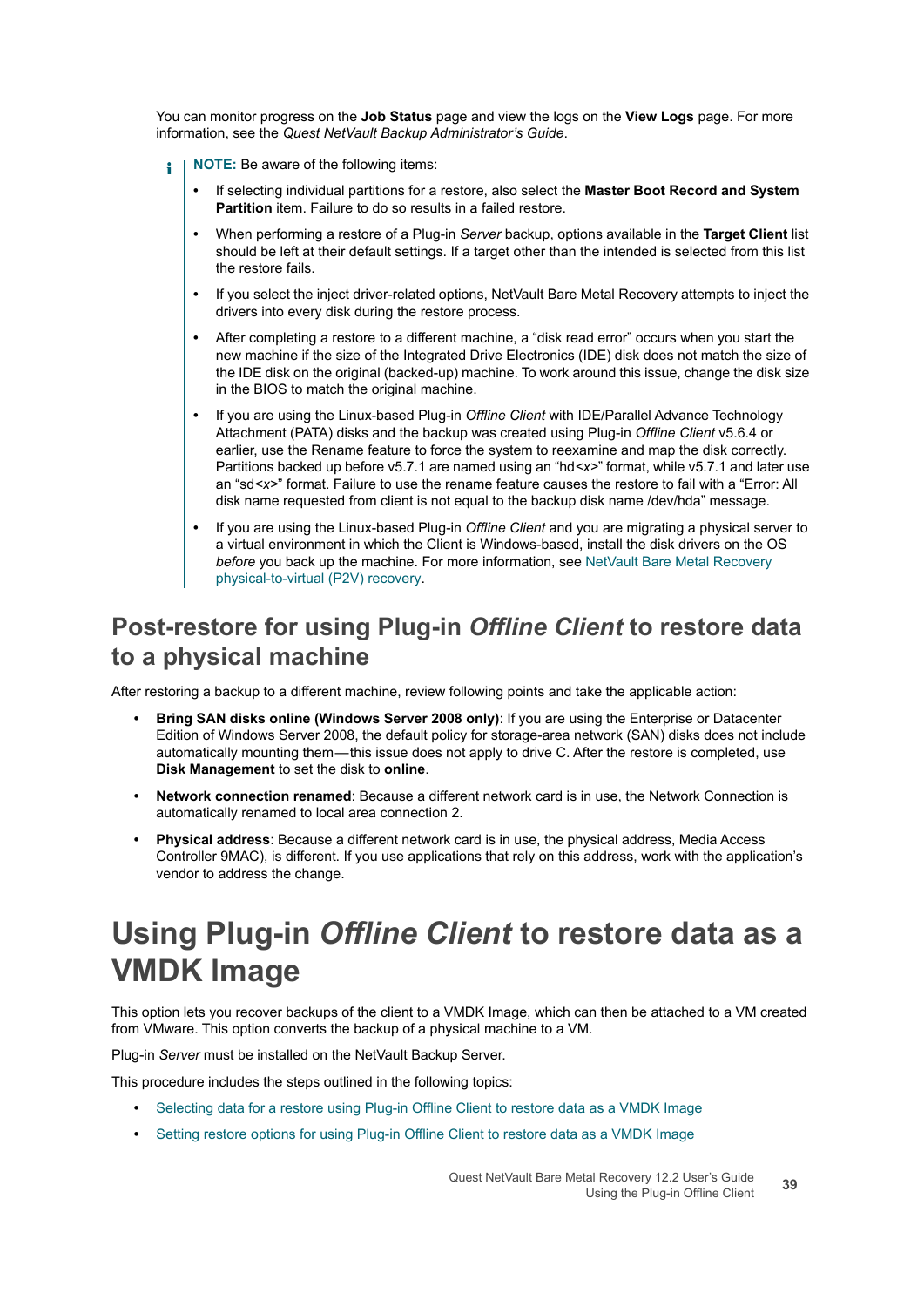You can monitor progress on the **Job Status** page and view the logs on the **View Logs** page. For more information, see the *Quest NetVault Backup Administrator's Guide*.

- **NOTE:** Be aware of the following items: ÷
	- **•** If selecting individual partitions for a restore, also select the **Master Boot Record and System Partition** item. Failure to do so results in a failed restore.
	- **•** When performing a restore of a Plug-in *Server* backup, options available in the **Target Client** list should be left at their default settings. If a target other than the intended is selected from this list the restore fails.
	- **•** If you select the inject driver-related options, NetVault Bare Metal Recovery attempts to inject the drivers into every disk during the restore process.
	- **•** After completing a restore to a different machine, a "disk read error" occurs when you start the new machine if the size of the Integrated Drive Electronics (IDE) disk does not match the size of the IDE disk on the original (backed-up) machine. To work around this issue, change the disk size in the BIOS to match the original machine.
	- **•** If you are using the Linux-based Plug-in *Offline Client* with IDE/Parallel Advance Technology Attachment (PATA) disks and the backup was created using Plug-in *Offline Client* v5.6.4 or earlier, use the Rename feature to force the system to reexamine and map the disk correctly. Partitions backed up before v5.7.1 are named using an "hd*<x>*" format, while v5.7.1 and later use an "sd*<x>*" format. Failure to use the rename feature causes the restore to fail with a "Error: All disk name requested from client is not equal to the backup disk name /dev/hda" message.
	- **•** If you are using the Linux-based Plug-in *Offline Client* and you are migrating a physical server to a virtual environment in which the Client is Windows-based, install the disk drivers on the OS *before* you back up the machine. For more information, see [NetVault Bare Metal Recovery](#page-87-0)  [physical-to-virtual \(P2V\) recovery.](#page-87-0)

### **Post-restore for using Plug-in** *Offline Client* **to restore data to a physical machine**

After restoring a backup to a different machine, review following points and take the applicable action:

- **Bring SAN disks online (Windows Server 2008 only)**: If you are using the Enterprise or Datacenter Edition of Windows Server 2008, the default policy for storage-area network (SAN) disks does not include automatically mounting them — this issue does not apply to drive C. After the restore is completed, use **Disk Management** to set the disk to **online**.
- **Network connection renamed**: Because a different network card is in use, the Network Connection is automatically renamed to local area connection 2.
- **Physical address**: Because a different network card is in use, the physical address, Media Access Controller 9MAC), is different. If you use applications that rely on this address, work with the application's vendor to address the change.

## **Using Plug-in** *Offline Client* **to restore data as a VMDK Image**

This option lets you recover backups of the client to a VMDK Image, which can then be attached to a VM created from VMware. This option converts the backup of a physical machine to a VM.

Plug-in *Server* must be installed on the NetVault Backup Server.

This procedure includes the steps outlined in the following topics:

- **•** [Selecting data for a restore using Plug-in Offline Client to restore data as a VMDK Image](#page-39-0)
- **•** [Setting restore options for using Plug-in Offline Client to restore data as a VMDK Image](#page-39-1)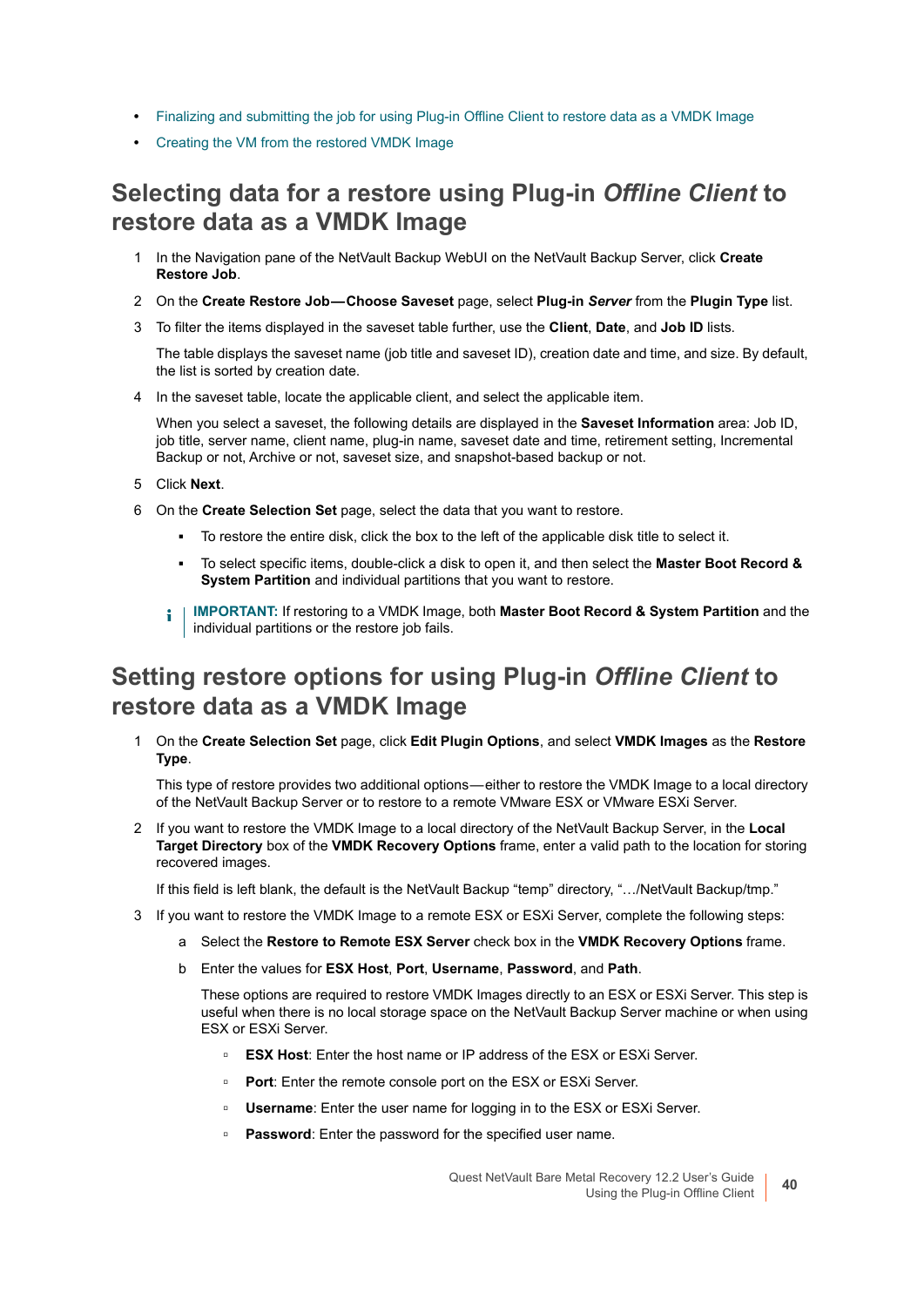- **•** [Finalizing and submitting the job for using Plug-in Offline Client to restore data as a VMDK Image](#page-40-0)
- **•** [Creating the VM from the restored VMDK Image](#page-40-1)

### <span id="page-39-0"></span>**Selecting data for a restore using Plug-in** *Offline Client* **to restore data as a VMDK Image**

- 1 In the Navigation pane of the NetVault Backup WebUI on the NetVault Backup Server, click **Create Restore Job**.
- 2 On the **Create Restore Job Choose Saveset** page, select **Plug-in** *Server* from the **Plugin Type** list.
- 3 To filter the items displayed in the saveset table further, use the **Client**, **Date**, and **Job ID** lists.

The table displays the saveset name (job title and saveset ID), creation date and time, and size. By default, the list is sorted by creation date.

4 In the saveset table, locate the applicable client, and select the applicable item.

When you select a saveset, the following details are displayed in the **Saveset Information** area: Job ID, job title, server name, client name, plug-in name, saveset date and time, retirement setting, Incremental Backup or not, Archive or not, saveset size, and snapshot-based backup or not.

- 5 Click **Next**.
- 6 On the **Create Selection Set** page, select the data that you want to restore.
	- **▪** To restore the entire disk, click the box to the left of the applicable disk title to select it.
	- **▪** To select specific items, double-click a disk to open it, and then select the **Master Boot Record & System Partition** and individual partitions that you want to restore.
	- **i** | IMPORTANT: If restoring to a VMDK Image, both Master Boot Record & System Partition and the individual partitions or the restore job fails.

### <span id="page-39-1"></span>**Setting restore options for using Plug-in** *Offline Client* **to restore data as a VMDK Image**

1 On the **Create Selection Set** page, click **Edit Plugin Options**, and select **VMDK Images** as the **Restore Type**.

This type of restore provides two additional options — either to restore the VMDK Image to a local directory of the NetVault Backup Server or to restore to a remote VMware ESX or VMware ESXi Server.

2 If you want to restore the VMDK Image to a local directory of the NetVault Backup Server, in the **Local Target Directory** box of the **VMDK Recovery Options** frame, enter a valid path to the location for storing recovered images.

If this field is left blank, the default is the NetVault Backup "temp" directory, "…/NetVault Backup/tmp."

- 3 If you want to restore the VMDK Image to a remote ESX or ESXi Server, complete the following steps:
	- a Select the **Restore to Remote ESX Server** check box in the **VMDK Recovery Options** frame.
	- b Enter the values for **ESX Host**, **Port**, **Username**, **Password**, and **Path**.

These options are required to restore VMDK Images directly to an ESX or ESXi Server. This step is useful when there is no local storage space on the NetVault Backup Server machine or when using ESX or ESXi Server.

- **▫ ESX Host**: Enter the host name or IP address of the ESX or ESXi Server.
- **▫ Port**: Enter the remote console port on the ESX or ESXi Server.
- **□ Username**: Enter the user name for logging in to the ESX or ESXi Server.
- **▫ Password**: Enter the password for the specified user name.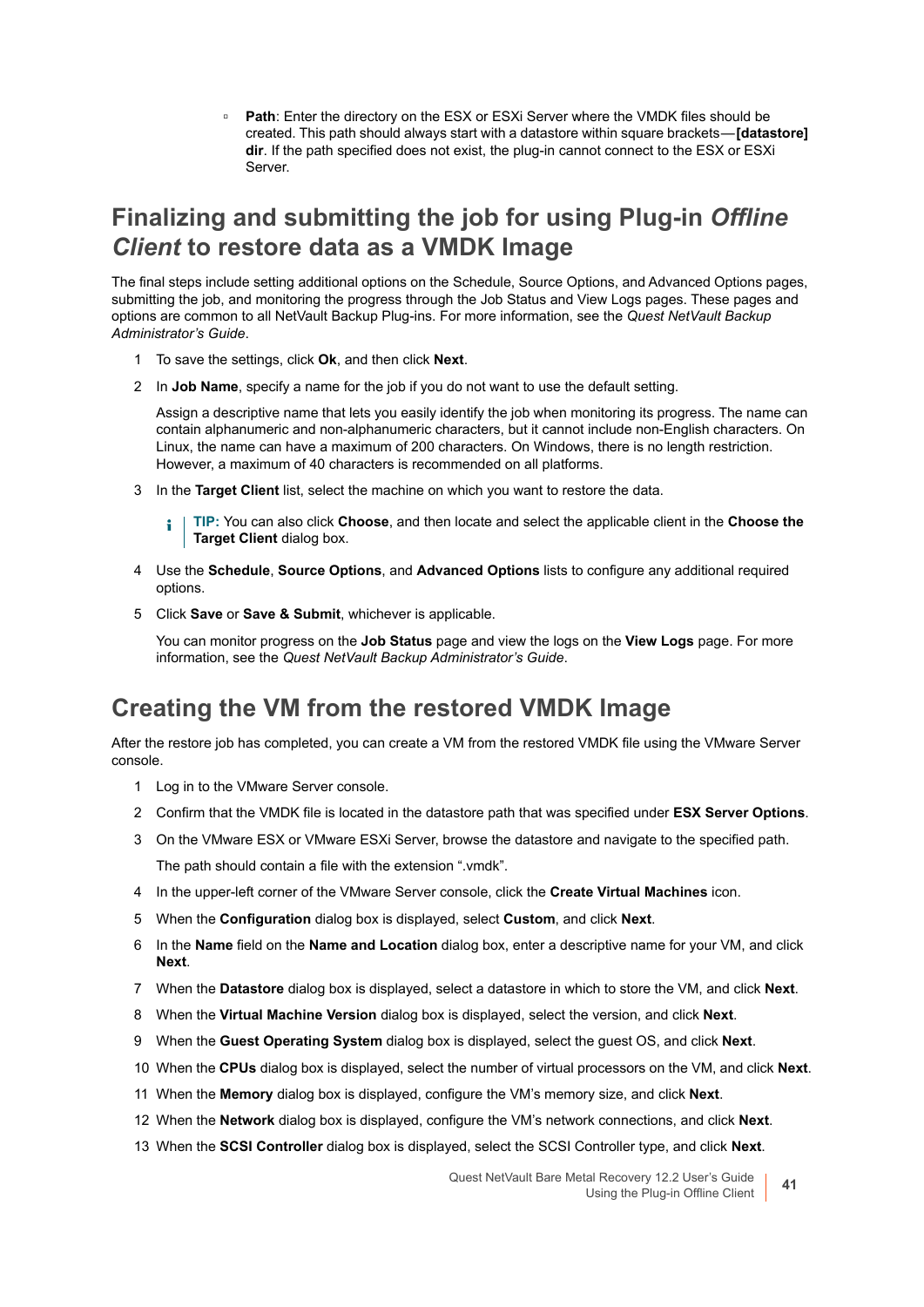**▫ Path**: Enter the directory on the ESX or ESXi Server where the VMDK files should be created. This path should always start with a datastore within square brackets — **[datastore] dir**. If the path specified does not exist, the plug-in cannot connect to the ESX or ESXi Server.

### <span id="page-40-0"></span>**Finalizing and submitting the job for using Plug-in** *Offline Client* **to restore data as a VMDK Image**

The final steps include setting additional options on the Schedule, Source Options, and Advanced Options pages, submitting the job, and monitoring the progress through the Job Status and View Logs pages. These pages and options are common to all NetVault Backup Plug-ins. For more information, see the *Quest NetVault Backup Administrator's Guide*.

- 1 To save the settings, click **Ok**, and then click **Next**.
- 2 In **Job Name**, specify a name for the job if you do not want to use the default setting.

Assign a descriptive name that lets you easily identify the job when monitoring its progress. The name can contain alphanumeric and non-alphanumeric characters, but it cannot include non-English characters. On Linux, the name can have a maximum of 200 characters. On Windows, there is no length restriction. However, a maximum of 40 characters is recommended on all platforms.

3 In the **Target Client** list, select the machine on which you want to restore the data.

**TIP:** You can also click **Choose**, and then locate and select the applicable client in the **Choose the**  f. **Target Client** dialog box.

- 4 Use the **Schedule**, **Source Options**, and **Advanced Options** lists to configure any additional required options.
- 5 Click **Save** or **Save & Submit**, whichever is applicable.

You can monitor progress on the **Job Status** page and view the logs on the **View Logs** page. For more information, see the *Quest NetVault Backup Administrator's Guide*.

#### <span id="page-40-1"></span>**Creating the VM from the restored VMDK Image**

After the restore job has completed, you can create a VM from the restored VMDK file using the VMware Server console.

- 1 Log in to the VMware Server console.
- 2 Confirm that the VMDK file is located in the datastore path that was specified under **ESX Server Options**.
- 3 On the VMware ESX or VMware ESXi Server, browse the datastore and navigate to the specified path. The path should contain a file with the extension ".vmdk".
- 4 In the upper-left corner of the VMware Server console, click the **Create Virtual Machines** icon.
- 5 When the **Configuration** dialog box is displayed, select **Custom**, and click **Next**.
- 6 In the **Name** field on the **Name and Location** dialog box, enter a descriptive name for your VM, and click **Next**.
- 7 When the **Datastore** dialog box is displayed, select a datastore in which to store the VM, and click **Next**.
- 8 When the **Virtual Machine Version** dialog box is displayed, select the version, and click **Next**.
- 9 When the **Guest Operating System** dialog box is displayed, select the guest OS, and click **Next**.
- 10 When the **CPUs** dialog box is displayed, select the number of virtual processors on the VM, and click **Next**.
- 11 When the **Memory** dialog box is displayed, configure the VM's memory size, and click **Next**.
- 12 When the **Network** dialog box is displayed, configure the VM's network connections, and click **Next**.
- 13 When the **SCSI Controller** dialog box is displayed, select the SCSI Controller type, and click **Next**.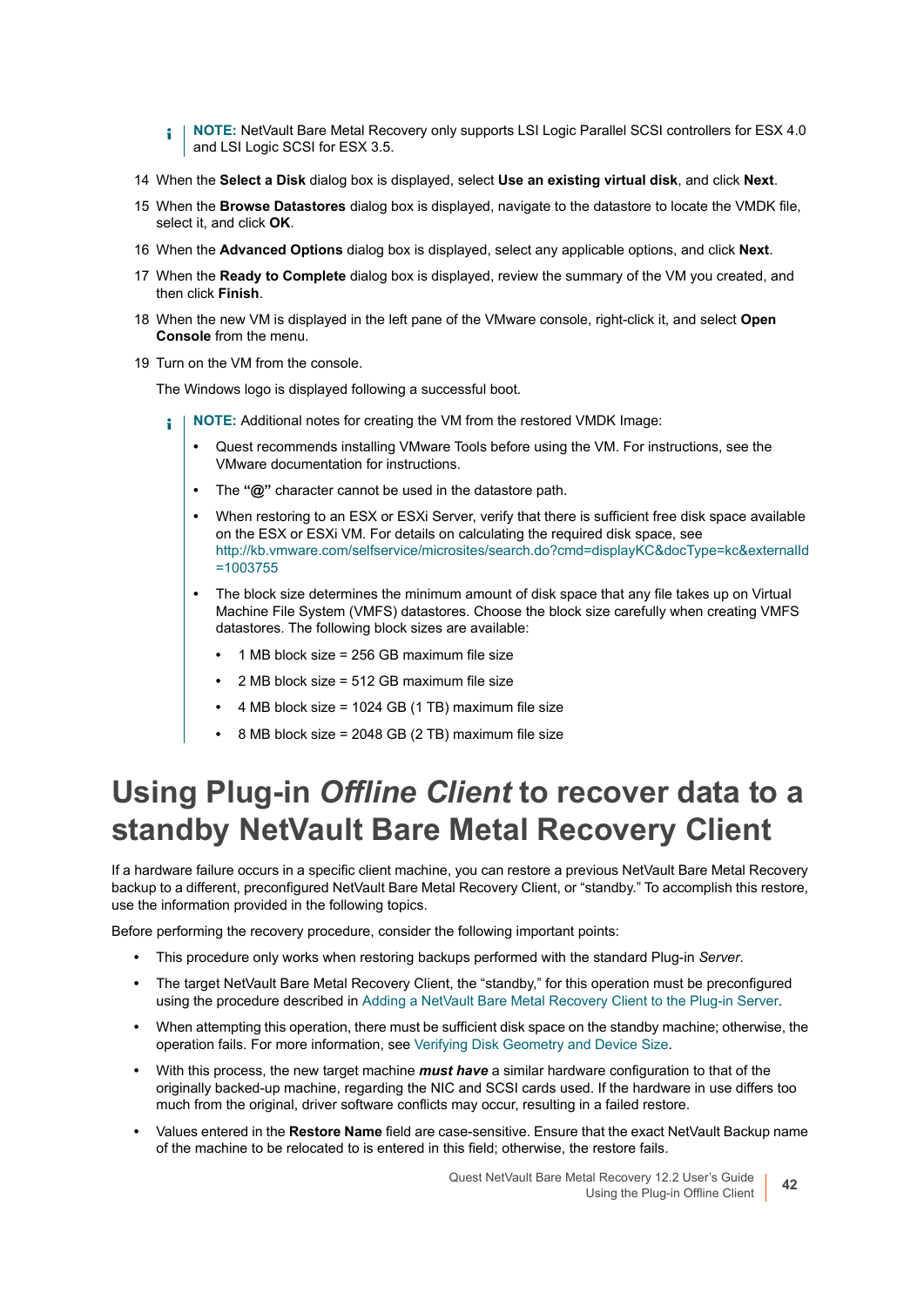- **NOTE:** NetVault Bare Metal Recovery only supports LSI Logic Parallel SCSI controllers for ESX 4.0 ÷. and LSI Logic SCSI for ESX 3.5.
- 14 When the **Select a Disk** dialog box is displayed, select **Use an existing virtual disk**, and click **Next**.
- 15 When the **Browse Datastores** dialog box is displayed, navigate to the datastore to locate the VMDK file, select it, and click **OK**.
- 16 When the **Advanced Options** dialog box is displayed, select any applicable options, and click **Next**.
- 17 When the **Ready to Complete** dialog box is displayed, review the summary of the VM you created, and then click **Finish**.
- 18 When the new VM is displayed in the left pane of the VMware console, right-click it, and select **Open Console** from the menu.
- 19 Turn on the VM from the console.

The Windows logo is displayed following a successful boot.

- **NOTE:** Additional notes for creating the VM from the restored VMDK Image: i
	- **•** Quest recommends installing VMware Tools before using the VM. For instructions, see the VMware documentation for instructions.
	- **•** The **"@"** character cannot be used in the datastore path.
	- **•** When restoring to an ESX or ESXi Server, verify that there is sufficient free disk space available on the ESX or ESXi VM. For details on calculating the required disk space, see [http://kb.vmware.com/selfservice/microsites/search.do?cmd=displayKC&docType=kc&externalId](http://kb.vmware.com/selfservice/microsites/search.do?cmd=displayKC&docType=kc&externalId=1003755) =1003755
	- **•** The block size determines the minimum amount of disk space that any file takes up on Virtual Machine File System (VMFS) datastores. Choose the block size carefully when creating VMFS datastores. The following block sizes are available:
		- **•** 1 MB block size = 256 GB maximum file size
		- **•** 2 MB block size = 512 GB maximum file size
		- **•** 4 MB block size = 1024 GB (1 TB) maximum file size
		- **•** 8 MB block size = 2048 GB (2 TB) maximum file size

### <span id="page-41-1"></span><span id="page-41-0"></span>**Using Plug-in** *Offline Client* **to recover data to a standby NetVault Bare Metal Recovery Client**

If a hardware failure occurs in a specific client machine, you can restore a previous NetVault Bare Metal Recovery backup to a different, preconfigured NetVault Bare Metal Recovery Client, or "standby." To accomplish this restore, use the information provided in the following topics.

Before performing the recovery procedure, consider the following important points:

- **•** This procedure only works when restoring backups performed with the standard Plug-in *Server*.
- **•** The target NetVault Bare Metal Recovery Client, the "standby," for this operation must be preconfigured using the procedure described in [Adding a NetVault Bare Metal Recovery Client to the Plug-in Server.](#page-22-0)
- **•** When attempting this operation, there must be sufficient disk space on the standby machine; otherwise, the operation fails. For more information, see [Verifying Disk Geometry and Device Size.](#page-30-0)
- **•** With this process, the new target machine *must have* a similar hardware configuration to that of the originally backed-up machine, regarding the NIC and SCSI cards used. If the hardware in use differs too much from the original, driver software conflicts may occur, resulting in a failed restore.
- **•** Values entered in the **Restore Name** field are case-sensitive. Ensure that the exact NetVault Backup name of the machine to be relocated to is entered in this field; otherwise, the restore fails.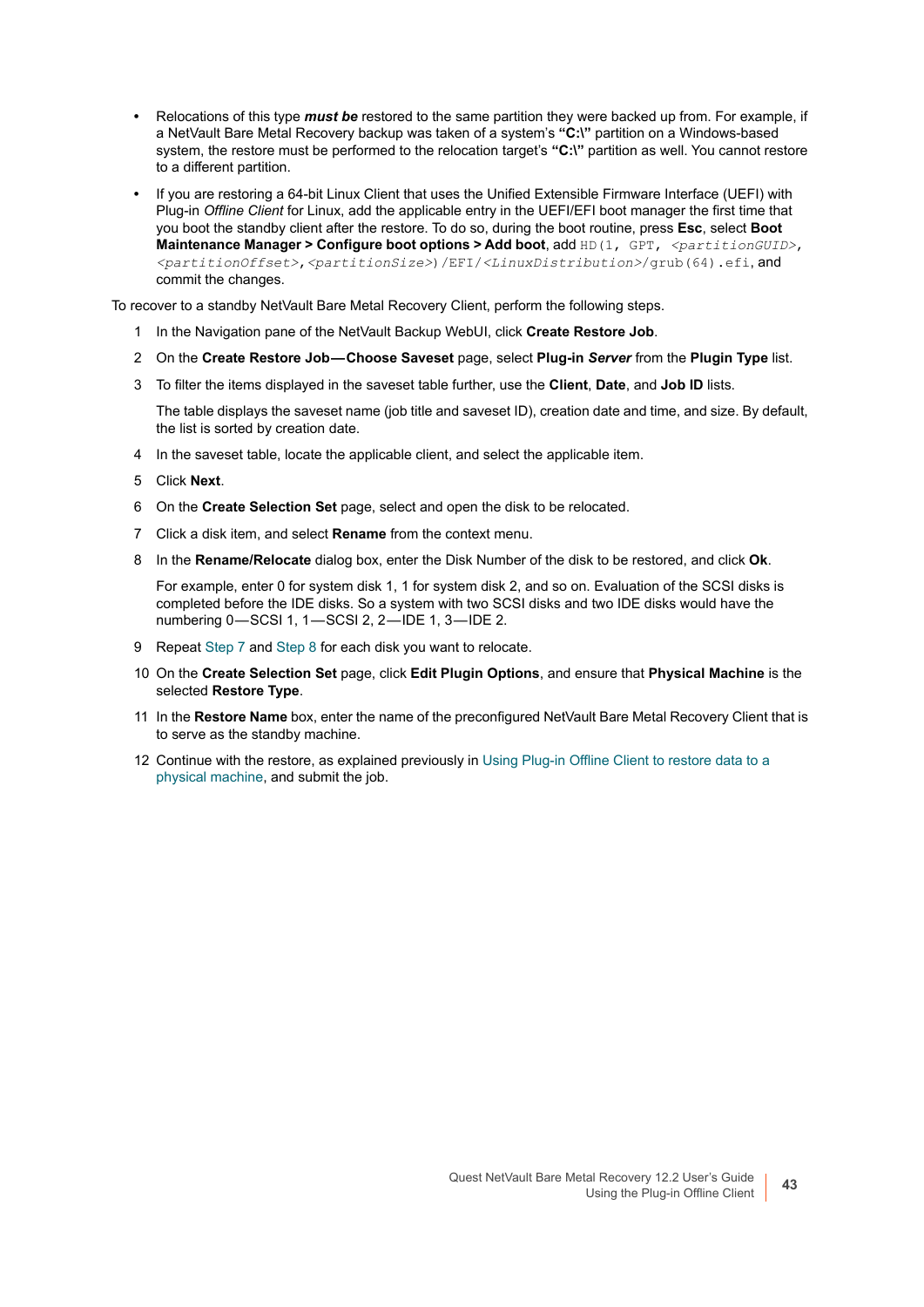- **•** Relocations of this type *must be* restored to the same partition they were backed up from. For example, if a NetVault Bare Metal Recovery backup was taken of a system's **"C:\"** partition on a Windows-based system, the restore must be performed to the relocation target's **"C:\"** partition as well. You cannot restore to a different partition.
- **•** If you are restoring a 64-bit Linux Client that uses the Unified Extensible Firmware Interface (UEFI) with Plug-in *Offline Client* for Linux, add the applicable entry in the UEFI/EFI boot manager the first time that you boot the standby client after the restore. To do so, during the boot routine, press **Esc**, select **Boot Maintenance Manager > Configure boot options > Add boot**, add HD(1, GPT, <partitionGUID>, *<partitionOffset>*,*<partitionSize>*)/EFI/*<LinuxDistribution>*/grub(64).efi, and commit the changes.

To recover to a standby NetVault Bare Metal Recovery Client, perform the following steps.

- 1 In the Navigation pane of the NetVault Backup WebUI, click **Create Restore Job**.
- 2 On the **Create Restore Job Choose Saveset** page, select **Plug-in** *Server* from the **Plugin Type** list.
- 3 To filter the items displayed in the saveset table further, use the **Client**, **Date**, and **Job ID** lists.

The table displays the saveset name (job title and saveset ID), creation date and time, and size. By default, the list is sorted by creation date.

- 4 In the saveset table, locate the applicable client, and select the applicable item.
- 5 Click **Next**.
- 6 On the **Create Selection Set** page, select and open the disk to be relocated.
- <span id="page-42-0"></span>7 Click a disk item, and select **Rename** from the context menu.
- <span id="page-42-1"></span>8 In the **Rename/Relocate** dialog box, enter the Disk Number of the disk to be restored, and click **Ok**.

For example, enter 0 for system disk 1, 1 for system disk 2, and so on. Evaluation of the SCSI disks is completed before the IDE disks. So a system with two SCSI disks and two IDE disks would have the numbering 0-SCSI 1, 1-SCSI 2, 2-IDE 1, 3-IDE 2.

- 9 Repeat [Step 7](#page-42-0) and [Step 8](#page-42-1) for each disk you want to relocate.
- 10 On the **Create Selection Set** page, click **Edit Plugin Options**, and ensure that **Physical Machine** is the selected **Restore Type**.
- 11 In the **Restore Name** box, enter the name of the preconfigured NetVault Bare Metal Recovery Client that is to serve as the standby machine.
- 12 Continue with the restore, as explained previously in [Using Plug-in Offline Client to restore data to a](#page-35-0)  [physical machine,](#page-35-0) and submit the job.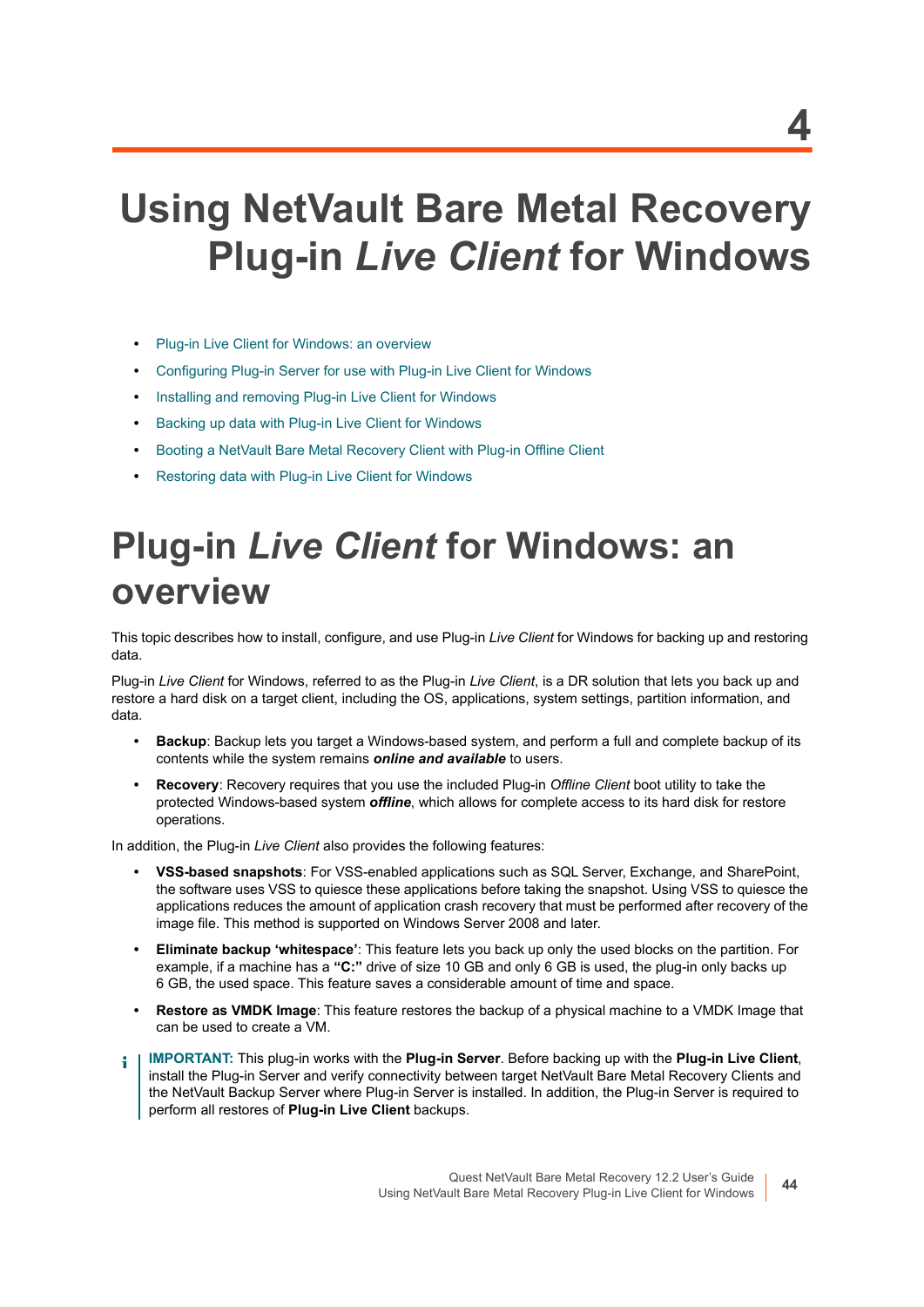# **Using NetVault Bare Metal Recovery Plug-in** *Live Client* **for Windows**

- **•** [Plug-in Live Client for Windows: an overview](#page-43-0)
- **•** [Configuring Plug-in Server for use with Plug-in Live Client for Windows](#page-44-0)
- **•** [Installing and removing Plug-in Live Client for Windows](#page-48-0)
- **•** [Backing up data with Plug-in Live Client for Windows](#page-51-0)
- **•** [Booting a NetVault Bare Metal Recovery Client with Plug-in Offline Client](#page-56-0)
- **•** [Restoring data with Plug-in Live Client for Windows](#page-58-0)

# <span id="page-43-0"></span>**Plug-in** *Live Client* **for Windows: an overview**

This topic describes how to install, configure, and use Plug-in *Live Client* for Windows for backing up and restoring data.

Plug-in *Live Client* for Windows, referred to as the Plug-in *Live Client*, is a DR solution that lets you back up and restore a hard disk on a target client, including the OS, applications, system settings, partition information, and data.

- **Backup**: Backup lets you target a Windows-based system, and perform a full and complete backup of its contents while the system remains *online and available* to users.
- **Recovery**: Recovery requires that you use the included Plug-in *Offline Client* boot utility to take the protected Windows-based system *offline*, which allows for complete access to its hard disk for restore operations.

In addition, the Plug-in *Live Client* also provides the following features:

- **VSS-based snapshots**: For VSS-enabled applications such as SQL Server, Exchange, and SharePoint, the software uses VSS to quiesce these applications before taking the snapshot. Using VSS to quiesce the applications reduces the amount of application crash recovery that must be performed after recovery of the image file. This method is supported on Windows Server 2008 and later.
- **Eliminate backup 'whitespace'**: This feature lets you back up only the used blocks on the partition. For example, if a machine has a **"C:"** drive of size 10 GB and only 6 GB is used, the plug-in only backs up 6 GB, the used space. This feature saves a considerable amount of time and space.
- **Restore as VMDK Image**: This feature restores the backup of a physical machine to a VMDK Image that can be used to create a VM.
- **IMPORTANT:** This plug-in works with the **Plug-in Server**. Before backing up with the **Plug-in Live Client**, f. install the Plug-in Server and verify connectivity between target NetVault Bare Metal Recovery Clients and the NetVault Backup Server where Plug-in Server is installed. In addition, the Plug-in Server is required to perform all restores of **Plug-in Live Client** backups.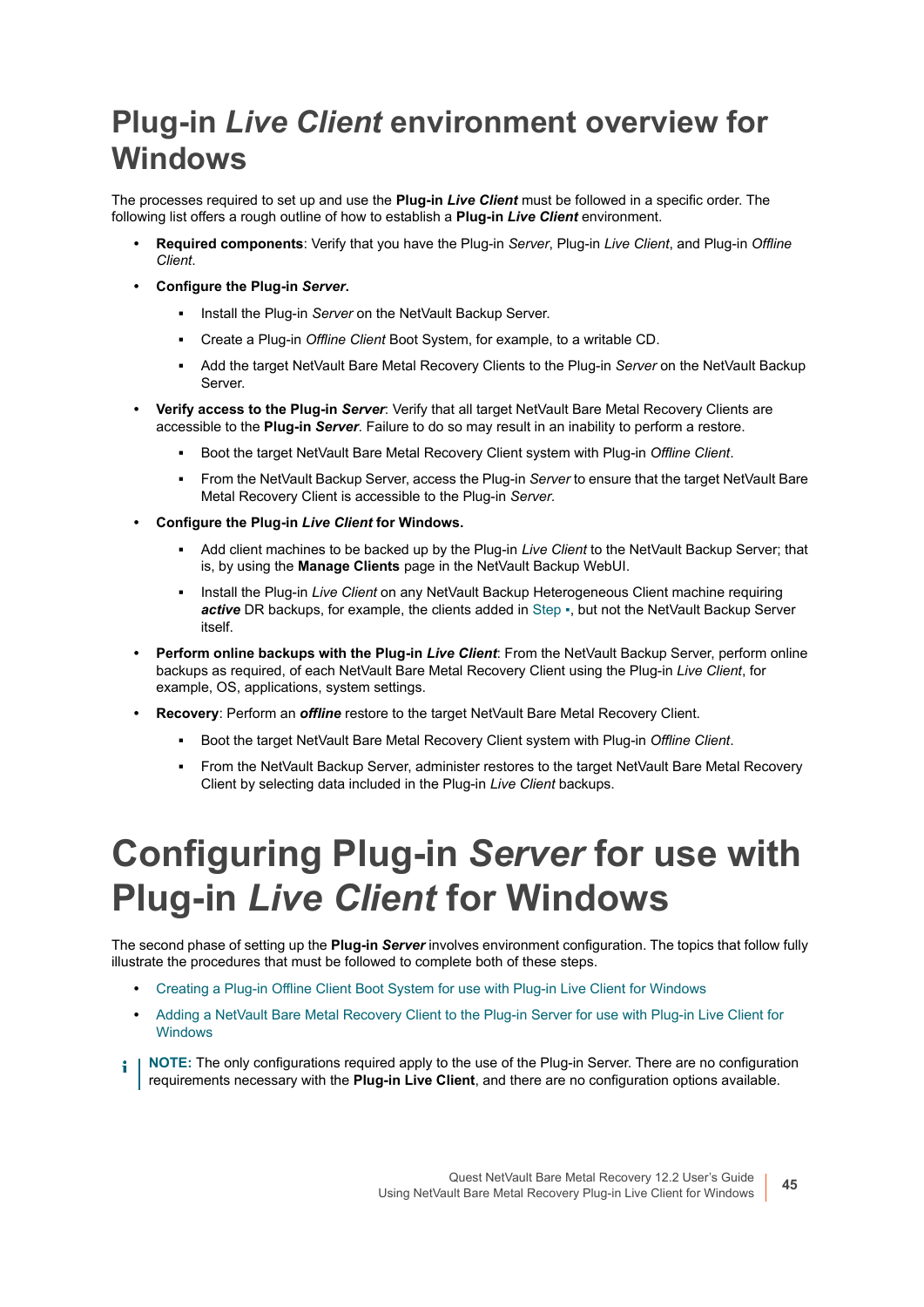## **Plug-in** *Live Client* **environment overview for Windows**

The processes required to set up and use the **Plug-in** *Live Client* must be followed in a specific order. The following list offers a rough outline of how to establish a **Plug-in** *Live Client* environment.

- **Required components**: Verify that you have the Plug-in *Server*, Plug-in *Live Client*, and Plug-in *Offline Client*.
- **Configure the Plug-in** *Server***.**
	- **▪** Install the Plug-in *Server* on the NetVault Backup Server.
	- **▪** Create a Plug-in *Offline Client* Boot System, for example, to a writable CD.
	- **▪** Add the target NetVault Bare Metal Recovery Clients to the Plug-in *Server* on the NetVault Backup Server.
- **Verify access to the Plug-in** *Server*: Verify that all target NetVault Bare Metal Recovery Clients are accessible to the **Plug-in** *Server*. Failure to do so may result in an inability to perform a restore.
	- **▪** Boot the target NetVault Bare Metal Recovery Client system with Plug-in *Offline Client*.
	- **▪** From the NetVault Backup Server, access the Plug-in *Server* to ensure that the target NetVault Bare Metal Recovery Client is accessible to the Plug-in *Server*.
- <span id="page-44-1"></span>**• Configure the Plug-in** *Live Client* **for Windows.**
	- **▪** Add client machines to be backed up by the Plug-in *Live Client* to the NetVault Backup Server; that is, by using the **Manage Clients** page in the NetVault Backup WebUI.
	- **Install the Plug-in** *Live Client* on any NetVault Backup Heterogeneous Client machine requiring *active* DR backups, for example, the clients added in [Step](#page-44-1) ▪, but not the NetVault Backup Server itself.
- **Perform online backups with the Plug-in** *Live Client*: From the NetVault Backup Server, perform online backups as required, of each NetVault Bare Metal Recovery Client using the Plug-in *Live Client*, for example, OS, applications, system settings.
- **Recovery**: Perform an *offline* restore to the target NetVault Bare Metal Recovery Client.
	- **▪** Boot the target NetVault Bare Metal Recovery Client system with Plug-in *Offline Client*.
	- **▪** From the NetVault Backup Server, administer restores to the target NetVault Bare Metal Recovery Client by selecting data included in the Plug-in *Live Client* backups.

# <span id="page-44-0"></span>**Configuring Plug-in** *Server* **for use with Plug-in** *Live Client* **for Windows**

The second phase of setting up the **Plug-in** *Server* involves environment configuration. The topics that follow fully illustrate the procedures that must be followed to complete both of these steps.

- **•** [Creating a Plug-in Offline Client Boot System for use with Plug-in Live Client for Windows](#page-45-0)
- **•** [Adding a NetVault Bare Metal Recovery Client to the Plug-in Server for use with Plug-in Live Client for](#page-47-0)  [Windows](#page-47-0)
- **NOTE:** The only configurations required apply to the use of the Plug-in Server. There are no configuration ÷ requirements necessary with the **Plug-in Live Client**, and there are no configuration options available.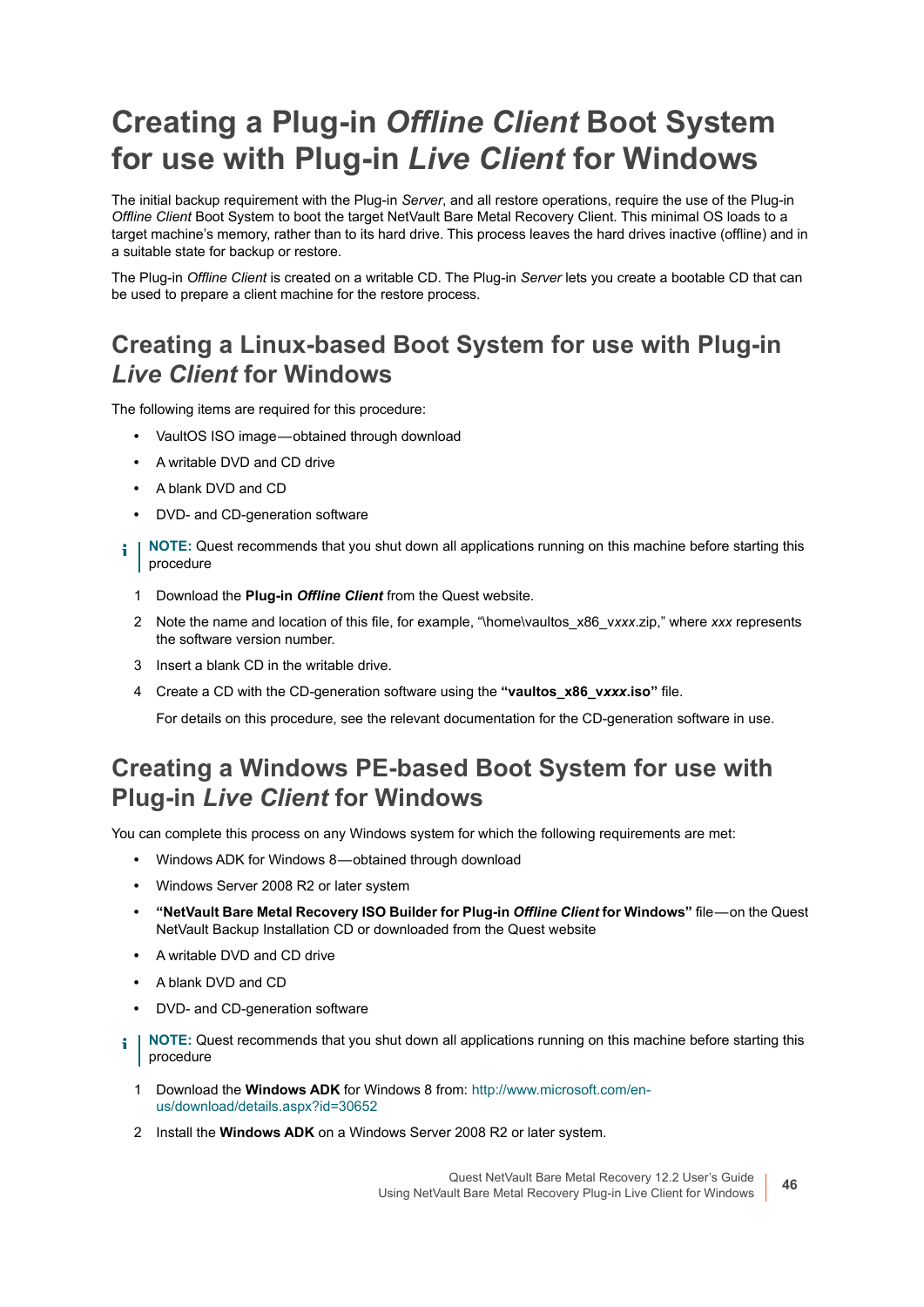## <span id="page-45-0"></span>**Creating a Plug-in** *Offline Client* **Boot System for use with Plug-in** *Live Client* **for Windows**

The initial backup requirement with the Plug-in *Server*, and all restore operations, require the use of the Plug-in *Offline Client* Boot System to boot the target NetVault Bare Metal Recovery Client. This minimal OS loads to a target machine's memory, rather than to its hard drive. This process leaves the hard drives inactive (offline) and in a suitable state for backup or restore.

The Plug-in *Offline Client* is created on a writable CD. The Plug-in *Server* lets you create a bootable CD that can be used to prepare a client machine for the restore process.

### **Creating a Linux-based Boot System for use with Plug-in**  *Live Client* **for Windows**

The following items are required for this procedure:

- **•** VaultOS ISO image obtained through download
- **•** A writable DVD and CD drive
- **•** A blank DVD and CD
- **•** DVD- and CD-generation software
- **NOTE:** Quest recommends that you shut down all applications running on this machine before starting this ÷ procedure
	- 1 Download the **Plug-in** *Offline Client* from the Quest website.
	- 2 Note the name and location of this file, for example, "\home\vaultos\_x86\_v*xxx*.zip," where *xxx* represents the software version number.
	- 3 Insert a blank CD in the writable drive.
	- 4 Create a CD with the CD-generation software using the **"vaultos\_x86\_v***xxx***.iso"** file.

For details on this procedure, see the relevant documentation for the CD-generation software in use.

### **Creating a Windows PE-based Boot System for use with Plug-in** *Live Client* **for Windows**

You can complete this process on any Windows system for which the following requirements are met:

- **•** Windows ADK for Windows 8 obtained through download
- **•** Windows Server 2008 R2 or later system
- **"NetVault Bare Metal Recovery ISO Builder for Plug-in** *Offline Client* **for Windows"** file on the Quest NetVault Backup Installation CD or downloaded from the Quest website
- **•** A writable DVD and CD drive
- **•** A blank DVD and CD
- **•** DVD- and CD-generation software
- **i** | NOTE: Quest recommends that you shut down all applications running on this machine before starting this procedure
	- 1 Download the **Windows ADK** for Windows 8 from: [http://www.microsoft.com/en](http://www.microsoft.com/en-us/download/details.aspx?id=30652)[us/download/details.aspx?id=30652](http://www.microsoft.com/en-us/download/details.aspx?id=30652)
	- 2 Install the **Windows ADK** on a Windows Server 2008 R2 or later system.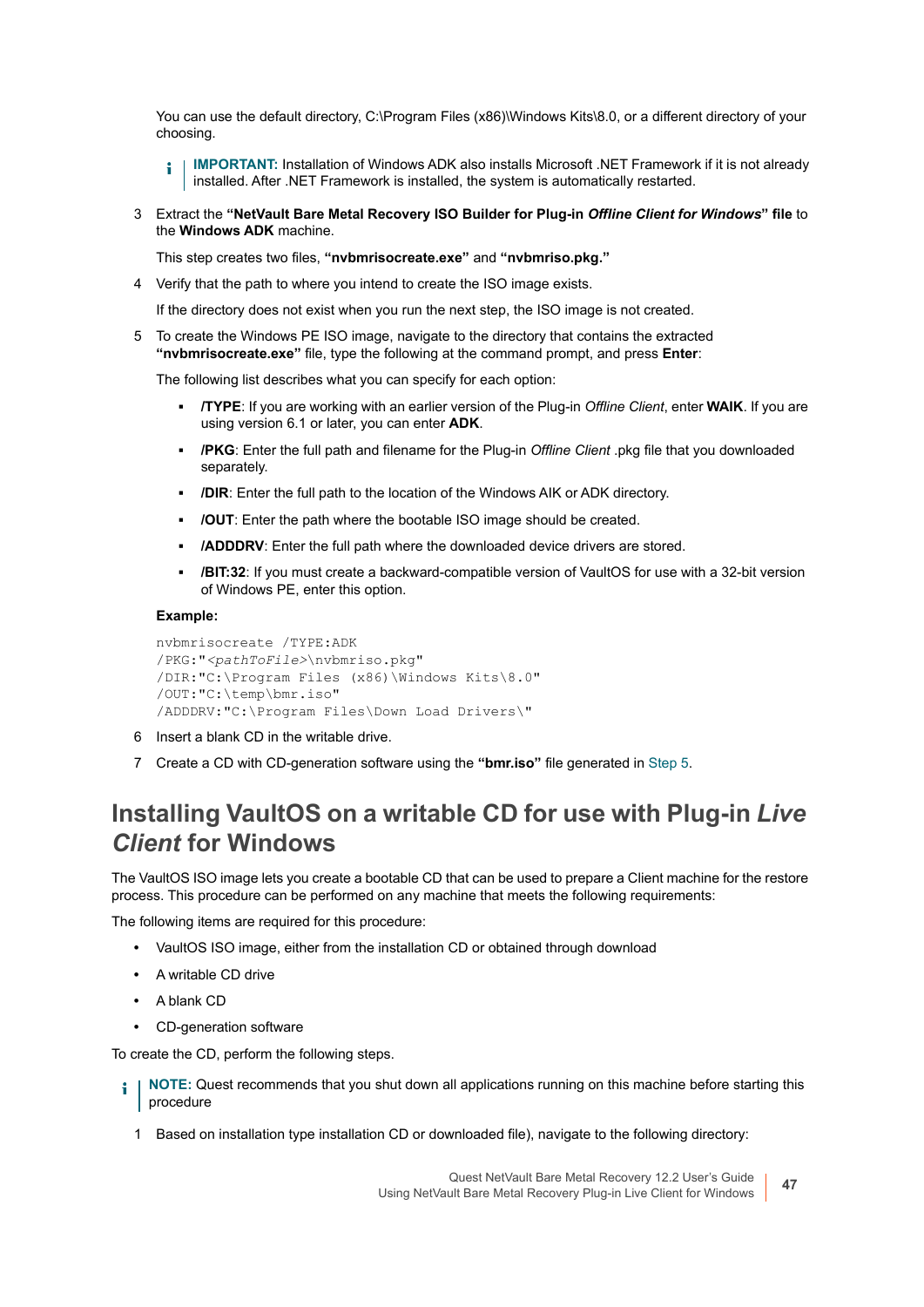You can use the default directory, C:\Program Files (x86)\Windows Kits\8.0, or a different directory of your choosing.

**IMPORTANT:** Installation of Windows ADK also installs Microsoft .NET Framework if it is not already f. installed. After .NET Framework is installed, the system is automatically restarted.

3 Extract the **"NetVault Bare Metal Recovery ISO Builder for Plug-in** *Offline Client for Windows***" file** to the **Windows ADK** machine.

This step creates two files, **"nvbmrisocreate.exe"** and **"nvbmriso.pkg."**

4 Verify that the path to where you intend to create the ISO image exists.

If the directory does not exist when you run the next step, the ISO image is not created.

<span id="page-46-0"></span>5 To create the Windows PE ISO image, navigate to the directory that contains the extracted **"nvbmrisocreate.exe"** file, type the following at the command prompt, and press **Enter**:

The following list describes what you can specify for each option:

- **▪ /TYPE**: If you are working with an earlier version of the Plug-in *Offline Client*, enter **WAIK**. If you are using version 6.1 or later, you can enter **ADK**.
- **▪ /PKG**: Enter the full path and filename for the Plug-in *Offline Client* .pkg file that you downloaded separately.
- **▪ /DIR**: Enter the full path to the location of the Windows AIK or ADK directory.
- **▪ /OUT**: Enter the path where the bootable ISO image should be created.
- **▪ /ADDDRV**: Enter the full path where the downloaded device drivers are stored.
- **/BIT:32:** If you must create a backward-compatible version of VaultOS for use with a 32-bit version of Windows PE, enter this option.

#### **Example:**

```
nvbmrisocreate /TYPE:ADK
/PKG:"<pathToFile>\nvbmriso.pkg"
/DIR:"C:\Program Files (x86)\Windows Kits\8.0"
/OUT:"C:\temp\bmr.iso"
/ADDDRV:"C:\Program Files\Down Load Drivers\"
```
- 6 Insert a blank CD in the writable drive.
- 7 Create a CD with CD-generation software using the **"bmr.iso"** file generated in [Step 5.](#page-46-0)

#### **Installing VaultOS on a writable CD for use with Plug-in** *Live Client* **for Windows**

The VaultOS ISO image lets you create a bootable CD that can be used to prepare a Client machine for the restore process. This procedure can be performed on any machine that meets the following requirements:

The following items are required for this procedure:

- **•** VaultOS ISO image, either from the installation CD or obtained through download
- **•** A writable CD drive
- **•** A blank CD
- **•** CD-generation software

To create the CD, perform the following steps.

- **i** | NOTE: Quest recommends that you shut down all applications running on this machine before starting this procedure
	- 1 Based on installation type installation CD or downloaded file), navigate to the following directory: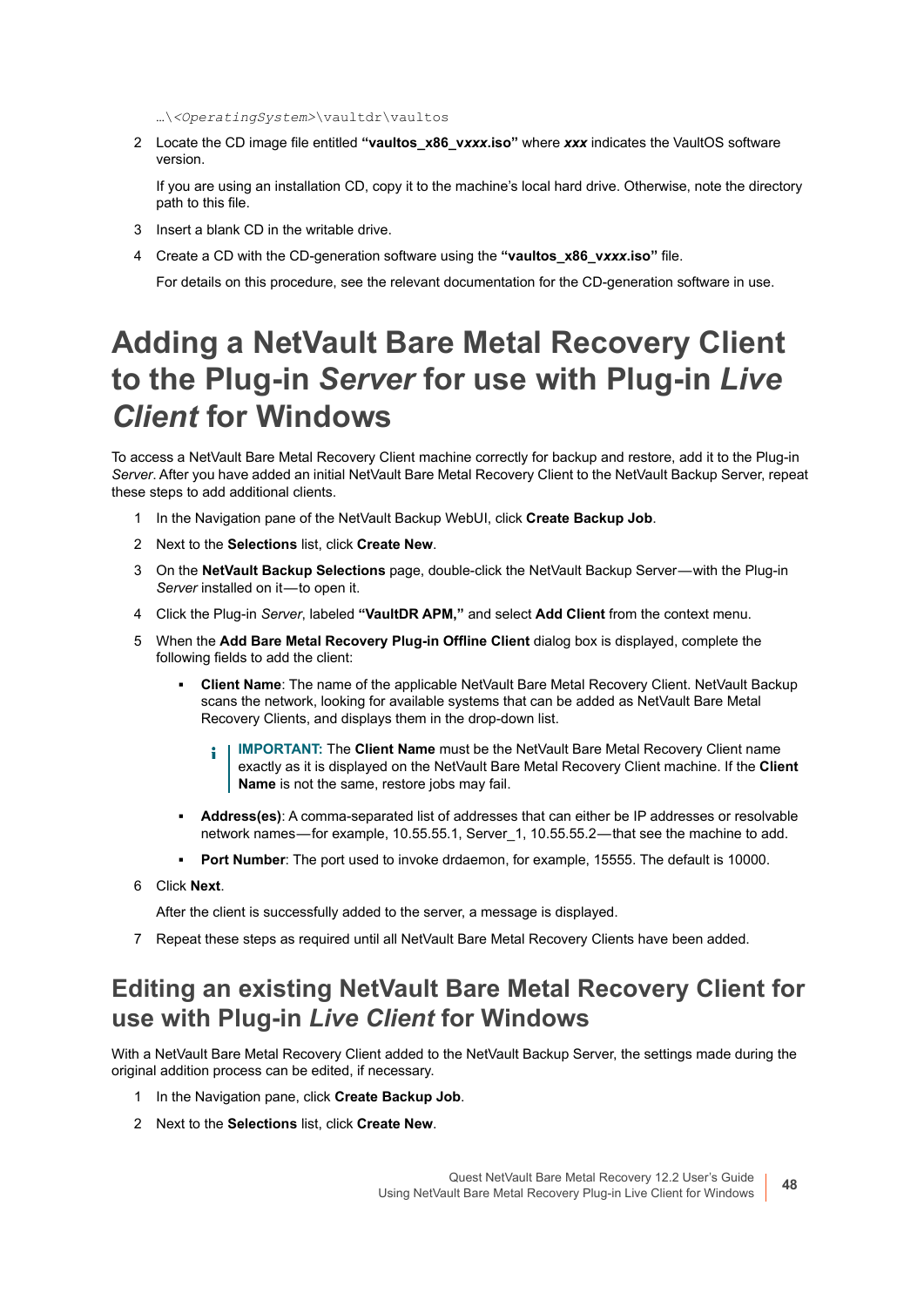…\*<OperatingSystem>*\vaultdr\vaultos

2 Locate the CD image file entitled **"vaultos\_x86\_v***xxx***.iso"** where *xxx* indicates the VaultOS software version.

If you are using an installation CD, copy it to the machine's local hard drive. Otherwise, note the directory path to this file.

- 3 Insert a blank CD in the writable drive.
- 4 Create a CD with the CD-generation software using the **"vaultos\_x86\_v***xxx***.iso"** file.

For details on this procedure, see the relevant documentation for the CD-generation software in use.

## <span id="page-47-0"></span>**Adding a NetVault Bare Metal Recovery Client to the Plug-in** *Server* **for use with Plug-in** *Live Client* **for Windows**

To access a NetVault Bare Metal Recovery Client machine correctly for backup and restore, add it to the Plug-in *Server*. After you have added an initial NetVault Bare Metal Recovery Client to the NetVault Backup Server, repeat these steps to add additional clients.

- 1 In the Navigation pane of the NetVault Backup WebUI, click **Create Backup Job**.
- 2 Next to the **Selections** list, click **Create New**.
- 3 On the **NetVault Backup Selections** page, double-click the NetVault Backup Server with the Plug-in Server installed on it-to open it.
- 4 Click the Plug-in *Server*, labeled **"VaultDR APM,"** and select **Add Client** from the context menu.
- 5 When the **Add Bare Metal Recovery Plug-in Offline Client** dialog box is displayed, complete the following fields to add the client:
	- **▪ Client Name**: The name of the applicable NetVault Bare Metal Recovery Client. NetVault Backup scans the network, looking for available systems that can be added as NetVault Bare Metal Recovery Clients, and displays them in the drop-down list.
		- **IMPORTANT:** The **Client Name** must be the NetVault Bare Metal Recovery Client name ÷ exactly as it is displayed on the NetVault Bare Metal Recovery Client machine. If the **Client Name** is not the same, restore jobs may fail.
	- **▪ Address(es)**: A comma-separated list of addresses that can either be IP addresses or resolvable network names—for example, 10.55.55.1, Server 1, 10.55.55.2 — that see the machine to add.
	- **▪ Port Number**: The port used to invoke drdaemon, for example, 15555. The default is 10000.
- 6 Click **Next**.

After the client is successfully added to the server, a message is displayed.

7 Repeat these steps as required until all NetVault Bare Metal Recovery Clients have been added.

### **Editing an existing NetVault Bare Metal Recovery Client for use with Plug-in** *Live Client* **for Windows**

With a NetVault Bare Metal Recovery Client added to the NetVault Backup Server, the settings made during the original addition process can be edited, if necessary.

- 1 In the Navigation pane, click **Create Backup Job**.
- 2 Next to the **Selections** list, click **Create New**.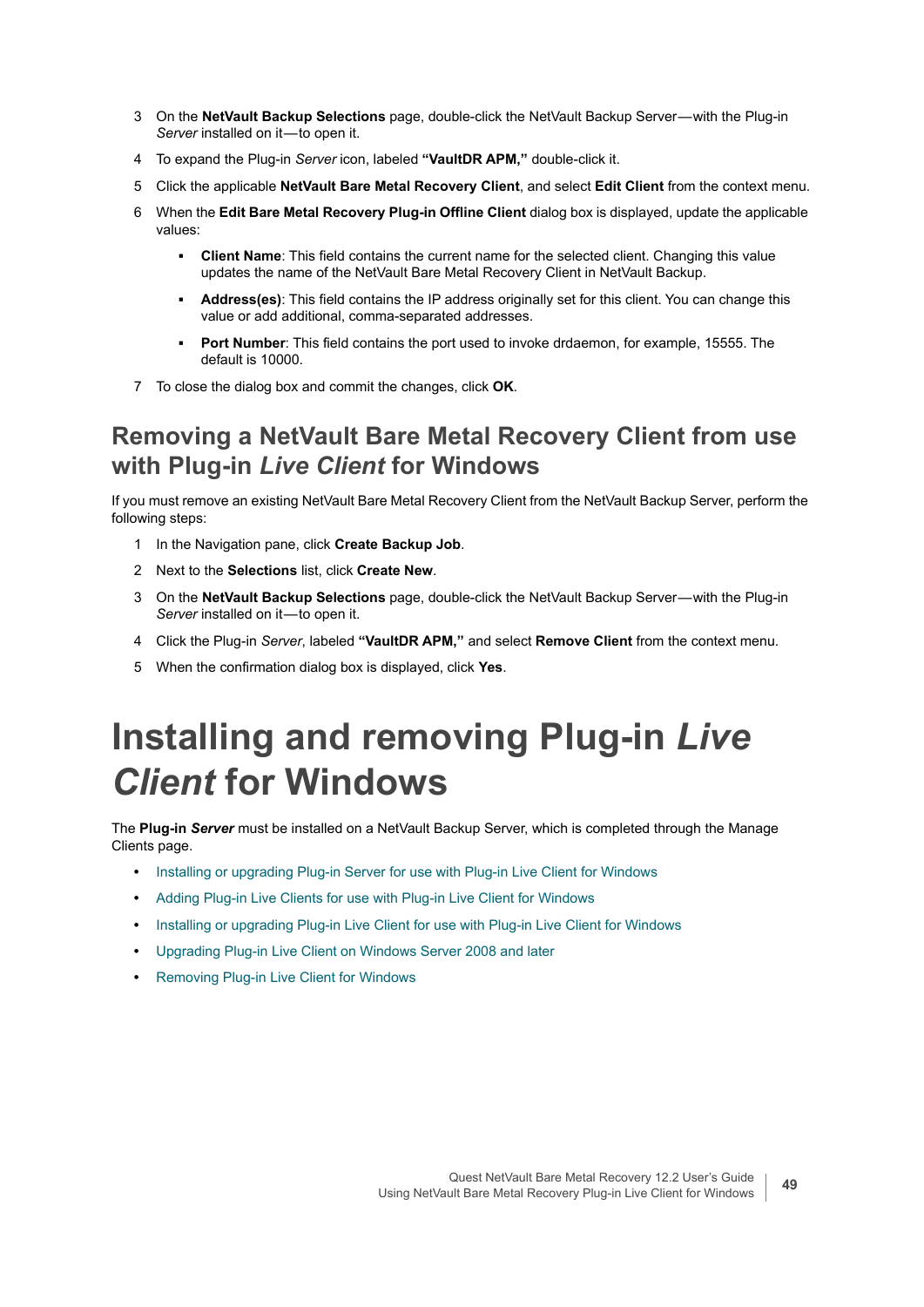- 3 On the **NetVault Backup Selections** page, double-click the NetVault Backup Server with the Plug-in *Server* installed on it-to open it.
- 4 To expand the Plug-in *Server* icon, labeled **"VaultDR APM,"** double-click it.
- 5 Click the applicable **NetVault Bare Metal Recovery Client**, and select **Edit Client** from the context menu.
- 6 When the **Edit Bare Metal Recovery Plug-in Offline Client** dialog box is displayed, update the applicable values:
	- **Client Name:** This field contains the current name for the selected client. Changing this value updates the name of the NetVault Bare Metal Recovery Client in NetVault Backup.
	- **▪ Address(es)**: This field contains the IP address originally set for this client. You can change this value or add additional, comma-separated addresses.
	- **▪ Port Number**: This field contains the port used to invoke drdaemon, for example, 15555. The default is 10000.
- 7 To close the dialog box and commit the changes, click **OK**.

#### **Removing a NetVault Bare Metal Recovery Client from use with Plug-in** *Live Client* **for Windows**

If you must remove an existing NetVault Bare Metal Recovery Client from the NetVault Backup Server, perform the following steps:

- 1 In the Navigation pane, click **Create Backup Job**.
- 2 Next to the **Selections** list, click **Create New**.
- 3 On the **NetVault Backup Selections** page, double-click the NetVault Backup Server with the Plug-in *Server* installed on it-to open it.
- 4 Click the Plug-in *Server*, labeled **"VaultDR APM,"** and select **Remove Client** from the context menu.
- 5 When the confirmation dialog box is displayed, click **Yes**.

# <span id="page-48-0"></span>**Installing and removing Plug-in** *Live Client* **for Windows**

The **Plug-in** *Server* must be installed on a NetVault Backup Server, which is completed through the Manage Clients page.

- **•** [Installing or upgrading Plug-in Server for use with Plug-in Live Client for Windows](#page-49-0)
- **•** [Adding Plug-in Live Clients for use with Plug-in Live Client for Windows](#page-50-0)
- **•** [Installing or upgrading Plug-in Live Client for use with Plug-in Live Client for Windows](#page-50-1)
- **•** [Upgrading Plug-in Live Client on Windows Server 2008 and later](#page-51-1)
- **•** [Removing Plug-in Live Client for Windows](#page-51-2)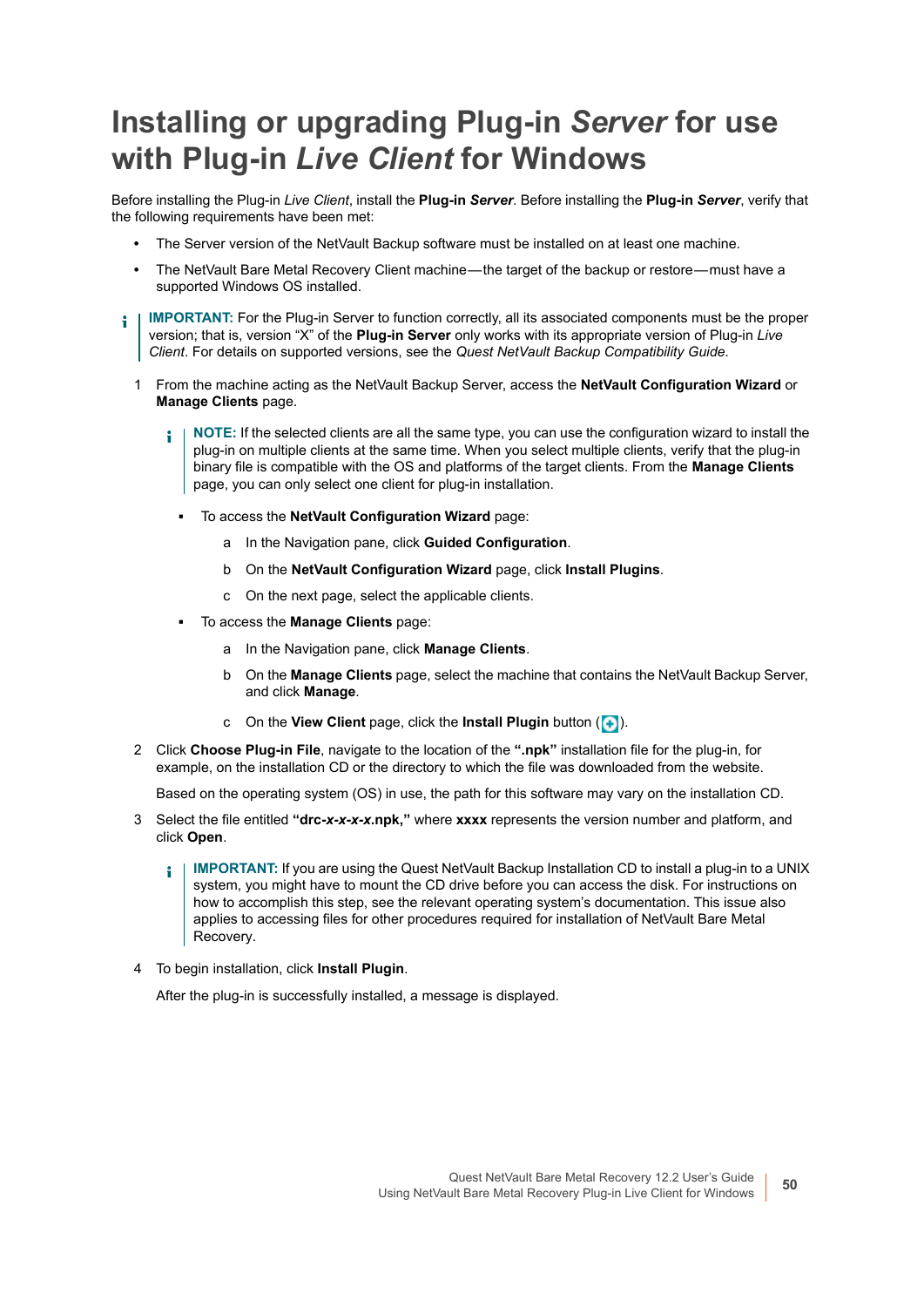## <span id="page-49-0"></span>**Installing or upgrading Plug-in** *Server* **for use with Plug-in** *Live Client* **for Windows**

Before installing the Plug-in *Live Client*, install the **Plug-in** *Server*. Before installing the **Plug-in** *Server*, verify that the following requirements have been met:

- **•** The Server version of the NetVault Backup software must be installed on at least one machine.
- The NetVault Bare Metal Recovery Client machine—the target of the backup or restore—must have a supported Windows OS installed.
- **IMPORTANT:** For the Plug-in Server to function correctly, all its associated components must be the proper ÷. version; that is, version "X" of the **Plug-in Server** only works with its appropriate version of Plug-in *Live Client*. For details on supported versions, see the *Quest NetVault Backup Compatibility Guide*.
	- 1 From the machine acting as the NetVault Backup Server, access the **NetVault Configuration Wizard** or **Manage Clients** page.
		- **NOTE:** If the selected clients are all the same type, you can use the configuration wizard to install the ÷ plug-in on multiple clients at the same time. When you select multiple clients, verify that the plug-in binary file is compatible with the OS and platforms of the target clients. From the **Manage Clients**  page, you can only select one client for plug-in installation.
			- **▪** To access the **NetVault Configuration Wizard** page:
				- a In the Navigation pane, click **Guided Configuration**.
				- b On the **NetVault Configuration Wizard** page, click **Install Plugins**.
				- c On the next page, select the applicable clients.
			- **▪** To access the **Manage Clients** page:
				- a In the Navigation pane, click **Manage Clients**.
				- b On the **Manage Clients** page, select the machine that contains the NetVault Backup Server, and click **Manage**.
				- c On the **View Client** page, click the **Install Plugin** button  $(\cdot)$ .
	- 2 Click **Choose Plug-in File**, navigate to the location of the **".npk"** installation file for the plug-in, for example, on the installation CD or the directory to which the file was downloaded from the website.

Based on the operating system (OS) in use, the path for this software may vary on the installation CD.

- 3 Select the file entitled **"drc-***x-x-x-x***.npk,"** where **xxxx** represents the version number and platform, and click **Open**.
	- **IMPORTANT:** If you are using the Quest NetVault Backup Installation CD to install a plug-in to a UNIX ÷ system, you might have to mount the CD drive before you can access the disk. For instructions on how to accomplish this step, see the relevant operating system's documentation. This issue also applies to accessing files for other procedures required for installation of NetVault Bare Metal Recovery.
- 4 To begin installation, click **Install Plugin**.

After the plug-in is successfully installed, a message is displayed.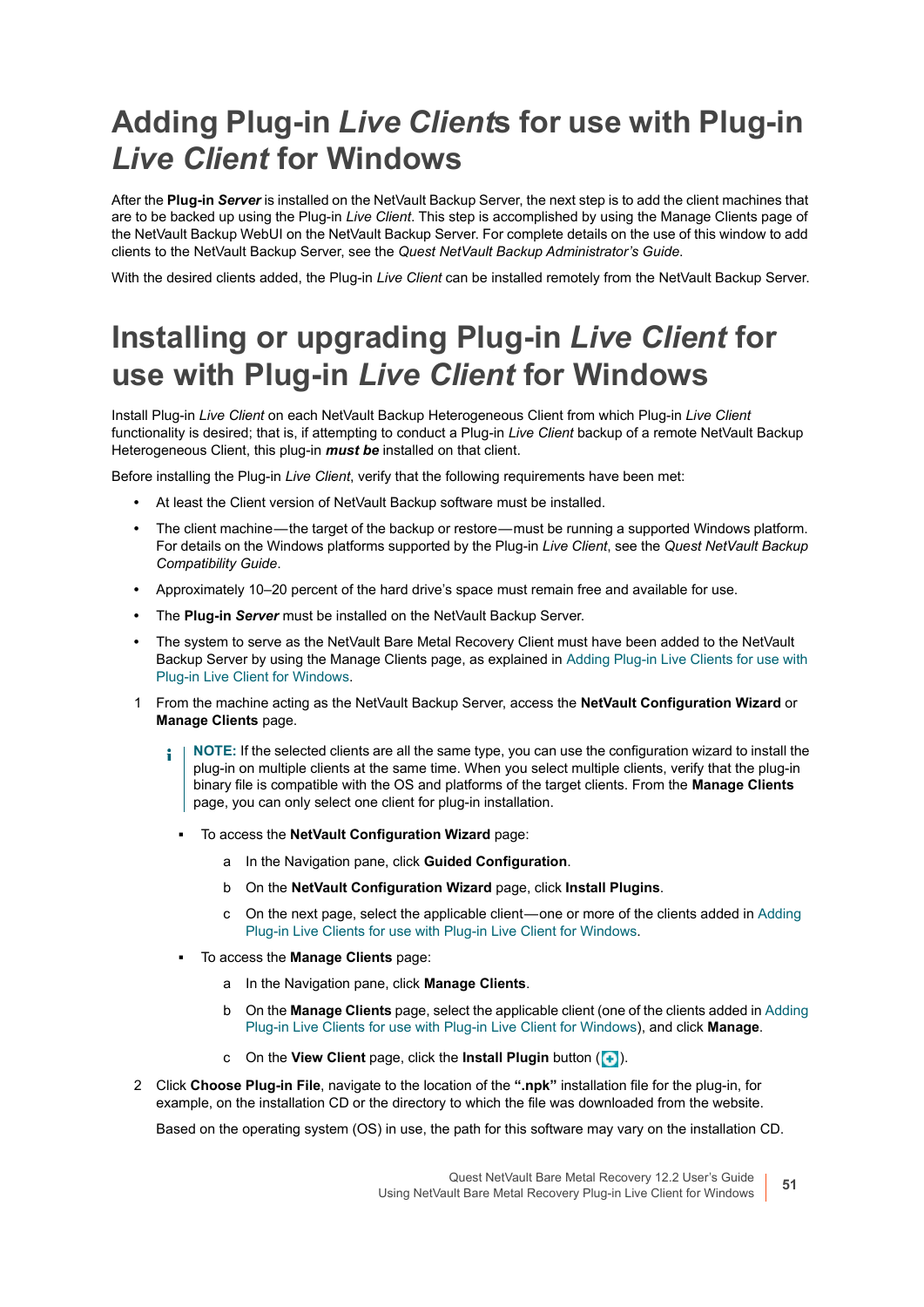## <span id="page-50-0"></span>**Adding Plug-in** *Live Client***s for use with Plug-in**  *Live Client* **for Windows**

After the **Plug-in** *Server* is installed on the NetVault Backup Server, the next step is to add the client machines that are to be backed up using the Plug-in *Live Client*. This step is accomplished by using the Manage Clients page of the NetVault Backup WebUI on the NetVault Backup Server. For complete details on the use of this window to add clients to the NetVault Backup Server, see the *Quest NetVault Backup Administrator's Guide*.

With the desired clients added, the Plug-in *Live Client* can be installed remotely from the NetVault Backup Server.

## <span id="page-50-1"></span>**Installing or upgrading Plug-in** *Live Client* **for use with Plug-in** *Live Client* **for Windows**

Install Plug-in *Live Client* on each NetVault Backup Heterogeneous Client from which Plug-in *Live Client* functionality is desired; that is, if attempting to conduct a Plug-in *Live Client* backup of a remote NetVault Backup Heterogeneous Client, this plug-in *must be* installed on that client.

Before installing the Plug-in *Live Client*, verify that the following requirements have been met:

- **•** At least the Client version of NetVault Backup software must be installed.
- The client machine—the target of the backup or restore—must be running a supported Windows platform. For details on the Windows platforms supported by the Plug-in *Live Client*, see the *Quest NetVault Backup Compatibility Guide*.
- **•** Approximately 10–20 percent of the hard drive's space must remain free and available for use.
- **•** The **Plug-in** *Server* must be installed on the NetVault Backup Server.
- **•** The system to serve as the NetVault Bare Metal Recovery Client must have been added to the NetVault Backup Server by using the Manage Clients page, as explained in [Adding Plug-in Live Clients for use with](#page-50-0)  [Plug-in Live Client for Windows](#page-50-0).
- 1 From the machine acting as the NetVault Backup Server, access the **NetVault Configuration Wizard** or **Manage Clients** page.
	- **NOTE:** If the selected clients are all the same type, you can use the configuration wizard to install the f. plug-in on multiple clients at the same time. When you select multiple clients, verify that the plug-in binary file is compatible with the OS and platforms of the target clients. From the **Manage Clients**  page, you can only select one client for plug-in installation.
		- **▪** To access the **NetVault Configuration Wizard** page:
			- a In the Navigation pane, click **Guided Configuration**.
			- b On the **NetVault Configuration Wizard** page, click **Install Plugins**.
			- c On the next page, select the applicable client one or more of the clients added in [Adding](#page-50-0)  [Plug-in Live Clients for use with Plug-in Live Client for Windows.](#page-50-0)
		- **▪** To access the **Manage Clients** page:
			- a In the Navigation pane, click **Manage Clients**.
			- b On the **Manage Clients** page, select the applicable client (one of the clients added in [Adding](#page-50-0)  [Plug-in Live Clients for use with Plug-in Live Client for Windows\)](#page-50-0), and click **Manage**.
			- c On the **View Client** page, click the **Install Plugin** button (**4**).
- 2 Click **Choose Plug-in File**, navigate to the location of the **".npk"** installation file for the plug-in, for example, on the installation CD or the directory to which the file was downloaded from the website.

Based on the operating system (OS) in use, the path for this software may vary on the installation CD.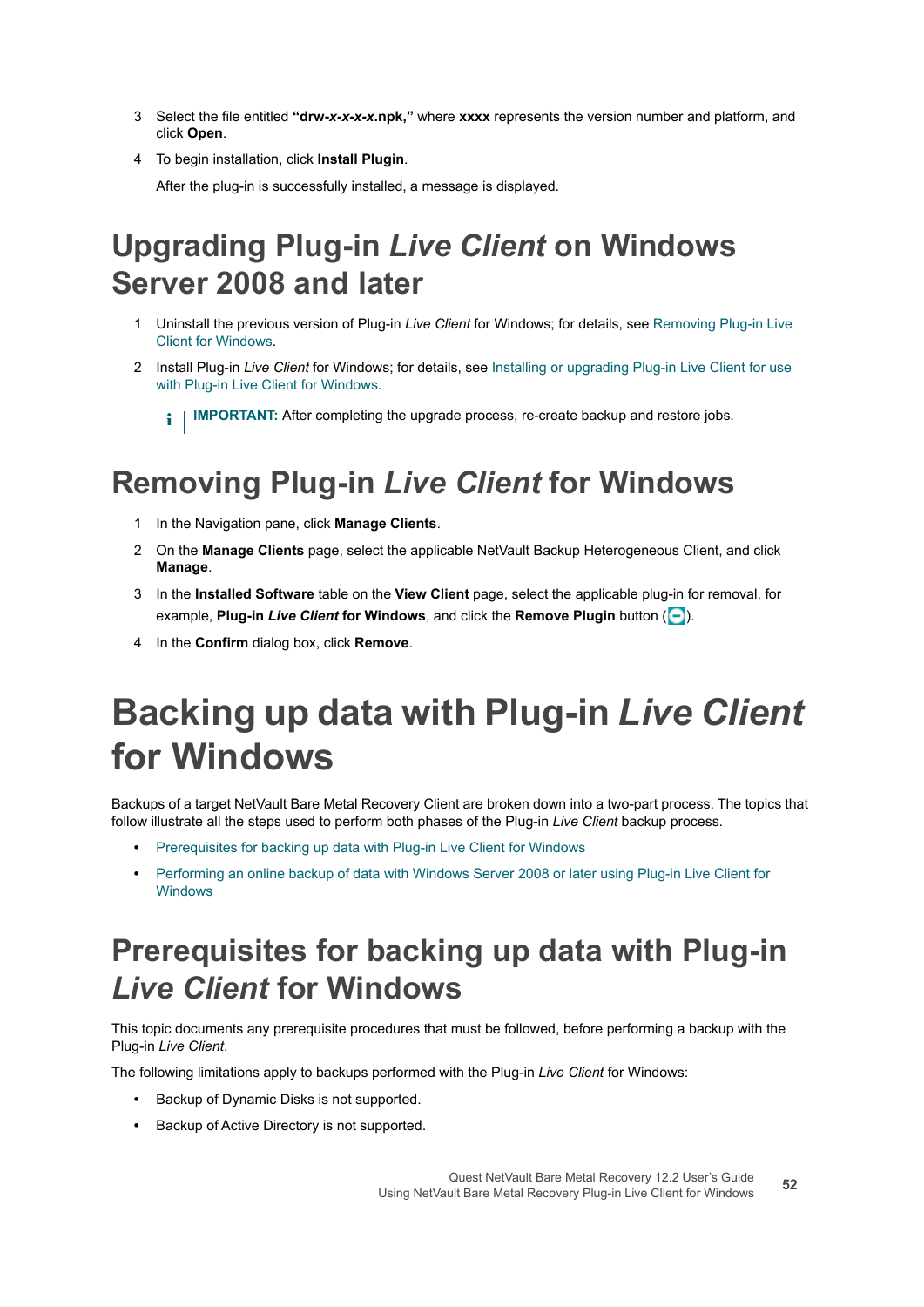- 3 Select the file entitled **"drw-***x-x-x-x***.npk,"** where **xxxx** represents the version number and platform, and click **Open**.
- 4 To begin installation, click **Install Plugin**.

After the plug-in is successfully installed, a message is displayed.

## <span id="page-51-1"></span>**Upgrading Plug-in** *Live Client* **on Windows Server 2008 and later**

- 1 Uninstall the previous version of Plug-in *Live Client* for Windows; for details, see [Removing Plug-in Live](#page-51-2)  [Client for Windows.](#page-51-2)
- 2 Install Plug-in *Live Client* for Windows; for details, see [Installing or upgrading Plug-in Live Client for use](#page-50-1)  [with Plug-in Live Client for Windows.](#page-50-1)

**I IMPORTANT:** After completing the upgrade process, re-create backup and restore iobs.

## <span id="page-51-2"></span>**Removing Plug-in** *Live Client* **for Windows**

- 1 In the Navigation pane, click **Manage Clients**.
- 2 On the **Manage Clients** page, select the applicable NetVault Backup Heterogeneous Client, and click **Manage**.
- 3 In the **Installed Software** table on the **View Client** page, select the applicable plug-in for removal, for example, **Plug-in** *Live Client* **for Windows**, and click the **Remove Plugin** button ( ).
- 4 In the **Confirm** dialog box, click **Remove**.

# <span id="page-51-0"></span>**Backing up data with Plug-in** *Live Client* **for Windows**

Backups of a target NetVault Bare Metal Recovery Client are broken down into a two-part process. The topics that follow illustrate all the steps used to perform both phases of the Plug-in *Live Client* backup process.

- **•** [Prerequisites for backing up data with Plug-in Live Client for Windows](#page-51-3)
- **•** [Performing an online backup of data with Windows Server 2008 or later using Plug-in Live Client for](#page-53-0)  [Windows](#page-53-0)

## <span id="page-51-3"></span>**Prerequisites for backing up data with Plug-in**  *Live Client* **for Windows**

This topic documents any prerequisite procedures that must be followed, before performing a backup with the Plug-in *Live Client*.

The following limitations apply to backups performed with the Plug-in *Live Client* for Windows:

- **•** Backup of Dynamic Disks is not supported.
- **•** Backup of Active Directory is not supported.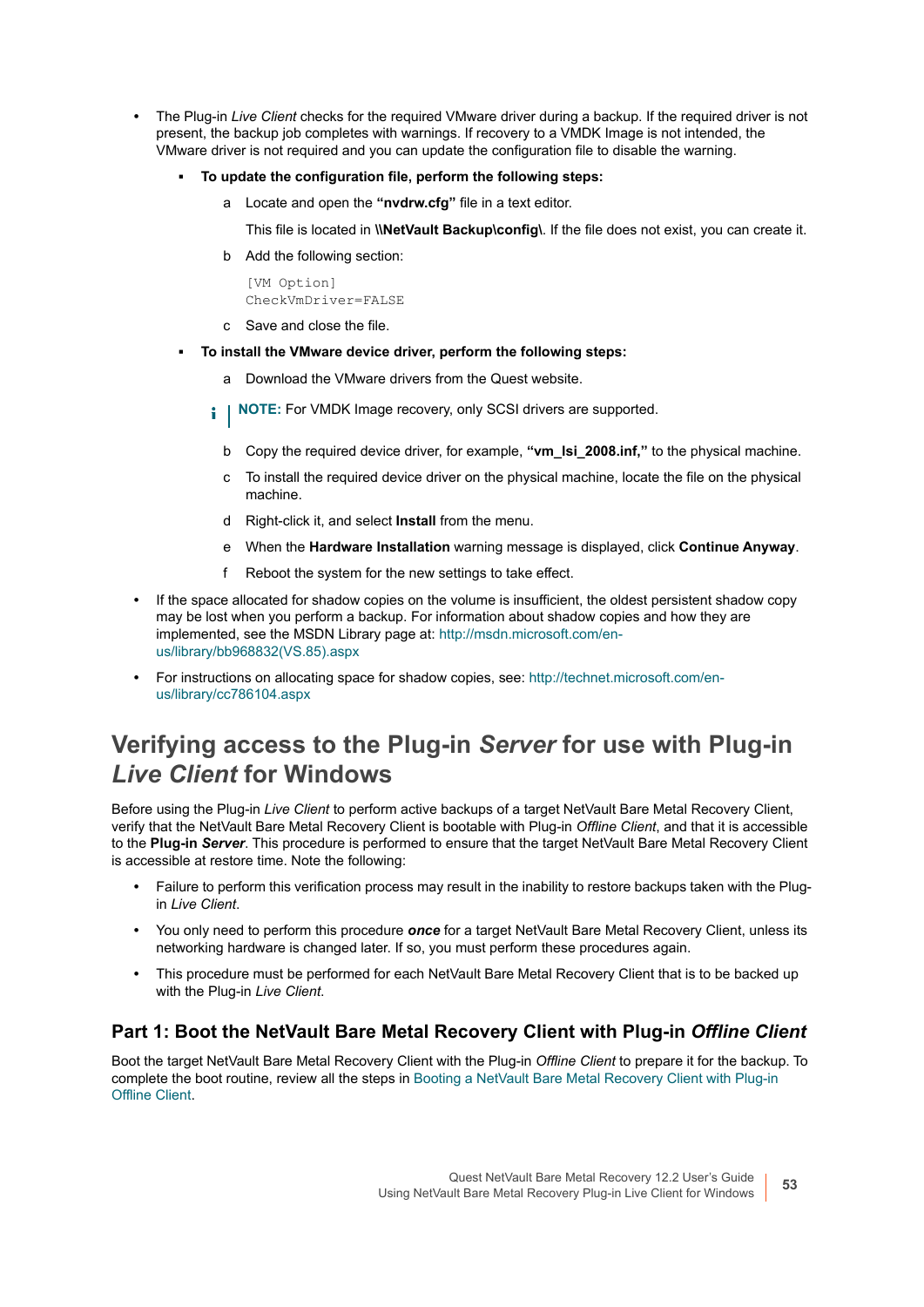- **•** The Plug-in *Live Client* checks for the required VMware driver during a backup. If the required driver is not present, the backup job completes with warnings. If recovery to a VMDK Image is not intended, the VMware driver is not required and you can update the configuration file to disable the warning.
	- **▪ To update the configuration file, perform the following steps:**
		- a Locate and open the **"nvdrw.cfg"** file in a text editor.

This file is located in **\\NetVault Backup\config\**. If the file does not exist, you can create it.

b Add the following section:

[VM Option] CheckVmDriver=FALSE

- c Save and close the file.
- **▪ To install the VMware device driver, perform the following steps:**
	- a Download the VMware drivers from the Quest website.
	- **i** | NOTE: For VMDK Image recovery, only SCSI drivers are supported.
		- b Copy the required device driver, for example, **"vm\_lsi\_2008.inf,"** to the physical machine.
		- c To install the required device driver on the physical machine, locate the file on the physical machine.
		- d Right-click it, and select **Install** from the menu.
		- e When the **Hardware Installation** warning message is displayed, click **Continue Anyway**.
		- f Reboot the system for the new settings to take effect.
- **•** If the space allocated for shadow copies on the volume is insufficient, the oldest persistent shadow copy may be lost when you perform a backup. For information about shadow copies and how they are implemented, see the MSDN Library page at: [http://msdn.microsoft.com/en](http://msdn.microsoft.com/en-us/library/bb968832(VS.85).aspx)[us/library/bb968832\(VS.85\).aspx](http://msdn.microsoft.com/en-us/library/bb968832(VS.85).aspx)
- **•** For instructions on allocating space for shadow copies, see: [http://technet.microsoft.com/en](http://technet.microsoft.com/en-us/library/cc786104.aspx)[us/library/cc786104.aspx](http://technet.microsoft.com/en-us/library/cc786104.aspx)

### **Verifying access to the Plug-in** *Server* **for use with Plug-in**  *Live Client* **for Windows**

Before using the Plug-in *Live Client* to perform active backups of a target NetVault Bare Metal Recovery Client, verify that the NetVault Bare Metal Recovery Client is bootable with Plug-in *Offline Client*, and that it is accessible to the **Plug-in** *Server*. This procedure is performed to ensure that the target NetVault Bare Metal Recovery Client is accessible at restore time. Note the following:

- **•** Failure to perform this verification process may result in the inability to restore backups taken with the Plugin *Live Client*.
- **•** You only need to perform this procedure *once* for a target NetVault Bare Metal Recovery Client, unless its networking hardware is changed later. If so, you must perform these procedures again.
- **•** This procedure must be performed for each NetVault Bare Metal Recovery Client that is to be backed up with the Plug-in *Live Client*.

#### **Part 1: Boot the NetVault Bare Metal Recovery Client with Plug-in** *Offline Client*

Boot the target NetVault Bare Metal Recovery Client with the Plug-in *Offline Client* to prepare it for the backup. To complete the boot routine, review all the steps in [Booting a NetVault Bare Metal Recovery Client with Plug-in](#page-56-0)  [Offline Client](#page-56-0).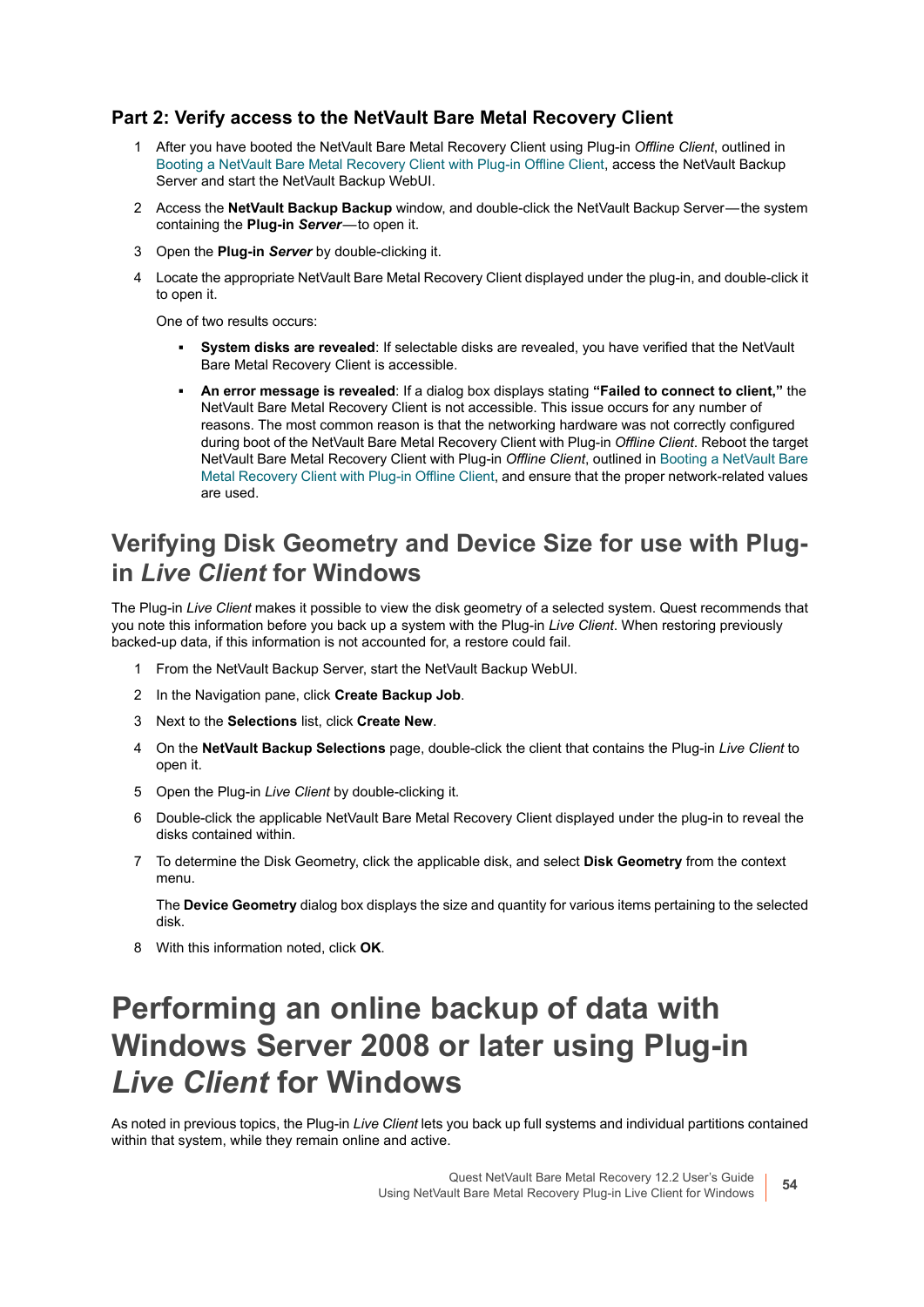#### **Part 2: Verify access to the NetVault Bare Metal Recovery Client**

- 1 After you have booted the NetVault Bare Metal Recovery Client using Plug-in *Offline Client*, outlined in [Booting a NetVault Bare Metal Recovery Client with Plug-in Offline Client,](#page-56-0) access the NetVault Backup Server and start the NetVault Backup WebUI.
- 2 Access the NetVault Backup Backup window, and double-click the NetVault Backup Server-the system containing the **Plug-in Server**—to open it.
- 3 Open the **Plug-in** *Server* by double-clicking it.
- 4 Locate the appropriate NetVault Bare Metal Recovery Client displayed under the plug-in, and double-click it to open it.

One of two results occurs:

- **▪ System disks are revealed**: If selectable disks are revealed, you have verified that the NetVault Bare Metal Recovery Client is accessible.
- **▪ An error message is revealed**: If a dialog box displays stating **"Failed to connect to client,"** the NetVault Bare Metal Recovery Client is not accessible. This issue occurs for any number of reasons. The most common reason is that the networking hardware was not correctly configured during boot of the NetVault Bare Metal Recovery Client with Plug-in *Offline Client*. Reboot the target NetVault Bare Metal Recovery Client with Plug-in *Offline Client*, outlined in [Booting a NetVault Bare](#page-56-0)  [Metal Recovery Client with Plug-in Offline Client,](#page-56-0) and ensure that the proper network-related values are used.

### <span id="page-53-1"></span>**Verifying Disk Geometry and Device Size for use with Plugin** *Live Client* **for Windows**

The Plug-in *Live Client* makes it possible to view the disk geometry of a selected system. Quest recommends that you note this information before you back up a system with the Plug-in *Live Client*. When restoring previously backed-up data, if this information is not accounted for, a restore could fail.

- 1 From the NetVault Backup Server, start the NetVault Backup WebUI.
- 2 In the Navigation pane, click **Create Backup Job**.
- 3 Next to the **Selections** list, click **Create New**.
- 4 On the **NetVault Backup Selections** page, double-click the client that contains the Plug-in *Live Client* to open it.
- 5 Open the Plug-in *Live Client* by double-clicking it.
- 6 Double-click the applicable NetVault Bare Metal Recovery Client displayed under the plug-in to reveal the disks contained within.
- 7 To determine the Disk Geometry, click the applicable disk, and select **Disk Geometry** from the context menu.

The **Device Geometry** dialog box displays the size and quantity for various items pertaining to the selected disk.

8 With this information noted, click **OK**.

## <span id="page-53-0"></span>**Performing an online backup of data with Windows Server 2008 or later using Plug-in**  *Live Client* **for Windows**

As noted in previous topics, the Plug-in *Live Client* lets you back up full systems and individual partitions contained within that system, while they remain online and active.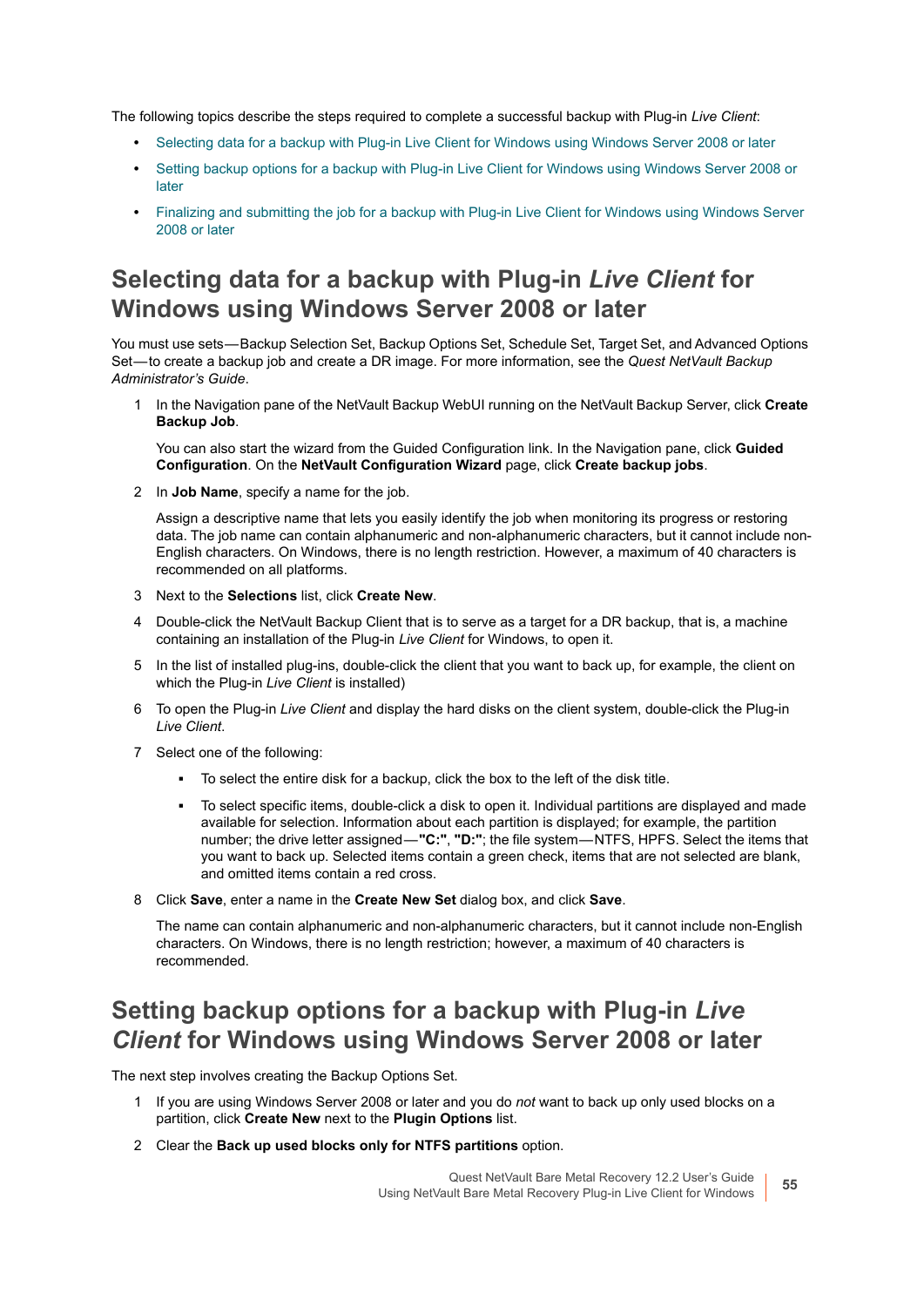The following topics describe the steps required to complete a successful backup with Plug-in *Live Client*:

- **•** [Selecting data for a backup with Plug-in Live Client for Windows using Windows Server 2008 or later](#page-54-0)
- **•** [Setting backup options for a backup with Plug-in Live Client for Windows using Windows Server 2008 or](#page-54-1)  [later](#page-54-1)
- **•** [Finalizing and submitting the job for a backup with Plug-in Live Client for Windows using Windows Server](#page-55-0)  [2008 or later](#page-55-0)

### <span id="page-54-0"></span>**Selecting data for a backup with Plug-in** *Live Client* **for Windows using Windows Server 2008 or later**

You must use sets — Backup Selection Set, Backup Options Set, Schedule Set, Target Set, and Advanced Options Set — to create a backup job and create a DR image. For more information, see the *Quest NetVault Backup Administrator's Guide*.

1 In the Navigation pane of the NetVault Backup WebUI running on the NetVault Backup Server, click **Create Backup Job**.

You can also start the wizard from the Guided Configuration link. In the Navigation pane, click **Guided Configuration**. On the **NetVault Configuration Wizard** page, click **Create backup jobs**.

2 In **Job Name**, specify a name for the job.

Assign a descriptive name that lets you easily identify the job when monitoring its progress or restoring data. The job name can contain alphanumeric and non-alphanumeric characters, but it cannot include non-English characters. On Windows, there is no length restriction. However, a maximum of 40 characters is recommended on all platforms.

- 3 Next to the **Selections** list, click **Create New**.
- 4 Double-click the NetVault Backup Client that is to serve as a target for a DR backup, that is, a machine containing an installation of the Plug-in *Live Client* for Windows, to open it.
- 5 In the list of installed plug-ins, double-click the client that you want to back up, for example, the client on which the Plug-in *Live Client* is installed)
- 6 To open the Plug-in *Live Client* and display the hard disks on the client system, double-click the Plug-in *Live Client*.
- 7 Select one of the following:
	- **▪** To select the entire disk for a backup, click the box to the left of the disk title.
	- **▪** To select specific items, double-click a disk to open it. Individual partitions are displayed and made available for selection. Information about each partition is displayed; for example, the partition number; the drive letter assigned — **"C:"**, **"D:"**; the file system — NTFS, HPFS. Select the items that you want to back up. Selected items contain a green check, items that are not selected are blank, and omitted items contain a red cross.
- 8 Click **Save**, enter a name in the **Create New Set** dialog box, and click **Save**.

The name can contain alphanumeric and non-alphanumeric characters, but it cannot include non-English characters. On Windows, there is no length restriction; however, a maximum of 40 characters is recommended.

### <span id="page-54-1"></span>**Setting backup options for a backup with Plug-in** *Live Client* **for Windows using Windows Server 2008 or later**

The next step involves creating the Backup Options Set.

- 1 If you are using Windows Server 2008 or later and you do *not* want to back up only used blocks on a partition, click **Create New** next to the **Plugin Options** list.
- 2 Clear the **Back up used blocks only for NTFS partitions** option.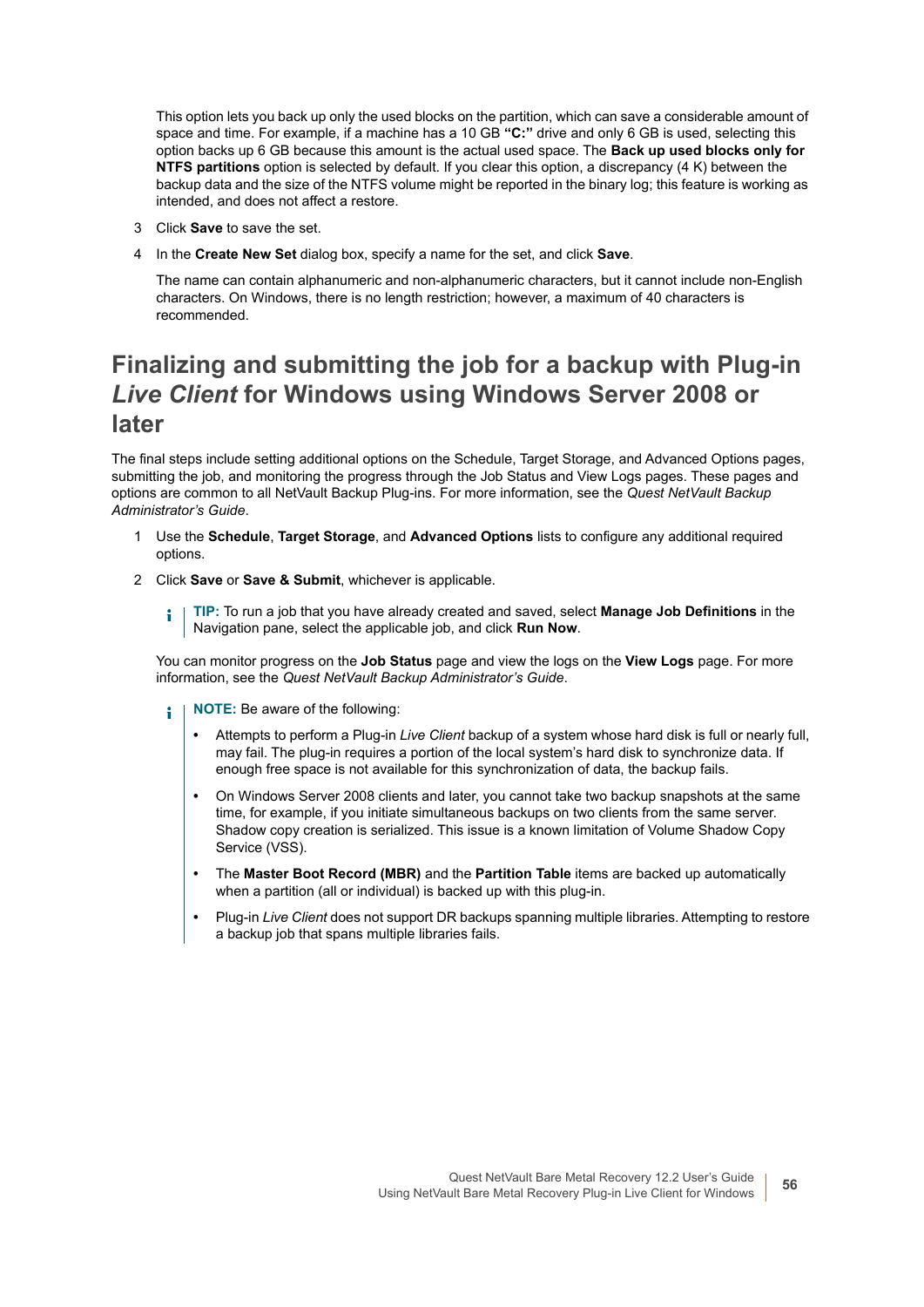This option lets you back up only the used blocks on the partition, which can save a considerable amount of space and time. For example, if a machine has a 10 GB **"C:"** drive and only 6 GB is used, selecting this option backs up 6 GB because this amount is the actual used space. The **Back up used blocks only for NTFS partitions** option is selected by default. If you clear this option, a discrepancy (4 K) between the backup data and the size of the NTFS volume might be reported in the binary log; this feature is working as intended, and does not affect a restore.

- 3 Click **Save** to save the set.
- 4 In the **Create New Set** dialog box, specify a name for the set, and click **Save**.

The name can contain alphanumeric and non-alphanumeric characters, but it cannot include non-English characters. On Windows, there is no length restriction; however, a maximum of 40 characters is recommended.

### <span id="page-55-0"></span>**Finalizing and submitting the job for a backup with Plug-in**  *Live Client* **for Windows using Windows Server 2008 or later**

The final steps include setting additional options on the Schedule, Target Storage, and Advanced Options pages, submitting the job, and monitoring the progress through the Job Status and View Logs pages. These pages and options are common to all NetVault Backup Plug-ins. For more information, see the *Quest NetVault Backup Administrator's Guide*.

- 1 Use the **Schedule**, **Target Storage**, and **Advanced Options** lists to configure any additional required options.
- 2 Click **Save** or **Save & Submit**, whichever is applicable.
	- **TIP:** To run a job that you have already created and saved, select **Manage Job Definitions** in the ÷ Navigation pane, select the applicable job, and click **Run Now**.

You can monitor progress on the **Job Status** page and view the logs on the **View Logs** page. For more information, see the *Quest NetVault Backup Administrator's Guide*.

- **NOTE:** Be aware of the following: f.
	- **•** Attempts to perform a Plug-in *Live Client* backup of a system whose hard disk is full or nearly full, may fail. The plug-in requires a portion of the local system's hard disk to synchronize data. If enough free space is not available for this synchronization of data, the backup fails.
	- **•** On Windows Server 2008 clients and later, you cannot take two backup snapshots at the same time, for example, if you initiate simultaneous backups on two clients from the same server. Shadow copy creation is serialized. This issue is a known limitation of Volume Shadow Copy Service (VSS).
	- **•** The **Master Boot Record (MBR)** and the **Partition Table** items are backed up automatically when a partition (all or individual) is backed up with this plug-in.
	- **•** Plug-in *Live Client* does not support DR backups spanning multiple libraries. Attempting to restore a backup job that spans multiple libraries fails.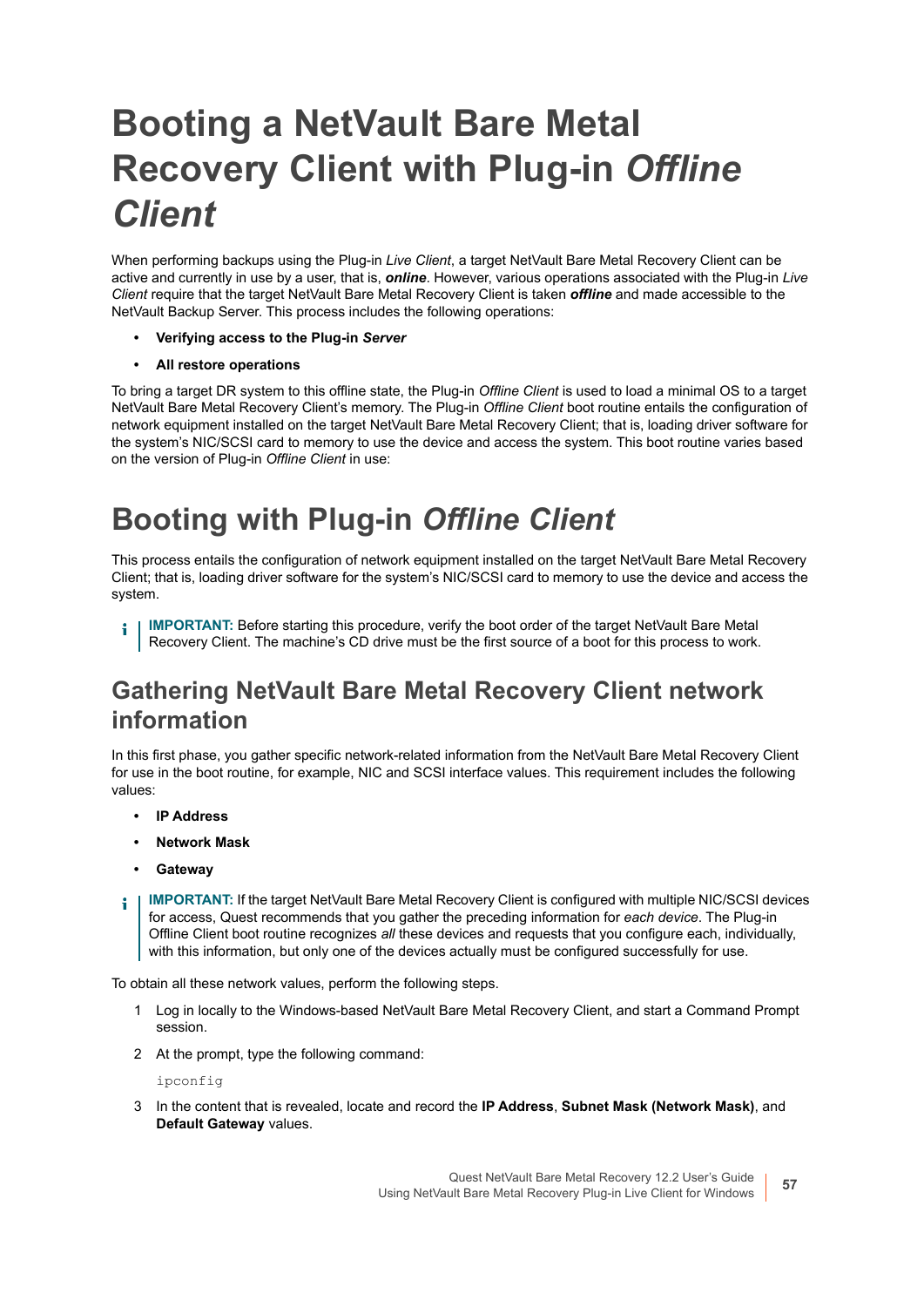# <span id="page-56-0"></span>**Booting a NetVault Bare Metal Recovery Client with Plug-in** *Offline Client*

When performing backups using the Plug-in *Live Client*, a target NetVault Bare Metal Recovery Client can be active and currently in use by a user, that is, *online*. However, various operations associated with the Plug-in *Live Client* require that the target NetVault Bare Metal Recovery Client is taken *offline* and made accessible to the NetVault Backup Server. This process includes the following operations:

- **Verifying access to the Plug-in** *Server*
- **All restore operations**

To bring a target DR system to this offline state, the Plug-in *Offline Client* is used to load a minimal OS to a target NetVault Bare Metal Recovery Client's memory. The Plug-in *Offline Client* boot routine entails the configuration of network equipment installed on the target NetVault Bare Metal Recovery Client; that is, loading driver software for the system's NIC/SCSI card to memory to use the device and access the system. This boot routine varies based on the version of Plug-in *Offline Client* in use:

## **Booting with Plug-in** *Offline Client*

This process entails the configuration of network equipment installed on the target NetVault Bare Metal Recovery Client; that is, loading driver software for the system's NIC/SCSI card to memory to use the device and access the system.

**IMPORTANT:** Before starting this procedure, verify the boot order of the target NetVault Bare Metal i. Recovery Client. The machine's CD drive must be the first source of a boot for this process to work.

### **Gathering NetVault Bare Metal Recovery Client network information**

In this first phase, you gather specific network-related information from the NetVault Bare Metal Recovery Client for use in the boot routine, for example, NIC and SCSI interface values. This requirement includes the following values:

- **IP Address**
- **Network Mask**
- **Gateway**
- **IMPORTANT:** If the target NetVault Bare Metal Recovery Client is configured with multiple NIC/SCSI devices ÷ for access, Quest recommends that you gather the preceding information for *each device*. The Plug-in Offline Client boot routine recognizes *all* these devices and requests that you configure each, individually, with this information, but only one of the devices actually must be configured successfully for use.

To obtain all these network values, perform the following steps.

- 1 Log in locally to the Windows-based NetVault Bare Metal Recovery Client, and start a Command Prompt session.
- 2 At the prompt, type the following command:

ipconfig

3 In the content that is revealed, locate and record the **IP Address**, **Subnet Mask (Network Mask)**, and **Default Gateway** values.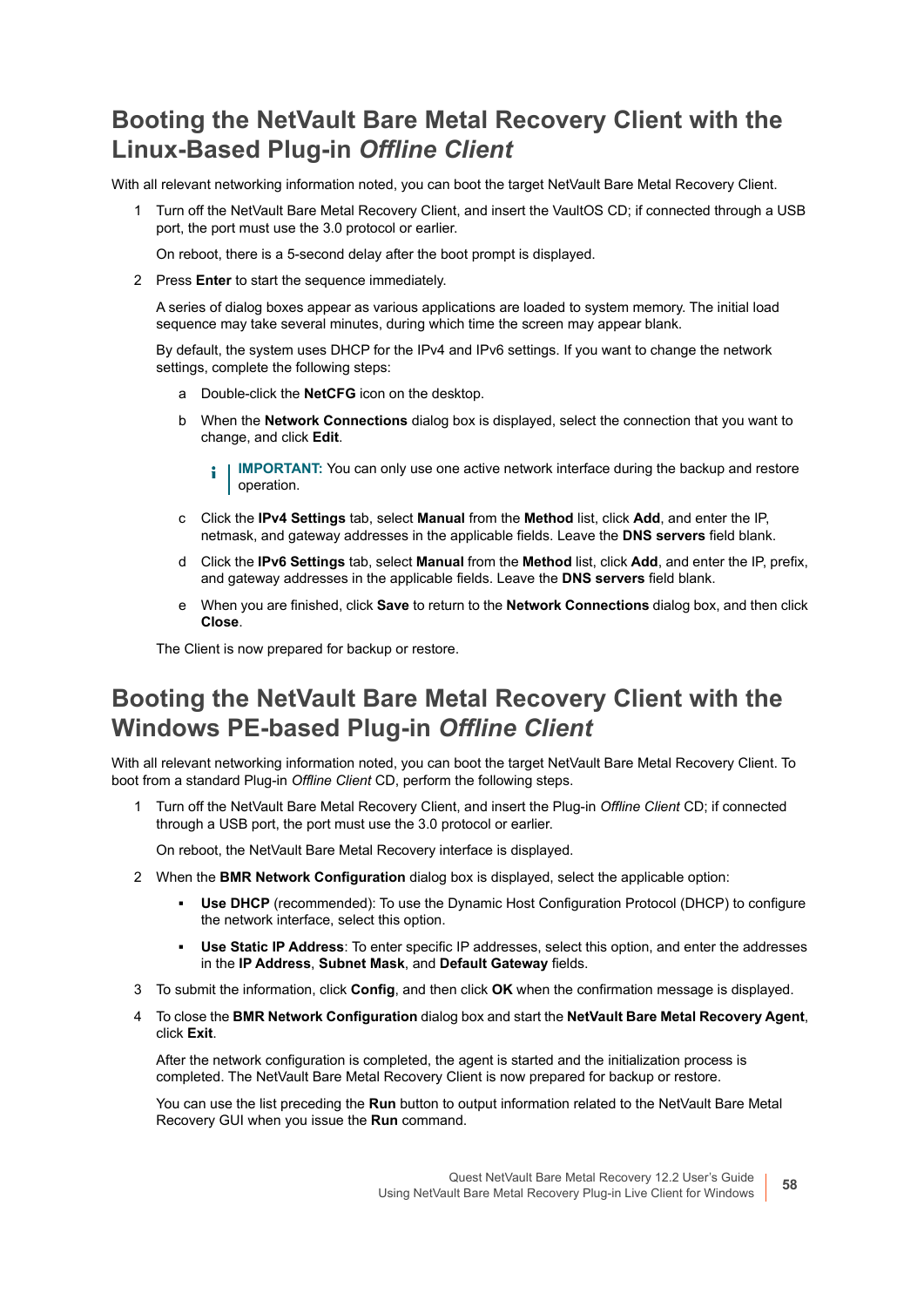### **Booting the NetVault Bare Metal Recovery Client with the Linux-Based Plug-in** *Offline Client*

With all relevant networking information noted, you can boot the target NetVault Bare Metal Recovery Client.

1 Turn off the NetVault Bare Metal Recovery Client, and insert the VaultOS CD; if connected through a USB port, the port must use the 3.0 protocol or earlier.

On reboot, there is a 5-second delay after the boot prompt is displayed.

2 Press **Enter** to start the sequence immediately.

A series of dialog boxes appear as various applications are loaded to system memory. The initial load sequence may take several minutes, during which time the screen may appear blank.

By default, the system uses DHCP for the IPv4 and IPv6 settings. If you want to change the network settings, complete the following steps:

- a Double-click the **NetCFG** icon on the desktop.
- b When the **Network Connections** dialog box is displayed, select the connection that you want to change, and click **Edit**.
	- **IMPORTANT:** You can only use one active network interface during the backup and restore ÷ operation.
- c Click the **IPv4 Settings** tab, select **Manual** from the **Method** list, click **Add**, and enter the IP, netmask, and gateway addresses in the applicable fields. Leave the **DNS servers** field blank.
- d Click the **IPv6 Settings** tab, select **Manual** from the **Method** list, click **Add**, and enter the IP, prefix, and gateway addresses in the applicable fields. Leave the **DNS servers** field blank.
- e When you are finished, click **Save** to return to the **Network Connections** dialog box, and then click **Close**.

The Client is now prepared for backup or restore.

### **Booting the NetVault Bare Metal Recovery Client with the Windows PE-based Plug-in** *Offline Client*

With all relevant networking information noted, you can boot the target NetVault Bare Metal Recovery Client. To boot from a standard Plug-in *Offline Client* CD, perform the following steps.

1 Turn off the NetVault Bare Metal Recovery Client, and insert the Plug-in *Offline Client* CD; if connected through a USB port, the port must use the 3.0 protocol or earlier.

On reboot, the NetVault Bare Metal Recovery interface is displayed.

- 2 When the **BMR Network Configuration** dialog box is displayed, select the applicable option:
	- **Use DHCP** (recommended): To use the Dynamic Host Configuration Protocol (DHCP) to configure the network interface, select this option.
	- **▪ Use Static IP Address**: To enter specific IP addresses, select this option, and enter the addresses in the **IP Address**, **Subnet Mask**, and **Default Gateway** fields.
- 3 To submit the information, click **Config**, and then click **OK** when the confirmation message is displayed.
- 4 To close the **BMR Network Configuration** dialog box and start the **NetVault Bare Metal Recovery Agent**, click **Exit**.

After the network configuration is completed, the agent is started and the initialization process is completed. The NetVault Bare Metal Recovery Client is now prepared for backup or restore.

You can use the list preceding the **Run** button to output information related to the NetVault Bare Metal Recovery GUI when you issue the **Run** command.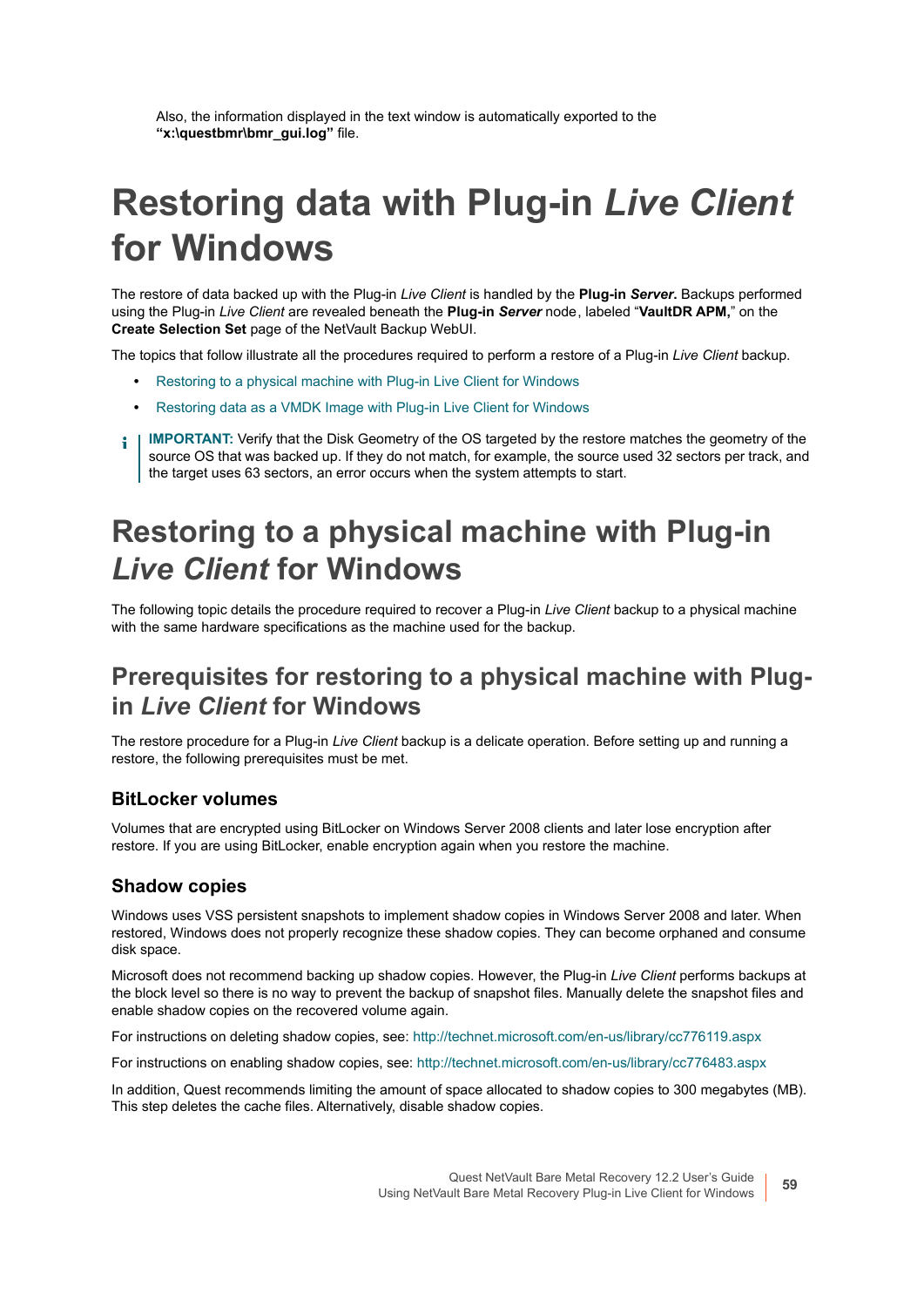Also, the information displayed in the text window is automatically exported to the **"x:\questbmr\bmr\_gui.log"** file.

# <span id="page-58-0"></span>**Restoring data with Plug-in** *Live Client* **for Windows**

The restore of data backed up with the Plug-in *Live Client* is handled by the **Plug-in** *Server***.** Backups performed using the Plug-in *Live Client* are revealed beneath the **Plug-in** *Server* node , labeled "**VaultDR APM,**" on the **Create Selection Set** page of the NetVault Backup WebUI.

The topics that follow illustrate all the procedures required to perform a restore of a Plug-in *Live Client* backup.

- **•** [Restoring to a physical machine with Plug-in Live Client for Windows](#page-58-1)
- **•** [Restoring data as a VMDK Image with Plug-in Live Client for Windows](#page-62-0)
- **I IMPORTANT:** Verify that the Disk Geometry of the OS targeted by the restore matches the geometry of the source OS that was backed up. If they do not match, for example, the source used 32 sectors per track, and the target uses 63 sectors, an error occurs when the system attempts to start.

## <span id="page-58-1"></span>**Restoring to a physical machine with Plug-in**  *Live Client* **for Windows**

The following topic details the procedure required to recover a Plug-in *Live Client* backup to a physical machine with the same hardware specifications as the machine used for the backup.

### **Prerequisites for restoring to a physical machine with Plugin** *Live Client* **for Windows**

The restore procedure for a Plug-in *Live Client* backup is a delicate operation. Before setting up and running a restore, the following prerequisites must be met.

#### **BitLocker volumes**

Volumes that are encrypted using BitLocker on Windows Server 2008 clients and later lose encryption after restore. If you are using BitLocker, enable encryption again when you restore the machine.

#### **Shadow copies**

Windows uses VSS persistent snapshots to implement shadow copies in Windows Server 2008 and later. When restored, Windows does not properly recognize these shadow copies. They can become orphaned and consume disk space.

Microsoft does not recommend backing up shadow copies. However, the Plug-in *Live Client* performs backups at the block level so there is no way to prevent the backup of snapshot files. Manually delete the snapshot files and enable shadow copies on the recovered volume again.

For instructions on deleting shadow copies, see:<http://technet.microsoft.com/en-us/library/cc776119.aspx>

For instructions on enabling shadow copies, see: <http://technet.microsoft.com/en-us/library/cc776483.aspx>

In addition, Quest recommends limiting the amount of space allocated to shadow copies to 300 megabytes (MB). This step deletes the cache files. Alternatively, disable shadow copies.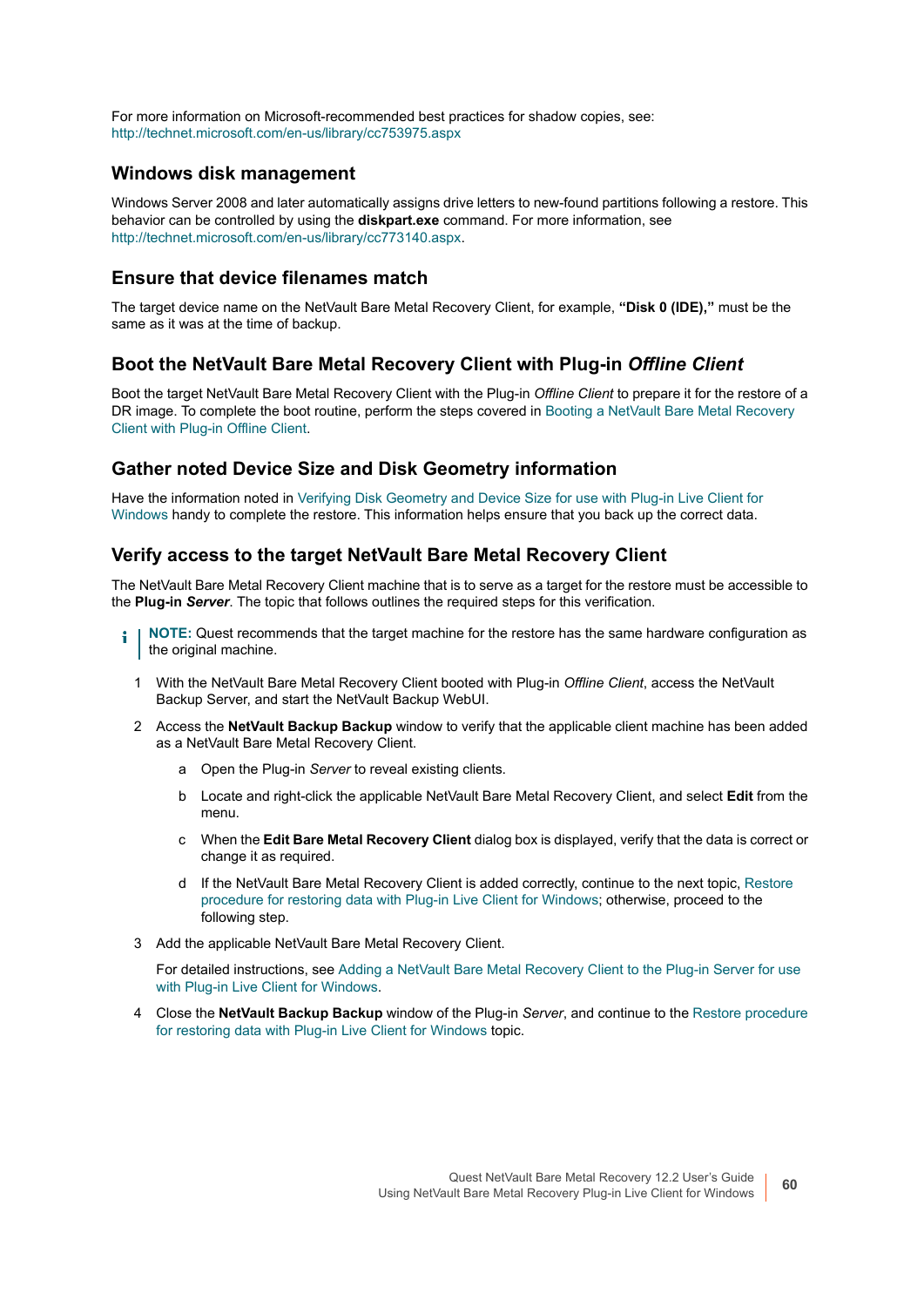For more information on Microsoft-recommended best practices for shadow copies, see: <http://technet.microsoft.com/en-us/library/cc753975.aspx>

#### **Windows disk management**

Windows Server 2008 and later automatically assigns drive letters to new-found partitions following a restore. This behavior can be controlled by using the **diskpart.exe** command. For more information, see <http://technet.microsoft.com/en-us/library/cc773140.aspx>.

#### **Ensure that device filenames match**

The target device name on the NetVault Bare Metal Recovery Client, for example, **"Disk 0 (IDE),"** must be the same as it was at the time of backup.

#### **Boot the NetVault Bare Metal Recovery Client with Plug-in** *Offline Client*

Boot the target NetVault Bare Metal Recovery Client with the Plug-in *Offline Client* to prepare it for the restore of a DR image. To complete the boot routine, perform the steps covered in [Booting a NetVault Bare Metal Recovery](#page-56-0)  [Client with Plug-in Offline Client.](#page-56-0)

#### **Gather noted Device Size and Disk Geometry information**

Have the information noted in [Verifying Disk Geometry and Device Size for use with Plug-in Live Client for](#page-53-1)  [Windows](#page-53-1) handy to complete the restore. This information helps ensure that you back up the correct data.

#### **Verify access to the target NetVault Bare Metal Recovery Client**

The NetVault Bare Metal Recovery Client machine that is to serve as a target for the restore must be accessible to the **Plug-in** *Server*. The topic that follows outlines the required steps for this verification.

- **NOTE:** Quest recommends that the target machine for the restore has the same hardware configuration as ÷ the original machine.
	- 1 With the NetVault Bare Metal Recovery Client booted with Plug-in *Offline Client*, access the NetVault Backup Server, and start the NetVault Backup WebUI.
	- 2 Access the **NetVault Backup Backup** window to verify that the applicable client machine has been added as a NetVault Bare Metal Recovery Client.
		- a Open the Plug-in *Server* to reveal existing clients.
		- b Locate and right-click the applicable NetVault Bare Metal Recovery Client, and select **Edit** from the menu.
		- c When the **Edit Bare Metal Recovery Client** dialog box is displayed, verify that the data is correct or change it as required.
		- d If the NetVault Bare Metal Recovery Client is added correctly, continue to the next topic, [Restore](#page-60-0)  [procedure for restoring data with Plug-in Live Client for Windows;](#page-60-0) otherwise, proceed to the following step.
	- 3 Add the applicable NetVault Bare Metal Recovery Client.

For detailed instructions, see [Adding a NetVault Bare Metal Recovery Client to the Plug-in Server for use](#page-47-0)  [with Plug-in Live Client for Windows.](#page-47-0)

4 Close the **NetVault Backup Backup** window of the Plug-in *Server*, and continue to the [Restore procedure](#page-60-0)  [for restoring data with Plug-in Live Client for Windows](#page-60-0) topic.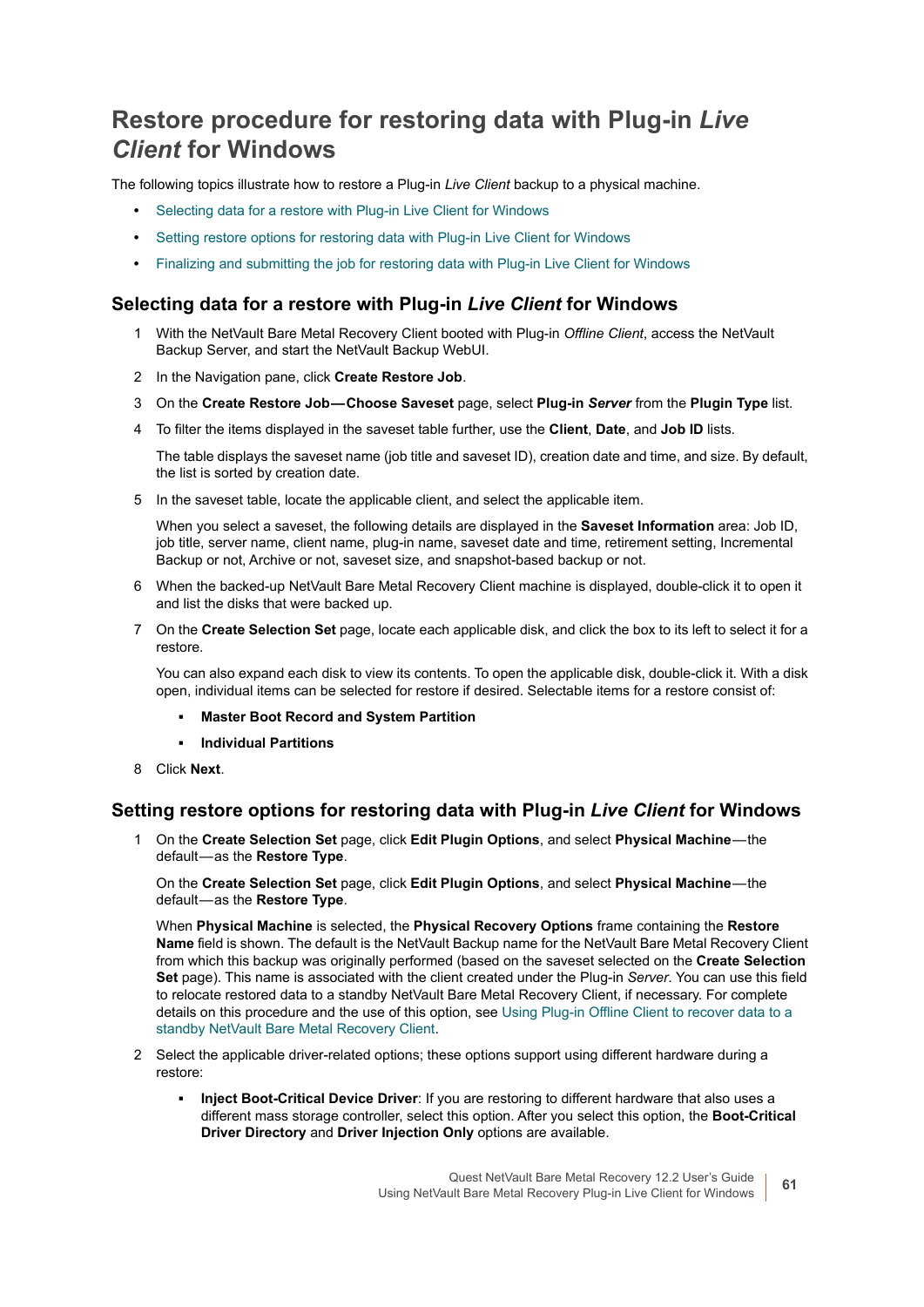### <span id="page-60-0"></span>**Restore procedure for restoring data with Plug-in** *Live Client* **for Windows**

The following topics illustrate how to restore a Plug-in *Live Client* backup to a physical machine.

- **•** [Selecting data for a restore with Plug-in Live Client for Windows](#page-60-1)
- **•** [Setting restore options for restoring data with Plug-in Live Client for Windows](#page-60-2)
- **•** [Finalizing and submitting the job for restoring data with Plug-in Live Client for Windows](#page-61-0)

#### <span id="page-60-1"></span>**Selecting data for a restore with Plug-in** *Live Client* **for Windows**

- 1 With the NetVault Bare Metal Recovery Client booted with Plug-in *Offline Client*, access the NetVault Backup Server, and start the NetVault Backup WebUI.
- 2 In the Navigation pane, click **Create Restore Job**.
- 3 On the **Create Restore Job Choose Saveset** page, select **Plug-in** *Server* from the **Plugin Type** list.
- 4 To filter the items displayed in the saveset table further, use the **Client**, **Date**, and **Job ID** lists.

The table displays the saveset name (job title and saveset ID), creation date and time, and size. By default, the list is sorted by creation date.

5 In the saveset table, locate the applicable client, and select the applicable item.

When you select a saveset, the following details are displayed in the **Saveset Information** area: Job ID, job title, server name, client name, plug-in name, saveset date and time, retirement setting, Incremental Backup or not, Archive or not, saveset size, and snapshot-based backup or not.

- 6 When the backed-up NetVault Bare Metal Recovery Client machine is displayed, double-click it to open it and list the disks that were backed up.
- 7 On the **Create Selection Set** page, locate each applicable disk, and click the box to its left to select it for a restore.

You can also expand each disk to view its contents. To open the applicable disk, double-click it. With a disk open, individual items can be selected for restore if desired. Selectable items for a restore consist of:

- **▪ Master Boot Record and System Partition**
- **▪ Individual Partitions**
- 8 Click **Next**.

#### <span id="page-60-2"></span>**Setting restore options for restoring data with Plug-in** *Live Client* **for Windows**

1 On the **Create Selection Set** page, click **Edit Plugin Options**, and select **Physical Machine** — the default — as the **Restore Type**.

On the **Create Selection Set** page, click **Edit Plugin Options**, and select **Physical Machine** — the default — as the **Restore Type**.

When **Physical Machine** is selected, the **Physical Recovery Options** frame containing the **Restore Name** field is shown. The default is the NetVault Backup name for the NetVault Bare Metal Recovery Client from which this backup was originally performed (based on the saveset selected on the **Create Selection Set** page). This name is associated with the client created under the Plug-in *Server*. You can use this field to relocate restored data to a standby NetVault Bare Metal Recovery Client, if necessary. For complete details on this procedure and the use of this option, see [Using Plug-in Offline Client to recover data to a](#page-41-1)  [standby NetVault Bare Metal Recovery Client](#page-41-1).

- 2 Select the applicable driver-related options; these options support using different hardware during a restore:
	- **▪ Inject Boot-Critical Device Driver**: If you are restoring to different hardware that also uses a different mass storage controller, select this option. After you select this option, the **Boot-Critical Driver Directory** and **Driver Injection Only** options are available.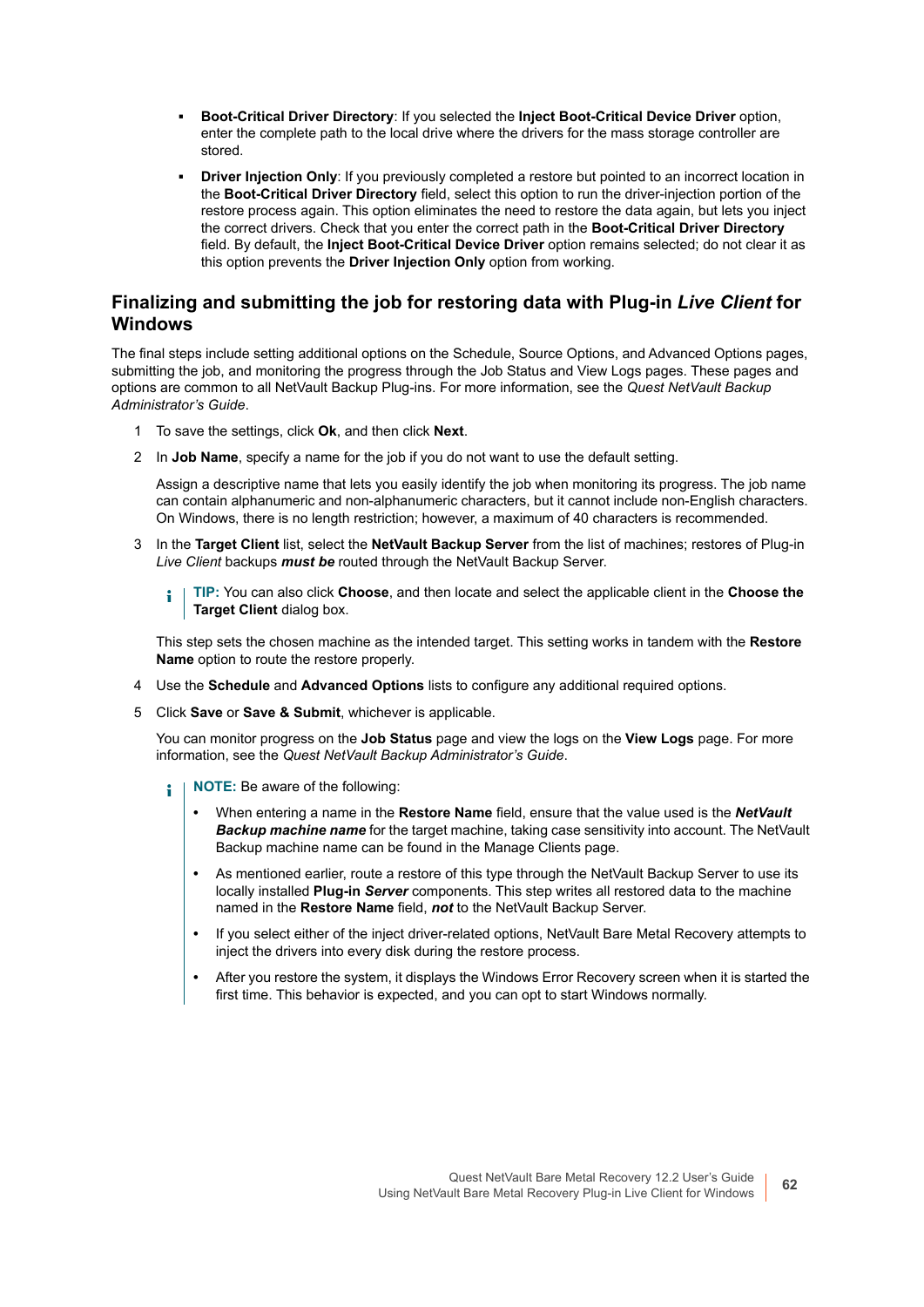- **▪ Boot-Critical Driver Directory**: If you selected the **Inject Boot-Critical Device Driver** option, enter the complete path to the local drive where the drivers for the mass storage controller are stored.
- **Driver Injection Only:** If you previously completed a restore but pointed to an incorrect location in the **Boot-Critical Driver Directory** field, select this option to run the driver-injection portion of the restore process again. This option eliminates the need to restore the data again, but lets you inject the correct drivers. Check that you enter the correct path in the **Boot-Critical Driver Directory** field. By default, the **Inject Boot-Critical Device Driver** option remains selected; do not clear it as this option prevents the **Driver Injection Only** option from working.

#### <span id="page-61-0"></span>**Finalizing and submitting the job for restoring data with Plug-in** *Live Client* **for Windows**

The final steps include setting additional options on the Schedule, Source Options, and Advanced Options pages, submitting the job, and monitoring the progress through the Job Status and View Logs pages. These pages and options are common to all NetVault Backup Plug-ins. For more information, see the *Quest NetVault Backup Administrator's Guide*.

- 1 To save the settings, click **Ok**, and then click **Next**.
- 2 In **Job Name**, specify a name for the job if you do not want to use the default setting.

Assign a descriptive name that lets you easily identify the job when monitoring its progress. The job name can contain alphanumeric and non-alphanumeric characters, but it cannot include non-English characters. On Windows, there is no length restriction; however, a maximum of 40 characters is recommended.

- 3 In the **Target Client** list, select the **NetVault Backup Server** from the list of machines; restores of Plug-in *Live Client* backups *must be* routed through the NetVault Backup Server.
	- **TIP:** You can also click **Choose**, and then locate and select the applicable client in the **Choose the**  i **Target Client** dialog box.

This step sets the chosen machine as the intended target. This setting works in tandem with the **Restore Name** option to route the restore properly.

- 4 Use the **Schedule** and **Advanced Options** lists to configure any additional required options.
- 5 Click **Save** or **Save & Submit**, whichever is applicable.

You can monitor progress on the **Job Status** page and view the logs on the **View Logs** page. For more information, see the *Quest NetVault Backup Administrator's Guide*.

- **NOTE:** Be aware of the following: ÷.
	- **•** When entering a name in the **Restore Name** field, ensure that the value used is the *NetVault Backup machine name* for the target machine, taking case sensitivity into account. The NetVault Backup machine name can be found in the Manage Clients page.
	- **•** As mentioned earlier, route a restore of this type through the NetVault Backup Server to use its locally installed **Plug-in** *Server* components. This step writes all restored data to the machine named in the **Restore Name** field, *not* to the NetVault Backup Server.
	- **•** If you select either of the inject driver-related options, NetVault Bare Metal Recovery attempts to inject the drivers into every disk during the restore process.
	- **•** After you restore the system, it displays the Windows Error Recovery screen when it is started the first time. This behavior is expected, and you can opt to start Windows normally.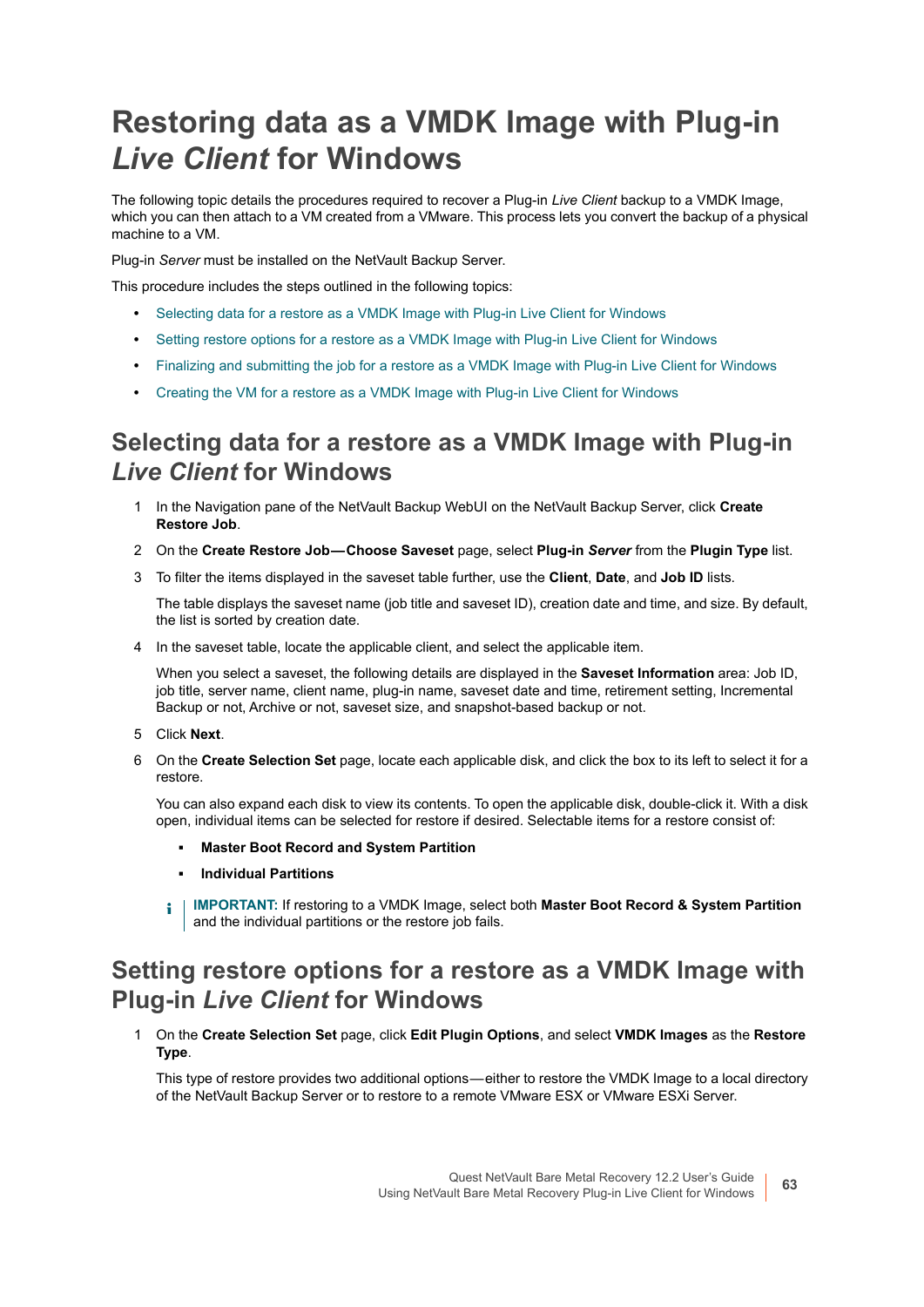## <span id="page-62-0"></span>**Restoring data as a VMDK Image with Plug-in**  *Live Client* **for Windows**

The following topic details the procedures required to recover a Plug-in *Live Client* backup to a VMDK Image, which you can then attach to a VM created from a VMware. This process lets you convert the backup of a physical machine to a VM.

Plug-in *Server* must be installed on the NetVault Backup Server.

This procedure includes the steps outlined in the following topics:

- **•** [Selecting data for a restore as a VMDK Image with Plug-in Live Client for Windows](#page-62-1)
- **•** [Setting restore options for a restore as a VMDK Image with Plug-in Live Client for Windows](#page-62-2)
- **•** [Finalizing and submitting the job for a restore as a VMDK Image with Plug-in Live Client for Windows](#page-63-0)
- **•** [Creating the VM for a restore as a VMDK Image with Plug-in Live Client for Windows](#page-64-0)

#### <span id="page-62-1"></span>**Selecting data for a restore as a VMDK Image with Plug-in**  *Live Client* **for Windows**

- 1 In the Navigation pane of the NetVault Backup WebUI on the NetVault Backup Server, click **Create Restore Job**.
- 2 On the **Create Restore Job Choose Saveset** page, select **Plug-in** *Server* from the **Plugin Type** list.
- 3 To filter the items displayed in the saveset table further, use the **Client**, **Date**, and **Job ID** lists.

The table displays the saveset name (job title and saveset ID), creation date and time, and size. By default, the list is sorted by creation date.

4 In the saveset table, locate the applicable client, and select the applicable item.

When you select a saveset, the following details are displayed in the **Saveset Information** area: Job ID, job title, server name, client name, plug-in name, saveset date and time, retirement setting, Incremental Backup or not, Archive or not, saveset size, and snapshot-based backup or not.

- 5 Click **Next**.
- 6 On the **Create Selection Set** page, locate each applicable disk, and click the box to its left to select it for a restore.

You can also expand each disk to view its contents. To open the applicable disk, double-click it. With a disk open, individual items can be selected for restore if desired. Selectable items for a restore consist of:

- **▪ Master Boot Record and System Partition**
- **▪ Individual Partitions**
- **i** | IMPORTANT: If restoring to a VMDK Image, select both Master Boot Record & System Partition and the individual partitions or the restore job fails.

### <span id="page-62-2"></span>**Setting restore options for a restore as a VMDK Image with Plug-in** *Live Client* **for Windows**

1 On the **Create Selection Set** page, click **Edit Plugin Options**, and select **VMDK Images** as the **Restore Type**.

This type of restore provides two additional options—either to restore the VMDK Image to a local directory of the NetVault Backup Server or to restore to a remote VMware ESX or VMware ESXi Server.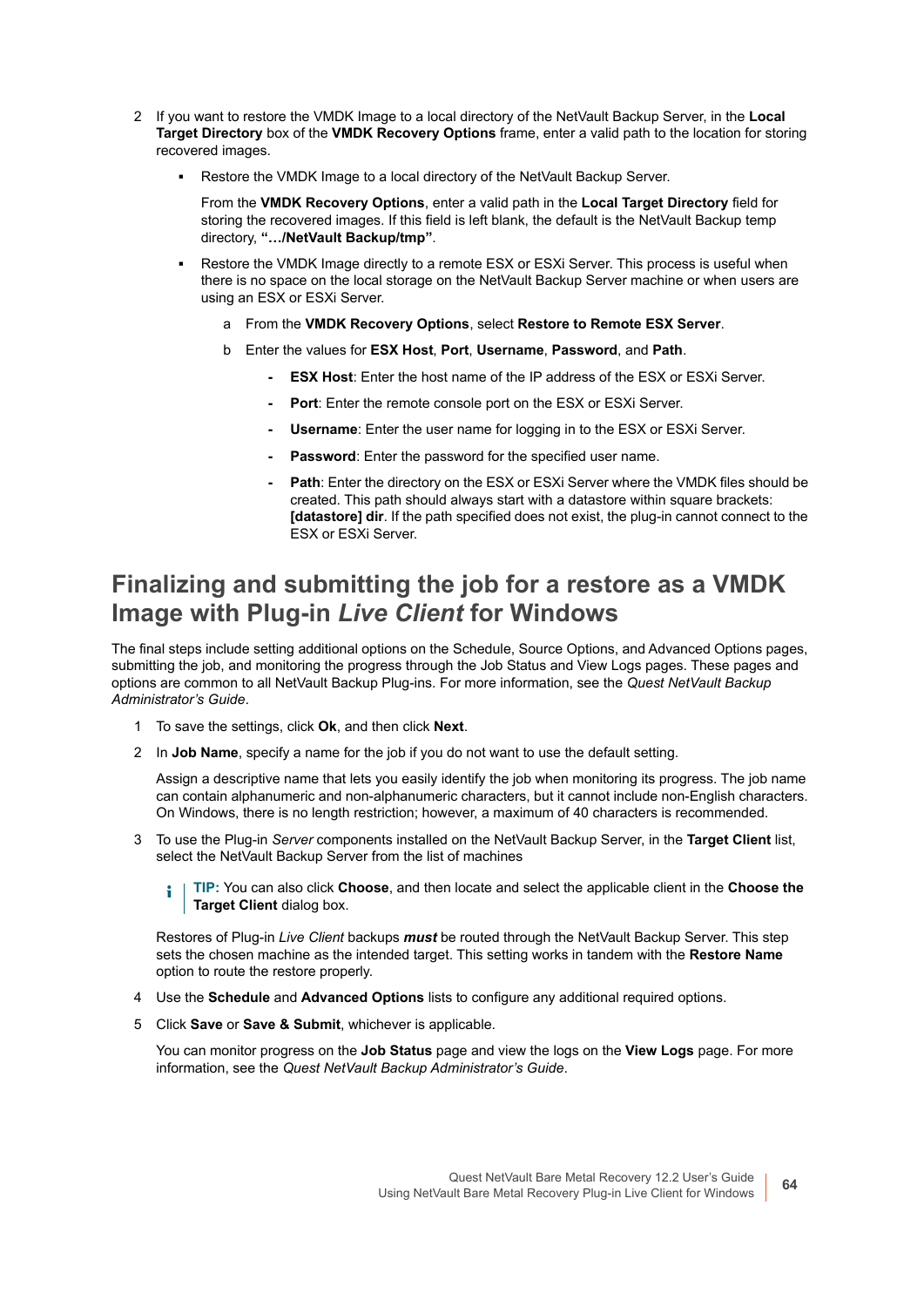- 2 If you want to restore the VMDK Image to a local directory of the NetVault Backup Server, in the **Local Target Directory** box of the **VMDK Recovery Options** frame, enter a valid path to the location for storing recovered images.
	- **▪** Restore the VMDK Image to a local directory of the NetVault Backup Server.

From the **VMDK Recovery Options**, enter a valid path in the **Local Target Directory** field for storing the recovered images. If this field is left blank, the default is the NetVault Backup temp directory, **"…/NetVault Backup/tmp"**.

- Restore the VMDK Image directly to a remote ESX or ESXi Server. This process is useful when there is no space on the local storage on the NetVault Backup Server machine or when users are using an ESX or ESXi Server.
	- a From the **VMDK Recovery Options**, select **Restore to Remote ESX Server**.
	- b Enter the values for **ESX Host**, **Port**, **Username**, **Password**, and **Path**.
		- **ESX Host:** Enter the host name of the IP address of the ESX or ESXi Server.
		- **Port:** Enter the remote console port on the ESX or ESXi Server.
		- **Username**: Enter the user name for logging in to the ESX or ESXi Server.
		- **Password**: Enter the password for the specified user name.
		- Path: Enter the directory on the ESX or ESXi Server where the VMDK files should be created. This path should always start with a datastore within square brackets: **[datastore] dir**. If the path specified does not exist, the plug-in cannot connect to the ESX or ESXi Server.

#### <span id="page-63-0"></span>**Finalizing and submitting the job for a restore as a VMDK Image with Plug-in** *Live Client* **for Windows**

The final steps include setting additional options on the Schedule, Source Options, and Advanced Options pages, submitting the job, and monitoring the progress through the Job Status and View Logs pages. These pages and options are common to all NetVault Backup Plug-ins. For more information, see the *Quest NetVault Backup Administrator's Guide*.

- 1 To save the settings, click **Ok**, and then click **Next**.
- 2 In **Job Name**, specify a name for the job if you do not want to use the default setting.

Assign a descriptive name that lets you easily identify the job when monitoring its progress. The job name can contain alphanumeric and non-alphanumeric characters, but it cannot include non-English characters. On Windows, there is no length restriction; however, a maximum of 40 characters is recommended.

3 To use the Plug-in *Server* components installed on the NetVault Backup Server, in the **Target Client** list, select the NetVault Backup Server from the list of machines

**TIP:** You can also click **Choose**, and then locate and select the applicable client in the **Choose the**  ÷ **Target Client** dialog box.

Restores of Plug-in *Live Client* backups *must* be routed through the NetVault Backup Server. This step sets the chosen machine as the intended target. This setting works in tandem with the **Restore Name** option to route the restore properly.

- 4 Use the **Schedule** and **Advanced Options** lists to configure any additional required options.
- 5 Click **Save** or **Save & Submit**, whichever is applicable.

You can monitor progress on the **Job Status** page and view the logs on the **View Logs** page. For more information, see the *Quest NetVault Backup Administrator's Guide*.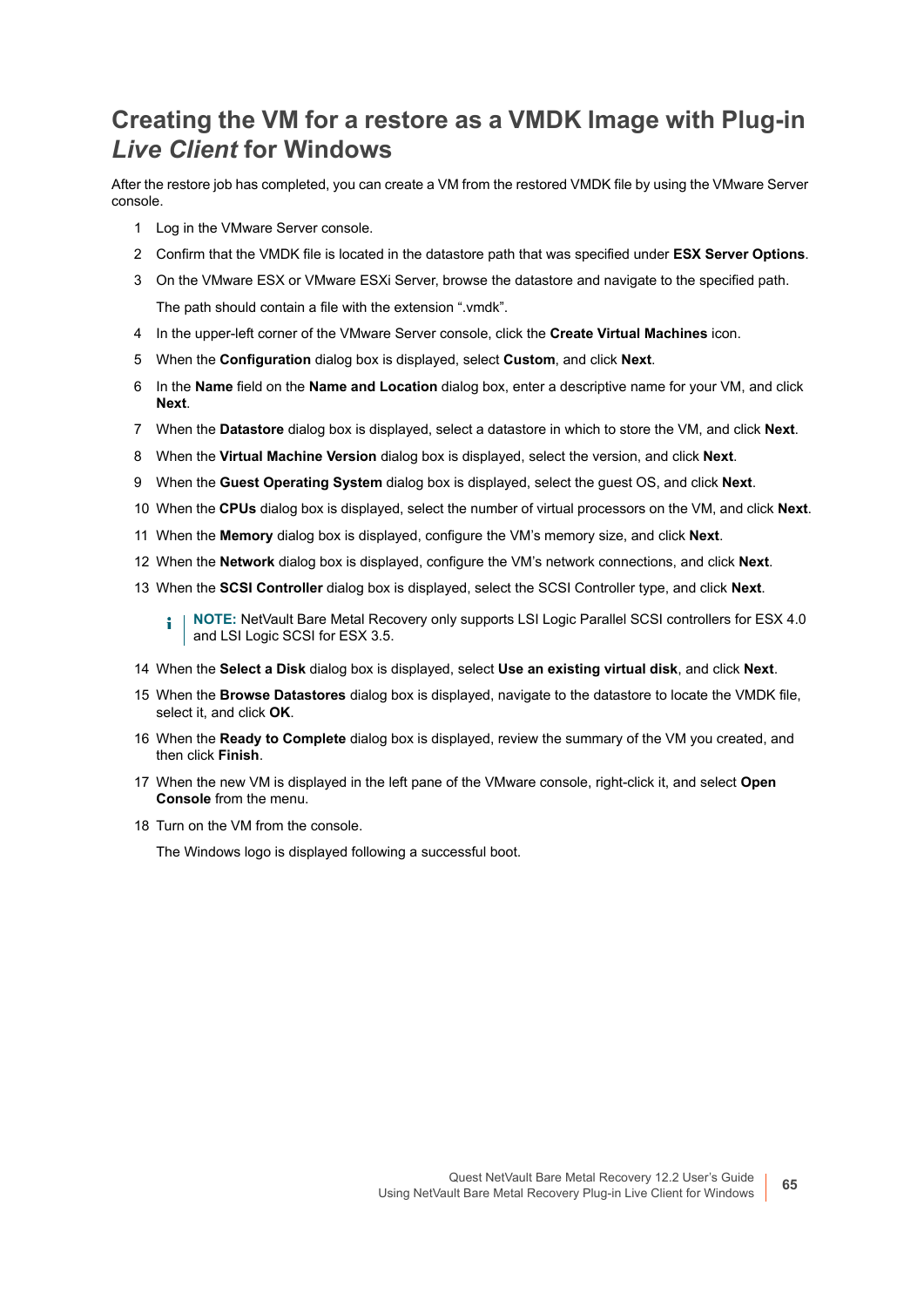### <span id="page-64-0"></span>**Creating the VM for a restore as a VMDK Image with Plug-in**  *Live Client* **for Windows**

After the restore job has completed, you can create a VM from the restored VMDK file by using the VMware Server console.

- 1 Log in the VMware Server console.
- 2 Confirm that the VMDK file is located in the datastore path that was specified under **ESX Server Options**.
- 3 On the VMware ESX or VMware ESXi Server, browse the datastore and navigate to the specified path. The path should contain a file with the extension ".vmdk".
- 4 In the upper-left corner of the VMware Server console, click the **Create Virtual Machines** icon.
- 5 When the **Configuration** dialog box is displayed, select **Custom**, and click **Next**.
- 6 In the **Name** field on the **Name and Location** dialog box, enter a descriptive name for your VM, and click **Next**.
- 7 When the **Datastore** dialog box is displayed, select a datastore in which to store the VM, and click **Next**.
- 8 When the **Virtual Machine Version** dialog box is displayed, select the version, and click **Next**.
- 9 When the **Guest Operating System** dialog box is displayed, select the guest OS, and click **Next**.
- 10 When the **CPUs** dialog box is displayed, select the number of virtual processors on the VM, and click **Next**.
- 11 When the **Memory** dialog box is displayed, configure the VM's memory size, and click **Next**.
- 12 When the **Network** dialog box is displayed, configure the VM's network connections, and click **Next**.
- 13 When the **SCSI Controller** dialog box is displayed, select the SCSI Controller type, and click **Next**.
	- **NOTE:** NetVault Bare Metal Recovery only supports LSI Logic Parallel SCSI controllers for ESX 4.0  $\blacksquare$ and LSI Logic SCSI for ESX 3.5.
- 14 When the **Select a Disk** dialog box is displayed, select **Use an existing virtual disk**, and click **Next**.
- 15 When the **Browse Datastores** dialog box is displayed, navigate to the datastore to locate the VMDK file, select it, and click **OK**.
- 16 When the **Ready to Complete** dialog box is displayed, review the summary of the VM you created, and then click **Finish**.
- 17 When the new VM is displayed in the left pane of the VMware console, right-click it, and select **Open Console** from the menu.
- 18 Turn on the VM from the console.

The Windows logo is displayed following a successful boot.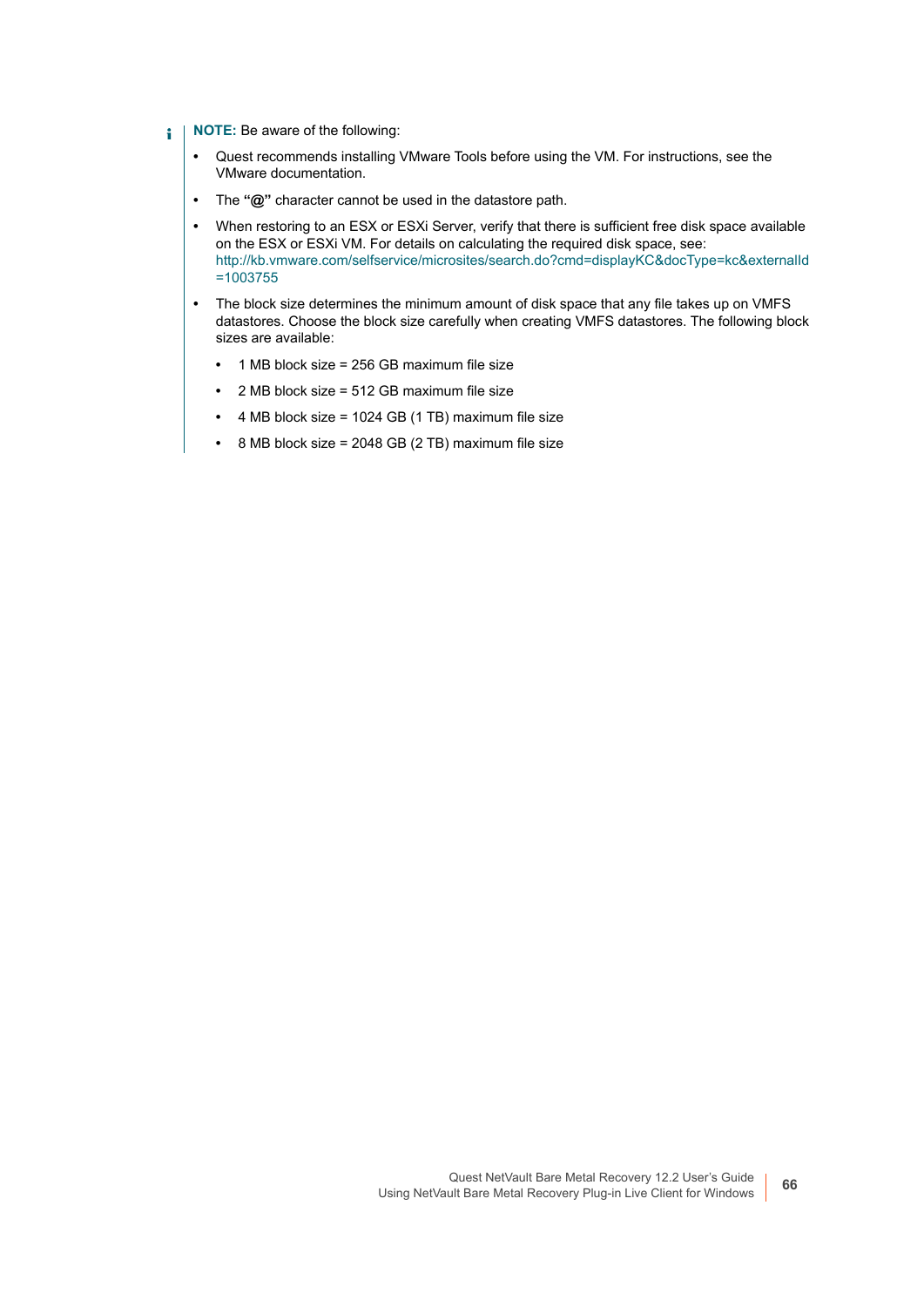- **NOTE:** Be aware of the following: f.
	- **•** Quest recommends installing VMware Tools before using the VM. For instructions, see the VMware documentation.
	- **•** The **"@"** character cannot be used in the datastore path.
	- **•** When restoring to an ESX or ESXi Server, verify that there is sufficient free disk space available on the ESX or ESXi VM. For details on calculating the required disk space, see: [http://kb.vmware.com/selfservice/microsites/search.do?cmd=displayKC&docType=kc&externalId](http://kb.vmware.com/selfservice/microsites/search.do?cmd=displayKC&docType=kc&externalId=1003755) =1003755
	- **•** The block size determines the minimum amount of disk space that any file takes up on VMFS datastores. Choose the block size carefully when creating VMFS datastores. The following block sizes are available:
		- **•** 1 MB block size = 256 GB maximum file size
		- **•** 2 MB block size = 512 GB maximum file size
		- **•** 4 MB block size = 1024 GB (1 TB) maximum file size
		- **•** 8 MB block size = 2048 GB (2 TB) maximum file size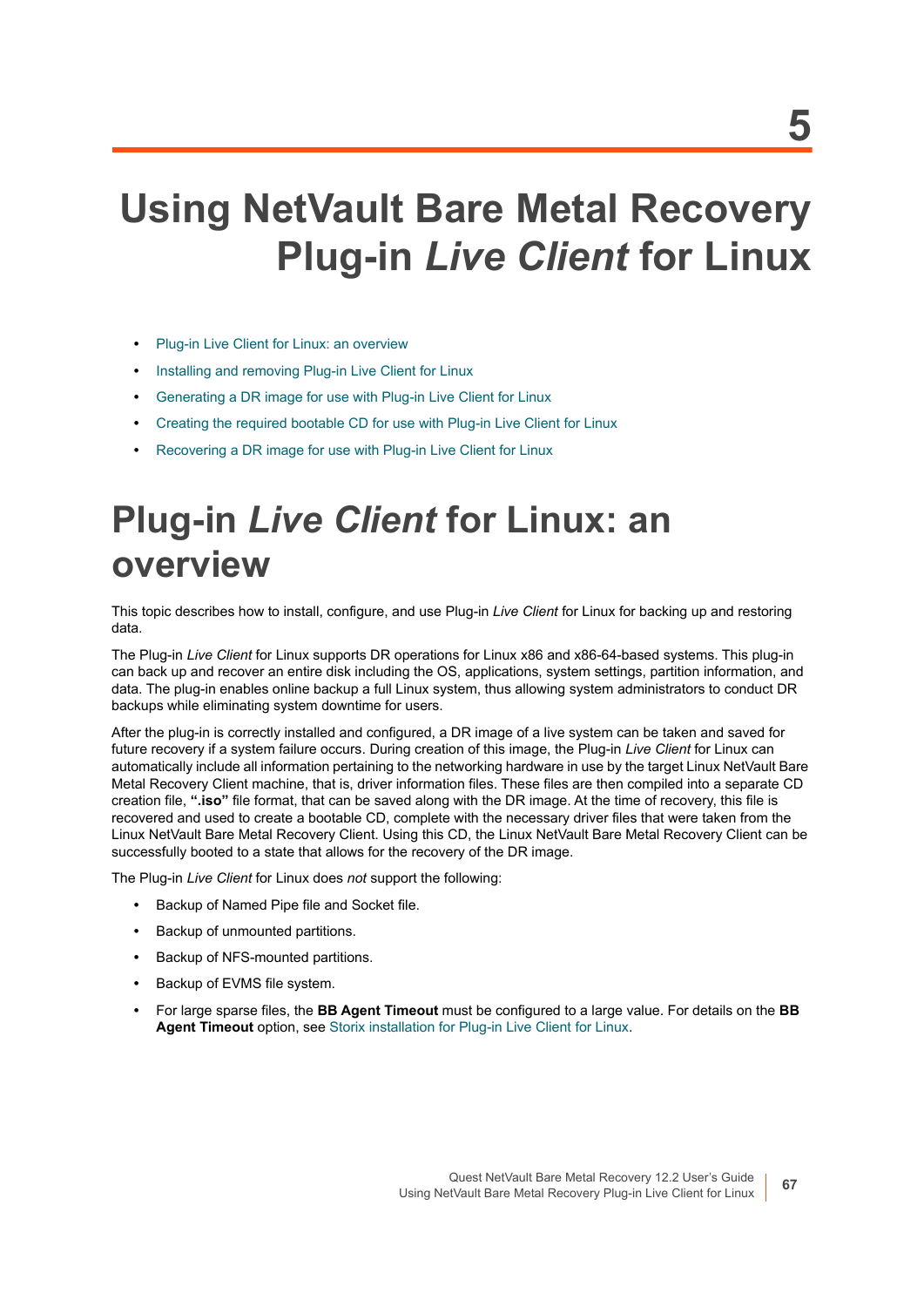# **Using NetVault Bare Metal Recovery Plug-in** *Live Client* **for Linux**

- **•** [Plug-in Live Client for Linux: an overview](#page-66-0)
- **•** [Installing and removing Plug-in Live Client for Linux](#page-67-0)
- **•** [Generating a DR image for use with Plug-in Live Client for Linux](#page-72-0)
- **•** [Creating the required bootable CD for use with Plug-in Live Client for Linux](#page-74-0)
- **•** [Recovering a DR image for use with Plug-in Live Client for Linux](#page-77-0)

# <span id="page-66-0"></span>**Plug-in** *Live Client* **for Linux: an overview**

This topic describes how to install, configure, and use Plug-in *Live Client* for Linux for backing up and restoring data.

The Plug-in *Live Client* for Linux supports DR operations for Linux x86 and x86-64-based systems. This plug-in can back up and recover an entire disk including the OS, applications, system settings, partition information, and data. The plug-in enables online backup a full Linux system, thus allowing system administrators to conduct DR backups while eliminating system downtime for users.

After the plug-in is correctly installed and configured, a DR image of a live system can be taken and saved for future recovery if a system failure occurs. During creation of this image, the Plug-in *Live Client* for Linux can automatically include all information pertaining to the networking hardware in use by the target Linux NetVault Bare Metal Recovery Client machine, that is, driver information files. These files are then compiled into a separate CD creation file, **".iso"** file format, that can be saved along with the DR image. At the time of recovery, this file is recovered and used to create a bootable CD, complete with the necessary driver files that were taken from the Linux NetVault Bare Metal Recovery Client. Using this CD, the Linux NetVault Bare Metal Recovery Client can be successfully booted to a state that allows for the recovery of the DR image.

The Plug-in *Live Client* for Linux does *not* support the following:

- **•** Backup of Named Pipe file and Socket file.
- **•** Backup of unmounted partitions.
- **•** Backup of NFS-mounted partitions.
- **•** Backup of EVMS file system.
- **•** For large sparse files, the **BB Agent Timeout** must be configured to a large value. For details on the **BB Agent Timeout** option, see [Storix installation for Plug-in Live Client for Linux](#page-70-0).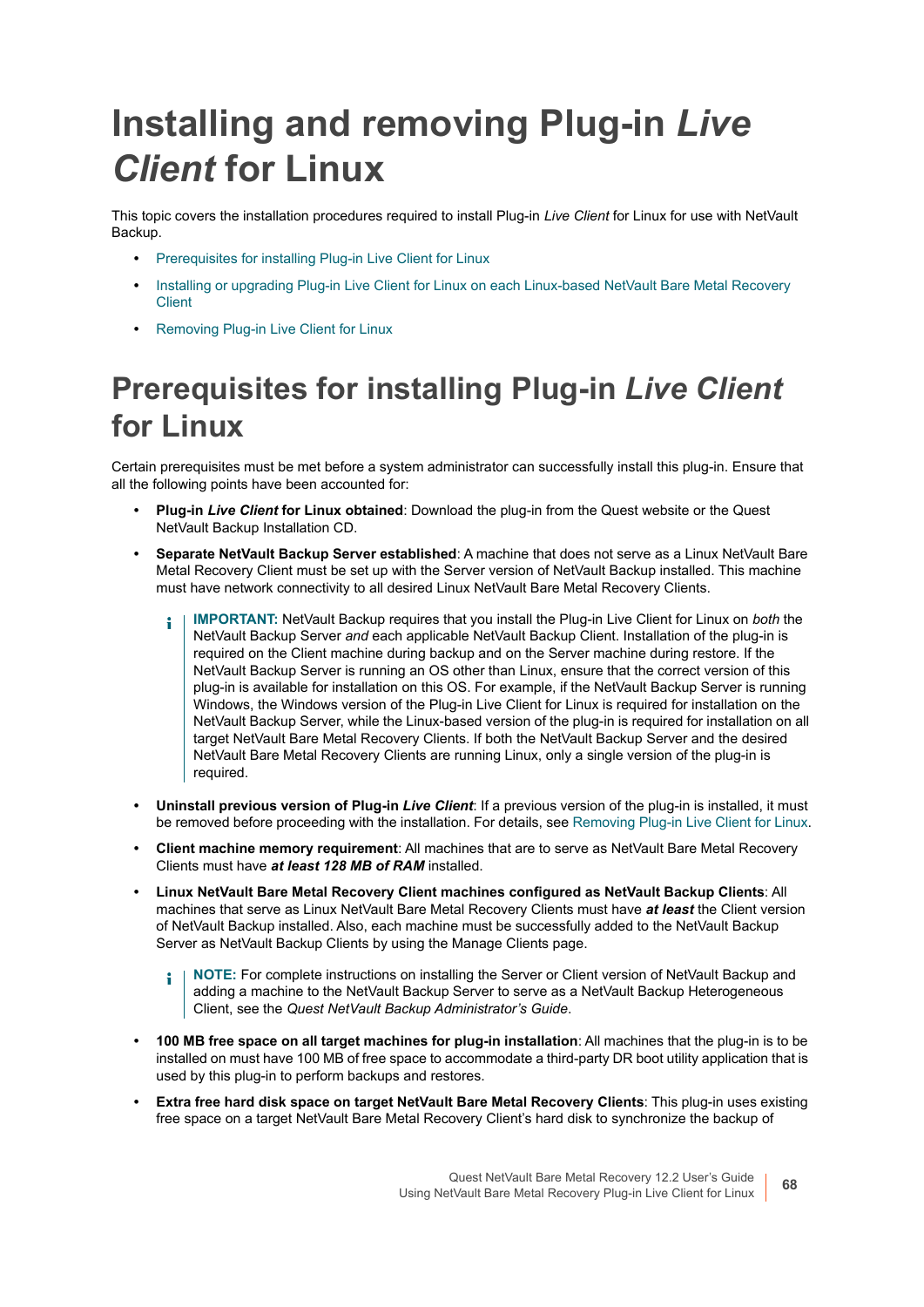# <span id="page-67-0"></span>**Installing and removing Plug-in** *Live Client* **for Linux**

This topic covers the installation procedures required to install Plug-in *Live Client* for Linux for use with NetVault Backup.

- **•** [Prerequisites for installing Plug-in Live Client for Linux](#page-67-1)
- Installing or upgrading Plug-in Live Client for Linux on each Linux-based NetVault Bare Metal Recovery [Client](#page-70-1)
- **•** [Removing Plug-in Live Client for Linux](#page-71-0)

## <span id="page-67-1"></span>**Prerequisites for installing Plug-in** *Live Client* **for Linux**

Certain prerequisites must be met before a system administrator can successfully install this plug-in. Ensure that all the following points have been accounted for:

- **Plug-in** *Live Client* **for Linux obtained**: Download the plug-in from the Quest website or the Quest NetVault Backup Installation CD.
- **Separate NetVault Backup Server established**: A machine that does not serve as a Linux NetVault Bare Metal Recovery Client must be set up with the Server version of NetVault Backup installed. This machine must have network connectivity to all desired Linux NetVault Bare Metal Recovery Clients.
	- **IMPORTANT:** NetVault Backup requires that you install the Plug-in Live Client for Linux on *both* the ÷ NetVault Backup Server *and* each applicable NetVault Backup Client. Installation of the plug-in is required on the Client machine during backup and on the Server machine during restore. If the NetVault Backup Server is running an OS other than Linux, ensure that the correct version of this plug-in is available for installation on this OS. For example, if the NetVault Backup Server is running Windows, the Windows version of the Plug-in Live Client for Linux is required for installation on the NetVault Backup Server, while the Linux-based version of the plug-in is required for installation on all target NetVault Bare Metal Recovery Clients. If both the NetVault Backup Server and the desired NetVault Bare Metal Recovery Clients are running Linux, only a single version of the plug-in is required.
- **Uninstall previous version of Plug-in** *Live Client*: If a previous version of the plug-in is installed, it must be removed before proceeding with the installation. For details, see [Removing Plug-in Live Client for Linux.](#page-71-0)
- **Client machine memory requirement**: All machines that are to serve as NetVault Bare Metal Recovery Clients must have *at least 128 MB of RAM* installed.
- **Linux NetVault Bare Metal Recovery Client machines configured as NetVault Backup Clients**: All machines that serve as Linux NetVault Bare Metal Recovery Clients must have *at least* the Client version of NetVault Backup installed. Also, each machine must be successfully added to the NetVault Backup Server as NetVault Backup Clients by using the Manage Clients page.
	- **NOTE:** For complete instructions on installing the Server or Client version of NetVault Backup and ÷ adding a machine to the NetVault Backup Server to serve as a NetVault Backup Heterogeneous Client, see the *Quest NetVault Backup Administrator's Guide*.
- **100 MB free space on all target machines for plug-in installation**: All machines that the plug-in is to be installed on must have 100 MB of free space to accommodate a third-party DR boot utility application that is used by this plug-in to perform backups and restores.
- **Extra free hard disk space on target NetVault Bare Metal Recovery Clients**: This plug-in uses existing free space on a target NetVault Bare Metal Recovery Client's hard disk to synchronize the backup of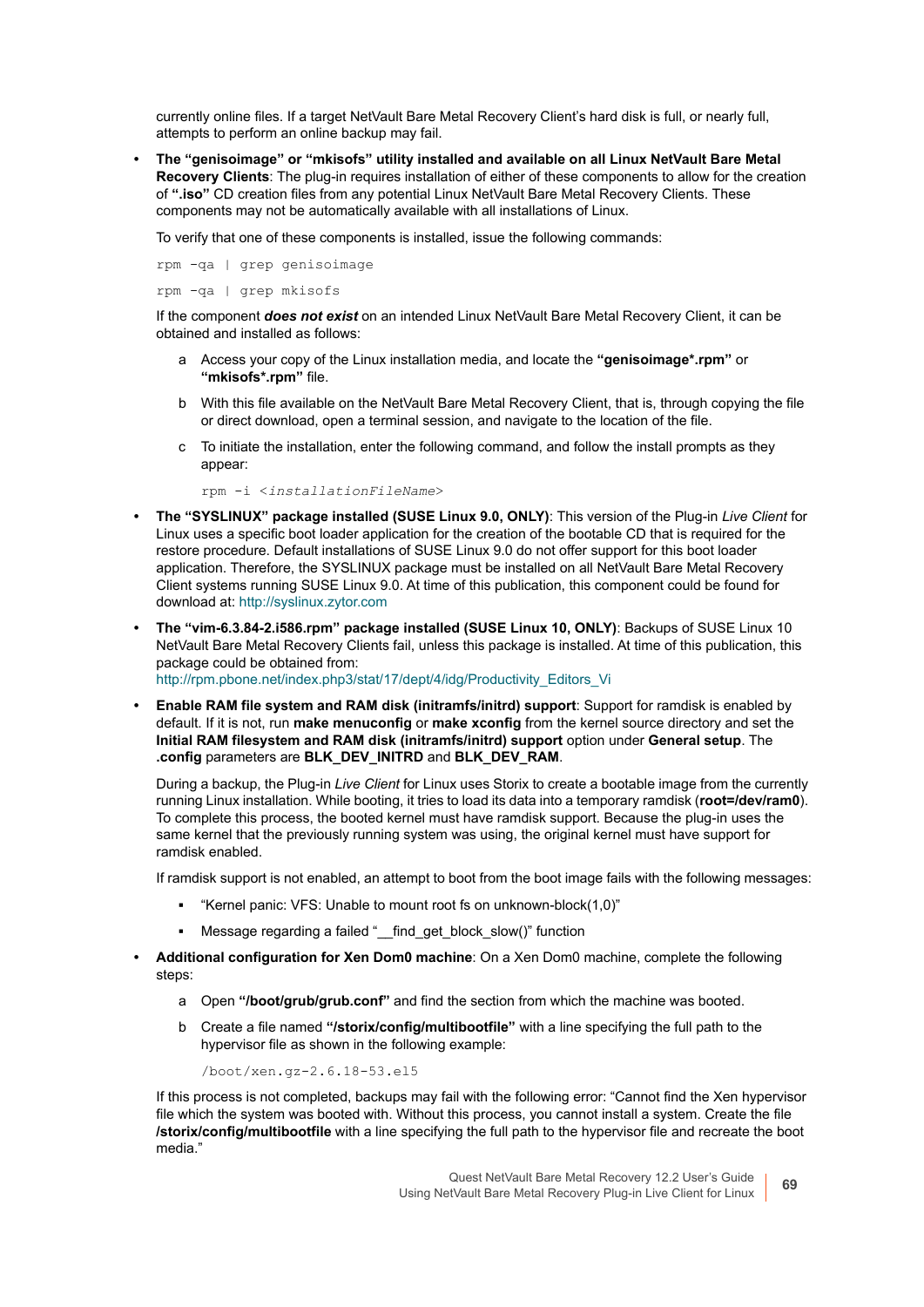currently online files. If a target NetVault Bare Metal Recovery Client's hard disk is full, or nearly full, attempts to perform an online backup may fail.

**• The "genisoimage" or "mkisofs" utility installed and available on all Linux NetVault Bare Metal Recovery Clients**: The plug-in requires installation of either of these components to allow for the creation of **".iso"** CD creation files from any potential Linux NetVault Bare Metal Recovery Clients. These components may not be automatically available with all installations of Linux.

To verify that one of these components is installed, issue the following commands:

rpm -qa | grep genisoimage rpm -qa | grep mkisofs

If the component *does not exist* on an intended Linux NetVault Bare Metal Recovery Client, it can be obtained and installed as follows:

- a Access your copy of the Linux installation media, and locate the **"genisoimage\*.rpm"** or **"mkisofs\*.rpm"** file.
- b With this file available on the NetVault Bare Metal Recovery Client, that is, through copying the file or direct download, open a terminal session, and navigate to the location of the file.
- c To initiate the installation, enter the following command, and follow the install prompts as they appear:

rpm -i <*installationFileName*>

- **The "SYSLINUX" package installed (SUSE Linux 9.0, ONLY)**: This version of the Plug-in *Live Client* for Linux uses a specific boot loader application for the creation of the bootable CD that is required for the restore procedure. Default installations of SUSE Linux 9.0 do not offer support for this boot loader application. Therefore, the SYSLINUX package must be installed on all NetVault Bare Metal Recovery Client systems running SUSE Linux 9.0. At time of this publication, this component could be found for download at:<http://syslinux.zytor.com>
- **The "vim-6.3.84-2.i586.rpm" package installed (SUSE Linux 10, ONLY)**: Backups of SUSE Linux 10 NetVault Bare Metal Recovery Clients fail, unless this package is installed. At time of this publication, this package could be obtained from: [http://rpm.pbone.net/index.php3/stat/17/dept/4/idg/Productivity\\_Editors\\_Vi](http://rpm.pbone.net/index.php3/stat/17/dept/4/idg/Productivity_Editors_Vi)
- **Enable RAM file system and RAM disk (initramfs/initrd) support**: Support for ramdisk is enabled by default. If it is not, run **make menuconfig** or **make xconfig** from the kernel source directory and set the **Initial RAM filesystem and RAM disk (initramfs/initrd) support** option under **General setup**. The **.config** parameters are **BLK\_DEV\_INITRD** and **BLK\_DEV\_RAM**.

During a backup, the Plug-in *Live Client* for Linux uses Storix to create a bootable image from the currently running Linux installation. While booting, it tries to load its data into a temporary ramdisk (**root=/dev/ram0**). To complete this process, the booted kernel must have ramdisk support. Because the plug-in uses the same kernel that the previously running system was using, the original kernel must have support for ramdisk enabled.

If ramdisk support is not enabled, an attempt to boot from the boot image fails with the following messages:

- **▪** "Kernel panic: VFS: Unable to mount root fs on unknown-block(1,0)"
- **■** Message regarding a failed " find\_get\_block\_slow()" function
- **Additional configuration for Xen Dom0 machine**: On a Xen Dom0 machine, complete the following steps:
	- a Open **"/boot/grub/grub.conf"** and find the section from which the machine was booted.
	- b Create a file named **"/storix/config/multibootfile"** with a line specifying the full path to the hypervisor file as shown in the following example:

/boot/xen.gz-2.6.18-53.el5

If this process is not completed, backups may fail with the following error: "Cannot find the Xen hypervisor file which the system was booted with. Without this process, you cannot install a system. Create the file **/storix/config/multibootfile** with a line specifying the full path to the hypervisor file and recreate the boot media."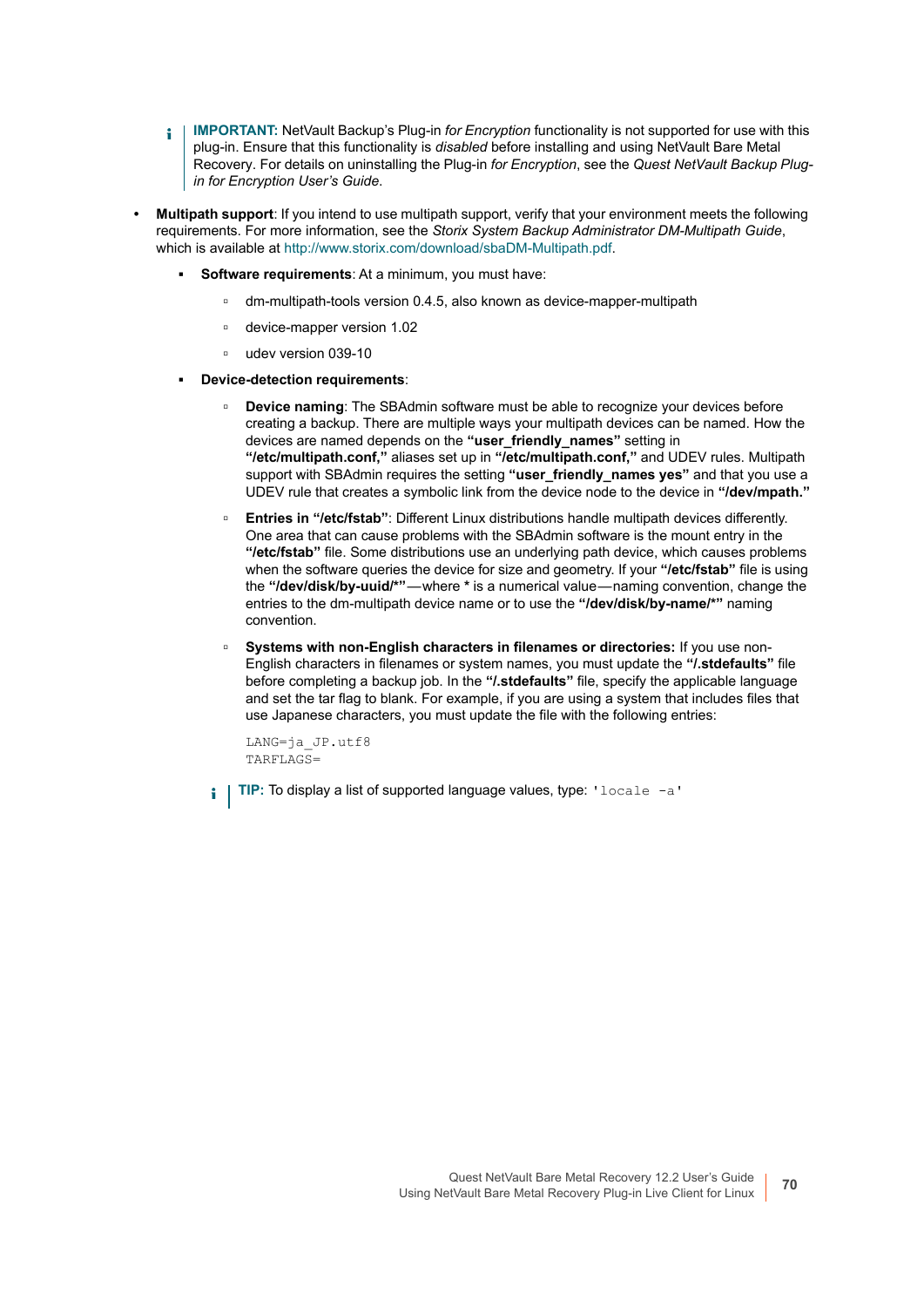- **IMPORTANT:** NetVault Backup's Plug-in *for Encryption* functionality is not supported for use with this  $\blacksquare$ plug-in. Ensure that this functionality is *disabled* before installing and using NetVault Bare Metal Recovery. For details on uninstalling the Plug-in *for Encryption*, see the *Quest NetVault Backup Plugin for Encryption User's Guide*.
- **Multipath support**: If you intend to use multipath support, verify that your environment meets the following requirements. For more information, see the *Storix System Backup Administrator DM-Multipath Guide*, which is available at<http://www.storix.com/download/sbaDM-Multipath.pdf>.
	- **Software requirements:** At a minimum, you must have:
		- **▫** dm-multipath-tools version 0.4.5, also known as device-mapper-multipath
		- **▫** device-mapper version 1.02
		- **▫** udev version 039-10
	- **▪ Device-detection requirements**:
		- **▫ Device naming**: The SBAdmin software must be able to recognize your devices before creating a backup. There are multiple ways your multipath devices can be named. How the devices are named depends on the **"user\_friendly\_names"** setting in **"/etc/multipath.conf,"** aliases set up in **"/etc/multipath.conf,"** and UDEV rules. Multipath support with SBAdmin requires the setting "user friendly names yes" and that you use a UDEV rule that creates a symbolic link from the device node to the device in **"/dev/mpath."**
		- **▫ Entries in "/etc/fstab"**: Different Linux distributions handle multipath devices differently. One area that can cause problems with the SBAdmin software is the mount entry in the **"/etc/fstab"** file. Some distributions use an underlying path device, which causes problems when the software queries the device for size and geometry. If your **"/etc/fstab"** file is using the **"/dev/disk/by-uuid/\*"** — where **\*** is a numerical value — naming convention, change the entries to the dm-multipath device name or to use the **"/dev/disk/by-name/\*"** naming convention.
		- **▫ Systems with non-English characters in filenames or directories:** If you use non-English characters in filenames or system names, you must update the **"/.stdefaults"** file before completing a backup job. In the **"/.stdefaults"** file, specify the applicable language and set the tar flag to blank. For example, if you are using a system that includes files that use Japanese characters, you must update the file with the following entries:

```
LANG=ja_JP.utf8
TARFLAGS=
```
**TIP:** To display a list of supported language values, type: 'locale -a'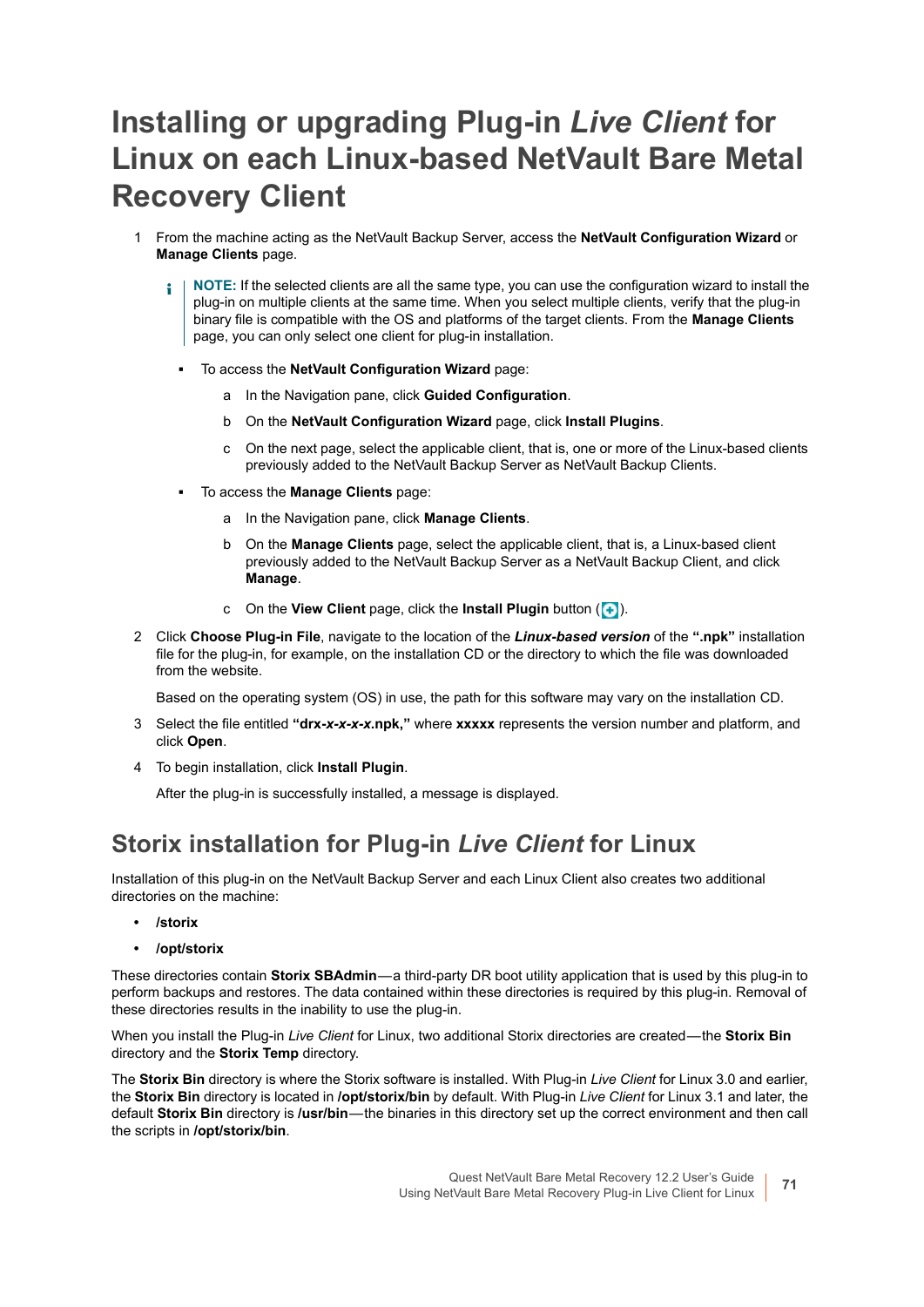## <span id="page-70-1"></span>**Installing or upgrading Plug-in** *Live Client* **for Linux on each Linux-based NetVault Bare Metal Recovery Client**

- 1 From the machine acting as the NetVault Backup Server, access the **NetVault Configuration Wizard** or **Manage Clients** page.
	- **NOTE:** If the selected clients are all the same type, you can use the configuration wizard to install the î plug-in on multiple clients at the same time. When you select multiple clients, verify that the plug-in binary file is compatible with the OS and platforms of the target clients. From the **Manage Clients**  page, you can only select one client for plug-in installation.
		- **▪** To access the **NetVault Configuration Wizard** page:
			- a In the Navigation pane, click **Guided Configuration**.
			- b On the **NetVault Configuration Wizard** page, click **Install Plugins**.
			- c On the next page, select the applicable client, that is, one or more of the Linux-based clients previously added to the NetVault Backup Server as NetVault Backup Clients.
		- **▪** To access the **Manage Clients** page:
			- a In the Navigation pane, click **Manage Clients**.
			- b On the **Manage Clients** page, select the applicable client, that is, a Linux-based client previously added to the NetVault Backup Server as a NetVault Backup Client, and click **Manage**.
			- c On the **View Client** page, click the **Install Plugin** button (**+**).
- 2 Click **Choose Plug-in File**, navigate to the location of the *Linux-based version* of the **".npk"** installation file for the plug-in, for example, on the installation CD or the directory to which the file was downloaded from the website.

Based on the operating system (OS) in use, the path for this software may vary on the installation CD.

- 3 Select the file entitled **"drx-***x-x-x-x***.npk,"** where **xxxxx** represents the version number and platform, and click **Open**.
- 4 To begin installation, click **Install Plugin**.

After the plug-in is successfully installed, a message is displayed.

#### <span id="page-70-0"></span>**Storix installation for Plug-in** *Live Client* **for Linux**

Installation of this plug-in on the NetVault Backup Server and each Linux Client also creates two additional directories on the machine:

- **/storix**
- **/opt/storix**

These directories contain **Storix SBAdmin**—a third-party DR boot utility application that is used by this plug-in to perform backups and restores. The data contained within these directories is required by this plug-in. Removal of these directories results in the inability to use the plug-in.

When you install the Plug-in *Live Client* for Linux, two additional Storix directories are created — the **Storix Bin** directory and the **Storix Temp** directory.

The **Storix Bin** directory is where the Storix software is installed. With Plug-in *Live Client* for Linux 3.0 and earlier, the **Storix Bin** directory is located in **/opt/storix/bin** by default. With Plug-in *Live Client* for Linux 3.1 and later, the default **Storix Bin** directory is **/usr/bin** — the binaries in this directory set up the correct environment and then call the scripts in **/opt/storix/bin**.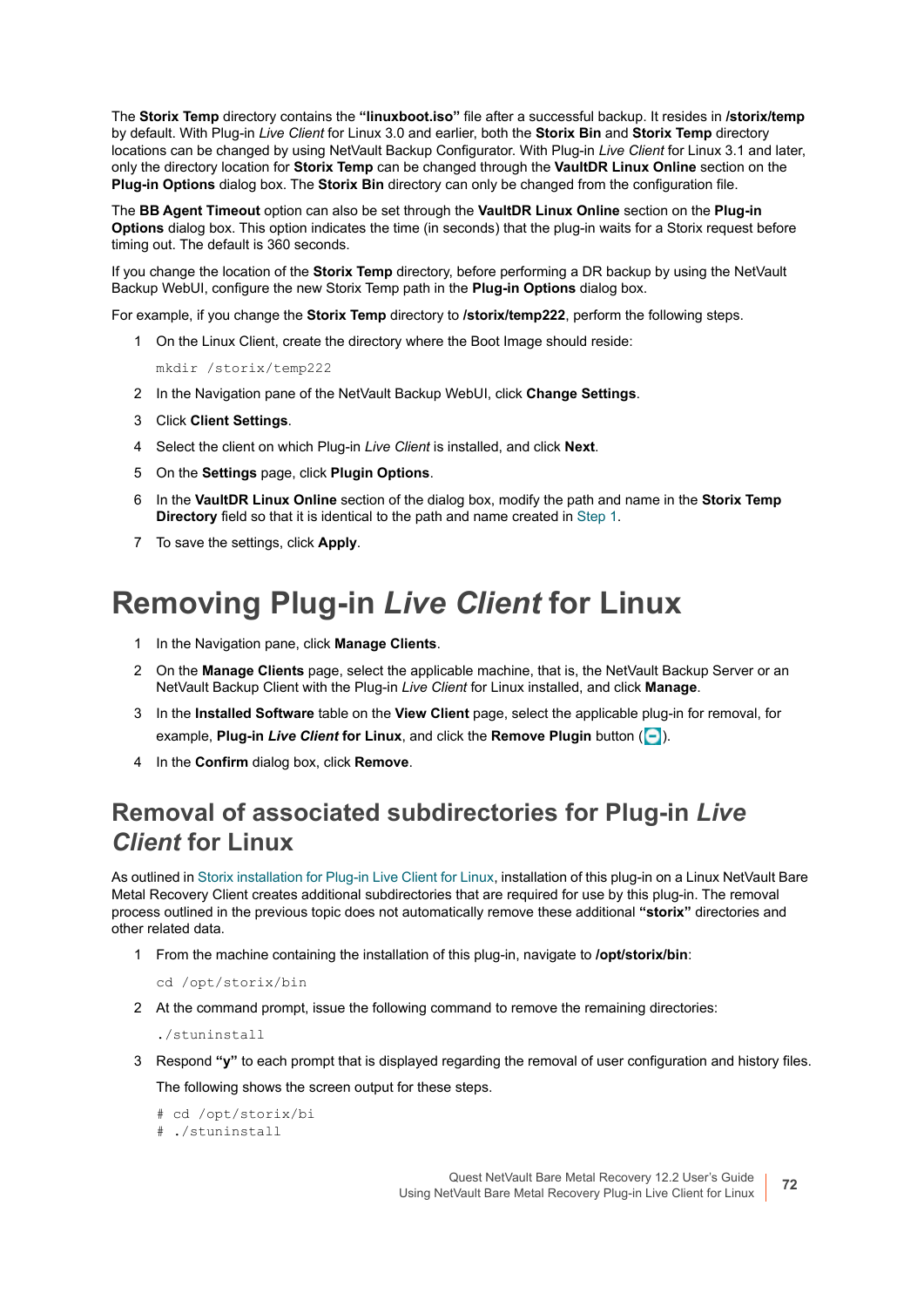The **Storix Temp** directory contains the **"linuxboot.iso"** file after a successful backup. It resides in **/storix/temp** by default. With Plug-in *Live Client* for Linux 3.0 and earlier, both the **Storix Bin** and **Storix Temp** directory locations can be changed by using NetVault Backup Configurator. With Plug-in *Live Client* for Linux 3.1 and later, only the directory location for **Storix Temp** can be changed through the **VaultDR Linux Online** section on the **Plug-in Options** dialog box. The **Storix Bin** directory can only be changed from the configuration file.

The **BB Agent Timeout** option can also be set through the **VaultDR Linux Online** section on the **Plug-in Options** dialog box. This option indicates the time (in seconds) that the plug-in waits for a Storix request before timing out. The default is 360 seconds.

If you change the location of the **Storix Temp** directory, before performing a DR backup by using the NetVault Backup WebUI, configure the new Storix Temp path in the **Plug-in Options** dialog box.

For example, if you change the **Storix Temp** directory to **/storix/temp222**, perform the following steps.

<span id="page-71-1"></span>1 On the Linux Client, create the directory where the Boot Image should reside:

mkdir /storix/temp222

- 2 In the Navigation pane of the NetVault Backup WebUI, click **Change Settings**.
- 3 Click **Client Settings**.
- 4 Select the client on which Plug-in *Live Client* is installed, and click **Next**.
- 5 On the **Settings** page, click **Plugin Options**.
- 6 In the **VaultDR Linux Online** section of the dialog box, modify the path and name in the **Storix Temp Directory** field so that it is identical to the path and name created in [Step 1.](#page-71-1)
- 7 To save the settings, click **Apply**.

## <span id="page-71-0"></span>**Removing Plug-in** *Live Client* **for Linux**

- 1 In the Navigation pane, click **Manage Clients**.
- 2 On the **Manage Clients** page, select the applicable machine, that is, the NetVault Backup Server or an NetVault Backup Client with the Plug-in *Live Client* for Linux installed, and click **Manage**.
- 3 In the **Installed Software** table on the **View Client** page, select the applicable plug-in for removal, for example, Plug-in *Live Client* for Linux, and click the Remove Plugin button ( $\boxed{-}$ ).
- 4 In the **Confirm** dialog box, click **Remove**.

### **Removal of associated subdirectories for Plug-in** *Live Client* **for Linux**

As outlined in [Storix installation for Plug-in Live Client for Linux](#page-70-0), installation of this plug-in on a Linux NetVault Bare Metal Recovery Client creates additional subdirectories that are required for use by this plug-in. The removal process outlined in the previous topic does not automatically remove these additional **"storix"** directories and other related data.

- 1 From the machine containing the installation of this plug-in, navigate to **/opt/storix/bin**:
	- cd /opt/storix/bin
- 2 At the command prompt, issue the following command to remove the remaining directories:

./stuninstall

3 Respond **"y"** to each prompt that is displayed regarding the removal of user configuration and history files. The following shows the screen output for these steps.

```
# cd /opt/storix/bi
```

```
# ./stuninstall
```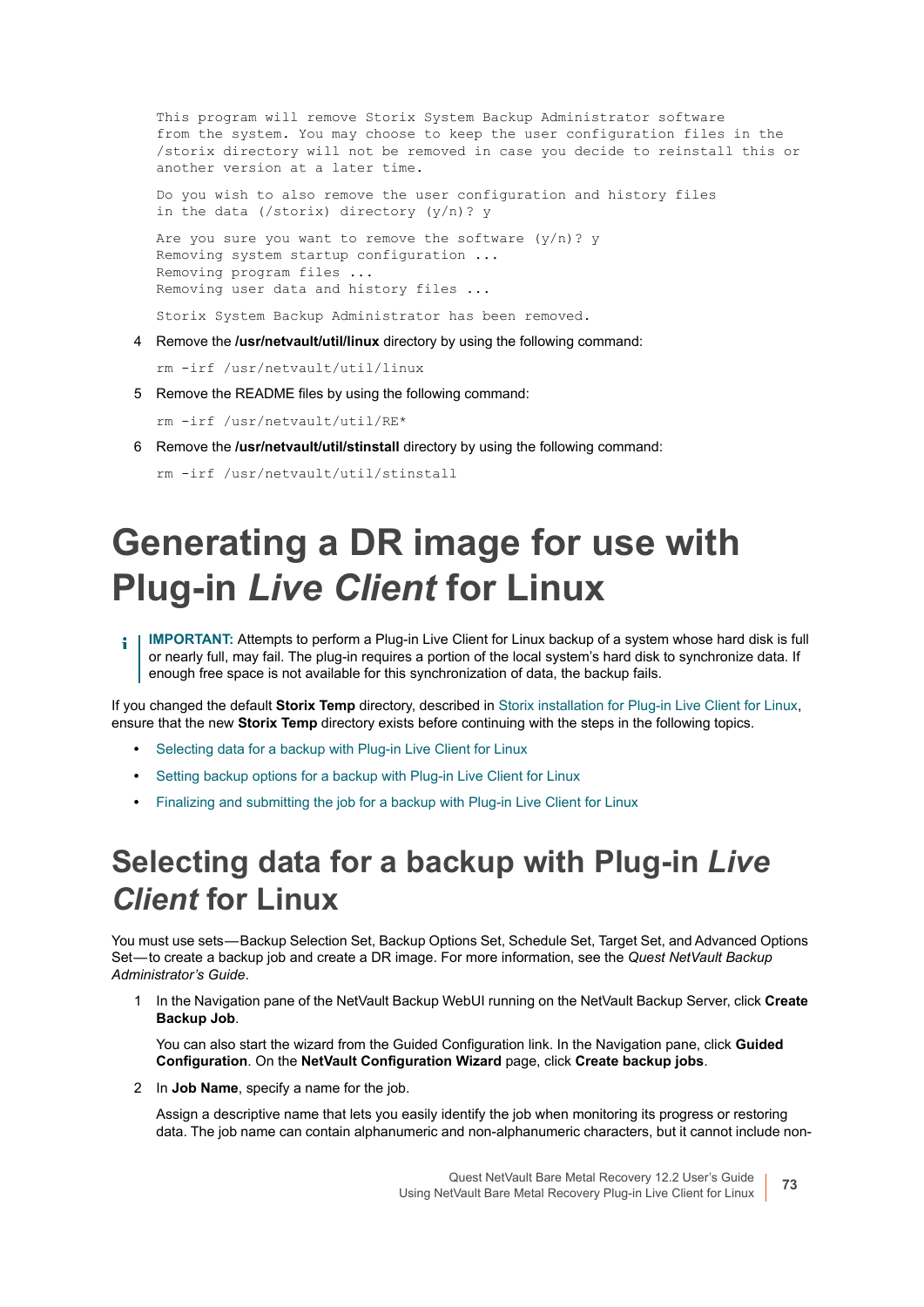This program will remove Storix System Backup Administrator software from the system. You may choose to keep the user configuration files in the /storix directory will not be removed in case you decide to reinstall this or another version at a later time.

Do you wish to also remove the user configuration and history files in the data (/storix) directory (y/n)? y

Are you sure you want to remove the software  $(y/n)$ ? y Removing system startup configuration ... Removing program files ... Removing user data and history files ...

Storix System Backup Administrator has been removed.

4 Remove the **/usr/netvault/util/linux** directory by using the following command:

rm -irf /usr/netvault/util/linux

5 Remove the README files by using the following command:

rm -irf /usr/netvault/util/RE\*

6 Remove the **/usr/netvault/util/stinstall** directory by using the following command:

```
rm -irf /usr/netvault/util/stinstall
```
# **Generating a DR image for use with Plug-in** *Live Client* **for Linux**

**IMPORTANT:** Attempts to perform a Plug-in Live Client for Linux backup of a system whose hard disk is full f. or nearly full, may fail. The plug-in requires a portion of the local system's hard disk to synchronize data. If enough free space is not available for this synchronization of data, the backup fails.

If you changed the default **Storix Temp** directory, described in [Storix installation for Plug-in Live Client for Linux](#page-70-0), ensure that the new **Storix Temp** directory exists before continuing with the steps in the following topics.

- **•** [Selecting data for a backup with Plug-in Live Client for Linux](#page-72-0)
- **•** [Setting backup options for a backup with Plug-in Live Client for Linux](#page-73-0)
- **•** [Finalizing and submitting the job for a backup with Plug-in Live Client for Linux](#page-74-0)

### <span id="page-72-0"></span>**Selecting data for a backup with Plug-in** *Live Client* **for Linux**

You must use sets — Backup Selection Set, Backup Options Set, Schedule Set, Target Set, and Advanced Options Set — to create a backup job and create a DR image. For more information, see the *Quest NetVault Backup Administrator's Guide*.

1 In the Navigation pane of the NetVault Backup WebUI running on the NetVault Backup Server, click **Create Backup Job**.

You can also start the wizard from the Guided Configuration link. In the Navigation pane, click **Guided Configuration**. On the **NetVault Configuration Wizard** page, click **Create backup jobs**.

2 In **Job Name**, specify a name for the job.

Assign a descriptive name that lets you easily identify the job when monitoring its progress or restoring data. The job name can contain alphanumeric and non-alphanumeric characters, but it cannot include non-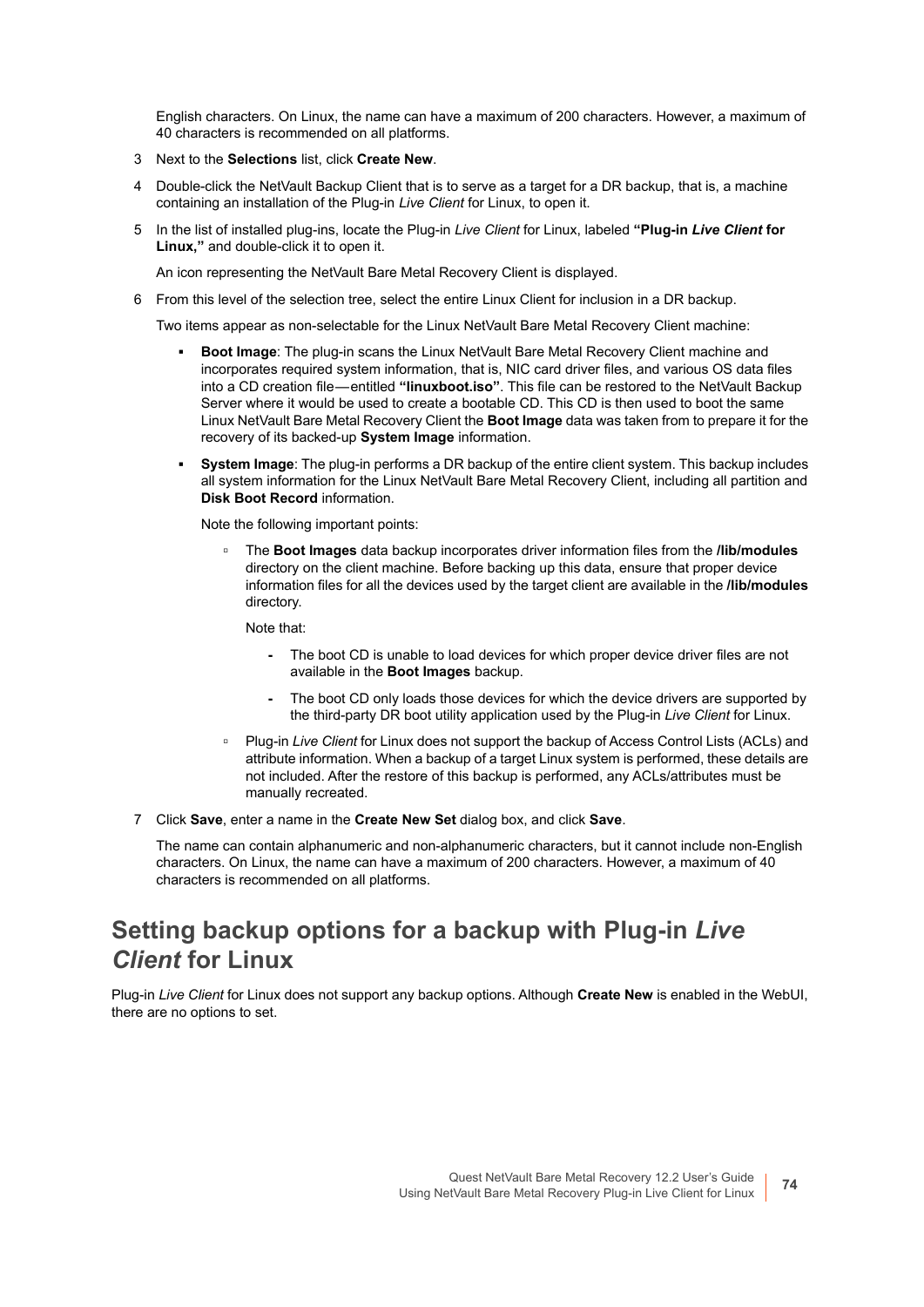English characters. On Linux, the name can have a maximum of 200 characters. However, a maximum of 40 characters is recommended on all platforms.

- 3 Next to the **Selections** list, click **Create New**.
- 4 Double-click the NetVault Backup Client that is to serve as a target for a DR backup, that is, a machine containing an installation of the Plug-in *Live Client* for Linux, to open it.
- 5 In the list of installed plug-ins, locate the Plug-in *Live Client* for Linux, labeled **"Plug-in** *Live Client* **for Linux,"** and double-click it to open it.

An icon representing the NetVault Bare Metal Recovery Client is displayed.

6 From this level of the selection tree, select the entire Linux Client for inclusion in a DR backup.

Two items appear as non-selectable for the Linux NetVault Bare Metal Recovery Client machine:

- **Boot Image:** The plug-in scans the Linux NetVault Bare Metal Recovery Client machine and incorporates required system information, that is, NIC card driver files, and various OS data files into a CD creation file — entitled **"linuxboot.iso"**. This file can be restored to the NetVault Backup Server where it would be used to create a bootable CD. This CD is then used to boot the same Linux NetVault Bare Metal Recovery Client the **Boot Image** data was taken from to prepare it for the recovery of its backed-up **System Image** information.
- **System Image:** The plug-in performs a DR backup of the entire client system. This backup includes all system information for the Linux NetVault Bare Metal Recovery Client, including all partition and **Disk Boot Record** information.

Note the following important points:

**▫** The **Boot Images** data backup incorporates driver information files from the **/lib/modules** directory on the client machine. Before backing up this data, ensure that proper device information files for all the devices used by the target client are available in the **/lib/modules** directory.

Note that:

- **-** The boot CD is unable to load devices for which proper device driver files are not available in the **Boot Images** backup.
- **-** The boot CD only loads those devices for which the device drivers are supported by the third-party DR boot utility application used by the Plug-in *Live Client* for Linux.
- **▫** Plug-in *Live Client* for Linux does not support the backup of Access Control Lists (ACLs) and attribute information. When a backup of a target Linux system is performed, these details are not included. After the restore of this backup is performed, any ACLs/attributes must be manually recreated.
- 7 Click **Save**, enter a name in the **Create New Set** dialog box, and click **Save**.

The name can contain alphanumeric and non-alphanumeric characters, but it cannot include non-English characters. On Linux, the name can have a maximum of 200 characters. However, a maximum of 40 characters is recommended on all platforms.

#### <span id="page-73-0"></span>**Setting backup options for a backup with Plug-in** *Live Client* **for Linux**

Plug-in *Live Client* for Linux does not support any backup options. Although **Create New** is enabled in the WebUI, there are no options to set.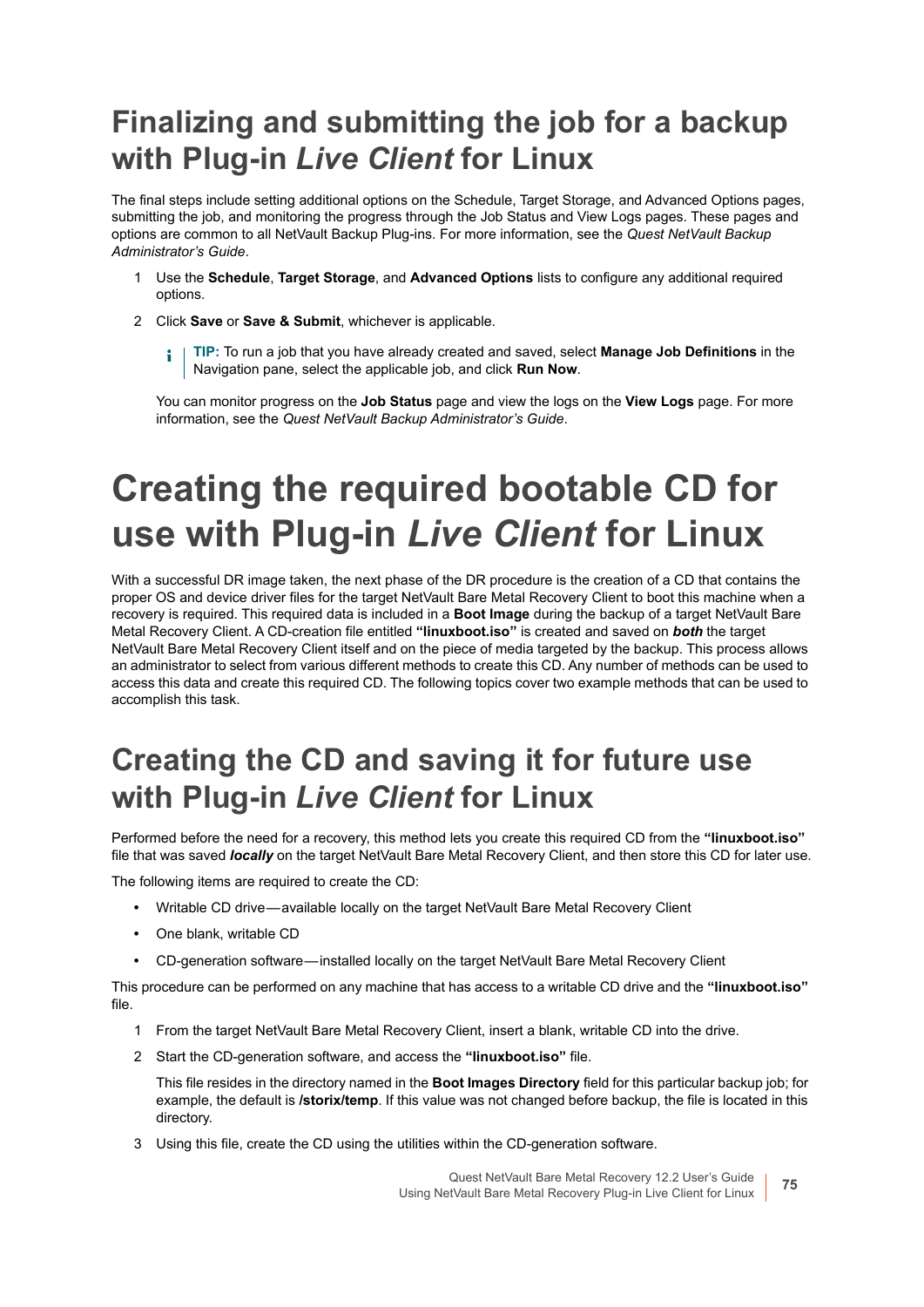### <span id="page-74-0"></span>**Finalizing and submitting the job for a backup with Plug-in** *Live Client* **for Linux**

The final steps include setting additional options on the Schedule, Target Storage, and Advanced Options pages, submitting the job, and monitoring the progress through the Job Status and View Logs pages. These pages and options are common to all NetVault Backup Plug-ins. For more information, see the *Quest NetVault Backup Administrator's Guide*.

- 1 Use the **Schedule**, **Target Storage**, and **Advanced Options** lists to configure any additional required options.
- 2 Click **Save** or **Save & Submit**, whichever is applicable.
	- **TIP:** To run a job that you have already created and saved, select **Manage Job Definitions** in the ÷ Navigation pane, select the applicable job, and click **Run Now**.

You can monitor progress on the **Job Status** page and view the logs on the **View Logs** page. For more information, see the *Quest NetVault Backup Administrator's Guide*.

# <span id="page-74-1"></span>**Creating the required bootable CD for use with Plug-in** *Live Client* **for Linux**

With a successful DR image taken, the next phase of the DR procedure is the creation of a CD that contains the proper OS and device driver files for the target NetVault Bare Metal Recovery Client to boot this machine when a recovery is required. This required data is included in a **Boot Image** during the backup of a target NetVault Bare Metal Recovery Client. A CD-creation file entitled **"linuxboot.iso"** is created and saved on *both* the target NetVault Bare Metal Recovery Client itself and on the piece of media targeted by the backup. This process allows an administrator to select from various different methods to create this CD. Any number of methods can be used to access this data and create this required CD. The following topics cover two example methods that can be used to accomplish this task.

### **Creating the CD and saving it for future use with Plug-in** *Live Client* **for Linux**

Performed before the need for a recovery, this method lets you create this required CD from the **"linuxboot.iso"** file that was saved *locally* on the target NetVault Bare Metal Recovery Client, and then store this CD for later use.

The following items are required to create the CD:

- **•** Writable CD drive available locally on the target NetVault Bare Metal Recovery Client
- **•** One blank, writable CD
- **•** CD-generation software installed locally on the target NetVault Bare Metal Recovery Client

This procedure can be performed on any machine that has access to a writable CD drive and the **"linuxboot.iso"** file.

- 1 From the target NetVault Bare Metal Recovery Client, insert a blank, writable CD into the drive.
- 2 Start the CD-generation software, and access the **"linuxboot.iso"** file.

This file resides in the directory named in the **Boot Images Directory** field for this particular backup job; for example, the default is **/storix/temp**. If this value was not changed before backup, the file is located in this directory.

3 Using this file, create the CD using the utilities within the CD-generation software.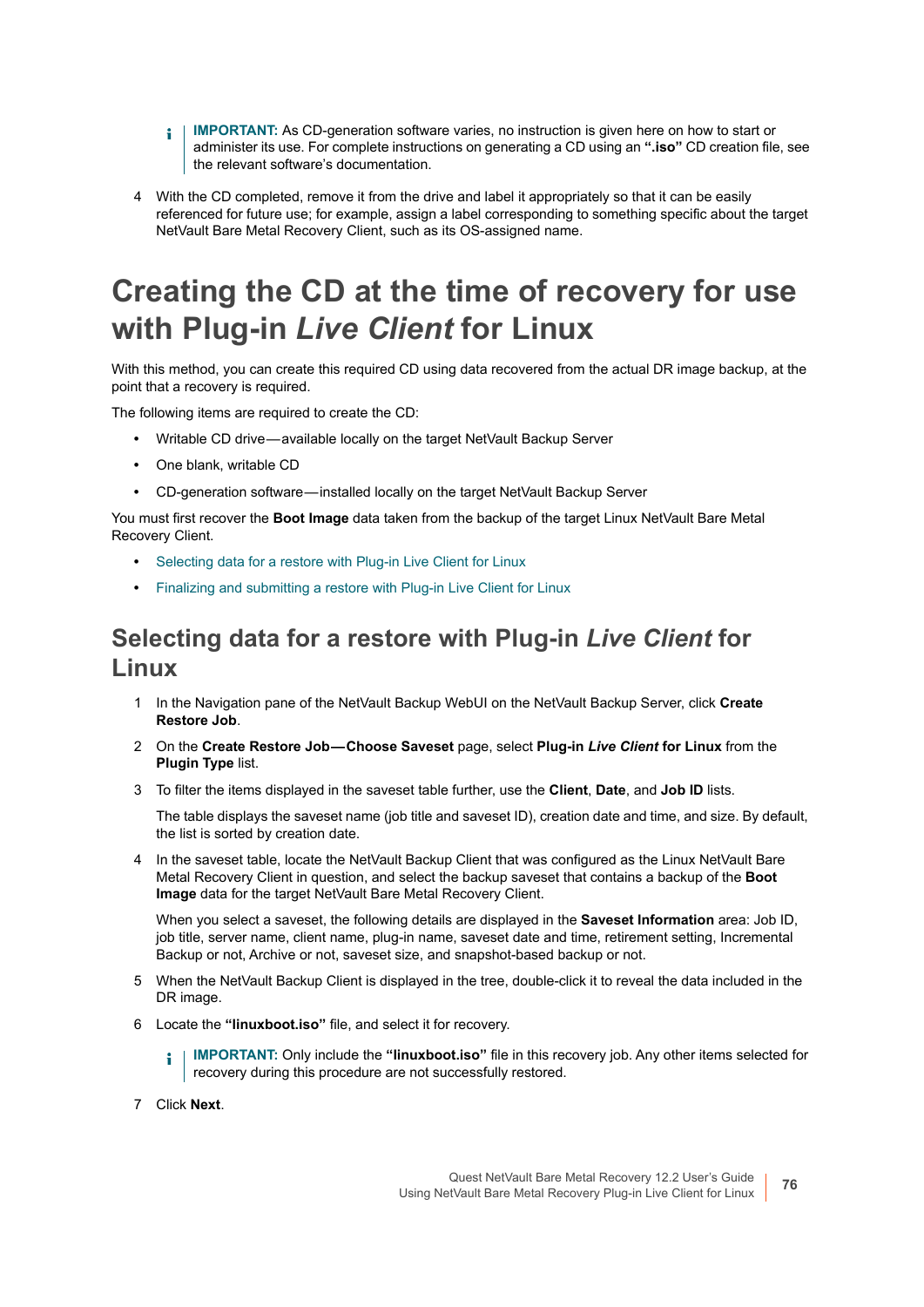- **I IMPORTANT:** As CD-generation software varies, no instruction is given here on how to start or administer its use. For complete instructions on generating a CD using an **".iso"** CD creation file, see the relevant software's documentation.
- 4 With the CD completed, remove it from the drive and label it appropriately so that it can be easily referenced for future use; for example, assign a label corresponding to something specific about the target NetVault Bare Metal Recovery Client, such as its OS-assigned name.

### **Creating the CD at the time of recovery for use with Plug-in** *Live Client* **for Linux**

With this method, you can create this required CD using data recovered from the actual DR image backup, at the point that a recovery is required.

The following items are required to create the CD:

- **•** Writable CD drive available locally on the target NetVault Backup Server
- **•** One blank, writable CD
- **•** CD-generation software installed locally on the target NetVault Backup Server

You must first recover the **Boot Image** data taken from the backup of the target Linux NetVault Bare Metal Recovery Client.

- **•** [Selecting data for a restore with Plug-in Live Client for Linux](#page-75-0)
- **•** [Finalizing and submitting a restore with Plug-in Live Client for Linux](#page-76-0)

#### <span id="page-75-0"></span>**Selecting data for a restore with Plug-in** *Live Client* **for Linux**

- 1 In the Navigation pane of the NetVault Backup WebUI on the NetVault Backup Server, click **Create Restore Job**.
- 2 On the **Create Restore Job Choose Saveset** page, select **Plug-in** *Live Client* **for Linux** from the **Plugin Type** list.
- 3 To filter the items displayed in the saveset table further, use the **Client**, **Date**, and **Job ID** lists.

The table displays the saveset name (job title and saveset ID), creation date and time, and size. By default, the list is sorted by creation date.

4 In the saveset table, locate the NetVault Backup Client that was configured as the Linux NetVault Bare Metal Recovery Client in question, and select the backup saveset that contains a backup of the **Boot Image** data for the target NetVault Bare Metal Recovery Client.

When you select a saveset, the following details are displayed in the **Saveset Information** area: Job ID, job title, server name, client name, plug-in name, saveset date and time, retirement setting, Incremental Backup or not, Archive or not, saveset size, and snapshot-based backup or not.

- 5 When the NetVault Backup Client is displayed in the tree, double-click it to reveal the data included in the DR image.
- 6 Locate the **"linuxboot.iso"** file, and select it for recovery.
	- **I** | IMPORTANT: Only include the "linuxboot.iso" file in this recovery job. Any other items selected for recovery during this procedure are not successfully restored.
- 7 Click **Next**.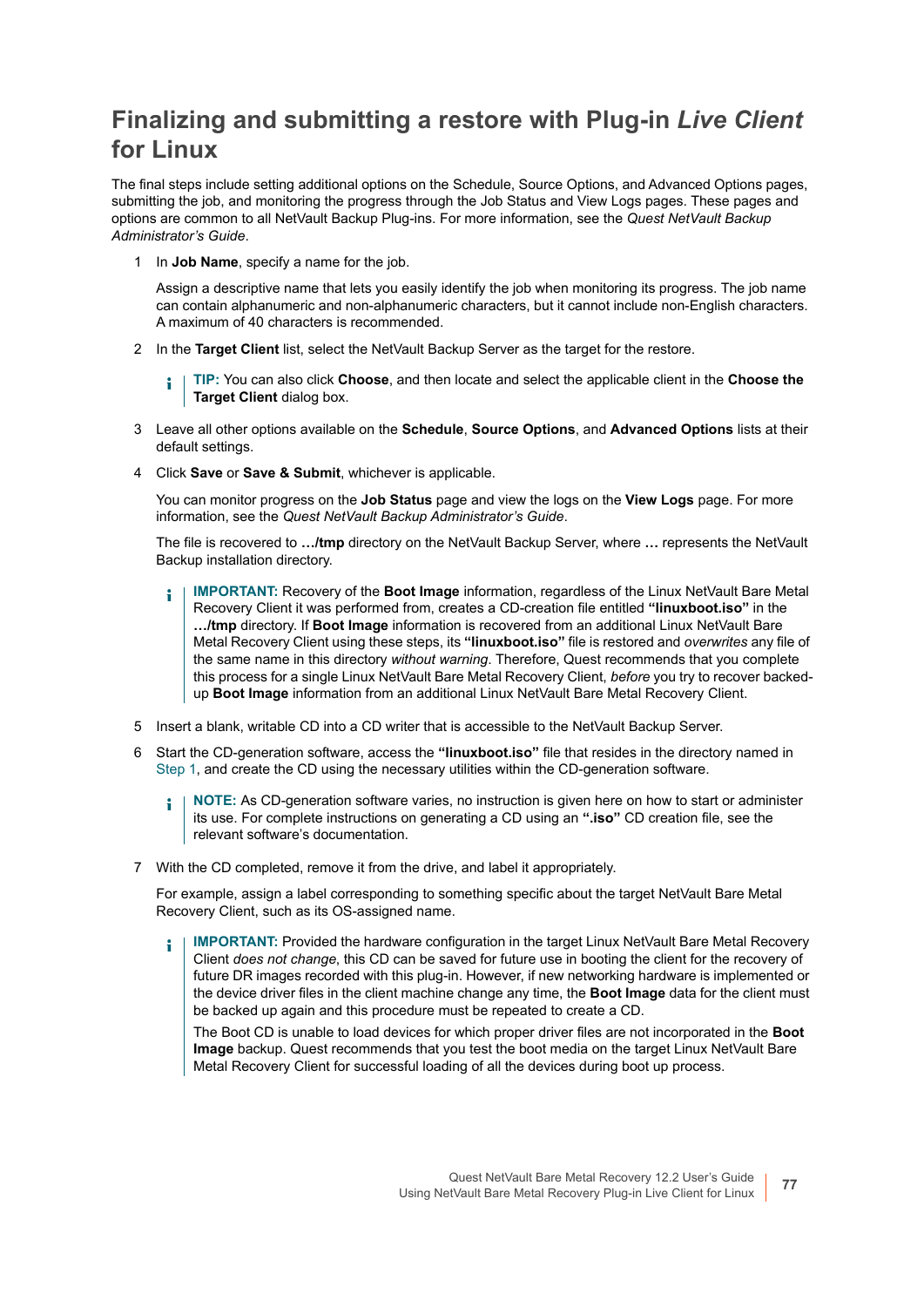### <span id="page-76-0"></span>**Finalizing and submitting a restore with Plug-in** *Live Client* **for Linux**

The final steps include setting additional options on the Schedule, Source Options, and Advanced Options pages, submitting the job, and monitoring the progress through the Job Status and View Logs pages. These pages and options are common to all NetVault Backup Plug-ins. For more information, see the *Quest NetVault Backup Administrator's Guide*.

<span id="page-76-1"></span>1 In **Job Name**, specify a name for the job.

Assign a descriptive name that lets you easily identify the job when monitoring its progress. The job name can contain alphanumeric and non-alphanumeric characters, but it cannot include non-English characters. A maximum of 40 characters is recommended.

2 In the **Target Client** list, select the NetVault Backup Server as the target for the restore.

**TIP:** You can also click **Choose**, and then locate and select the applicable client in the **Choose the**  Î. **Target Client** dialog box.

- 3 Leave all other options available on the **Schedule**, **Source Options**, and **Advanced Options** lists at their default settings.
- 4 Click **Save** or **Save & Submit**, whichever is applicable.

You can monitor progress on the **Job Status** page and view the logs on the **View Logs** page. For more information, see the *Quest NetVault Backup Administrator's Guide*.

The file is recovered to **…/tmp** directory on the NetVault Backup Server, where **…** represents the NetVault Backup installation directory.

- **IMPORTANT:** Recovery of the **Boot Image** information, regardless of the Linux NetVault Bare Metal ÷ Recovery Client it was performed from, creates a CD-creation file entitled **"linuxboot.iso"** in the **…/tmp** directory. If **Boot Image** information is recovered from an additional Linux NetVault Bare Metal Recovery Client using these steps, its **"linuxboot.iso"** file is restored and *overwrites* any file of the same name in this directory *without warning*. Therefore, Quest recommends that you complete this process for a single Linux NetVault Bare Metal Recovery Client, *before* you try to recover backedup **Boot Image** information from an additional Linux NetVault Bare Metal Recovery Client.
- 5 Insert a blank, writable CD into a CD writer that is accessible to the NetVault Backup Server.
- 6 Start the CD-generation software, access the **"linuxboot.iso"** file that resides in the directory named in [Step 1,](#page-76-1) and create the CD using the necessary utilities within the CD-generation software.
	- **NOTE:** As CD-generation software varies, no instruction is given here on how to start or administer ÷ its use. For complete instructions on generating a CD using an **".iso"** CD creation file, see the relevant software's documentation.
- 7 With the CD completed, remove it from the drive, and label it appropriately.

For example, assign a label corresponding to something specific about the target NetVault Bare Metal Recovery Client, such as its OS-assigned name.

**IMPORTANT:** Provided the hardware configuration in the target Linux NetVault Bare Metal Recovery ÷ Client *does not change*, this CD can be saved for future use in booting the client for the recovery of future DR images recorded with this plug-in. However, if new networking hardware is implemented or the device driver files in the client machine change any time, the **Boot Image** data for the client must be backed up again and this procedure must be repeated to create a CD.

The Boot CD is unable to load devices for which proper driver files are not incorporated in the **Boot Image** backup. Quest recommends that you test the boot media on the target Linux NetVault Bare Metal Recovery Client for successful loading of all the devices during boot up process.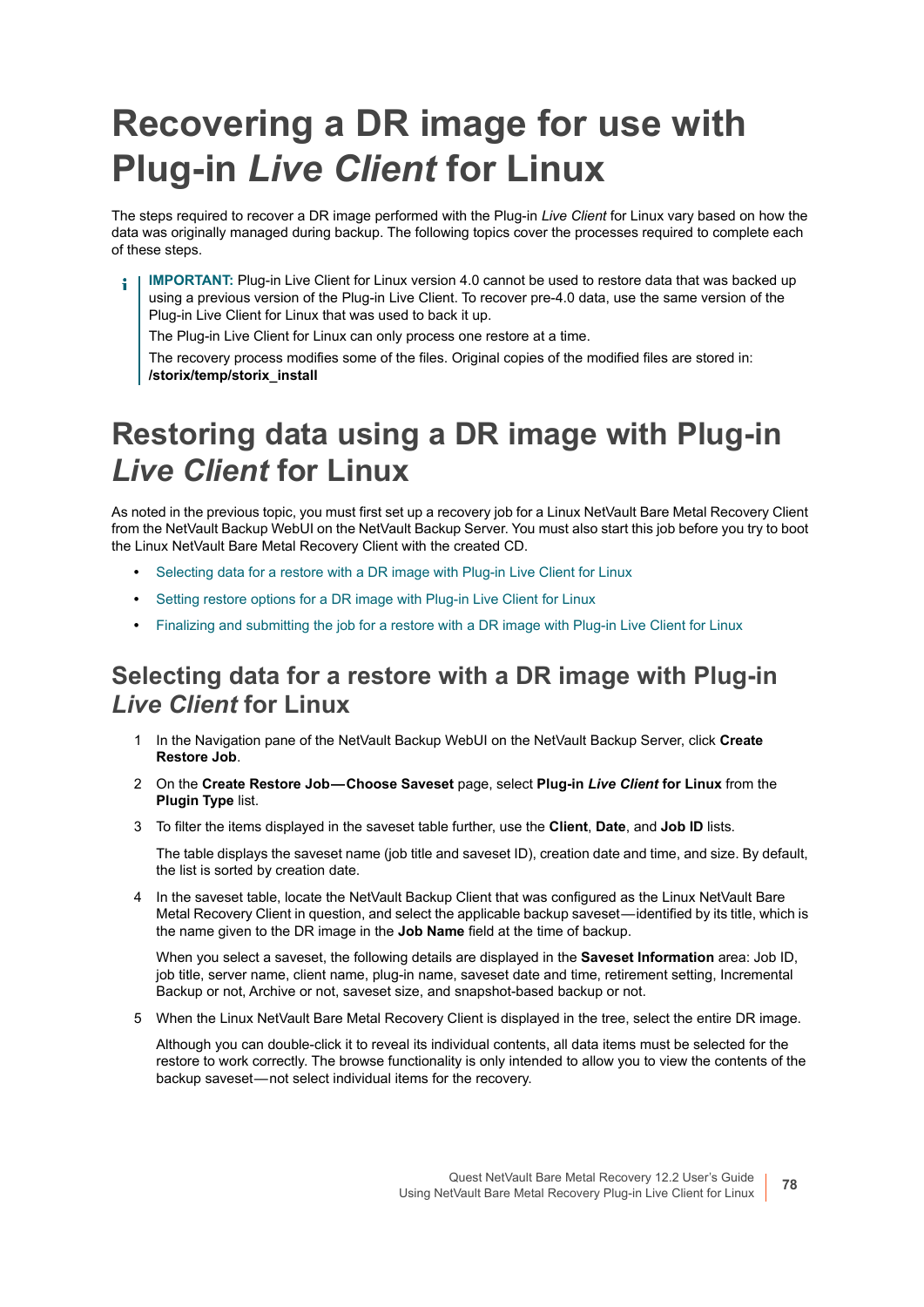# <span id="page-77-2"></span>**Recovering a DR image for use with Plug-in** *Live Client* **for Linux**

The steps required to recover a DR image performed with the Plug-in *Live Client* for Linux vary based on how the data was originally managed during backup. The following topics cover the processes required to complete each of these steps.

**IMPORTANT:** Plug-in Live Client for Linux version 4.0 cannot be used to restore data that was backed up ÷ using a previous version of the Plug-in Live Client. To recover pre-4.0 data, use the same version of the Plug-in Live Client for Linux that was used to back it up.

The Plug-in Live Client for Linux can only process one restore at a time.

The recovery process modifies some of the files. Original copies of the modified files are stored in: **/storix/temp/storix\_install**

### <span id="page-77-1"></span>**Restoring data using a DR image with Plug-in**  *Live Client* **for Linux**

As noted in the previous topic, you must first set up a recovery job for a Linux NetVault Bare Metal Recovery Client from the NetVault Backup WebUI on the NetVault Backup Server. You must also start this job before you try to boot the Linux NetVault Bare Metal Recovery Client with the created CD.

- **•** [Selecting data for a restore with a DR image with Plug-in Live Client for Linux](#page-77-0)
- **•** [Setting restore options for a DR image with Plug-in Live Client for Linux](#page-78-0)
- **•** [Finalizing and submitting the job for a restore with a DR image with Plug-in Live Client for Linux](#page-78-1)

#### <span id="page-77-0"></span>**Selecting data for a restore with a DR image with Plug-in**  *Live Client* **for Linux**

- 1 In the Navigation pane of the NetVault Backup WebUI on the NetVault Backup Server, click **Create Restore Job**.
- 2 On the **Create Restore Job Choose Saveset** page, select **Plug-in** *Live Client* **for Linux** from the **Plugin Type** list.
- 3 To filter the items displayed in the saveset table further, use the **Client**, **Date**, and **Job ID** lists.

The table displays the saveset name (job title and saveset ID), creation date and time, and size. By default, the list is sorted by creation date.

4 In the saveset table, locate the NetVault Backup Client that was configured as the Linux NetVault Bare Metal Recovery Client in question, and select the applicable backup saveset—identified by its title, which is the name given to the DR image in the **Job Name** field at the time of backup.

When you select a saveset, the following details are displayed in the **Saveset Information** area: Job ID, job title, server name, client name, plug-in name, saveset date and time, retirement setting, Incremental Backup or not, Archive or not, saveset size, and snapshot-based backup or not.

5 When the Linux NetVault Bare Metal Recovery Client is displayed in the tree, select the entire DR image.

Although you can double-click it to reveal its individual contents, all data items must be selected for the restore to work correctly. The browse functionality is only intended to allow you to view the contents of the backup saveset — not select individual items for the recovery.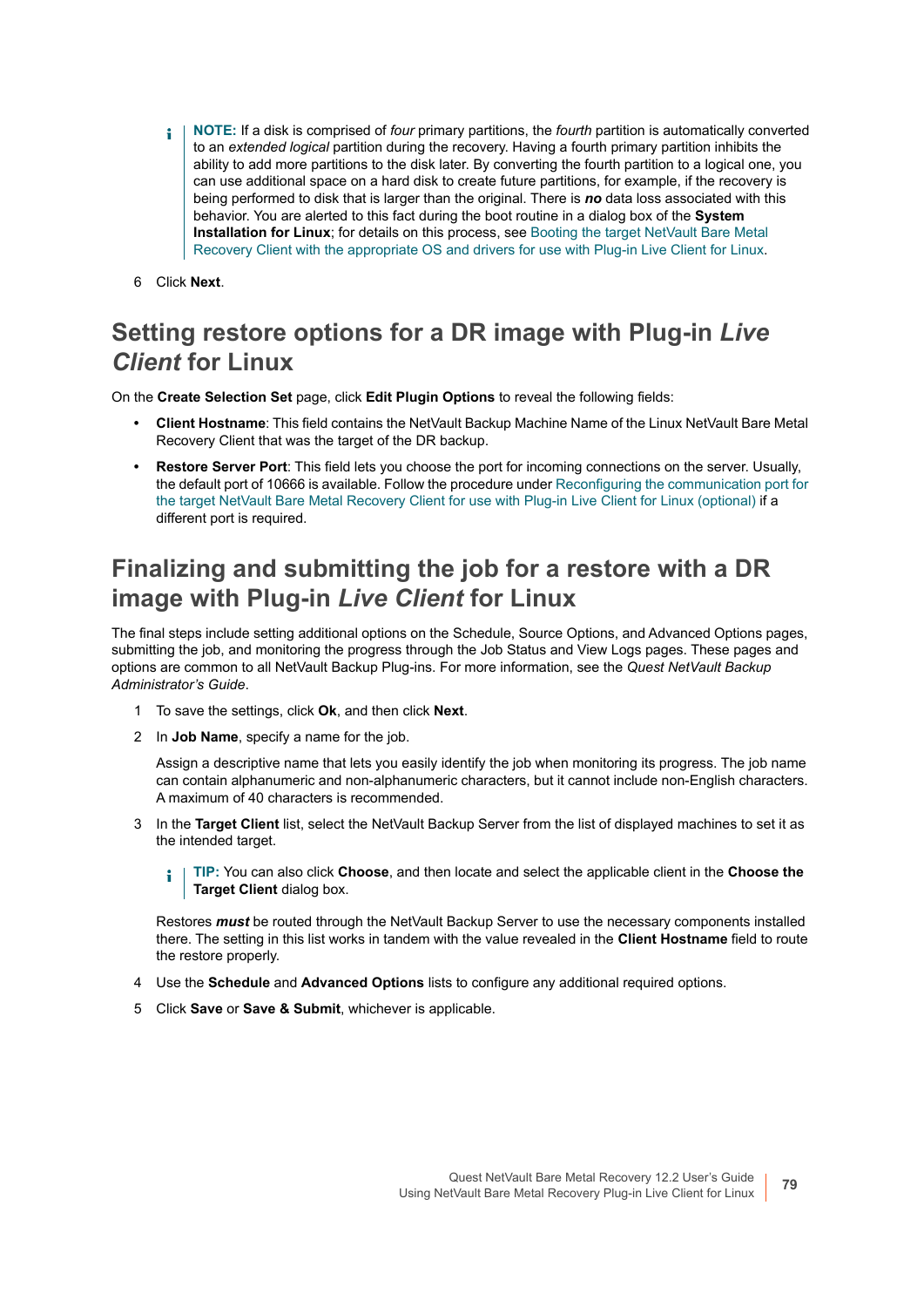- **NOTE:** If a disk is comprised of *four* primary partitions, the *fourth* partition is automatically converted  $\blacksquare$ to an *extended logical* partition during the recovery. Having a fourth primary partition inhibits the ability to add more partitions to the disk later. By converting the fourth partition to a logical one, you can use additional space on a hard disk to create future partitions, for example, if the recovery is being performed to disk that is larger than the original. There is *no* data loss associated with this behavior. You are alerted to this fact during the boot routine in a dialog box of the **System Installation for Linux**; for details on this process, see [Booting the target NetVault Bare Metal](#page-79-0)  [Recovery Client with the appropriate OS and drivers for use with Plug-in Live Client for Linux](#page-79-0).
- 6 Click **Next**.

### <span id="page-78-0"></span>**Setting restore options for a DR image with Plug-in** *Live Client* **for Linux**

On the **Create Selection Set** page, click **Edit Plugin Options** to reveal the following fields:

- **Client Hostname**: This field contains the NetVault Backup Machine Name of the Linux NetVault Bare Metal Recovery Client that was the target of the DR backup.
- **Restore Server Port**: This field lets you choose the port for incoming connections on the server. Usually, the default port of 10666 is available. Follow the procedure under [Reconfiguring the communication port for](#page-80-0)  [the target NetVault Bare Metal Recovery Client for use with Plug-in Live Client for Linux \(optional\)](#page-80-0) if a different port is required.

#### <span id="page-78-1"></span>**Finalizing and submitting the job for a restore with a DR image with Plug-in** *Live Client* **for Linux**

The final steps include setting additional options on the Schedule, Source Options, and Advanced Options pages, submitting the job, and monitoring the progress through the Job Status and View Logs pages. These pages and options are common to all NetVault Backup Plug-ins. For more information, see the *Quest NetVault Backup Administrator's Guide*.

- 1 To save the settings, click **Ok**, and then click **Next**.
- 2 In **Job Name**, specify a name for the job.

Assign a descriptive name that lets you easily identify the job when monitoring its progress. The job name can contain alphanumeric and non-alphanumeric characters, but it cannot include non-English characters. A maximum of 40 characters is recommended.

- 3 In the **Target Client** list, select the NetVault Backup Server from the list of displayed machines to set it as the intended target.
	- **TIP:** You can also click **Choose**, and then locate and select the applicable client in the **Choose the**  f. **Target Client** dialog box.

Restores *must* be routed through the NetVault Backup Server to use the necessary components installed there. The setting in this list works in tandem with the value revealed in the **Client Hostname** field to route the restore properly.

- 4 Use the **Schedule** and **Advanced Options** lists to configure any additional required options.
- 5 Click **Save** or **Save & Submit**, whichever is applicable.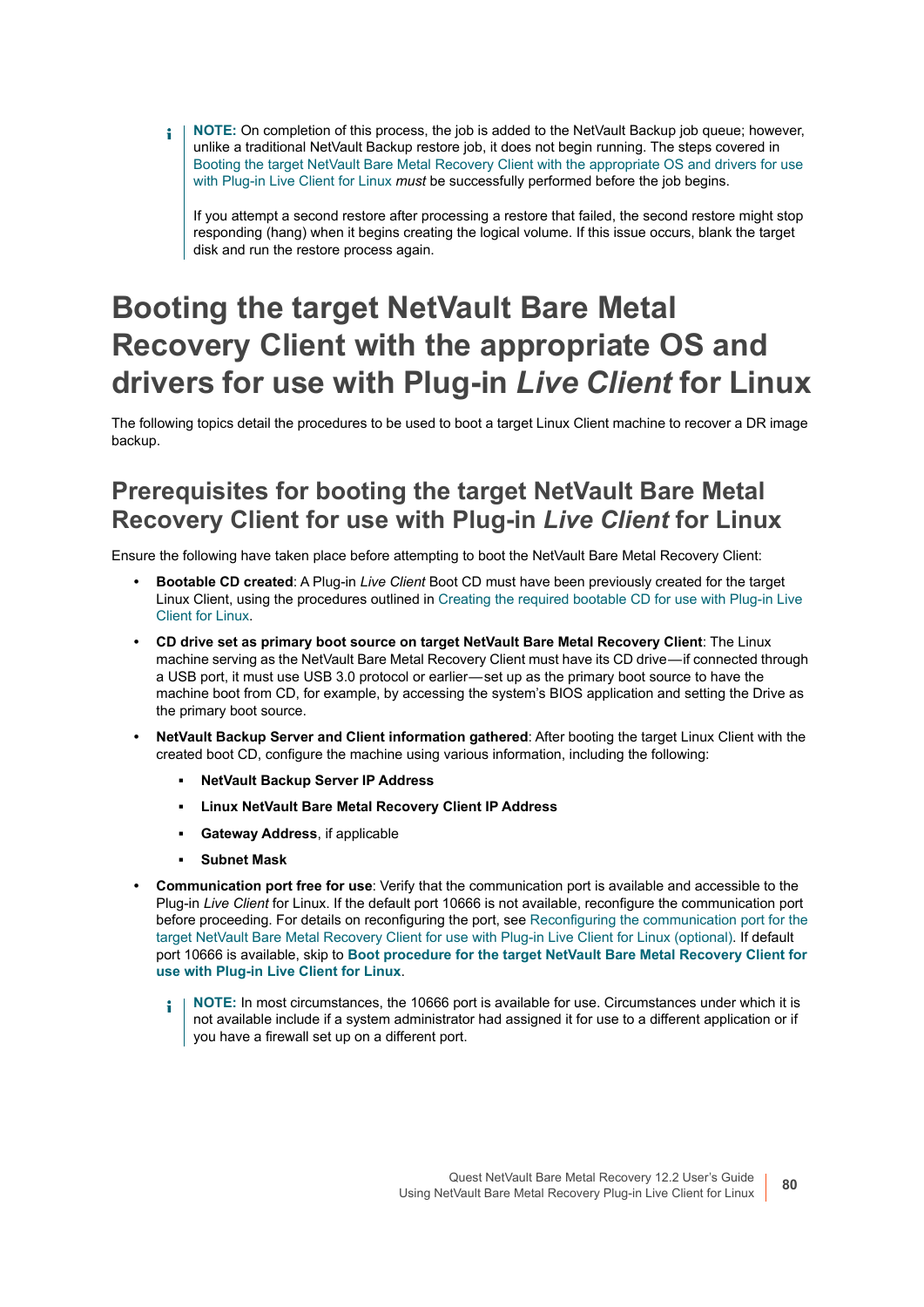**NOTE:** On completion of this process, the job is added to the NetVault Backup job queue; however,  $\blacksquare$ unlike a traditional NetVault Backup restore job, it does not begin running. The steps covered in [Booting the target NetVault Bare Metal Recovery Client with the appropriate OS and drivers for use](#page-79-0)  [with Plug-in Live Client for Linux](#page-79-0) *must* be successfully performed before the job begins.

If you attempt a second restore after processing a restore that failed, the second restore might stop responding (hang) when it begins creating the logical volume. If this issue occurs, blank the target disk and run the restore process again.

### <span id="page-79-0"></span>**Booting the target NetVault Bare Metal Recovery Client with the appropriate OS and drivers for use with Plug-in** *Live Client* **for Linux**

The following topics detail the procedures to be used to boot a target Linux Client machine to recover a DR image backup.

### **Prerequisites for booting the target NetVault Bare Metal Recovery Client for use with Plug-in** *Live Client* **for Linux**

Ensure the following have taken place before attempting to boot the NetVault Bare Metal Recovery Client:

- **Bootable CD created**: A Plug-in *Live Client* Boot CD must have been previously created for the target Linux Client, using the procedures outlined in [Creating the required bootable CD for use with Plug-in Live](#page-74-1)  [Client for Linux.](#page-74-1)
- **CD drive set as primary boot source on target NetVault Bare Metal Recovery Client**: The Linux machine serving as the NetVault Bare Metal Recovery Client must have its CD drive — if connected through a USB port, it must use USB 3.0 protocol or earlier — set up as the primary boot source to have the machine boot from CD, for example, by accessing the system's BIOS application and setting the Drive as the primary boot source.
- **NetVault Backup Server and Client information gathered**: After booting the target Linux Client with the created boot CD, configure the machine using various information, including the following:
	- **▪ NetVault Backup Server IP Address**
	- **▪ Linux NetVault Bare Metal Recovery Client IP Address**
	- **▪ Gateway Address**, if applicable
	- **▪ Subnet Mask**
- **Communication port free for use**: Verify that the communication port is available and accessible to the Plug-in *Live Client* for Linux. If the default port 10666 is not available, reconfigure the communication port before proceeding. For details on reconfiguring the port, see [Reconfiguring the communication port for the](#page-80-0)  [target NetVault Bare Metal Recovery Client for use with Plug-in Live Client for Linux \(optional\)](#page-80-0). If default port 10666 is available, skip to **[Boot procedure for the target NetVault Bare Metal Recovery Client for](#page-80-1)  [use with Plug-in Live Client for Linux](#page-80-1)**.
	- **NOTE:** In most circumstances, the 10666 port is available for use. Circumstances under which it is f. not available include if a system administrator had assigned it for use to a different application or if you have a firewall set up on a different port.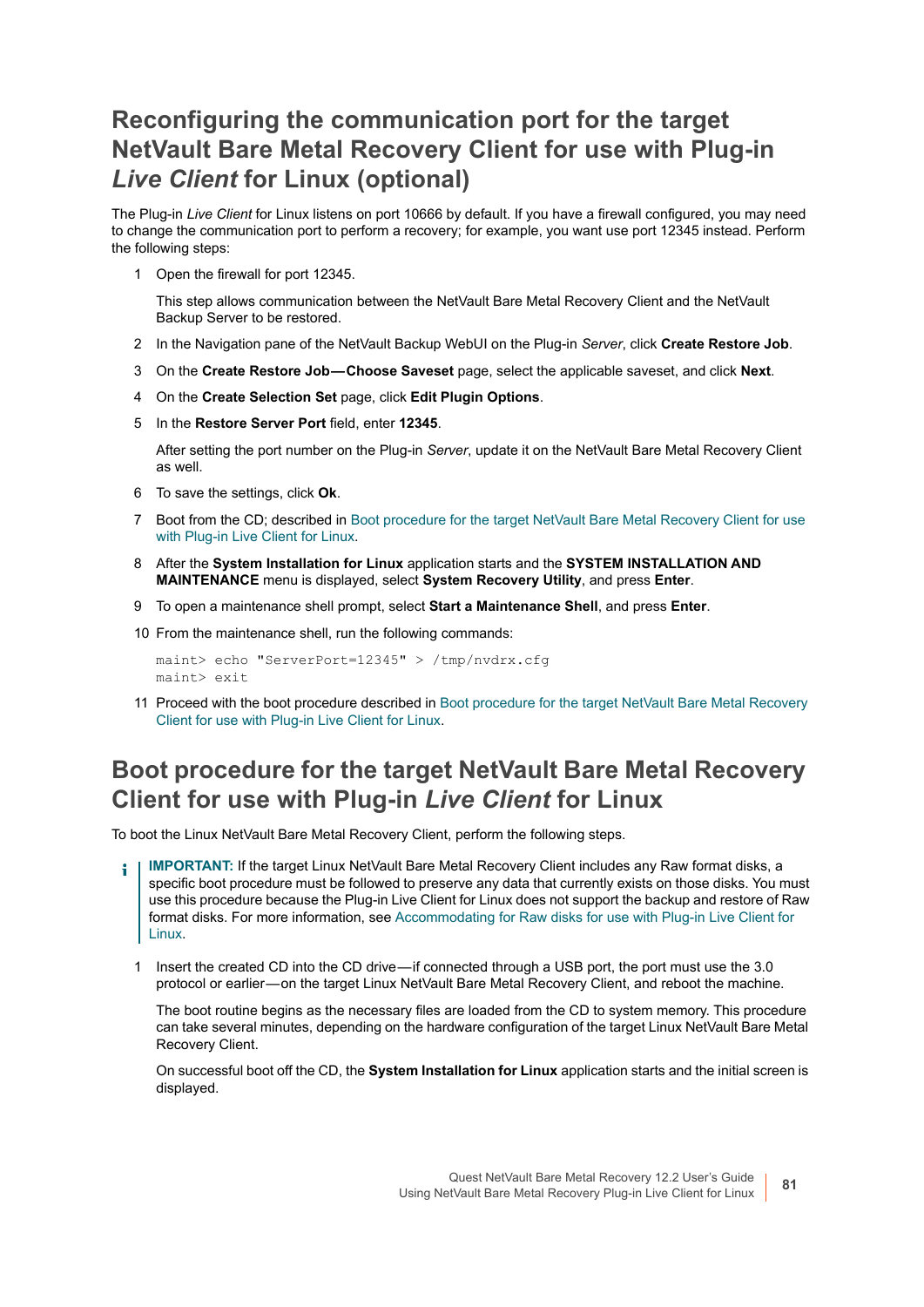### <span id="page-80-0"></span>**Reconfiguring the communication port for the target NetVault Bare Metal Recovery Client for use with Plug-in**  *Live Client* **for Linux (optional)**

The Plug-in *Live Client* for Linux listens on port 10666 by default. If you have a firewall configured, you may need to change the communication port to perform a recovery; for example, you want use port 12345 instead. Perform the following steps:

1 Open the firewall for port 12345.

This step allows communication between the NetVault Bare Metal Recovery Client and the NetVault Backup Server to be restored.

- 2 In the Navigation pane of the NetVault Backup WebUI on the Plug-in *Server*, click **Create Restore Job**.
- 3 On the **Create Restore Job Choose Saveset** page, select the applicable saveset, and click **Next**.
- 4 On the **Create Selection Set** page, click **Edit Plugin Options**.
- 5 In the **Restore Server Port** field, enter **12345**.

After setting the port number on the Plug-in *Server*, update it on the NetVault Bare Metal Recovery Client as well.

- 6 To save the settings, click **Ok**.
- 7 Boot from the CD; described in [Boot procedure for the target NetVault Bare Metal Recovery Client for use](#page-80-1)  [with Plug-in Live Client for Linux.](#page-80-1)
- 8 After the **System Installation for Linux** application starts and the **SYSTEM INSTALLATION AND MAINTENANCE** menu is displayed, select **System Recovery Utility**, and press **Enter**.
- 9 To open a maintenance shell prompt, select **Start a Maintenance Shell**, and press **Enter**.
- 10 From the maintenance shell, run the following commands:

maint> echo "ServerPort=12345" > /tmp/nvdrx.cfg maint> exit

11 Proceed with the boot procedure described in [Boot procedure for the target NetVault Bare Metal Recovery](#page-80-1)  [Client for use with Plug-in Live Client for Linux](#page-80-1).

### <span id="page-80-1"></span>**Boot procedure for the target NetVault Bare Metal Recovery Client for use with Plug-in** *Live Client* **for Linux**

To boot the Linux NetVault Bare Metal Recovery Client, perform the following steps.

- **IMPORTANT:** If the target Linux NetVault Bare Metal Recovery Client includes any Raw format disks, a specific boot procedure must be followed to preserve any data that currently exists on those disks. You must use this procedure because the Plug-in Live Client for Linux does not support the backup and restore of Raw format disks. For more information, see [Accommodating for Raw disks for use with Plug-in Live Client for](#page-82-0)  [Linux](#page-82-0).
	- 1 Insert the created CD into the CD drive if connected through a USB port, the port must use the 3.0 protocol or earlier — on the target Linux NetVault Bare Metal Recovery Client, and reboot the machine.

<span id="page-80-2"></span>The boot routine begins as the necessary files are loaded from the CD to system memory. This procedure can take several minutes, depending on the hardware configuration of the target Linux NetVault Bare Metal Recovery Client.

On successful boot off the CD, the **System Installation for Linux** application starts and the initial screen is displayed.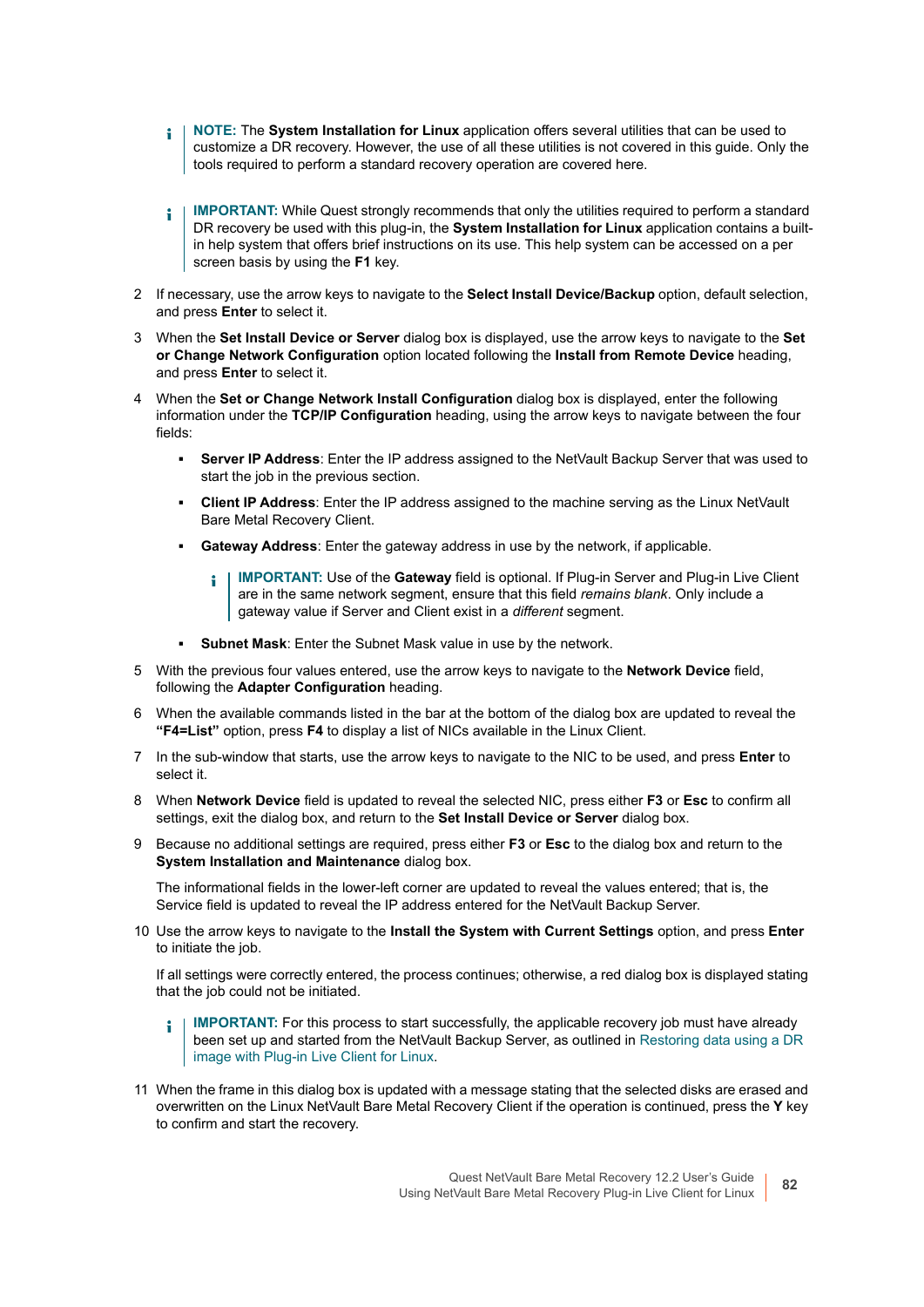- **i** | NOTE: The System Installation for Linux application offers several utilities that can be used to customize a DR recovery. However, the use of all these utilities is not covered in this guide. Only the tools required to perform a standard recovery operation are covered here.
- **IMPORTANT:** While Quest strongly recommends that only the utilities required to perform a standard î DR recovery be used with this plug-in, the **System Installation for Linux** application contains a builtin help system that offers brief instructions on its use. This help system can be accessed on a per screen basis by using the **F1** key.
- 2 If necessary, use the arrow keys to navigate to the **Select Install Device/Backup** option, default selection, and press **Enter** to select it.
- 3 When the **Set Install Device or Server** dialog box is displayed, use the arrow keys to navigate to the **Set or Change Network Configuration** option located following the **Install from Remote Device** heading, and press **Enter** to select it.
- 4 When the **Set or Change Network Install Configuration** dialog box is displayed, enter the following information under the **TCP/IP Configuration** heading, using the arrow keys to navigate between the four fields:
	- **▪ Server IP Address**: Enter the IP address assigned to the NetVault Backup Server that was used to start the job in the previous section.
	- **▪ Client IP Address**: Enter the IP address assigned to the machine serving as the Linux NetVault Bare Metal Recovery Client.
	- **▪ Gateway Address**: Enter the gateway address in use by the network, if applicable.
		- **IMPORTANT:** Use of the **Gateway** field is optional. If Plug-in Server and Plug-in Live Client ÷ are in the same network segment, ensure that this field *remains blank*. Only include a gateway value if Server and Client exist in a *different* segment.
	- **Subnet Mask:** Enter the Subnet Mask value in use by the network.
- 5 With the previous four values entered, use the arrow keys to navigate to the **Network Device** field, following the **Adapter Configuration** heading.
- When the available commands listed in the bar at the bottom of the dialog box are updated to reveal the **"F4=List"** option, press **F4** to display a list of NICs available in the Linux Client.
- 7 In the sub-window that starts, use the arrow keys to navigate to the NIC to be used, and press **Enter** to select it.
- 8 When **Network Device** field is updated to reveal the selected NIC, press either **F3** or **Esc** to confirm all settings, exit the dialog box, and return to the **Set Install Device or Server** dialog box.
- <span id="page-81-0"></span>9 Because no additional settings are required, press either **F3** or **Esc** to the dialog box and return to the **System Installation and Maintenance** dialog box.

The informational fields in the lower-left corner are updated to reveal the values entered; that is, the Service field is updated to reveal the IP address entered for the NetVault Backup Server.

<span id="page-81-1"></span>10 Use the arrow keys to navigate to the **Install the System with Current Settings** option, and press **Enter** to initiate the job.

If all settings were correctly entered, the process continues; otherwise, a red dialog box is displayed stating that the job could not be initiated.

- **IMPORTANT:** For this process to start successfully, the applicable recovery job must have already  $\blacksquare$ been set up and started from the NetVault Backup Server, as outlined in [Restoring data using a DR](#page-77-1)  [image with Plug-in Live Client for Linux.](#page-77-1)
- <span id="page-81-2"></span>11 When the frame in this dialog box is updated with a message stating that the selected disks are erased and overwritten on the Linux NetVault Bare Metal Recovery Client if the operation is continued, press the **Y** key to confirm and start the recovery.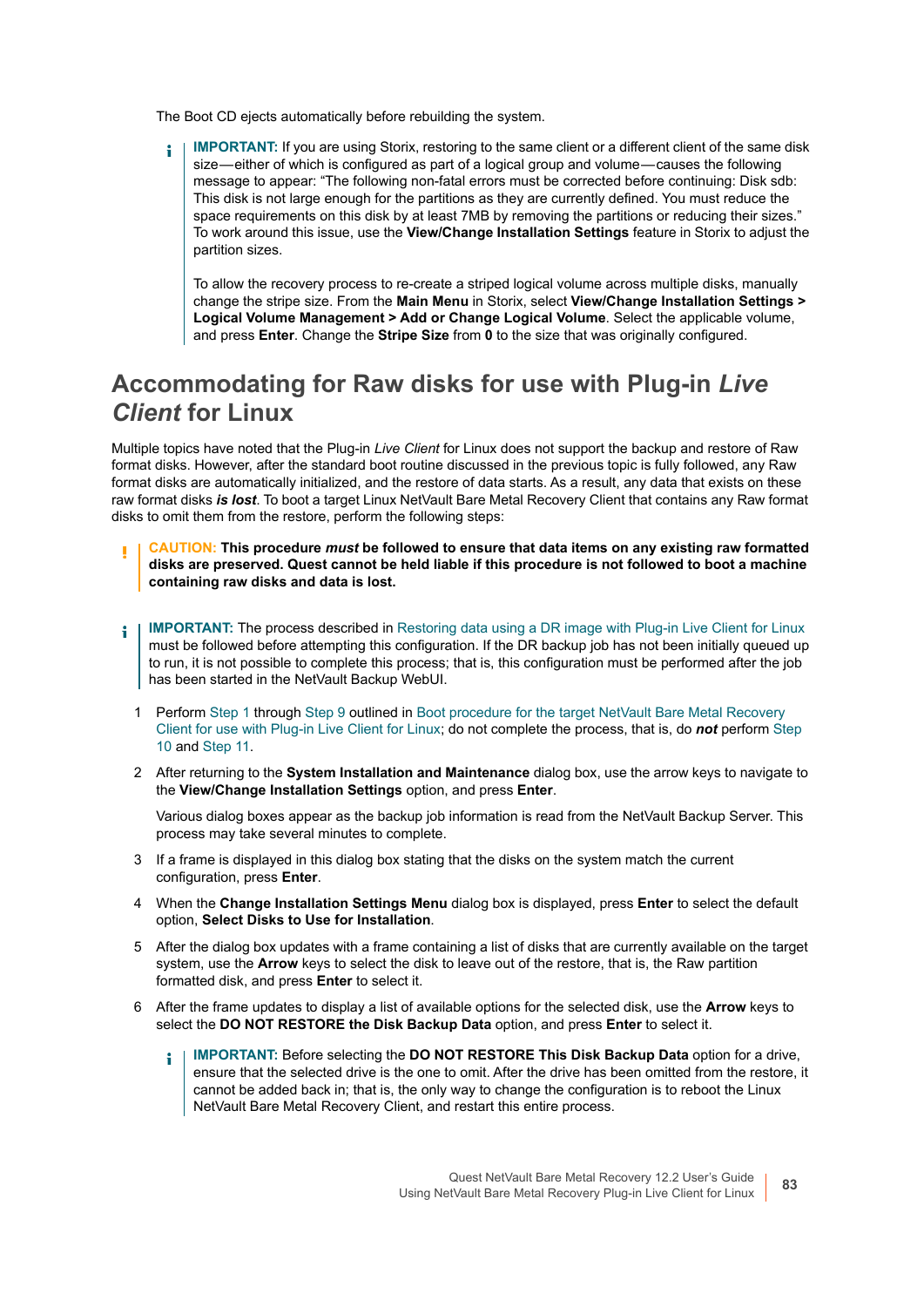The Boot CD ejects automatically before rebuilding the system.

**IMPORTANT:** If you are using Storix, restoring to the same client or a different client of the same disk f. size—either of which is configured as part of a logical group and volume—causes the following message to appear: "The following non-fatal errors must be corrected before continuing: Disk sdb: This disk is not large enough for the partitions as they are currently defined. You must reduce the space requirements on this disk by at least 7MB by removing the partitions or reducing their sizes." To work around this issue, use the **View/Change Installation Settings** feature in Storix to adjust the partition sizes.

To allow the recovery process to re-create a striped logical volume across multiple disks, manually change the stripe size. From the **Main Menu** in Storix, select **View/Change Installation Settings > Logical Volume Management > Add or Change Logical Volume**. Select the applicable volume, and press **Enter**. Change the **Stripe Size** from **0** to the size that was originally configured.

### <span id="page-82-0"></span>**Accommodating for Raw disks for use with Plug-in** *Live Client* **for Linux**

Multiple topics have noted that the Plug-in *Live Client* for Linux does not support the backup and restore of Raw format disks. However, after the standard boot routine discussed in the previous topic is fully followed, any Raw format disks are automatically initialized, and the restore of data starts. As a result, any data that exists on these raw format disks *is lost*. To boot a target Linux NetVault Bare Metal Recovery Client that contains any Raw format disks to omit them from the restore, perform the following steps:

- **CAUTION: This procedure** *must* **be followed to ensure that data items on any existing raw formatted disks are preserved. Quest cannot be held liable if this procedure is not followed to boot a machine containing raw disks and data is lost.**
- **IMPORTANT:** The process described in [Restoring data using a DR image with Plug-in Live Client for Linux](#page-77-1) ÷ must be followed before attempting this configuration. If the DR backup job has not been initially queued up to run, it is not possible to complete this process; that is, this configuration must be performed after the job has been started in the NetVault Backup WebUI.
	- 1 Perform [Step 1](#page-80-2) through [Step 9](#page-81-0) outlined in [Boot procedure for the target NetVault Bare Metal Recovery](#page-80-1)  [Client for use with Plug-in Live Client for Linux](#page-80-1); do not complete the process, that is, do *not* perform [Step](#page-81-1)  [10](#page-81-1) and [Step 11](#page-81-2).
	- 2 After returning to the **System Installation and Maintenance** dialog box, use the arrow keys to navigate to the **View/Change Installation Settings** option, and press **Enter**.

Various dialog boxes appear as the backup job information is read from the NetVault Backup Server. This process may take several minutes to complete.

- 3 If a frame is displayed in this dialog box stating that the disks on the system match the current configuration, press **Enter**.
- 4 When the **Change Installation Settings Menu** dialog box is displayed, press **Enter** to select the default option, **Select Disks to Use for Installation**.
- <span id="page-82-1"></span>5 After the dialog box updates with a frame containing a list of disks that are currently available on the target system, use the **Arrow** keys to select the disk to leave out of the restore, that is, the Raw partition formatted disk, and press **Enter** to select it.
- 6 After the frame updates to display a list of available options for the selected disk, use the **Arrow** keys to select the **DO NOT RESTORE the Disk Backup Data** option, and press **Enter** to select it.
	- **IMPORTANT:** Before selecting the **DO NOT RESTORE This Disk Backup Data** option for a drive, ÷ ensure that the selected drive is the one to omit. After the drive has been omitted from the restore, it cannot be added back in; that is, the only way to change the configuration is to reboot the Linux NetVault Bare Metal Recovery Client, and restart this entire process.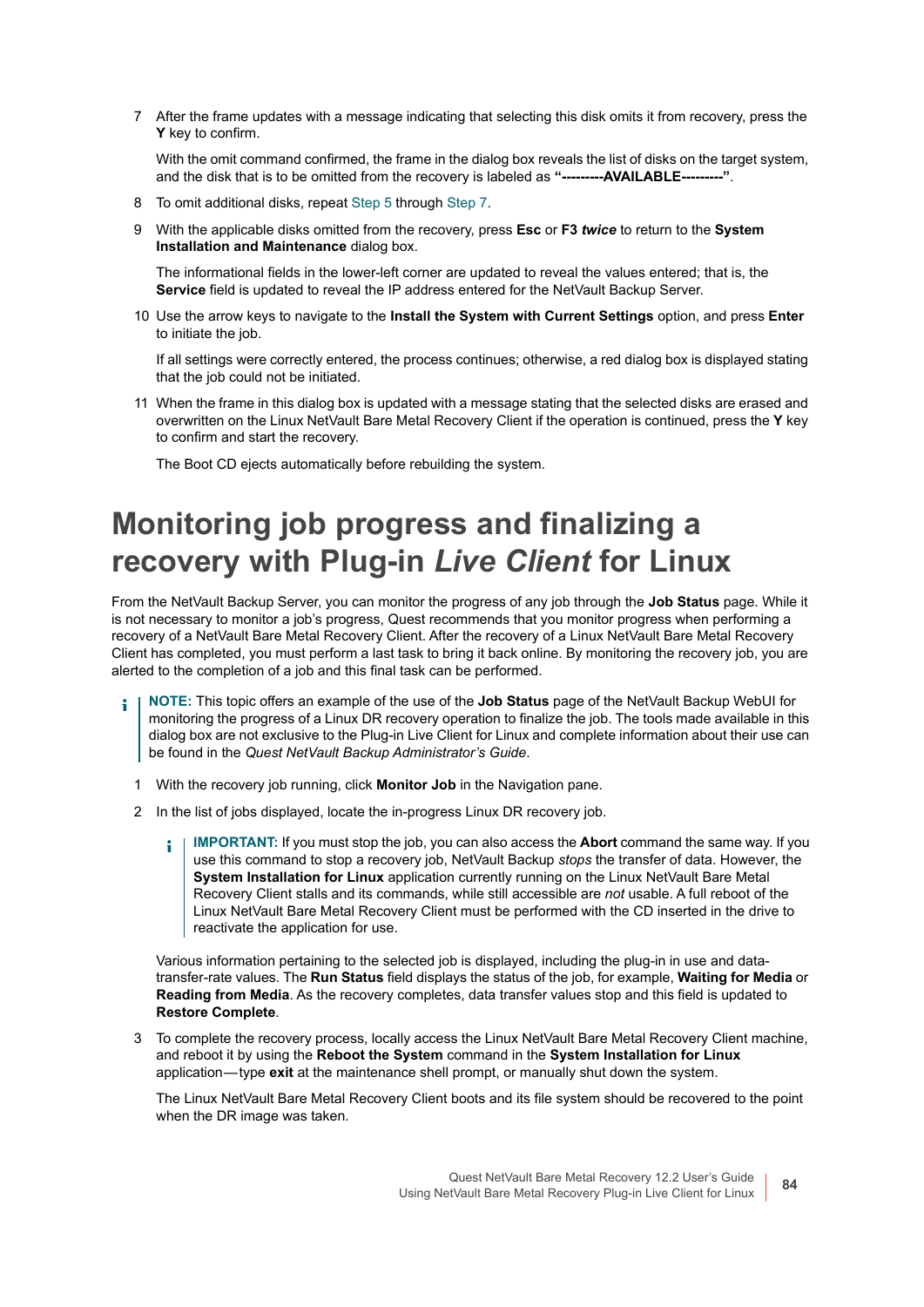<span id="page-83-0"></span>7 After the frame updates with a message indicating that selecting this disk omits it from recovery, press the **Y** key to confirm.

With the omit command confirmed, the frame in the dialog box reveals the list of disks on the target system, and the disk that is to be omitted from the recovery is labeled as **"---------AVAILABLE---------"**.

- 8 To omit additional disks, repeat [Step 5](#page-82-1) through [Step 7](#page-83-0).
- 9 With the applicable disks omitted from the recovery, press **Esc** or **F3** *twice* to return to the **System Installation and Maintenance** dialog box.

The informational fields in the lower-left corner are updated to reveal the values entered; that is, the **Service** field is updated to reveal the IP address entered for the NetVault Backup Server.

10 Use the arrow keys to navigate to the **Install the System with Current Settings** option, and press **Enter** to initiate the job.

If all settings were correctly entered, the process continues; otherwise, a red dialog box is displayed stating that the job could not be initiated.

11 When the frame in this dialog box is updated with a message stating that the selected disks are erased and overwritten on the Linux NetVault Bare Metal Recovery Client if the operation is continued, press the **Y** key to confirm and start the recovery.

The Boot CD ejects automatically before rebuilding the system.

### **Monitoring job progress and finalizing a recovery with Plug-in** *Live Client* **for Linux**

From the NetVault Backup Server, you can monitor the progress of any job through the **Job Status** page. While it is not necessary to monitor a job's progress, Quest recommends that you monitor progress when performing a recovery of a NetVault Bare Metal Recovery Client. After the recovery of a Linux NetVault Bare Metal Recovery Client has completed, you must perform a last task to bring it back online. By monitoring the recovery job, you are alerted to the completion of a job and this final task can be performed.

- **NOTE:** This topic offers an example of the use of the **Job Status** page of the NetVault Backup WebUI for i. monitoring the progress of a Linux DR recovery operation to finalize the job. The tools made available in this dialog box are not exclusive to the Plug-in Live Client for Linux and complete information about their use can be found in the *Quest NetVault Backup Administrator's Guide*.
	- 1 With the recovery job running, click **Monitor Job** in the Navigation pane.
	- 2 In the list of jobs displayed, locate the in-progress Linux DR recovery job.
		- **IMPORTANT:** If you must stop the job, you can also access the **Abort** command the same way. If you ÷ use this command to stop a recovery job, NetVault Backup *stops* the transfer of data. However, the **System Installation for Linux** application currently running on the Linux NetVault Bare Metal Recovery Client stalls and its commands, while still accessible are *not* usable. A full reboot of the Linux NetVault Bare Metal Recovery Client must be performed with the CD inserted in the drive to reactivate the application for use.

Various information pertaining to the selected job is displayed, including the plug-in in use and datatransfer-rate values. The **Run Status** field displays the status of the job, for example, **Waiting for Media** or **Reading from Media**. As the recovery completes, data transfer values stop and this field is updated to **Restore Complete**.

3 To complete the recovery process, locally access the Linux NetVault Bare Metal Recovery Client machine, and reboot it by using the **Reboot the System** command in the **System Installation for Linux** application — type **exit** at the maintenance shell prompt, or manually shut down the system.

The Linux NetVault Bare Metal Recovery Client boots and its file system should be recovered to the point when the DR image was taken.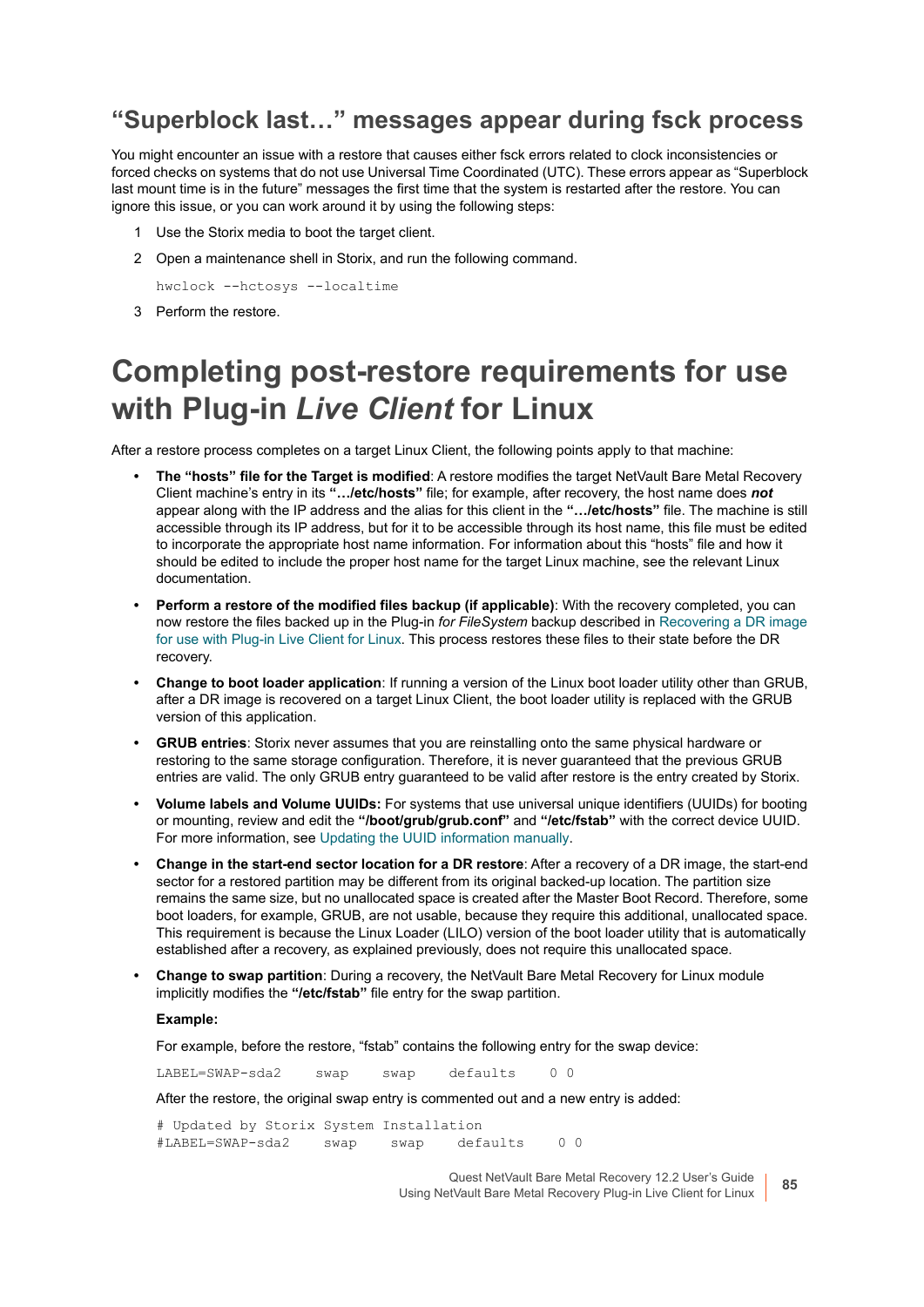#### **"Superblock last…" messages appear during fsck process**

You might encounter an issue with a restore that causes either fsck errors related to clock inconsistencies or forced checks on systems that do not use Universal Time Coordinated (UTC). These errors appear as "Superblock last mount time is in the future" messages the first time that the system is restarted after the restore. You can ignore this issue, or you can work around it by using the following steps:

- 1 Use the Storix media to boot the target client.
- 2 Open a maintenance shell in Storix, and run the following command.

hwclock --hctosys --localtime

3 Perform the restore.

### **Completing post-restore requirements for use with Plug-in** *Live Client* **for Linux**

After a restore process completes on a target Linux Client, the following points apply to that machine:

- **The "hosts" file for the Target is modified**: A restore modifies the target NetVault Bare Metal Recovery Client machine's entry in its **"…/etc/hosts"** file; for example, after recovery, the host name does *not* appear along with the IP address and the alias for this client in the **"…/etc/hosts"** file. The machine is still accessible through its IP address, but for it to be accessible through its host name, this file must be edited to incorporate the appropriate host name information. For information about this "hosts" file and how it should be edited to include the proper host name for the target Linux machine, see the relevant Linux documentation.
- **Perform a restore of the modified files backup (if applicable)**: With the recovery completed, you can now restore the files backed up in the Plug-in *for FileSystem* backup described in [Recovering a DR image](#page-77-2)  [for use with Plug-in Live Client for Linux.](#page-77-2) This process restores these files to their state before the DR recovery.
- **Change to boot loader application**: If running a version of the Linux boot loader utility other than GRUB, after a DR image is recovered on a target Linux Client, the boot loader utility is replaced with the GRUB version of this application.
- **GRUB entries**: Storix never assumes that you are reinstalling onto the same physical hardware or restoring to the same storage configuration. Therefore, it is never guaranteed that the previous GRUB entries are valid. The only GRUB entry guaranteed to be valid after restore is the entry created by Storix.
- **Volume labels and Volume UUIDs:** For systems that use universal unique identifiers (UUIDs) for booting or mounting, review and edit the **"/boot/grub/grub.conf"** and **"/etc/fstab"** with the correct device UUID. For more information, see [Updating the UUID information manually.](#page-85-0)
- **Change in the start-end sector location for a DR restore**: After a recovery of a DR image, the start-end sector for a restored partition may be different from its original backed-up location. The partition size remains the same size, but no unallocated space is created after the Master Boot Record. Therefore, some boot loaders, for example, GRUB, are not usable, because they require this additional, unallocated space. This requirement is because the Linux Loader (LILO) version of the boot loader utility that is automatically established after a recovery, as explained previously, does not require this unallocated space.
- **Change to swap partition**: During a recovery, the NetVault Bare Metal Recovery for Linux module implicitly modifies the **"/etc/fstab"** file entry for the swap partition.

#### **Example:**

For example, before the restore, "fstab" contains the following entry for the swap device:

LABEL=SWAP-sda2 swap swap defaults 0 0

After the restore, the original swap entry is commented out and a new entry is added:

# Updated by Storix System Installation #LABEL=SWAP-sda2 swap swap defaults 0 0

> Quest NetVault Bare Metal Recovery 12.2 User's Guide Using NetVault Bare Metal Recovery Plug-in Live Client for Linux **<sup>85</sup>**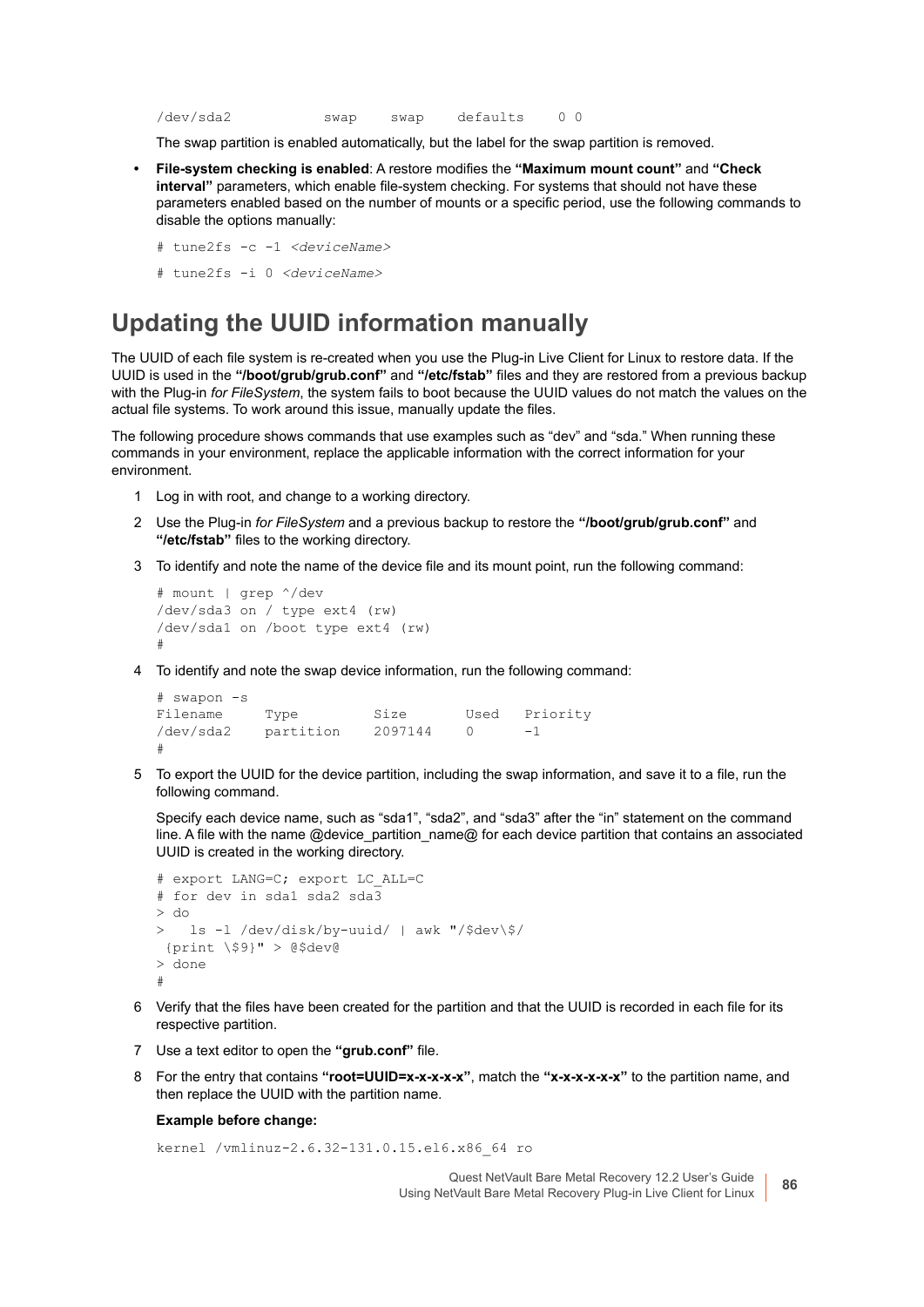```
/dev/sda2 swap swap defaults 0 0
```
The swap partition is enabled automatically, but the label for the swap partition is removed.

- **File-system checking is enabled**: A restore modifies the **"Maximum mount count"** and **"Check interval"** parameters, which enable file-system checking. For systems that should not have these parameters enabled based on the number of mounts or a specific period, use the following commands to disable the options manually:
	- # tune2fs -c -1 *<deviceName>*
	- # tune2fs -i 0 *<deviceName>*

#### <span id="page-85-0"></span>**Updating the UUID information manually**

The UUID of each file system is re-created when you use the Plug-in Live Client for Linux to restore data. If the UUID is used in the **"/boot/grub/grub.conf"** and **"/etc/fstab"** files and they are restored from a previous backup with the Plug-in *for FileSystem*, the system fails to boot because the UUID values do not match the values on the actual file systems. To work around this issue, manually update the files.

The following procedure shows commands that use examples such as "dev" and "sda." When running these commands in your environment, replace the applicable information with the correct information for your environment.

- 1 Log in with root, and change to a working directory.
- 2 Use the Plug-in *for FileSystem* and a previous backup to restore the **"/boot/grub/grub.conf"** and **"/etc/fstab"** files to the working directory.
- <span id="page-85-1"></span>3 To identify and note the name of the device file and its mount point, run the following command:

```
# mount | grep ^/dev
/dev/sda3 on / type ext4 (rw)
/dev/sda1 on /boot type ext4 (rw)
#
```
<span id="page-85-2"></span>4 To identify and note the swap device information, run the following command:

```
# swapon -s
Filename Type Size Used Priority
/dev/sda2 partition 2097144 0 -1
#
```
5 To export the UUID for the device partition, including the swap information, and save it to a file, run the following command.

Specify each device name, such as "sda1", "sda2", and "sda3" after the "in" statement on the command line. A file with the name @device\_partition\_name@ for each device partition that contains an associated UUID is created in the working directory.

```
# export LANG=C; export LC_ALL=C
# for dev in sda1 sda2 sda3
> do
> ls -l /dev/disk/by-uuid/ | awk "/$dev\$/
  {print \$9}" > @$dev@
> done
#
```
- 6 Verify that the files have been created for the partition and that the UUID is recorded in each file for its respective partition.
- 7 Use a text editor to open the **"grub.conf"** file.
- 8 For the entry that contains **"root=UUID=x-x-x-x-x"**, match the **"x-x-x-x-x-x"** to the partition name, and then replace the UUID with the partition name.

#### **Example before change:**

kernel /vmlinuz-2.6.32-131.0.15.el6.x86\_64 ro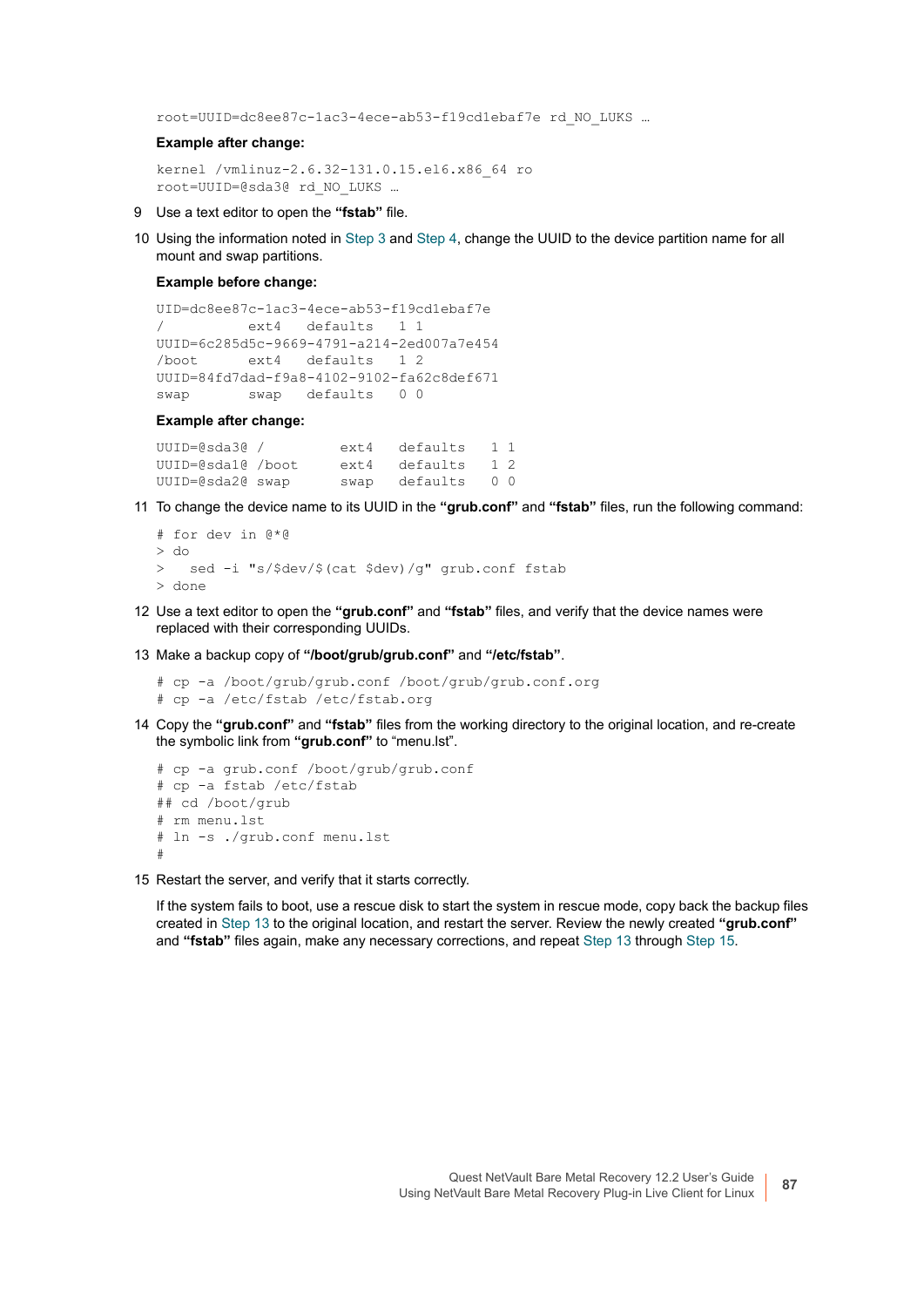root=UUID=dc8ee87c-1ac3-4ece-ab53-f19cd1ebaf7e rd\_NO\_LUKS …

#### **Example after change:**

```
kernel /vmlinuz-2.6.32-131.0.15.el6.x86_64 ro
root=UUID=@sda3@ rd_NO_LUKS …
```
- 9 Use a text editor to open the **"fstab"** file.
- 10 Using the information noted in [Step 3](#page-85-1) and [Step 4,](#page-85-2) change the UUID to the device partition name for all mount and swap partitions.

#### **Example before change:**

```
UID=dc8ee87c-1ac3-4ece-ab53-f19cd1ebaf7e
/ ext4 defaults 1 1
UUID=6c285d5c-9669-4791-a214-2ed007a7e454
/boot ext4 defaults 1 2
UUID=84fd7dad-f9a8-4102-9102-fa62c8def671
swap swap defaults 0 0
```
#### **Example after change:**

```
UUID=@sda3@ / ext4 defaults 1 1
UUID=@sda1@ /boot ext4 defaults 1 2<br>UUID=@sda2@ swap swap defaults 0 0
                      swap defaults 0 0
```
11 To change the device name to its UUID in the **"grub.conf"** and **"fstab"** files, run the following command:

```
# for dev in @*@
> do
> sed -i "s/$dev/$(cat $dev)/g" grub.conf fstab
> done
```
- 12 Use a text editor to open the **"grub.conf"** and **"fstab"** files, and verify that the device names were replaced with their corresponding UUIDs.
- <span id="page-86-0"></span>13 Make a backup copy of **"/boot/grub/grub.conf"** and **"/etc/fstab"**.

```
# cp -a /boot/grub/grub.conf /boot/grub/grub.conf.org
# cp -a /etc/fstab /etc/fstab.org
```
14 Copy the **"grub.conf"** and **"fstab"** files from the working directory to the original location, and re-create the symbolic link from **"grub.conf"** to "menu.lst".

```
# cp -a grub.conf /boot/grub/grub.conf
# cp -a fstab /etc/fstab
## cd /boot/grub
# rm menu.lst
# ln -s ./grub.conf menu.lst
#
```
<span id="page-86-1"></span>15 Restart the server, and verify that it starts correctly.

If the system fails to boot, use a rescue disk to start the system in rescue mode, copy back the backup files created in [Step 13](#page-86-0) to the original location, and restart the server. Review the newly created **"grub.conf"** and **"fstab"** files again, make any necessary corrections, and repeat [Step 13](#page-86-0) through [Step 15](#page-86-1).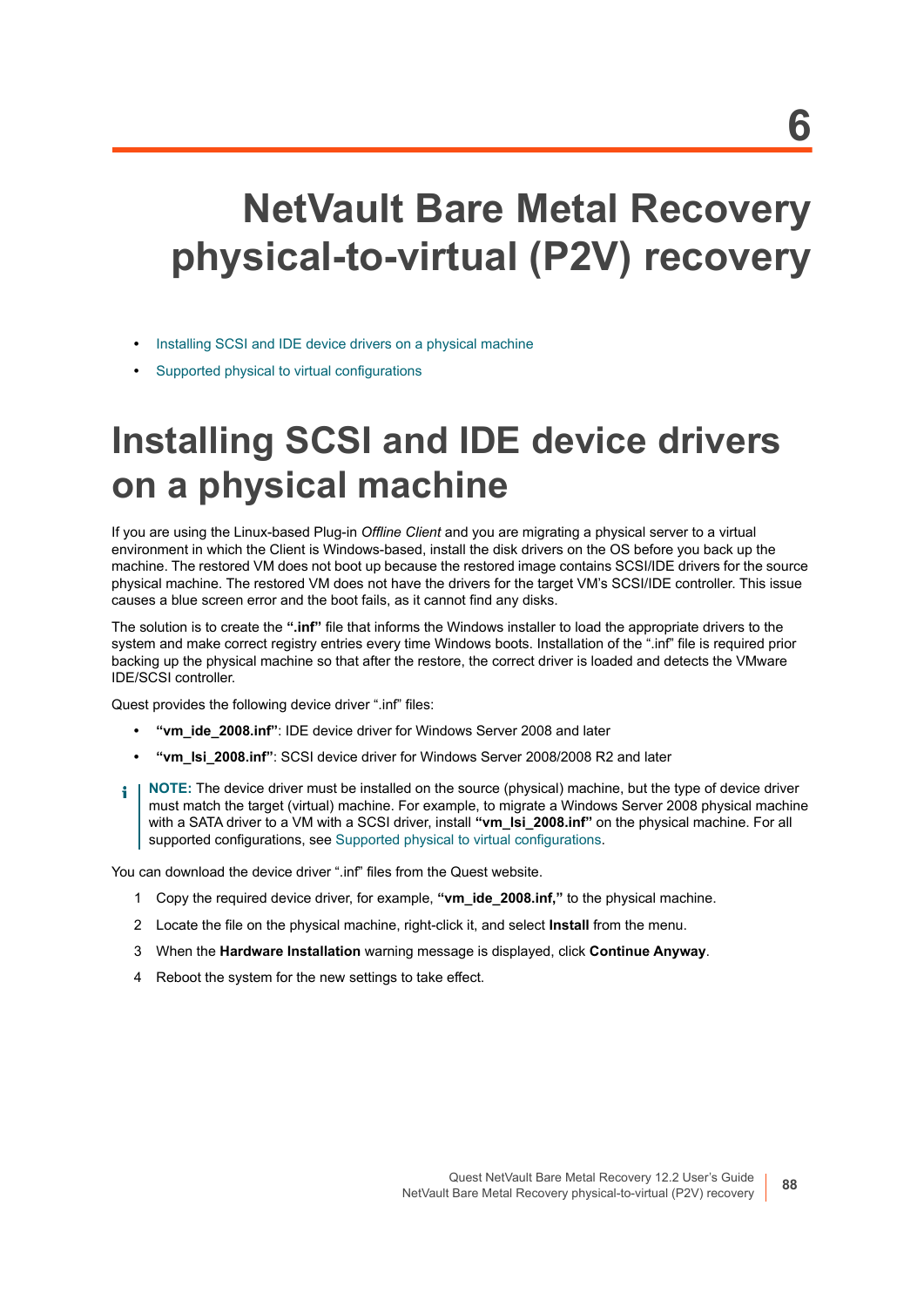# **NetVault Bare Metal Recovery physical-to-virtual (P2V) recovery**

- **•** [Installing SCSI and IDE device drivers on a physical machine](#page-87-0)
- **•** [Supported physical to virtual configurations](#page-88-0)

# <span id="page-87-0"></span>**Installing SCSI and IDE device drivers on a physical machine**

If you are using the Linux-based Plug-in *Offline Client* and you are migrating a physical server to a virtual environment in which the Client is Windows-based, install the disk drivers on the OS before you back up the machine. The restored VM does not boot up because the restored image contains SCSI/IDE drivers for the source physical machine. The restored VM does not have the drivers for the target VM's SCSI/IDE controller. This issue causes a blue screen error and the boot fails, as it cannot find any disks.

The solution is to create the **".inf"** file that informs the Windows installer to load the appropriate drivers to the system and make correct registry entries every time Windows boots. Installation of the ".inf" file is required prior backing up the physical machine so that after the restore, the correct driver is loaded and detects the VMware IDE/SCSI controller.

Quest provides the following device driver ".inf" files:

- **"vm\_ide\_2008.inf"**: IDE device driver for Windows Server 2008 and later
- **"vm\_lsi\_2008.inf"**: SCSI device driver for Windows Server 2008/2008 R2 and later
- **NOTE:** The device driver must be installed on the source (physical) machine, but the type of device driver ÷ must match the target (virtual) machine. For example, to migrate a Windows Server 2008 physical machine with a SATA driver to a VM with a SCSI driver, install **"vm\_lsi\_2008.inf"** on the physical machine. For all supported configurations, see [Supported physical to virtual configurations.](#page-88-0)

You can download the device driver ".inf" files from the Quest website.

- 1 Copy the required device driver, for example, **"vm\_ide\_2008.inf,"** to the physical machine.
- 2 Locate the file on the physical machine, right-click it, and select **Install** from the menu.
- 3 When the **Hardware Installation** warning message is displayed, click **Continue Anyway**.
- 4 Reboot the system for the new settings to take effect.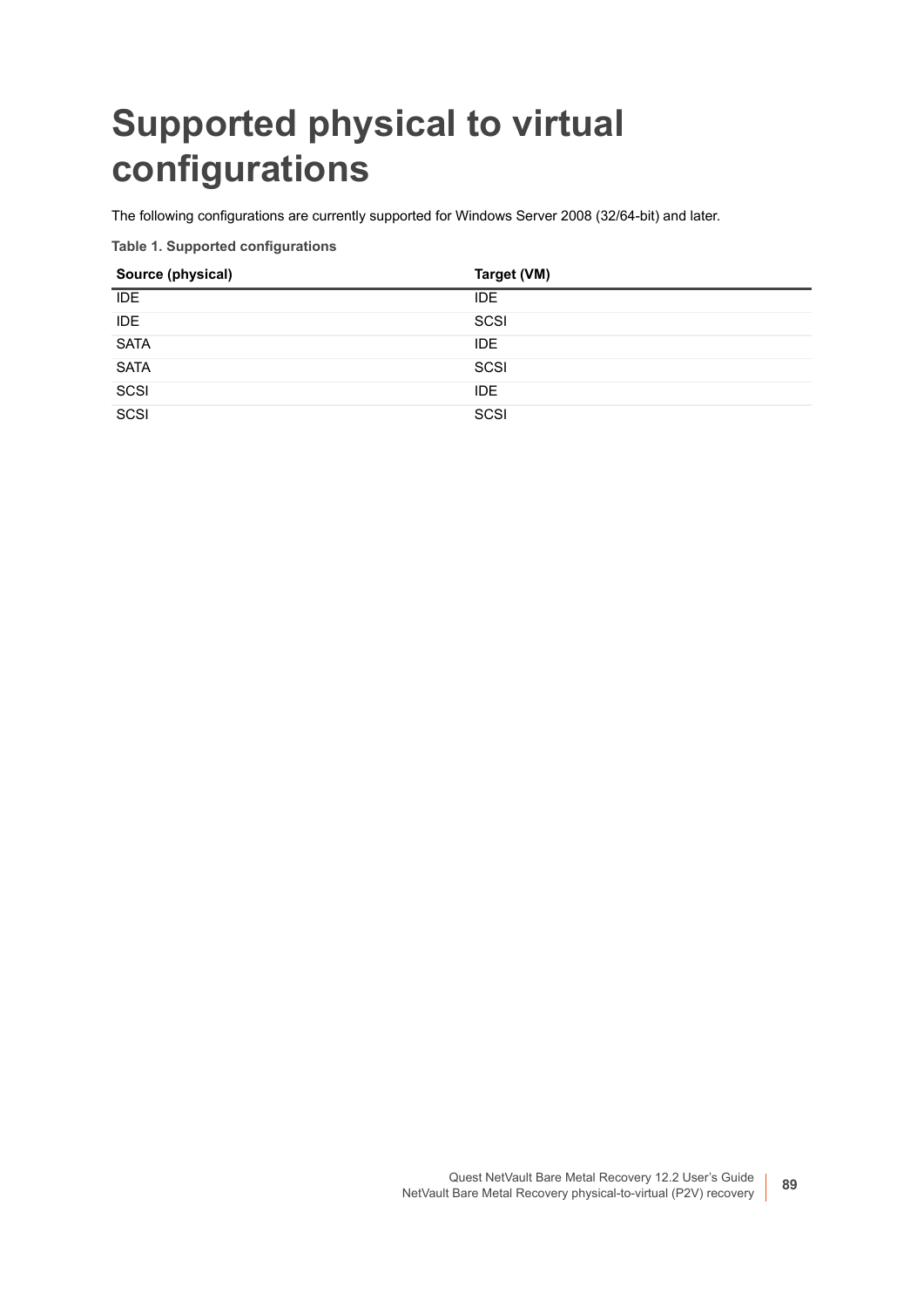# <span id="page-88-0"></span>**Supported physical to virtual configurations**

The following configurations are currently supported for Windows Server 2008 (32/64-bit) and later.

**Table 1. Supported configurations**

| Source (physical) | Target (VM) |
|-------------------|-------------|
| <b>IDE</b>        | <b>IDE</b>  |
| <b>IDE</b>        | SCSI        |
| <b>SATA</b>       | IDE.        |
| <b>SATA</b>       | SCSI        |
| SCSI              | IDE         |
| _____<br>SCSI     | SCSI        |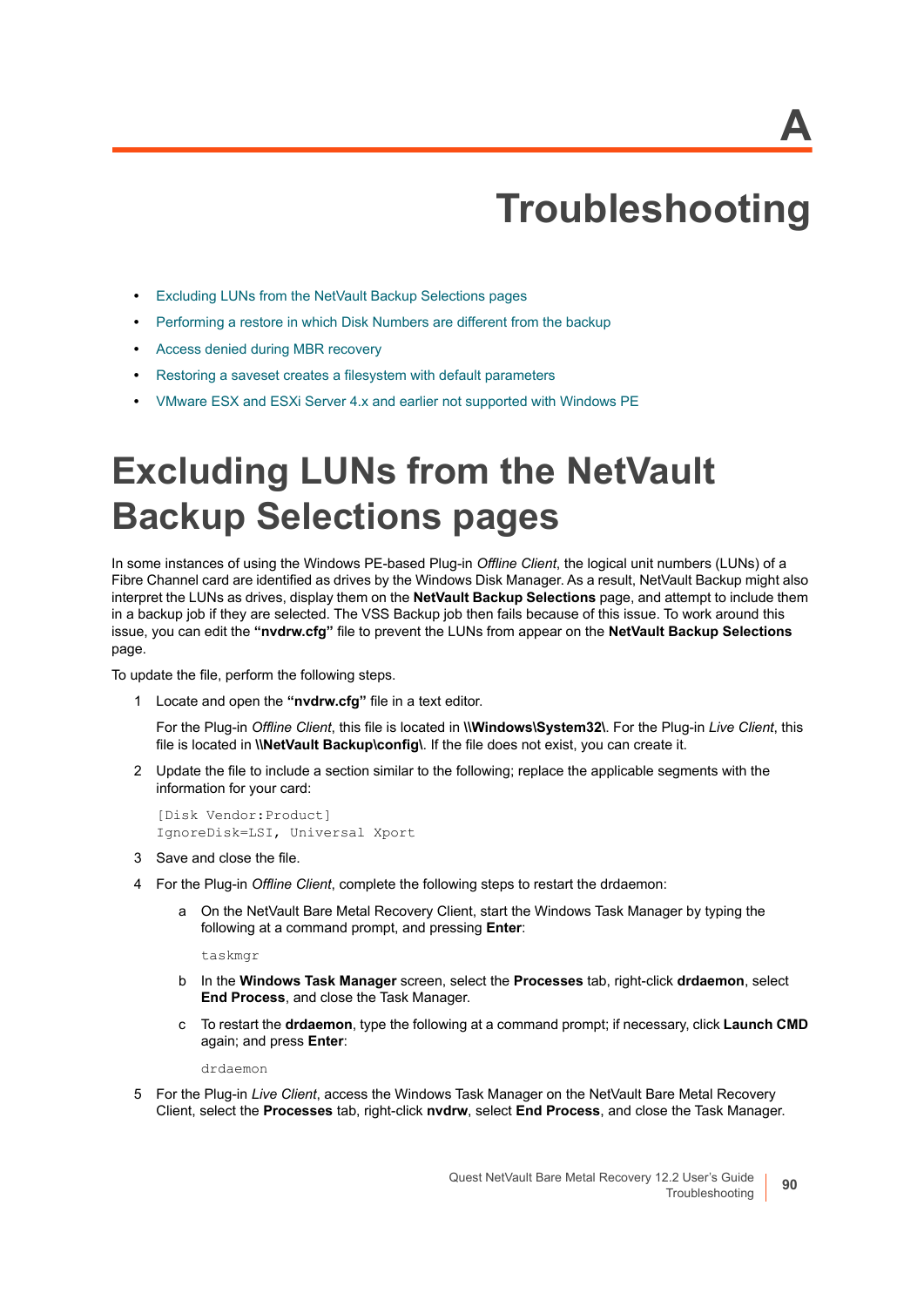# **Troubleshooting**

- **•** [Excluding LUNs from the NetVault Backup Selections pages](#page-89-0)
- **•** [Performing a restore in which Disk Numbers are different from the backup](#page-90-0)
- **•** [Access denied during MBR recovery](#page-90-1)
- **•** [Restoring a saveset creates a filesystem with default parameters](#page-90-2)
- **•** [VMware ESX and ESXi Server 4.x and earlier not supported with Windows PE](#page-91-0)

# <span id="page-89-0"></span>**Excluding LUNs from the NetVault Backup Selections pages**

In some instances of using the Windows PE-based Plug-in *Offline Client*, the logical unit numbers (LUNs) of a Fibre Channel card are identified as drives by the Windows Disk Manager. As a result, NetVault Backup might also interpret the LUNs as drives, display them on the **NetVault Backup Selections** page, and attempt to include them in a backup job if they are selected. The VSS Backup job then fails because of this issue. To work around this issue, you can edit the **"nvdrw.cfg"** file to prevent the LUNs from appear on the **NetVault Backup Selections** page.

To update the file, perform the following steps.

1 Locate and open the **"nvdrw.cfg"** file in a text editor.

For the Plug-in *Offline Client*, this file is located in **\\Windows\System32\**. For the Plug-in *Live Client*, this file is located in **\\NetVault Backup\config\**. If the file does not exist, you can create it.

2 Update the file to include a section similar to the following; replace the applicable segments with the information for your card:

[Disk Vendor:Product] IgnoreDisk=LSI, Universal Xport

- 3 Save and close the file.
- 4 For the Plug-in *Offline Client*, complete the following steps to restart the drdaemon:
	- a On the NetVault Bare Metal Recovery Client, start the Windows Task Manager by typing the following at a command prompt, and pressing **Enter**:

taskmgr

- b In the **Windows Task Manager** screen, select the **Processes** tab, right-click **drdaemon**, select **End Process**, and close the Task Manager.
- c To restart the **drdaemon**, type the following at a command prompt; if necessary, click **Launch CMD** again; and press **Enter**:

drdaemon

5 For the Plug-in *Live Client*, access the Windows Task Manager on the NetVault Bare Metal Recovery Client, select the **Processes** tab, right-click **nvdrw**, select **End Process**, and close the Task Manager.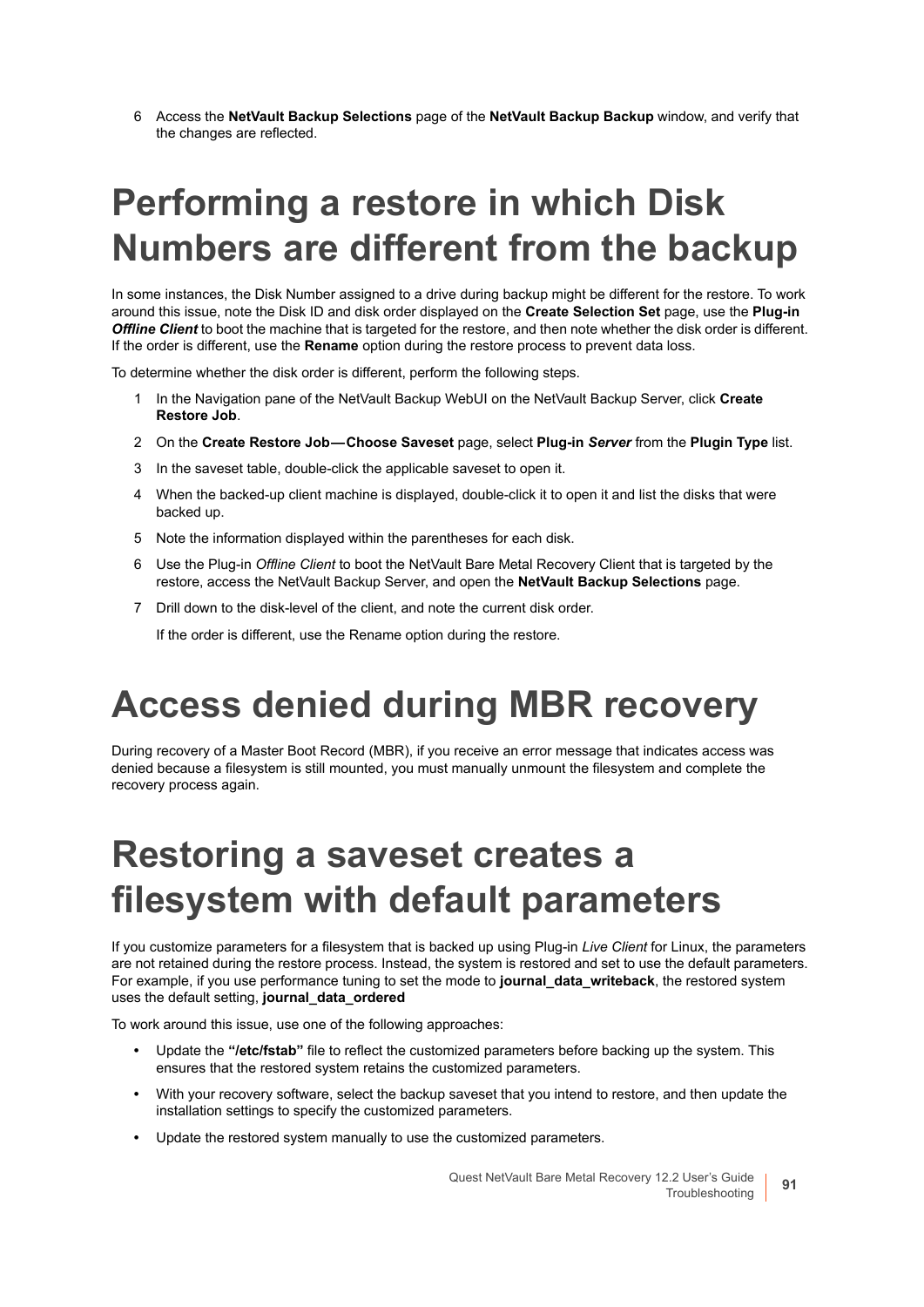6 Access the **NetVault Backup Selections** page of the **NetVault Backup Backup** window, and verify that the changes are reflected.

# <span id="page-90-0"></span>**Performing a restore in which Disk Numbers are different from the backup**

In some instances, the Disk Number assigned to a drive during backup might be different for the restore. To work around this issue, note the Disk ID and disk order displayed on the **Create Selection Set** page, use the **Plug-in**  *Offline Client* to boot the machine that is targeted for the restore, and then note whether the disk order is different. If the order is different, use the **Rename** option during the restore process to prevent data loss.

To determine whether the disk order is different, perform the following steps.

- 1 In the Navigation pane of the NetVault Backup WebUI on the NetVault Backup Server, click **Create Restore Job**.
- 2 On the **Create Restore Job Choose Saveset** page, select **Plug-in** *Server* from the **Plugin Type** list.
- 3 In the saveset table, double-click the applicable saveset to open it.
- 4 When the backed-up client machine is displayed, double-click it to open it and list the disks that were backed up.
- 5 Note the information displayed within the parentheses for each disk.
- 6 Use the Plug-in *Offline Client* to boot the NetVault Bare Metal Recovery Client that is targeted by the restore, access the NetVault Backup Server, and open the **NetVault Backup Selections** page.
- 7 Drill down to the disk-level of the client, and note the current disk order.

If the order is different, use the Rename option during the restore.

## <span id="page-90-1"></span>**Access denied during MBR recovery**

During recovery of a Master Boot Record (MBR), if you receive an error message that indicates access was denied because a filesystem is still mounted, you must manually unmount the filesystem and complete the recovery process again.

## <span id="page-90-2"></span>**Restoring a saveset creates a filesystem with default parameters**

If you customize parameters for a filesystem that is backed up using Plug-in *Live Client* for Linux, the parameters are not retained during the restore process. Instead, the system is restored and set to use the default parameters. For example, if you use performance tuning to set the mode to **journal\_data\_writeback**, the restored system uses the default setting, **journal\_data\_ordered**

To work around this issue, use one of the following approaches:

- **•** Update the **"/etc/fstab"** file to reflect the customized parameters before backing up the system. This ensures that the restored system retains the customized parameters.
- **•** With your recovery software, select the backup saveset that you intend to restore, and then update the installation settings to specify the customized parameters.
- **•** Update the restored system manually to use the customized parameters.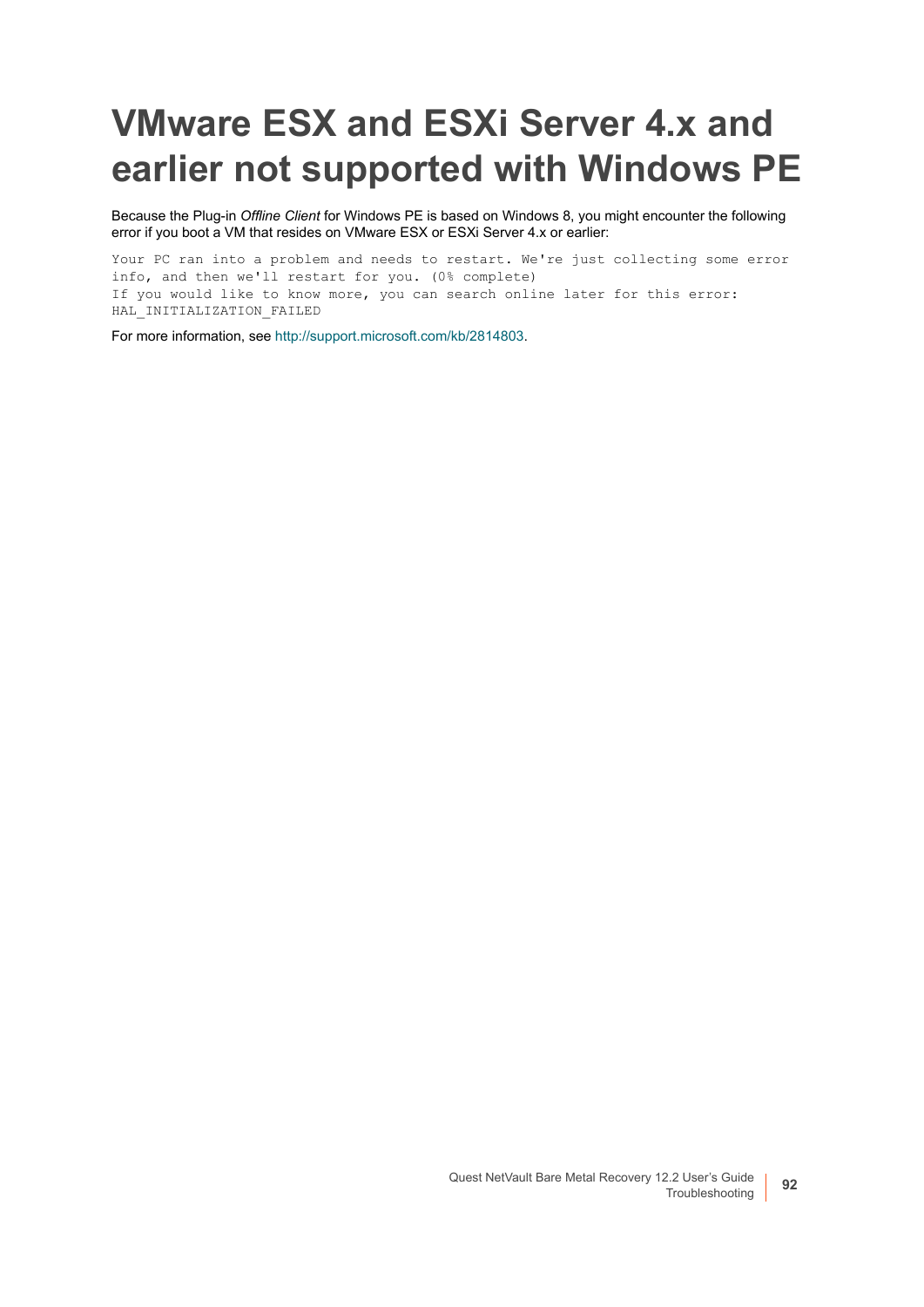# <span id="page-91-0"></span>**VMware ESX and ESXi Server 4.x and earlier not supported with Windows PE**

Because the Plug-in *Offline Client* for Windows PE is based on Windows 8, you might encounter the following error if you boot a VM that resides on VMware ESX or ESXi Server 4.x or earlier:

Your PC ran into a problem and needs to restart. We're just collecting some error info, and then we'll restart for you. (0% complete) If you would like to know more, you can search online later for this error: HAL INITIALIZATION FAILED

For more information, see [http://support.microsoft.com/kb/2814803.](http://support.microsoft.com/kb/2814803)